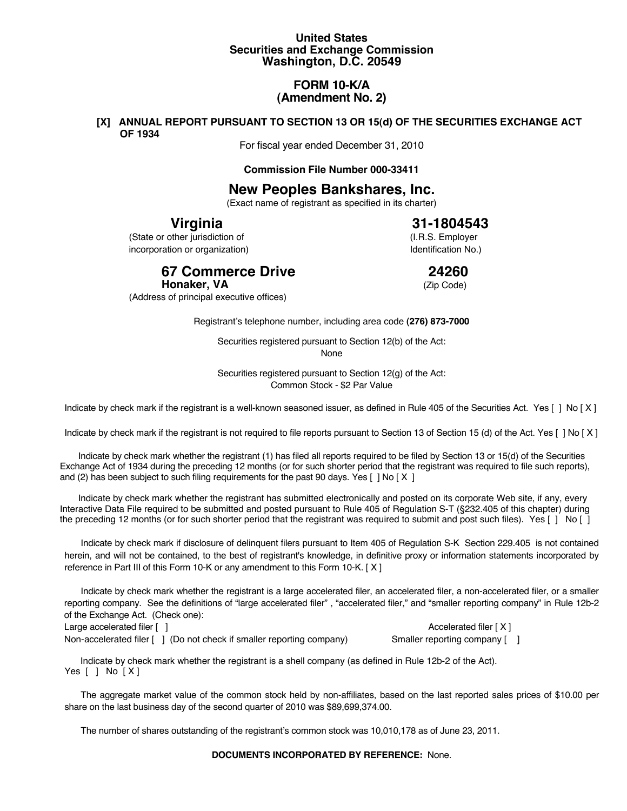# **United States Securities and Exchange Commission Washington, D.C. 20549**

### **FORM 10-K/A (Amendment No. 2)**

#### **[X] ANNUAL REPORT PURSUANT TO SECTION 13 OR 15(d) OF THE SECURITIES EXCHANGE ACT OF 1934**

For fiscal year ended December 31, 2010

**Commission File Number 000-33411** 

# **New Peoples Bankshares, Inc.**

(Exact name of registrant as specified in its charter)

# **Virginia 31-1804543**

(State or other jurisdiction of incorporation or organization) incorporation No.)

Honaker, VA

**67 Commerce Drive 24260<br>
Honaker, VA (Zip Code)** 

(Address of principal executive offices)

Registrant's telephone number, including area code **(276) 873-7000** 

Securities registered pursuant to Section 12(b) of the Act: None

Securities registered pursuant to Section 12(g) of the Act: Common Stock - \$2 Par Value

Indicate by check mark if the registrant is a well-known seasoned issuer, as defined in Rule 405 of the Securities Act. Yes [ ] No [ X ]

Indicate by check mark if the registrant is not required to file reports pursuant to Section 13 of Section 15 (d) of the Act. Yes [ ] No [ X ]

Indicate by check mark whether the registrant (1) has filed all reports required to be filed by Section 13 or 15(d) of the Securities Exchange Act of 1934 during the preceding 12 months (or for such shorter period that the registrant was required to file such reports), and (2) has been subject to such filing requirements for the past 90 days. Yes  $\lceil \cdot \rceil \log |X| \rceil$ 

Indicate by check mark whether the registrant has submitted electronically and posted on its corporate Web site, if any, every Interactive Data File required to be submitted and posted pursuant to Rule 405 of Regulation S-T (§232.405 of this chapter) during the preceding 12 months (or for such shorter period that the registrant was required to submit and post such files). Yes [ ] No [ ]

 Indicate by check mark if disclosure of delinquent filers pursuant to Item 405 of Regulation S-K Section 229.405 is not contained herein, and will not be contained, to the best of registrant's knowledge, in definitive proxy or information statements incorporated by reference in Part III of this Form 10-K or any amendment to this Form 10-K. [ X ]

 Indicate by check mark whether the registrant is a large accelerated filer, an accelerated filer, a non-accelerated filer, or a smaller reporting company. See the definitions of "large accelerated filer" , "accelerated filer," and "smaller reporting company" in Rule 12b-2 of the Exchange Act. (Check one):

Large accelerated filer [ ] Contact the Contact of Accelerated filer [ X ] Non-accelerated filer [ ] (Do not check if smaller reporting company) Smaller reporting company [ ]

 Indicate by check mark whether the registrant is a shell company (as defined in Rule 12b-2 of the Act). Yes [ ] No [ X ]

 The aggregate market value of the common stock held by non-affiliates, based on the last reported sales prices of \$10.00 per share on the last business day of the second quarter of 2010 was \$89,699,374.00.

The number of shares outstanding of the registrant's common stock was 10,010,178 as of June 23, 2011.

#### **DOCUMENTS INCORPORATED BY REFERENCE:** None.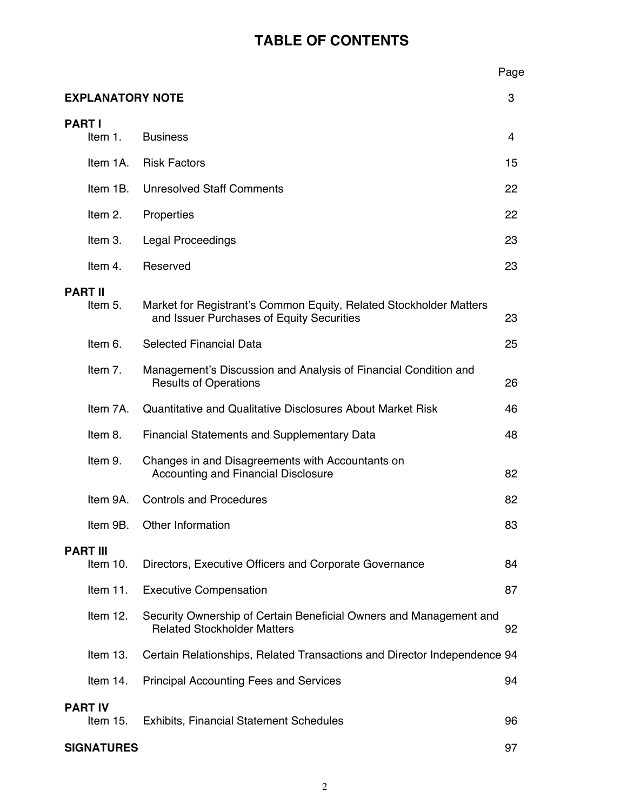# **TABLE OF CONTENTS**

|                 |                         |                                                                                                                 | Page |
|-----------------|-------------------------|-----------------------------------------------------------------------------------------------------------------|------|
|                 | <b>EXPLANATORY NOTE</b> |                                                                                                                 | 3    |
| <b>PART I</b>   | Item 1.                 | <b>Business</b>                                                                                                 | 4    |
|                 | Item 1A.                | <b>Risk Factors</b>                                                                                             | 15   |
|                 | Item 1B.                | <b>Unresolved Staff Comments</b>                                                                                | 22   |
|                 |                         |                                                                                                                 |      |
|                 | Item 2.                 | Properties                                                                                                      | 22   |
|                 | Item 3.                 | <b>Legal Proceedings</b>                                                                                        | 23   |
|                 | Item 4.                 | Reserved                                                                                                        | 23   |
| <b>PART II</b>  | Item 5.                 | Market for Registrant's Common Equity, Related Stockholder Matters<br>and Issuer Purchases of Equity Securities | 23   |
|                 | Item 6.                 | <b>Selected Financial Data</b>                                                                                  | 25   |
|                 | Item 7.                 | Management's Discussion and Analysis of Financial Condition and<br><b>Results of Operations</b>                 | 26   |
|                 | Item 7A.                | <b>Quantitative and Qualitative Disclosures About Market Risk</b>                                               | 46   |
|                 | Item 8.                 | <b>Financial Statements and Supplementary Data</b>                                                              | 48   |
|                 | Item 9.                 | Changes in and Disagreements with Accountants on<br>Accounting and Financial Disclosure                         | 82   |
|                 | Item 9A.                | <b>Controls and Procedures</b>                                                                                  | 82   |
|                 | Item 9B.                | Other Information                                                                                               | 83   |
| <b>PART III</b> |                         |                                                                                                                 |      |
|                 | Item 10.                | Directors, Executive Officers and Corporate Governance                                                          | 84   |
|                 | Item 11.                | <b>Executive Compensation</b>                                                                                   | 87   |
|                 | Item 12.                | Security Ownership of Certain Beneficial Owners and Management and<br><b>Related Stockholder Matters</b>        | 92   |
|                 | Item 13.                | Certain Relationships, Related Transactions and Director Independence 94                                        |      |
|                 | Item 14.                | <b>Principal Accounting Fees and Services</b>                                                                   | 94   |
| <b>PART IV</b>  | Item 15.                | <b>Exhibits, Financial Statement Schedules</b>                                                                  | 96   |
|                 | <b>SIGNATURES</b>       |                                                                                                                 | 97   |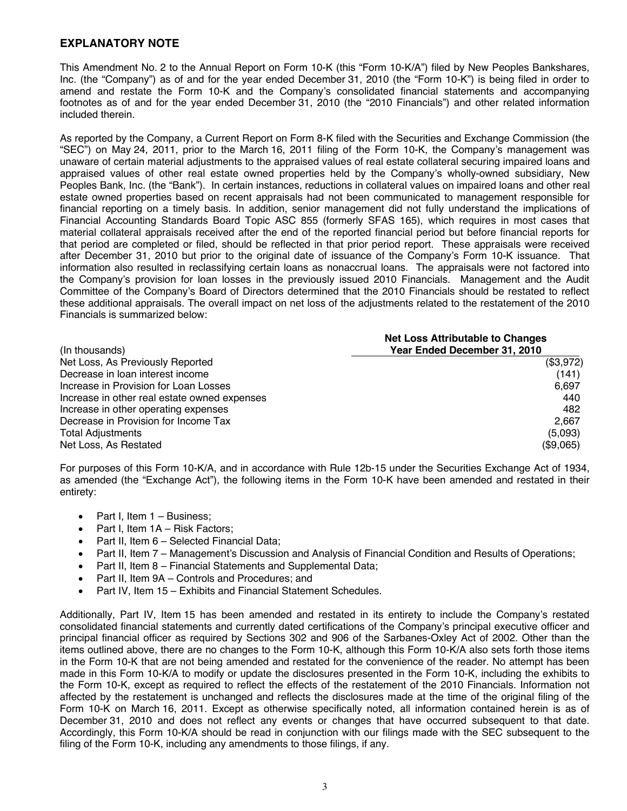# **EXPLANATORY NOTE**

This Amendment No. 2 to the Annual Report on Form 10-K (this "Form 10-K/A") filed by New Peoples Bankshares, Inc. (the "Company") as of and for the year ended December 31, 2010 (the "Form 10-K") is being filed in order to amend and restate the Form 10-K and the Company's consolidated financial statements and accompanying footnotes as of and for the year ended December 31, 2010 (the "2010 Financials") and other related information included therein.

As reported by the Company, a Current Report on Form 8-K filed with the Securities and Exchange Commission (the "SEC") on May 24, 2011, prior to the March 16, 2011 filing of the Form 10-K, the Company's management was unaware of certain material adjustments to the appraised values of real estate collateral securing impaired loans and appraised values of other real estate owned properties held by the Company's wholly-owned subsidiary, New Peoples Bank, Inc. (the "Bank"). In certain instances, reductions in collateral values on impaired loans and other real estate owned properties based on recent appraisals had not been communicated to management responsible for financial reporting on a timely basis. In addition, senior management did not fully understand the implications of Financial Accounting Standards Board Topic ASC 855 (formerly SFAS 165), which requires in most cases that material collateral appraisals received after the end of the reported financial period but before financial reports for that period are completed or filed, should be reflected in that prior period report. These appraisals were received after December 31, 2010 but prior to the original date of issuance of the Company's Form 10-K issuance. That information also resulted in reclassifying certain loans as nonaccrual loans. The appraisals were not factored into the Company's provision for loan losses in the previously issued 2010 Financials. Management and the Audit Committee of the Company's Board of Directors determined that the 2010 Financials should be restated to reflect these additional appraisals. The overall impact on net loss of the adjustments related to the restatement of the 2010 Financials is summarized below:

| (In thousands)                               | <b>Net Loss Attributable to Changes</b><br>Year Ended December 31, 2010 |
|----------------------------------------------|-------------------------------------------------------------------------|
| Net Loss, As Previously Reported             | (\$3,972)                                                               |
| Decrease in loan interest income             | (141)                                                                   |
| Increase in Provision for Loan Losses        | 6,697                                                                   |
| Increase in other real estate owned expenses | 440                                                                     |
| Increase in other operating expenses         | 482                                                                     |
| Decrease in Provision for Income Tax         | 2.667                                                                   |
| <b>Total Adjustments</b>                     | (5,093)                                                                 |
| Net Loss, As Restated                        | (\$9,065)                                                               |

For purposes of this Form 10-K/A, and in accordance with Rule 12b-15 under the Securities Exchange Act of 1934, as amended (the "Exchange Act"), the following items in the Form 10-K have been amended and restated in their entirety:

- Part I, Item  $1 -$  Business;
- Part I, Item 1A Risk Factors;
- Part II, Item 6 Selected Financial Data;
- Part II, Item 7 Management's Discussion and Analysis of Financial Condition and Results of Operations;
- Part II, Item 8 Financial Statements and Supplemental Data;
- Part II, Item 9A Controls and Procedures; and
- Part IV, Item 15 Exhibits and Financial Statement Schedules.

Additionally, Part IV, Item 15 has been amended and restated in its entirety to include the Company's restated consolidated financial statements and currently dated certifications of the Company's principal executive officer and principal financial officer as required by Sections 302 and 906 of the Sarbanes-Oxley Act of 2002. Other than the items outlined above, there are no changes to the Form 10-K, although this Form 10-K/A also sets forth those items in the Form 10-K that are not being amended and restated for the convenience of the reader. No attempt has been made in this Form 10-K/A to modify or update the disclosures presented in the Form 10-K, including the exhibits to the Form 10-K, except as required to reflect the effects of the restatement of the 2010 Financials. Information not affected by the restatement is unchanged and reflects the disclosures made at the time of the original filing of the Form 10-K on March 16, 2011. Except as otherwise specifically noted, all information contained herein is as of December 31, 2010 and does not reflect any events or changes that have occurred subsequent to that date. Accordingly, this Form 10-K/A should be read in conjunction with our filings made with the SEC subsequent to the filing of the Form 10-K, including any amendments to those filings, if any.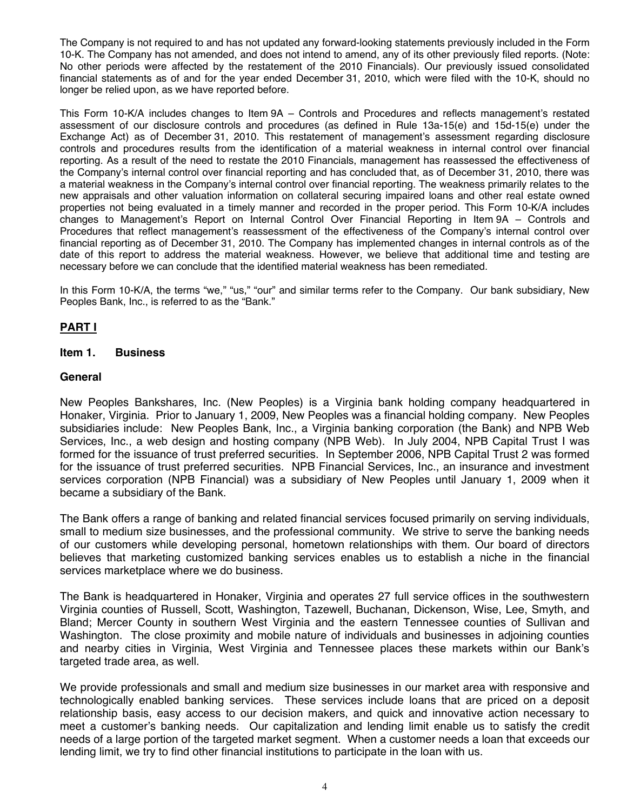The Company is not required to and has not updated any forward-looking statements previously included in the Form 10-K. The Company has not amended, and does not intend to amend, any of its other previously filed reports. (Note: No other periods were affected by the restatement of the 2010 Financials). Our previously issued consolidated financial statements as of and for the year ended December 31, 2010, which were filed with the 10-K, should no longer be relied upon, as we have reported before.

This Form 10-K/A includes changes to Item 9A – Controls and Procedures and reflects management's restated assessment of our disclosure controls and procedures (as defined in Rule 13a-15(e) and 15d-15(e) under the Exchange Act) as of December 31, 2010. This restatement of management's assessment regarding disclosure controls and procedures results from the identification of a material weakness in internal control over financial reporting. As a result of the need to restate the 2010 Financials, management has reassessed the effectiveness of the Company's internal control over financial reporting and has concluded that, as of December 31, 2010, there was a material weakness in the Company's internal control over financial reporting. The weakness primarily relates to the new appraisals and other valuation information on collateral securing impaired loans and other real estate owned properties not being evaluated in a timely manner and recorded in the proper period. This Form 10-K/A includes changes to Management's Report on Internal Control Over Financial Reporting in Item 9A – Controls and Procedures that reflect management's reassessment of the effectiveness of the Company's internal control over financial reporting as of December 31, 2010. The Company has implemented changes in internal controls as of the date of this report to address the material weakness. However, we believe that additional time and testing are necessary before we can conclude that the identified material weakness has been remediated.

In this Form 10-K/A, the terms "we," "us," "our" and similar terms refer to the Company. Our bank subsidiary, New Peoples Bank, Inc., is referred to as the "Bank."

# **PART I**

# **Item 1. Business**

# **General**

New Peoples Bankshares, Inc. (New Peoples) is a Virginia bank holding company headquartered in Honaker, Virginia. Prior to January 1, 2009, New Peoples was a financial holding company. New Peoples subsidiaries include: New Peoples Bank, Inc., a Virginia banking corporation (the Bank) and NPB Web Services, Inc., a web design and hosting company (NPB Web). In July 2004, NPB Capital Trust I was formed for the issuance of trust preferred securities. In September 2006, NPB Capital Trust 2 was formed for the issuance of trust preferred securities. NPB Financial Services, Inc., an insurance and investment services corporation (NPB Financial) was a subsidiary of New Peoples until January 1, 2009 when it became a subsidiary of the Bank.

The Bank offers a range of banking and related financial services focused primarily on serving individuals, small to medium size businesses, and the professional community. We strive to serve the banking needs of our customers while developing personal, hometown relationships with them. Our board of directors believes that marketing customized banking services enables us to establish a niche in the financial services marketplace where we do business.

The Bank is headquartered in Honaker, Virginia and operates 27 full service offices in the southwestern Virginia counties of Russell, Scott, Washington, Tazewell, Buchanan, Dickenson, Wise, Lee, Smyth, and Bland; Mercer County in southern West Virginia and the eastern Tennessee counties of Sullivan and Washington. The close proximity and mobile nature of individuals and businesses in adjoining counties and nearby cities in Virginia, West Virginia and Tennessee places these markets within our Bank's targeted trade area, as well.

We provide professionals and small and medium size businesses in our market area with responsive and technologically enabled banking services. These services include loans that are priced on a deposit relationship basis, easy access to our decision makers, and quick and innovative action necessary to meet a customer's banking needs. Our capitalization and lending limit enable us to satisfy the credit needs of a large portion of the targeted market segment. When a customer needs a loan that exceeds our lending limit, we try to find other financial institutions to participate in the loan with us.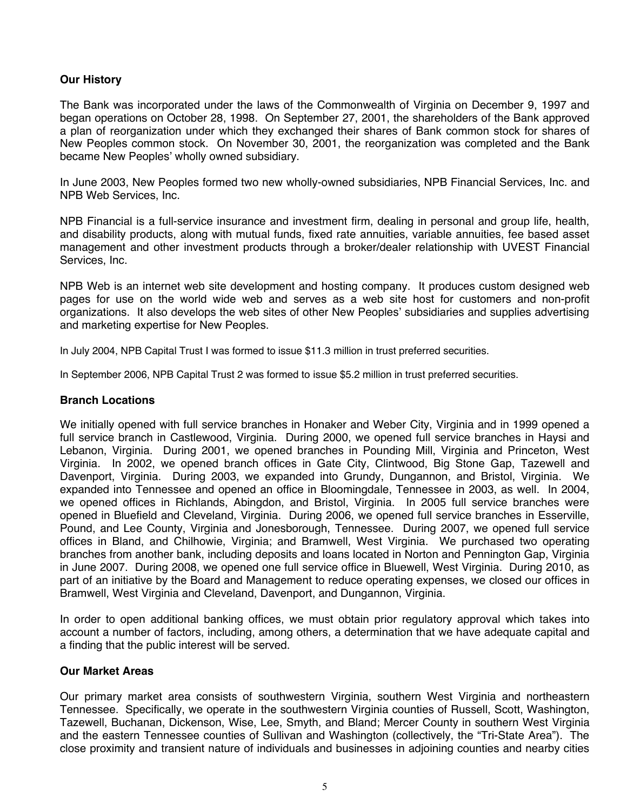# **Our History**

The Bank was incorporated under the laws of the Commonwealth of Virginia on December 9, 1997 and began operations on October 28, 1998. On September 27, 2001, the shareholders of the Bank approved a plan of reorganization under which they exchanged their shares of Bank common stock for shares of New Peoples common stock. On November 30, 2001, the reorganization was completed and the Bank became New Peoples' wholly owned subsidiary.

In June 2003, New Peoples formed two new wholly-owned subsidiaries, NPB Financial Services, Inc. and NPB Web Services, Inc.

NPB Financial is a full-service insurance and investment firm, dealing in personal and group life, health, and disability products, along with mutual funds, fixed rate annuities, variable annuities, fee based asset management and other investment products through a broker/dealer relationship with UVEST Financial Services, Inc.

NPB Web is an internet web site development and hosting company. It produces custom designed web pages for use on the world wide web and serves as a web site host for customers and non-profit organizations. It also develops the web sites of other New Peoples' subsidiaries and supplies advertising and marketing expertise for New Peoples.

In July 2004, NPB Capital Trust I was formed to issue \$11.3 million in trust preferred securities.

In September 2006, NPB Capital Trust 2 was formed to issue \$5.2 million in trust preferred securities.

# **Branch Locations**

We initially opened with full service branches in Honaker and Weber City, Virginia and in 1999 opened a full service branch in Castlewood, Virginia. During 2000, we opened full service branches in Haysi and Lebanon, Virginia. During 2001, we opened branches in Pounding Mill, Virginia and Princeton, West Virginia. In 2002, we opened branch offices in Gate City, Clintwood, Big Stone Gap, Tazewell and Davenport, Virginia. During 2003, we expanded into Grundy, Dungannon, and Bristol, Virginia. We expanded into Tennessee and opened an office in Bloomingdale, Tennessee in 2003, as well. In 2004, we opened offices in Richlands, Abingdon, and Bristol, Virginia. In 2005 full service branches were opened in Bluefield and Cleveland, Virginia. During 2006, we opened full service branches in Esserville, Pound, and Lee County, Virginia and Jonesborough, Tennessee. During 2007, we opened full service offices in Bland, and Chilhowie, Virginia; and Bramwell, West Virginia. We purchased two operating branches from another bank, including deposits and loans located in Norton and Pennington Gap, Virginia in June 2007. During 2008, we opened one full service office in Bluewell, West Virginia. During 2010, as part of an initiative by the Board and Management to reduce operating expenses, we closed our offices in Bramwell, West Virginia and Cleveland, Davenport, and Dungannon, Virginia.

In order to open additional banking offices, we must obtain prior regulatory approval which takes into account a number of factors, including, among others, a determination that we have adequate capital and a finding that the public interest will be served.

# **Our Market Areas**

Our primary market area consists of southwestern Virginia, southern West Virginia and northeastern Tennessee. Specifically, we operate in the southwestern Virginia counties of Russell, Scott, Washington, Tazewell, Buchanan, Dickenson, Wise, Lee, Smyth, and Bland; Mercer County in southern West Virginia and the eastern Tennessee counties of Sullivan and Washington (collectively, the "Tri-State Area"). The close proximity and transient nature of individuals and businesses in adjoining counties and nearby cities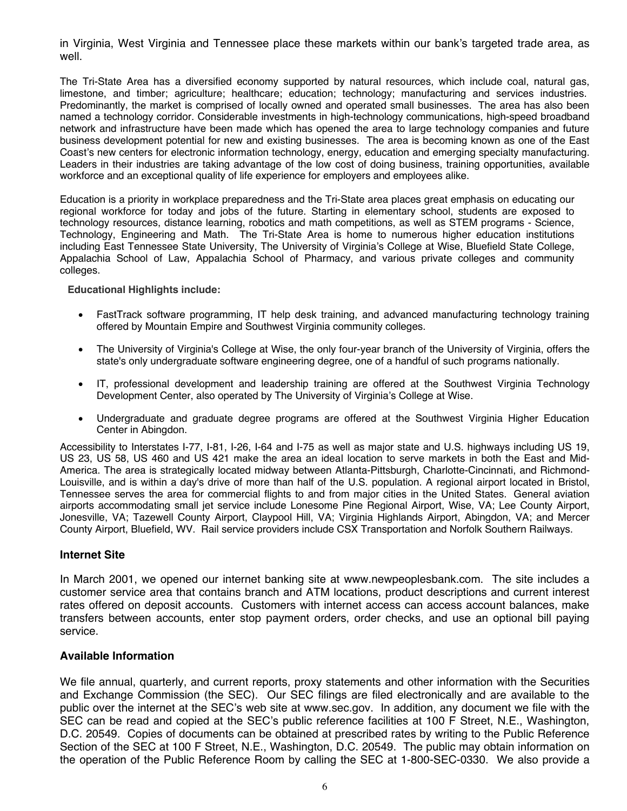in Virginia, West Virginia and Tennessee place these markets within our bank's targeted trade area, as well.

The Tri-State Area has a diversified economy supported by natural resources, which include coal, natural gas, limestone, and timber; agriculture; healthcare; education; technology; manufacturing and services industries. Predominantly, the market is comprised of locally owned and operated small businesses. The area has also been named a technology corridor. Considerable investments in high-technology communications, high-speed broadband network and infrastructure have been made which has opened the area to large technology companies and future business development potential for new and existing businesses. The area is becoming known as one of the East Coast's new centers for electronic information technology, energy, education and emerging specialty manufacturing. Leaders in their industries are taking advantage of the low cost of doing business, training opportunities, available workforce and an exceptional quality of life experience for employers and employees alike.

Education is a priority in workplace preparedness and the Tri-State area places great emphasis on educating our regional workforce for today and jobs of the future. Starting in elementary school, students are exposed to technology resources, distance learning, robotics and math competitions, as well as STEM programs - Science, Technology, Engineering and Math. The Tri-State Area is home to numerous higher education institutions including East Tennessee State University, The University of Virginia's College at Wise, Bluefield State College, Appalachia School of Law, Appalachia School of Pharmacy, and various private colleges and community colleges.

**Educational Highlights include:**

- FastTrack software programming, IT help desk training, and advanced manufacturing technology training offered by Mountain Empire and Southwest Virginia community colleges.
- The University of Virginia's College at Wise, the only four-year branch of the University of Virginia, offers the state's only undergraduate software engineering degree, one of a handful of such programs nationally.
- IT, professional development and leadership training are offered at the Southwest Virginia Technology Development Center, also operated by The University of Virginia's College at Wise.
- Undergraduate and graduate degree programs are offered at the Southwest Virginia Higher Education Center in Abingdon.

Accessibility to Interstates I-77, I-81, I-26, I-64 and I-75 as well as major state and U.S. highways including US 19, US 23, US 58, US 460 and US 421 make the area an ideal location to serve markets in both the East and Mid-America. The area is strategically located midway between Atlanta-Pittsburgh, Charlotte-Cincinnati, and Richmond-Louisville, and is within a day's drive of more than half of the U.S. population. A regional airport located in Bristol, Tennessee serves the area for commercial flights to and from major cities in the United States. General aviation airports accommodating small jet service include Lonesome Pine Regional Airport, Wise, VA; Lee County Airport, Jonesville, VA; Tazewell County Airport, Claypool Hill, VA; Virginia Highlands Airport, Abingdon, VA; and Mercer County Airport, Bluefield, WV. Rail service providers include CSX Transportation and Norfolk Southern Railways.

# **Internet Site**

In March 2001, we opened our internet banking site at www.newpeoplesbank.com. The site includes a customer service area that contains branch and ATM locations, product descriptions and current interest rates offered on deposit accounts. Customers with internet access can access account balances, make transfers between accounts, enter stop payment orders, order checks, and use an optional bill paying service.

# **Available Information**

We file annual, quarterly, and current reports, proxy statements and other information with the Securities and Exchange Commission (the SEC). Our SEC filings are filed electronically and are available to the public over the internet at the SEC's web site at www.sec.gov. In addition, any document we file with the SEC can be read and copied at the SEC's public reference facilities at 100 F Street, N.E., Washington, D.C. 20549. Copies of documents can be obtained at prescribed rates by writing to the Public Reference Section of the SEC at 100 F Street, N.E., Washington, D.C. 20549. The public may obtain information on the operation of the Public Reference Room by calling the SEC at 1-800-SEC-0330. We also provide a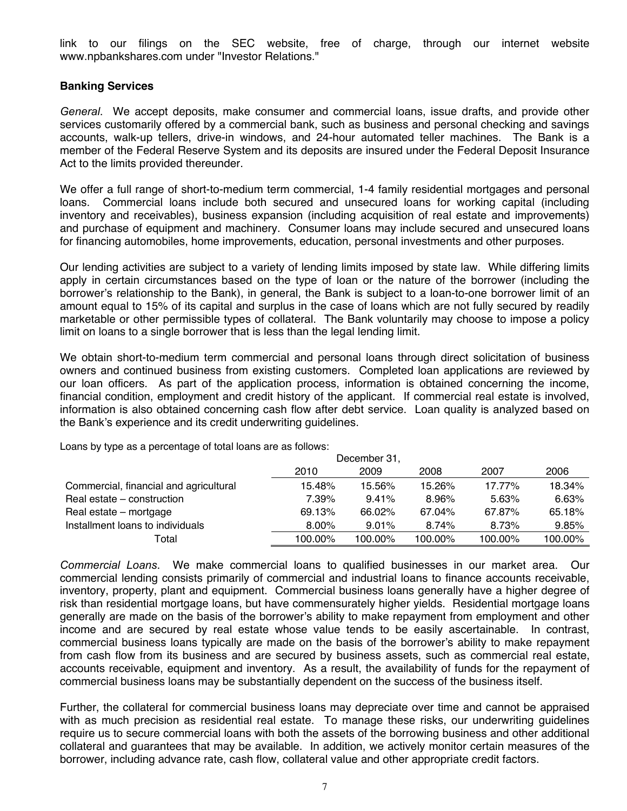link to our filings on the SEC website, free of charge, through our internet website www.npbankshares.com under "Investor Relations."

# **Banking Services**

*General*. We accept deposits, make consumer and commercial loans, issue drafts, and provide other services customarily offered by a commercial bank, such as business and personal checking and savings accounts, walk-up tellers, drive-in windows, and 24-hour automated teller machines. The Bank is a member of the Federal Reserve System and its deposits are insured under the Federal Deposit Insurance Act to the limits provided thereunder.

We offer a full range of short-to-medium term commercial, 1-4 family residential mortgages and personal loans. Commercial loans include both secured and unsecured loans for working capital (including inventory and receivables), business expansion (including acquisition of real estate and improvements) and purchase of equipment and machinery. Consumer loans may include secured and unsecured loans for financing automobiles, home improvements, education, personal investments and other purposes.

Our lending activities are subject to a variety of lending limits imposed by state law. While differing limits apply in certain circumstances based on the type of loan or the nature of the borrower (including the borrower's relationship to the Bank), in general, the Bank is subject to a loan-to-one borrower limit of an amount equal to 15% of its capital and surplus in the case of loans which are not fully secured by readily marketable or other permissible types of collateral. The Bank voluntarily may choose to impose a policy limit on loans to a single borrower that is less than the legal lending limit.

We obtain short-to-medium term commercial and personal loans through direct solicitation of business owners and continued business from existing customers. Completed loan applications are reviewed by our loan officers. As part of the application process, information is obtained concerning the income, financial condition, employment and credit history of the applicant. If commercial real estate is involved, information is also obtained concerning cash flow after debt service. Loan quality is analyzed based on the Bank's experience and its credit underwriting guidelines.

|                                        |          | December 31,         |         |         |         |  |  |  |  |  |  |  |
|----------------------------------------|----------|----------------------|---------|---------|---------|--|--|--|--|--|--|--|
|                                        | 2010     | 2008<br>2009<br>2007 |         |         |         |  |  |  |  |  |  |  |
| Commercial, financial and agricultural | 15.48%   | 15.56%               | 15.26%  | 17.77%  | 18.34%  |  |  |  |  |  |  |  |
| Real estate – construction             | 7.39%    | 9.41%                | 8.96%   | 5.63%   | 6.63%   |  |  |  |  |  |  |  |
| Real estate – mortgage                 | 69.13%   | 66.02%               | 67.04%  | 67.87%  | 65.18%  |  |  |  |  |  |  |  |
| Installment loans to individuals       | $8.00\%$ | 9.01%                | 8.74%   | 8.73%   | 9.85%   |  |  |  |  |  |  |  |
| Total                                  | 100.00%  | 100.00%              | 100.00% | 100.00% | 100.00% |  |  |  |  |  |  |  |

Loans by type as a percentage of total loans are as follows:

*Commercial Loans*. We make commercial loans to qualified businesses in our market area. Our commercial lending consists primarily of commercial and industrial loans to finance accounts receivable, inventory, property, plant and equipment. Commercial business loans generally have a higher degree of risk than residential mortgage loans, but have commensurately higher yields. Residential mortgage loans generally are made on the basis of the borrower's ability to make repayment from employment and other income and are secured by real estate whose value tends to be easily ascertainable. In contrast, commercial business loans typically are made on the basis of the borrower's ability to make repayment from cash flow from its business and are secured by business assets, such as commercial real estate, accounts receivable, equipment and inventory. As a result, the availability of funds for the repayment of commercial business loans may be substantially dependent on the success of the business itself.

Further, the collateral for commercial business loans may depreciate over time and cannot be appraised with as much precision as residential real estate. To manage these risks, our underwriting guidelines require us to secure commercial loans with both the assets of the borrowing business and other additional collateral and guarantees that may be available. In addition, we actively monitor certain measures of the borrower, including advance rate, cash flow, collateral value and other appropriate credit factors.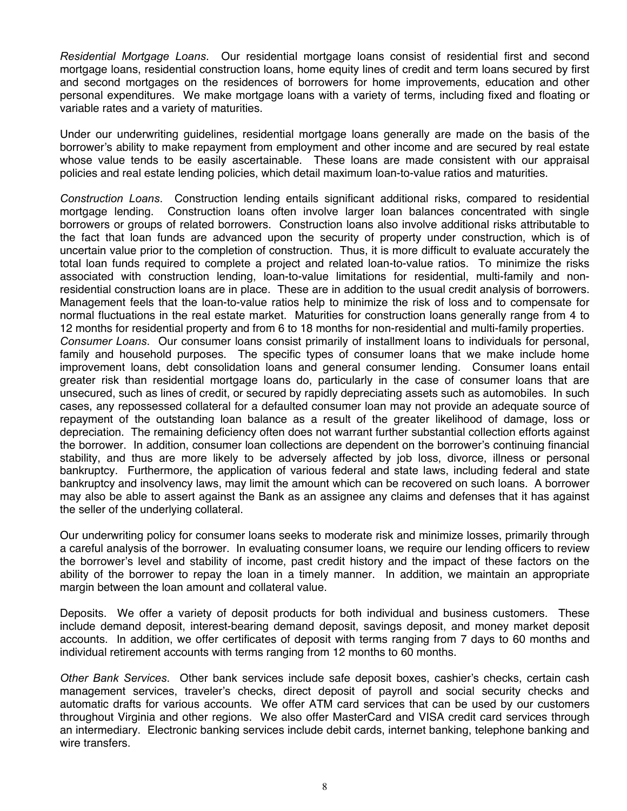*Residential Mortgage Loans*. Our residential mortgage loans consist of residential first and second mortgage loans, residential construction loans, home equity lines of credit and term loans secured by first and second mortgages on the residences of borrowers for home improvements, education and other personal expenditures. We make mortgage loans with a variety of terms, including fixed and floating or variable rates and a variety of maturities.

Under our underwriting guidelines, residential mortgage loans generally are made on the basis of the borrower's ability to make repayment from employment and other income and are secured by real estate whose value tends to be easily ascertainable. These loans are made consistent with our appraisal policies and real estate lending policies, which detail maximum loan-to-value ratios and maturities.

*Construction Loans*. Construction lending entails significant additional risks, compared to residential mortgage lending. Construction loans often involve larger loan balances concentrated with single borrowers or groups of related borrowers. Construction loans also involve additional risks attributable to the fact that loan funds are advanced upon the security of property under construction, which is of uncertain value prior to the completion of construction. Thus, it is more difficult to evaluate accurately the total loan funds required to complete a project and related loan-to-value ratios. To minimize the risks associated with construction lending, loan-to-value limitations for residential, multi-family and nonresidential construction loans are in place. These are in addition to the usual credit analysis of borrowers. Management feels that the loan-to-value ratios help to minimize the risk of loss and to compensate for normal fluctuations in the real estate market. Maturities for construction loans generally range from 4 to 12 months for residential property and from 6 to 18 months for non-residential and multi-family properties. *Consumer Loans*. Our consumer loans consist primarily of installment loans to individuals for personal, family and household purposes. The specific types of consumer loans that we make include home improvement loans, debt consolidation loans and general consumer lending. Consumer loans entail greater risk than residential mortgage loans do, particularly in the case of consumer loans that are unsecured, such as lines of credit, or secured by rapidly depreciating assets such as automobiles. In such cases, any repossessed collateral for a defaulted consumer loan may not provide an adequate source of repayment of the outstanding loan balance as a result of the greater likelihood of damage, loss or depreciation. The remaining deficiency often does not warrant further substantial collection efforts against the borrower. In addition, consumer loan collections are dependent on the borrower's continuing financial stability, and thus are more likely to be adversely affected by job loss, divorce, illness or personal bankruptcy. Furthermore, the application of various federal and state laws, including federal and state bankruptcy and insolvency laws, may limit the amount which can be recovered on such loans. A borrower may also be able to assert against the Bank as an assignee any claims and defenses that it has against the seller of the underlying collateral.

Our underwriting policy for consumer loans seeks to moderate risk and minimize losses, primarily through a careful analysis of the borrower. In evaluating consumer loans, we require our lending officers to review the borrower's level and stability of income, past credit history and the impact of these factors on the ability of the borrower to repay the loan in a timely manner. In addition, we maintain an appropriate margin between the loan amount and collateral value.

Deposits. We offer a variety of deposit products for both individual and business customers. These include demand deposit, interest-bearing demand deposit, savings deposit, and money market deposit accounts. In addition, we offer certificates of deposit with terms ranging from 7 days to 60 months and individual retirement accounts with terms ranging from 12 months to 60 months.

*Other Bank Services*. Other bank services include safe deposit boxes, cashier's checks, certain cash management services, traveler's checks, direct deposit of payroll and social security checks and automatic drafts for various accounts. We offer ATM card services that can be used by our customers throughout Virginia and other regions. We also offer MasterCard and VISA credit card services through an intermediary. Electronic banking services include debit cards, internet banking, telephone banking and wire transfers.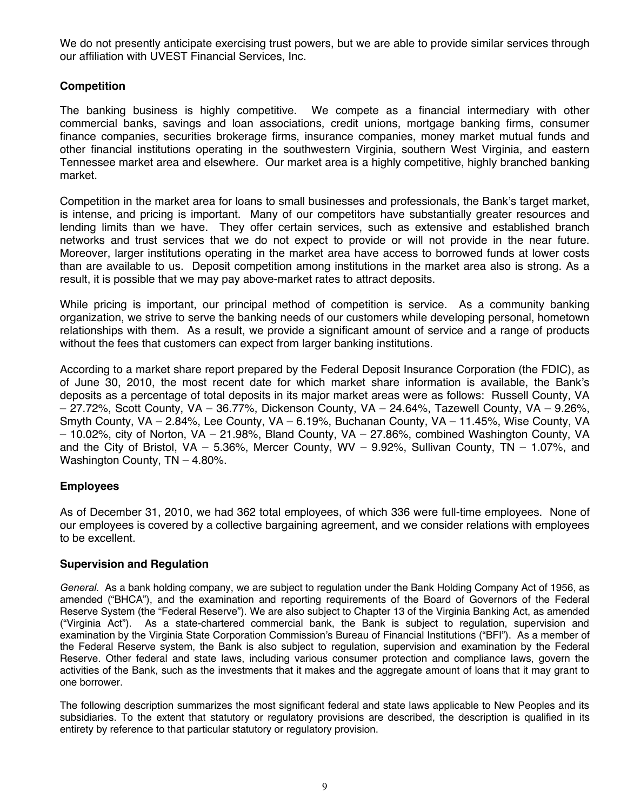We do not presently anticipate exercising trust powers, but we are able to provide similar services through our affiliation with UVEST Financial Services, Inc.

# **Competition**

The banking business is highly competitive. We compete as a financial intermediary with other commercial banks, savings and loan associations, credit unions, mortgage banking firms, consumer finance companies, securities brokerage firms, insurance companies, money market mutual funds and other financial institutions operating in the southwestern Virginia, southern West Virginia, and eastern Tennessee market area and elsewhere. Our market area is a highly competitive, highly branched banking market.

Competition in the market area for loans to small businesses and professionals, the Bank's target market, is intense, and pricing is important. Many of our competitors have substantially greater resources and lending limits than we have. They offer certain services, such as extensive and established branch networks and trust services that we do not expect to provide or will not provide in the near future. Moreover, larger institutions operating in the market area have access to borrowed funds at lower costs than are available to us. Deposit competition among institutions in the market area also is strong. As a result, it is possible that we may pay above-market rates to attract deposits.

While pricing is important, our principal method of competition is service. As a community banking organization, we strive to serve the banking needs of our customers while developing personal, hometown relationships with them. As a result, we provide a significant amount of service and a range of products without the fees that customers can expect from larger banking institutions.

According to a market share report prepared by the Federal Deposit Insurance Corporation (the FDIC), as of June 30, 2010, the most recent date for which market share information is available, the Bank's deposits as a percentage of total deposits in its major market areas were as follows: Russell County, VA – 27.72%, Scott County, VA – 36.77%, Dickenson County, VA – 24.64%, Tazewell County, VA – 9.26%, Smyth County, VA – 2.84%, Lee County, VA – 6.19%, Buchanan County, VA – 11.45%, Wise County, VA – 10.02%, city of Norton, VA – 21.98%, Bland County, VA – 27.86%, combined Washington County, VA and the City of Bristol,  $VA - 5.36\%$ , Mercer County,  $WV - 9.92\%$ , Sullivan County,  $TN - 1.07\%$ , and Washington County, TN – 4.80%.

# **Employees**

As of December 31, 2010, we had 362 total employees, of which 336 were full-time employees. None of our employees is covered by a collective bargaining agreement, and we consider relations with employees to be excellent.

# **Supervision and Regulation**

*General.* As a bank holding company, we are subject to regulation under the Bank Holding Company Act of 1956, as amended ("BHCA"), and the examination and reporting requirements of the Board of Governors of the Federal Reserve System (the "Federal Reserve"). We are also subject to Chapter 13 of the Virginia Banking Act, as amended ("Virginia Act"). As a state-chartered commercial bank, the Bank is subject to regulation, supervision and examination by the Virginia State Corporation Commission's Bureau of Financial Institutions ("BFI"). As a member of the Federal Reserve system, the Bank is also subject to regulation, supervision and examination by the Federal Reserve. Other federal and state laws, including various consumer protection and compliance laws, govern the activities of the Bank, such as the investments that it makes and the aggregate amount of loans that it may grant to one borrower.

The following description summarizes the most significant federal and state laws applicable to New Peoples and its subsidiaries. To the extent that statutory or regulatory provisions are described, the description is qualified in its entirety by reference to that particular statutory or regulatory provision.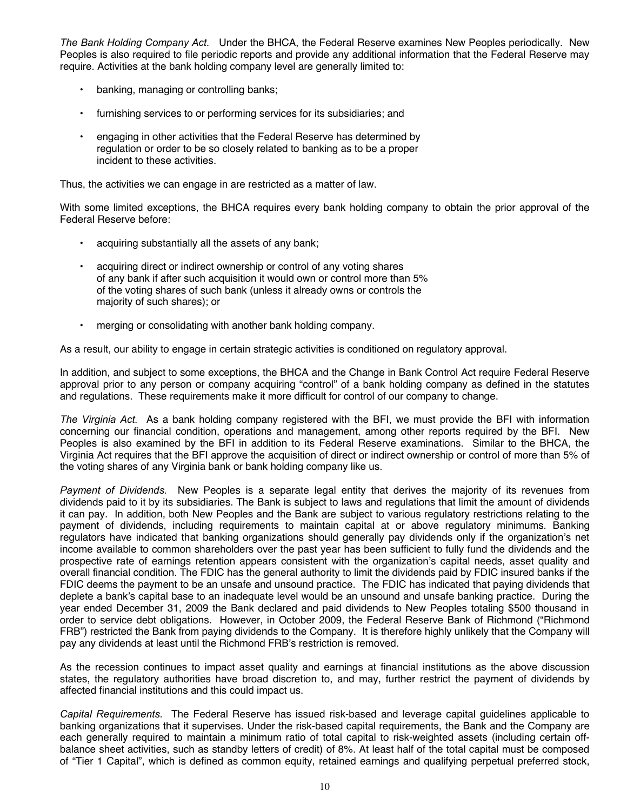*The Bank Holding Company Act.* Under the BHCA, the Federal Reserve examines New Peoples periodically. New Peoples is also required to file periodic reports and provide any additional information that the Federal Reserve may require. Activities at the bank holding company level are generally limited to:

- banking, managing or controlling banks;
- furnishing services to or performing services for its subsidiaries; and
- engaging in other activities that the Federal Reserve has determined by regulation or order to be so closely related to banking as to be a proper incident to these activities.

Thus, the activities we can engage in are restricted as a matter of law.

With some limited exceptions, the BHCA requires every bank holding company to obtain the prior approval of the Federal Reserve before:

- acquiring substantially all the assets of any bank;
- acquiring direct or indirect ownership or control of any voting shares of any bank if after such acquisition it would own or control more than 5% of the voting shares of such bank (unless it already owns or controls the majority of such shares); or
- merging or consolidating with another bank holding company.

As a result, our ability to engage in certain strategic activities is conditioned on regulatory approval.

In addition, and subject to some exceptions, the BHCA and the Change in Bank Control Act require Federal Reserve approval prior to any person or company acquiring "control" of a bank holding company as defined in the statutes and regulations. These requirements make it more difficult for control of our company to change.

*The Virginia Act.* As a bank holding company registered with the BFI, we must provide the BFI with information concerning our financial condition, operations and management, among other reports required by the BFI. New Peoples is also examined by the BFI in addition to its Federal Reserve examinations. Similar to the BHCA, the Virginia Act requires that the BFI approve the acquisition of direct or indirect ownership or control of more than 5% of the voting shares of any Virginia bank or bank holding company like us.

*Payment of Dividends.* New Peoples is a separate legal entity that derives the majority of its revenues from dividends paid to it by its subsidiaries. The Bank is subject to laws and regulations that limit the amount of dividends it can pay. In addition, both New Peoples and the Bank are subject to various regulatory restrictions relating to the payment of dividends, including requirements to maintain capital at or above regulatory minimums. Banking regulators have indicated that banking organizations should generally pay dividends only if the organization's net income available to common shareholders over the past year has been sufficient to fully fund the dividends and the prospective rate of earnings retention appears consistent with the organization's capital needs, asset quality and overall financial condition. The FDIC has the general authority to limit the dividends paid by FDIC insured banks if the FDIC deems the payment to be an unsafe and unsound practice. The FDIC has indicated that paying dividends that deplete a bank's capital base to an inadequate level would be an unsound and unsafe banking practice. During the year ended December 31, 2009 the Bank declared and paid dividends to New Peoples totaling \$500 thousand in order to service debt obligations. However, in October 2009, the Federal Reserve Bank of Richmond ("Richmond FRB") restricted the Bank from paying dividends to the Company. It is therefore highly unlikely that the Company will pay any dividends at least until the Richmond FRB's restriction is removed.

As the recession continues to impact asset quality and earnings at financial institutions as the above discussion states, the regulatory authorities have broad discretion to, and may, further restrict the payment of dividends by affected financial institutions and this could impact us.

*Capital Requirements.* The Federal Reserve has issued risk-based and leverage capital guidelines applicable to banking organizations that it supervises. Under the risk-based capital requirements, the Bank and the Company are each generally required to maintain a minimum ratio of total capital to risk-weighted assets (including certain offbalance sheet activities, such as standby letters of credit) of 8%. At least half of the total capital must be composed of "Tier 1 Capital", which is defined as common equity, retained earnings and qualifying perpetual preferred stock,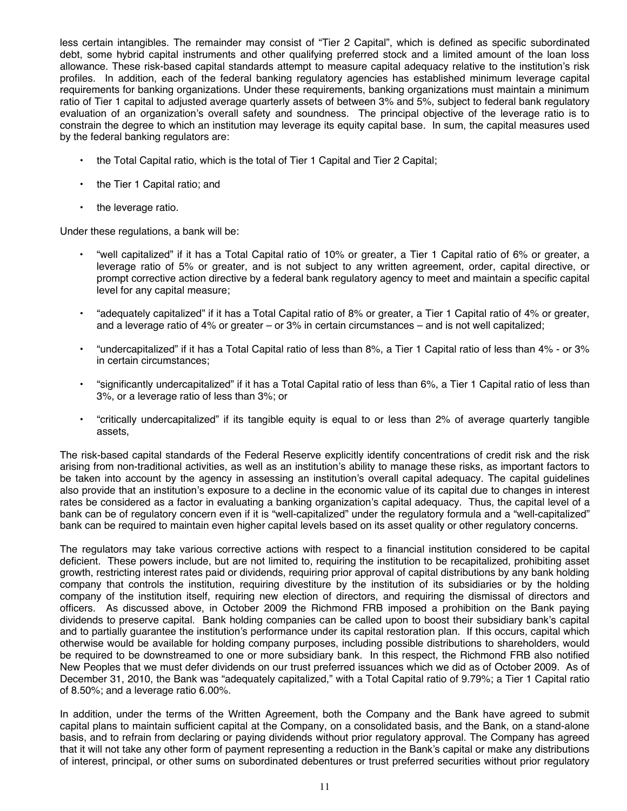less certain intangibles. The remainder may consist of "Tier 2 Capital", which is defined as specific subordinated debt, some hybrid capital instruments and other qualifying preferred stock and a limited amount of the loan loss allowance. These risk-based capital standards attempt to measure capital adequacy relative to the institution's risk profiles. In addition, each of the federal banking regulatory agencies has established minimum leverage capital requirements for banking organizations. Under these requirements, banking organizations must maintain a minimum ratio of Tier 1 capital to adjusted average quarterly assets of between 3% and 5%, subject to federal bank regulatory evaluation of an organization's overall safety and soundness. The principal objective of the leverage ratio is to constrain the degree to which an institution may leverage its equity capital base. In sum, the capital measures used by the federal banking regulators are:

- the Total Capital ratio, which is the total of Tier 1 Capital and Tier 2 Capital;
- the Tier 1 Capital ratio; and
- the leverage ratio.

Under these regulations, a bank will be:

- "well capitalized" if it has a Total Capital ratio of 10% or greater, a Tier 1 Capital ratio of 6% or greater, a leverage ratio of 5% or greater, and is not subject to any written agreement, order, capital directive, or prompt corrective action directive by a federal bank regulatory agency to meet and maintain a specific capital level for any capital measure;
- "adequately capitalized" if it has a Total Capital ratio of 8% or greater, a Tier 1 Capital ratio of 4% or greater, and a leverage ratio of 4% or greater – or 3% in certain circumstances – and is not well capitalized;
- "undercapitalized" if it has a Total Capital ratio of less than 8%, a Tier 1 Capital ratio of less than 4% or 3% in certain circumstances;
- "significantly undercapitalized" if it has a Total Capital ratio of less than 6%, a Tier 1 Capital ratio of less than 3%, or a leverage ratio of less than 3%; or
- "critically undercapitalized" if its tangible equity is equal to or less than 2% of average quarterly tangible assets,

The risk-based capital standards of the Federal Reserve explicitly identify concentrations of credit risk and the risk arising from non-traditional activities, as well as an institution's ability to manage these risks, as important factors to be taken into account by the agency in assessing an institution's overall capital adequacy. The capital guidelines also provide that an institution's exposure to a decline in the economic value of its capital due to changes in interest rates be considered as a factor in evaluating a banking organization's capital adequacy. Thus, the capital level of a bank can be of regulatory concern even if it is "well-capitalized" under the regulatory formula and a "well-capitalized" bank can be required to maintain even higher capital levels based on its asset quality or other regulatory concerns.

The regulators may take various corrective actions with respect to a financial institution considered to be capital deficient. These powers include, but are not limited to, requiring the institution to be recapitalized, prohibiting asset growth, restricting interest rates paid or dividends, requiring prior approval of capital distributions by any bank holding company that controls the institution, requiring divestiture by the institution of its subsidiaries or by the holding company of the institution itself, requiring new election of directors, and requiring the dismissal of directors and officers. As discussed above, in October 2009 the Richmond FRB imposed a prohibition on the Bank paying dividends to preserve capital. Bank holding companies can be called upon to boost their subsidiary bank's capital and to partially guarantee the institution's performance under its capital restoration plan. If this occurs, capital which otherwise would be available for holding company purposes, including possible distributions to shareholders, would be required to be downstreamed to one or more subsidiary bank. In this respect, the Richmond FRB also notified New Peoples that we must defer dividends on our trust preferred issuances which we did as of October 2009. As of December 31, 2010, the Bank was "adequately capitalized," with a Total Capital ratio of 9.79%; a Tier 1 Capital ratio of 8.50%; and a leverage ratio 6.00%.

In addition, under the terms of the Written Agreement, both the Company and the Bank have agreed to submit capital plans to maintain sufficient capital at the Company, on a consolidated basis, and the Bank, on a stand-alone basis, and to refrain from declaring or paying dividends without prior regulatory approval. The Company has agreed that it will not take any other form of payment representing a reduction in the Bank's capital or make any distributions of interest, principal, or other sums on subordinated debentures or trust preferred securities without prior regulatory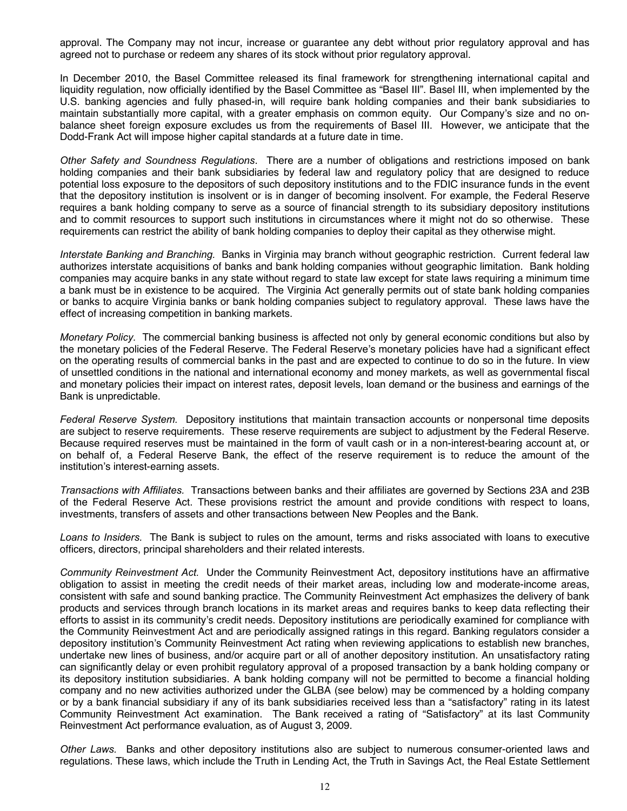approval. The Company may not incur, increase or guarantee any debt without prior regulatory approval and has agreed not to purchase or redeem any shares of its stock without prior regulatory approval.

In December 2010, the Basel Committee released its final framework for strengthening international capital and liquidity regulation, now officially identified by the Basel Committee as "Basel III". Basel III, when implemented by the U.S. banking agencies and fully phased-in, will require bank holding companies and their bank subsidiaries to maintain substantially more capital, with a greater emphasis on common equity. Our Company's size and no onbalance sheet foreign exposure excludes us from the requirements of Basel III. However, we anticipate that the Dodd-Frank Act will impose higher capital standards at a future date in time.

*Other Safety and Soundness Regulations*. There are a number of obligations and restrictions imposed on bank holding companies and their bank subsidiaries by federal law and regulatory policy that are designed to reduce potential loss exposure to the depositors of such depository institutions and to the FDIC insurance funds in the event that the depository institution is insolvent or is in danger of becoming insolvent. For example, the Federal Reserve requires a bank holding company to serve as a source of financial strength to its subsidiary depository institutions and to commit resources to support such institutions in circumstances where it might not do so otherwise. These requirements can restrict the ability of bank holding companies to deploy their capital as they otherwise might.

*Interstate Banking and Branching.* Banks in Virginia may branch without geographic restriction. Current federal law authorizes interstate acquisitions of banks and bank holding companies without geographic limitation. Bank holding companies may acquire banks in any state without regard to state law except for state laws requiring a minimum time a bank must be in existence to be acquired. The Virginia Act generally permits out of state bank holding companies or banks to acquire Virginia banks or bank holding companies subject to regulatory approval. These laws have the effect of increasing competition in banking markets.

*Monetary Policy.* The commercial banking business is affected not only by general economic conditions but also by the monetary policies of the Federal Reserve. The Federal Reserve's monetary policies have had a significant effect on the operating results of commercial banks in the past and are expected to continue to do so in the future. In view of unsettled conditions in the national and international economy and money markets, as well as governmental fiscal and monetary policies their impact on interest rates, deposit levels, loan demand or the business and earnings of the Bank is unpredictable.

*Federal Reserve System.* Depository institutions that maintain transaction accounts or nonpersonal time deposits are subject to reserve requirements. These reserve requirements are subject to adjustment by the Federal Reserve. Because required reserves must be maintained in the form of vault cash or in a non-interest-bearing account at, or on behalf of, a Federal Reserve Bank, the effect of the reserve requirement is to reduce the amount of the institution's interest-earning assets.

*Transactions with Affiliates.* Transactions between banks and their affiliates are governed by Sections 23A and 23B of the Federal Reserve Act. These provisions restrict the amount and provide conditions with respect to loans, investments, transfers of assets and other transactions between New Peoples and the Bank.

*Loans to Insiders.* The Bank is subject to rules on the amount, terms and risks associated with loans to executive officers, directors, principal shareholders and their related interests.

*Community Reinvestment Act.* Under the Community Reinvestment Act, depository institutions have an affirmative obligation to assist in meeting the credit needs of their market areas, including low and moderate-income areas, consistent with safe and sound banking practice. The Community Reinvestment Act emphasizes the delivery of bank products and services through branch locations in its market areas and requires banks to keep data reflecting their efforts to assist in its community's credit needs. Depository institutions are periodically examined for compliance with the Community Reinvestment Act and are periodically assigned ratings in this regard. Banking regulators consider a depository institution's Community Reinvestment Act rating when reviewing applications to establish new branches, undertake new lines of business, and/or acquire part or all of another depository institution. An unsatisfactory rating can significantly delay or even prohibit regulatory approval of a proposed transaction by a bank holding company or its depository institution subsidiaries. A bank holding company will not be permitted to become a financial holding company and no new activities authorized under the GLBA (see below) may be commenced by a holding company or by a bank financial subsidiary if any of its bank subsidiaries received less than a "satisfactory" rating in its latest Community Reinvestment Act examination. The Bank received a rating of "Satisfactory" at its last Community Reinvestment Act performance evaluation, as of August 3, 2009.

*Other Laws.* Banks and other depository institutions also are subject to numerous consumer-oriented laws and regulations. These laws, which include the Truth in Lending Act, the Truth in Savings Act, the Real Estate Settlement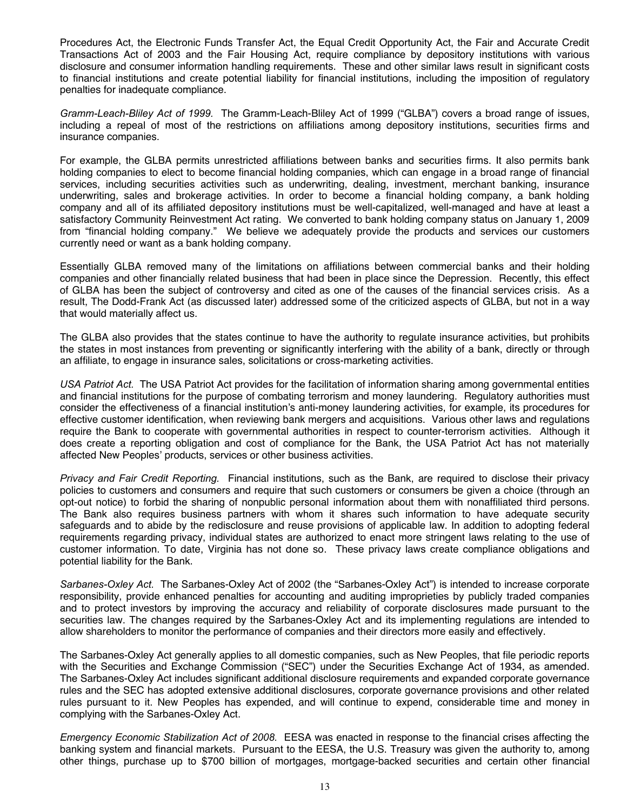Procedures Act, the Electronic Funds Transfer Act, the Equal Credit Opportunity Act, the Fair and Accurate Credit Transactions Act of 2003 and the Fair Housing Act, require compliance by depository institutions with various disclosure and consumer information handling requirements. These and other similar laws result in significant costs to financial institutions and create potential liability for financial institutions, including the imposition of regulatory penalties for inadequate compliance.

*Gramm-Leach-Bliley Act of 1999.* The Gramm-Leach-Bliley Act of 1999 ("GLBA") covers a broad range of issues, including a repeal of most of the restrictions on affiliations among depository institutions, securities firms and insurance companies.

For example, the GLBA permits unrestricted affiliations between banks and securities firms. It also permits bank holding companies to elect to become financial holding companies, which can engage in a broad range of financial services, including securities activities such as underwriting, dealing, investment, merchant banking, insurance underwriting, sales and brokerage activities. In order to become a financial holding company, a bank holding company and all of its affiliated depository institutions must be well-capitalized, well-managed and have at least a satisfactory Community Reinvestment Act rating. We converted to bank holding company status on January 1, 2009 from "financial holding company." We believe we adequately provide the products and services our customers currently need or want as a bank holding company.

Essentially GLBA removed many of the limitations on affiliations between commercial banks and their holding companies and other financially related business that had been in place since the Depression. Recently, this effect of GLBA has been the subject of controversy and cited as one of the causes of the financial services crisis. As a result, The Dodd-Frank Act (as discussed later) addressed some of the criticized aspects of GLBA, but not in a way that would materially affect us.

The GLBA also provides that the states continue to have the authority to regulate insurance activities, but prohibits the states in most instances from preventing or significantly interfering with the ability of a bank, directly or through an affiliate, to engage in insurance sales, solicitations or cross-marketing activities.

*USA Patriot Act.* The USA Patriot Act provides for the facilitation of information sharing among governmental entities and financial institutions for the purpose of combating terrorism and money laundering. Regulatory authorities must consider the effectiveness of a financial institution's anti-money laundering activities, for example, its procedures for effective customer identification, when reviewing bank mergers and acquisitions. Various other laws and regulations require the Bank to cooperate with governmental authorities in respect to counter-terrorism activities. Although it does create a reporting obligation and cost of compliance for the Bank, the USA Patriot Act has not materially affected New Peoples' products, services or other business activities.

*Privacy and Fair Credit Reporting.* Financial institutions, such as the Bank, are required to disclose their privacy policies to customers and consumers and require that such customers or consumers be given a choice (through an opt-out notice) to forbid the sharing of nonpublic personal information about them with nonaffiliated third persons. The Bank also requires business partners with whom it shares such information to have adequate security safeguards and to abide by the redisclosure and reuse provisions of applicable law. In addition to adopting federal requirements regarding privacy, individual states are authorized to enact more stringent laws relating to the use of customer information. To date, Virginia has not done so. These privacy laws create compliance obligations and potential liability for the Bank.

*Sarbanes-Oxley Act.* The Sarbanes-Oxley Act of 2002 (the "Sarbanes-Oxley Act") is intended to increase corporate responsibility, provide enhanced penalties for accounting and auditing improprieties by publicly traded companies and to protect investors by improving the accuracy and reliability of corporate disclosures made pursuant to the securities law. The changes required by the Sarbanes-Oxley Act and its implementing regulations are intended to allow shareholders to monitor the performance of companies and their directors more easily and effectively.

The Sarbanes-Oxley Act generally applies to all domestic companies, such as New Peoples, that file periodic reports with the Securities and Exchange Commission ("SEC") under the Securities Exchange Act of 1934, as amended. The Sarbanes-Oxley Act includes significant additional disclosure requirements and expanded corporate governance rules and the SEC has adopted extensive additional disclosures, corporate governance provisions and other related rules pursuant to it. New Peoples has expended, and will continue to expend, considerable time and money in complying with the Sarbanes-Oxley Act.

*Emergency Economic Stabilization Act of 2008.* EESA was enacted in response to the financial crises affecting the banking system and financial markets. Pursuant to the EESA, the U.S. Treasury was given the authority to, among other things, purchase up to \$700 billion of mortgages, mortgage-backed securities and certain other financial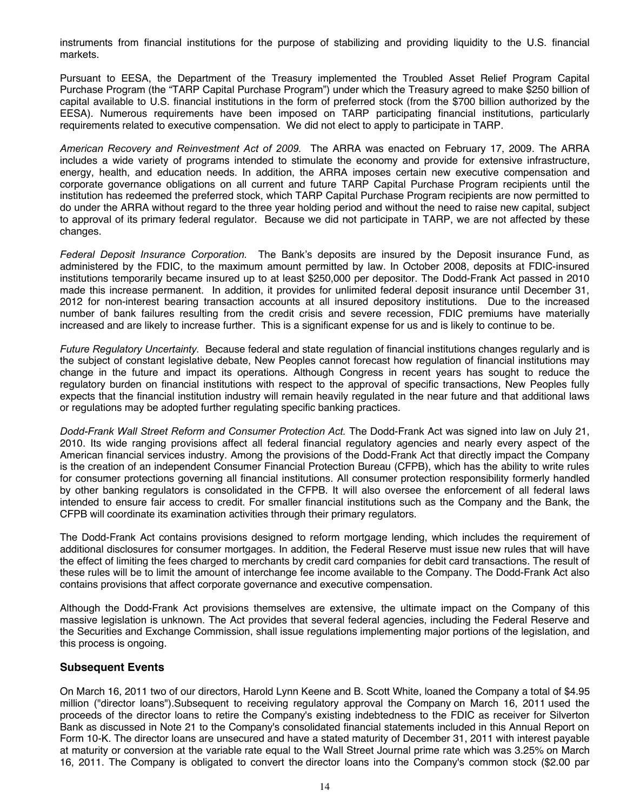instruments from financial institutions for the purpose of stabilizing and providing liquidity to the U.S. financial markets.

Pursuant to EESA, the Department of the Treasury implemented the Troubled Asset Relief Program Capital Purchase Program (the "TARP Capital Purchase Program") under which the Treasury agreed to make \$250 billion of capital available to U.S. financial institutions in the form of preferred stock (from the \$700 billion authorized by the EESA). Numerous requirements have been imposed on TARP participating financial institutions, particularly requirements related to executive compensation. We did not elect to apply to participate in TARP.

*American Recovery and Reinvestment Act of 2009.* The ARRA was enacted on February 17, 2009. The ARRA includes a wide variety of programs intended to stimulate the economy and provide for extensive infrastructure, energy, health, and education needs. In addition, the ARRA imposes certain new executive compensation and corporate governance obligations on all current and future TARP Capital Purchase Program recipients until the institution has redeemed the preferred stock, which TARP Capital Purchase Program recipients are now permitted to do under the ARRA without regard to the three year holding period and without the need to raise new capital, subject to approval of its primary federal regulator. Because we did not participate in TARP, we are not affected by these changes.

*Federal Deposit Insurance Corporation.* The Bank's deposits are insured by the Deposit insurance Fund, as administered by the FDIC, to the maximum amount permitted by law. In October 2008, deposits at FDIC-insured institutions temporarily became insured up to at least \$250,000 per depositor. The Dodd-Frank Act passed in 2010 made this increase permanent. In addition, it provides for unlimited federal deposit insurance until December 31, 2012 for non-interest bearing transaction accounts at all insured depository institutions. Due to the increased number of bank failures resulting from the credit crisis and severe recession, FDIC premiums have materially increased and are likely to increase further. This is a significant expense for us and is likely to continue to be.

*Future Regulatory Uncertainty.* Because federal and state regulation of financial institutions changes regularly and is the subject of constant legislative debate, New Peoples cannot forecast how regulation of financial institutions may change in the future and impact its operations. Although Congress in recent years has sought to reduce the regulatory burden on financial institutions with respect to the approval of specific transactions, New Peoples fully expects that the financial institution industry will remain heavily regulated in the near future and that additional laws or regulations may be adopted further regulating specific banking practices.

*Dodd-Frank Wall Street Reform and Consumer Protection Act.* The Dodd-Frank Act was signed into law on July 21, 2010. Its wide ranging provisions affect all federal financial regulatory agencies and nearly every aspect of the American financial services industry. Among the provisions of the Dodd-Frank Act that directly impact the Company is the creation of an independent Consumer Financial Protection Bureau (CFPB), which has the ability to write rules for consumer protections governing all financial institutions. All consumer protection responsibility formerly handled by other banking regulators is consolidated in the CFPB. It will also oversee the enforcement of all federal laws intended to ensure fair access to credit. For smaller financial institutions such as the Company and the Bank, the CFPB will coordinate its examination activities through their primary regulators.

The Dodd-Frank Act contains provisions designed to reform mortgage lending, which includes the requirement of additional disclosures for consumer mortgages. In addition, the Federal Reserve must issue new rules that will have the effect of limiting the fees charged to merchants by credit card companies for debit card transactions. The result of these rules will be to limit the amount of interchange fee income available to the Company. The Dodd-Frank Act also contains provisions that affect corporate governance and executive compensation.

Although the Dodd-Frank Act provisions themselves are extensive, the ultimate impact on the Company of this massive legislation is unknown. The Act provides that several federal agencies, including the Federal Reserve and the Securities and Exchange Commission, shall issue regulations implementing major portions of the legislation, and this process is ongoing.

# **Subsequent Events**

On March 16, 2011 two of our directors, Harold Lynn Keene and B. Scott White, loaned the Company a total of \$4.95 million ("director loans").Subsequent to receiving regulatory approval the Company on March 16, 2011 used the proceeds of the director loans to retire the Company's existing indebtedness to the FDIC as receiver for Silverton Bank as discussed in Note 21 to the Company's consolidated financial statements included in this Annual Report on Form 10-K. The director loans are unsecured and have a stated maturity of December 31, 2011 with interest payable at maturity or conversion at the variable rate equal to the Wall Street Journal prime rate which was 3.25% on March 16, 2011. The Company is obligated to convert the director loans into the Company's common stock (\$2.00 par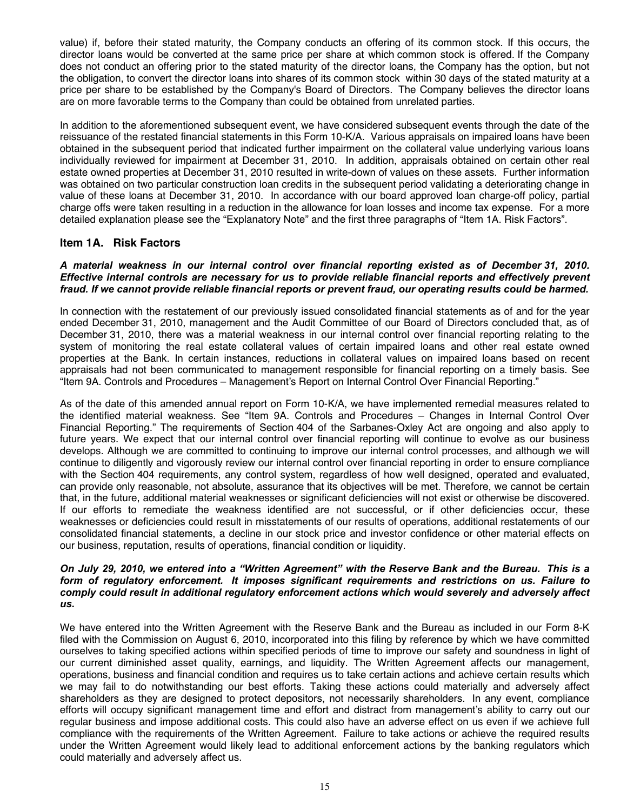value) if, before their stated maturity, the Company conducts an offering of its common stock. If this occurs, the director loans would be converted at the same price per share at which common stock is offered. If the Company does not conduct an offering prior to the stated maturity of the director loans, the Company has the option, but not the obligation, to convert the director loans into shares of its common stock within 30 days of the stated maturity at a price per share to be established by the Company's Board of Directors. The Company believes the director loans are on more favorable terms to the Company than could be obtained from unrelated parties.

In addition to the aforementioned subsequent event, we have considered subsequent events through the date of the reissuance of the restated financial statements in this Form 10-K/A. Various appraisals on impaired loans have been obtained in the subsequent period that indicated further impairment on the collateral value underlying various loans individually reviewed for impairment at December 31, 2010. In addition, appraisals obtained on certain other real estate owned properties at December 31, 2010 resulted in write-down of values on these assets. Further information was obtained on two particular construction loan credits in the subsequent period validating a deteriorating change in value of these loans at December 31, 2010. In accordance with our board approved loan charge-off policy, partial charge offs were taken resulting in a reduction in the allowance for loan losses and income tax expense. For a more detailed explanation please see the "Explanatory Note" and the first three paragraphs of "Item 1A. Risk Factors".

# **Item 1A. Risk Factors**

#### *A material weakness in our internal control over financial reporting existed as of December 31, 2010. Effective internal controls are necessary for us to provide reliable financial reports and effectively prevent fraud. If we cannot provide reliable financial reports or prevent fraud, our operating results could be harmed.*

In connection with the restatement of our previously issued consolidated financial statements as of and for the year ended December 31, 2010, management and the Audit Committee of our Board of Directors concluded that, as of December 31, 2010, there was a material weakness in our internal control over financial reporting relating to the system of monitoring the real estate collateral values of certain impaired loans and other real estate owned properties at the Bank. In certain instances, reductions in collateral values on impaired loans based on recent appraisals had not been communicated to management responsible for financial reporting on a timely basis. See "Item 9A. Controls and Procedures – Management's Report on Internal Control Over Financial Reporting."

As of the date of this amended annual report on Form 10-K/A, we have implemented remedial measures related to the identified material weakness. See "Item 9A. Controls and Procedures – Changes in Internal Control Over Financial Reporting." The requirements of Section 404 of the Sarbanes-Oxley Act are ongoing and also apply to future years. We expect that our internal control over financial reporting will continue to evolve as our business develops. Although we are committed to continuing to improve our internal control processes, and although we will continue to diligently and vigorously review our internal control over financial reporting in order to ensure compliance with the Section 404 requirements, any control system, regardless of how well designed, operated and evaluated, can provide only reasonable, not absolute, assurance that its objectives will be met. Therefore, we cannot be certain that, in the future, additional material weaknesses or significant deficiencies will not exist or otherwise be discovered. If our efforts to remediate the weakness identified are not successful, or if other deficiencies occur, these weaknesses or deficiencies could result in misstatements of our results of operations, additional restatements of our consolidated financial statements, a decline in our stock price and investor confidence or other material effects on our business, reputation, results of operations, financial condition or liquidity.

#### *On July 29, 2010, we entered into a "Written Agreement" with the Reserve Bank and the Bureau. This is a form of regulatory enforcement. It imposes significant requirements and restrictions on us. Failure to comply could result in additional regulatory enforcement actions which would severely and adversely affect us.*

We have entered into the Written Agreement with the Reserve Bank and the Bureau as included in our Form 8-K filed with the Commission on August 6, 2010, incorporated into this filing by reference by which we have committed ourselves to taking specified actions within specified periods of time to improve our safety and soundness in light of our current diminished asset quality, earnings, and liquidity. The Written Agreement affects our management, operations, business and financial condition and requires us to take certain actions and achieve certain results which we may fail to do notwithstanding our best efforts. Taking these actions could materially and adversely affect shareholders as they are designed to protect depositors, not necessarily shareholders. In any event, compliance efforts will occupy significant management time and effort and distract from management's ability to carry out our regular business and impose additional costs. This could also have an adverse effect on us even if we achieve full compliance with the requirements of the Written Agreement. Failure to take actions or achieve the required results under the Written Agreement would likely lead to additional enforcement actions by the banking regulators which could materially and adversely affect us.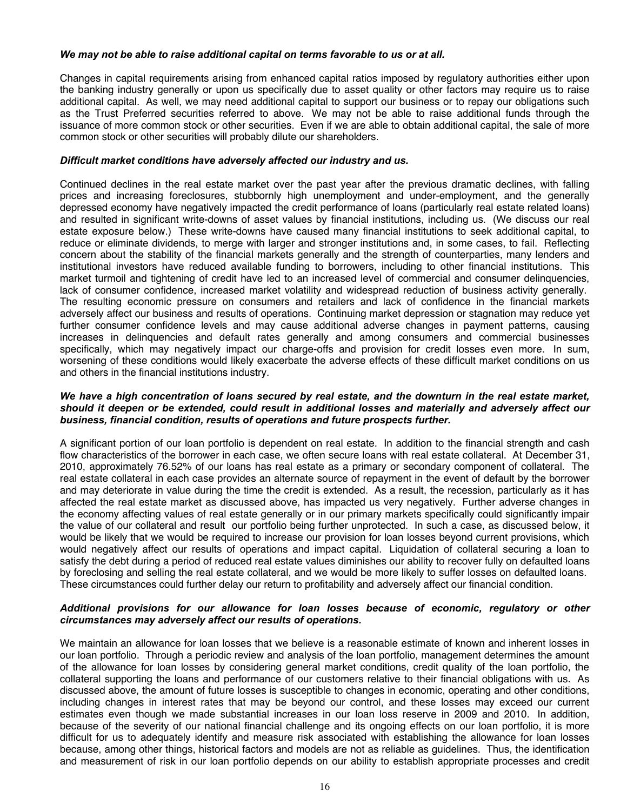#### *We may not be able to raise additional capital on terms favorable to us or at all.*

Changes in capital requirements arising from enhanced capital ratios imposed by regulatory authorities either upon the banking industry generally or upon us specifically due to asset quality or other factors may require us to raise additional capital. As well, we may need additional capital to support our business or to repay our obligations such as the Trust Preferred securities referred to above. We may not be able to raise additional funds through the issuance of more common stock or other securities. Even if we are able to obtain additional capital, the sale of more common stock or other securities will probably dilute our shareholders.

#### *Difficult market conditions have adversely affected our industry and us.*

Continued declines in the real estate market over the past year after the previous dramatic declines, with falling prices and increasing foreclosures, stubbornly high unemployment and under-employment, and the generally depressed economy have negatively impacted the credit performance of loans (particularly real estate related loans) and resulted in significant write-downs of asset values by financial institutions, including us. (We discuss our real estate exposure below.) These write-downs have caused many financial institutions to seek additional capital, to reduce or eliminate dividends, to merge with larger and stronger institutions and, in some cases, to fail. Reflecting concern about the stability of the financial markets generally and the strength of counterparties, many lenders and institutional investors have reduced available funding to borrowers, including to other financial institutions. This market turmoil and tightening of credit have led to an increased level of commercial and consumer delinquencies, lack of consumer confidence, increased market volatility and widespread reduction of business activity generally. The resulting economic pressure on consumers and retailers and lack of confidence in the financial markets adversely affect our business and results of operations. Continuing market depression or stagnation may reduce yet further consumer confidence levels and may cause additional adverse changes in payment patterns, causing increases in delinquencies and default rates generally and among consumers and commercial businesses specifically, which may negatively impact our charge-offs and provision for credit losses even more. In sum, worsening of these conditions would likely exacerbate the adverse effects of these difficult market conditions on us and others in the financial institutions industry.

#### *We have a high concentration of loans secured by real estate, and the downturn in the real estate market, should it deepen or be extended, could result in additional losses and materially and adversely affect our business, financial condition, results of operations and future prospects further.*

A significant portion of our loan portfolio is dependent on real estate. In addition to the financial strength and cash flow characteristics of the borrower in each case, we often secure loans with real estate collateral. At December 31, 2010, approximately 76.52% of our loans has real estate as a primary or secondary component of collateral. The real estate collateral in each case provides an alternate source of repayment in the event of default by the borrower and may deteriorate in value during the time the credit is extended. As a result, the recession, particularly as it has affected the real estate market as discussed above, has impacted us very negatively. Further adverse changes in the economy affecting values of real estate generally or in our primary markets specifically could significantly impair the value of our collateral and result our portfolio being further unprotected. In such a case, as discussed below, it would be likely that we would be required to increase our provision for loan losses beyond current provisions, which would negatively affect our results of operations and impact capital. Liquidation of collateral securing a loan to satisfy the debt during a period of reduced real estate values diminishes our ability to recover fully on defaulted loans by foreclosing and selling the real estate collateral, and we would be more likely to suffer losses on defaulted loans. These circumstances could further delay our return to profitability and adversely affect our financial condition.

#### *Additional provisions for our allowance for loan losses because of economic, regulatory or other circumstances may adversely affect our results of operations.*

We maintain an allowance for loan losses that we believe is a reasonable estimate of known and inherent losses in our loan portfolio. Through a periodic review and analysis of the loan portfolio, management determines the amount of the allowance for loan losses by considering general market conditions, credit quality of the loan portfolio, the collateral supporting the loans and performance of our customers relative to their financial obligations with us. As discussed above, the amount of future losses is susceptible to changes in economic, operating and other conditions, including changes in interest rates that may be beyond our control, and these losses may exceed our current estimates even though we made substantial increases in our loan loss reserve in 2009 and 2010. In addition, because of the severity of our national financial challenge and its ongoing effects on our loan portfolio, it is more difficult for us to adequately identify and measure risk associated with establishing the allowance for loan losses because, among other things, historical factors and models are not as reliable as guidelines. Thus, the identification and measurement of risk in our loan portfolio depends on our ability to establish appropriate processes and credit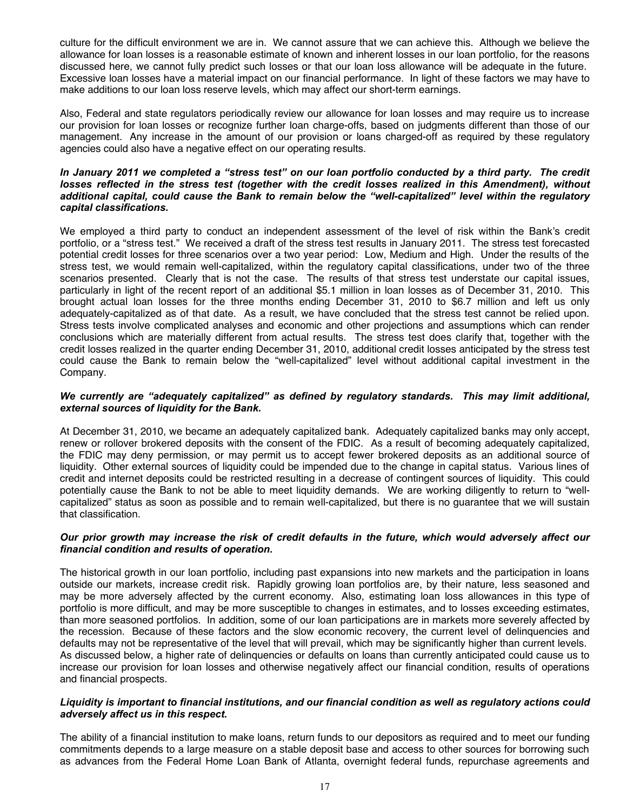culture for the difficult environment we are in. We cannot assure that we can achieve this. Although we believe the allowance for loan losses is a reasonable estimate of known and inherent losses in our loan portfolio, for the reasons discussed here, we cannot fully predict such losses or that our loan loss allowance will be adequate in the future. Excessive loan losses have a material impact on our financial performance. In light of these factors we may have to make additions to our loan loss reserve levels, which may affect our short-term earnings.

Also, Federal and state regulators periodically review our allowance for loan losses and may require us to increase our provision for loan losses or recognize further loan charge-offs, based on judgments different than those of our management. Any increase in the amount of our provision or loans charged-off as required by these regulatory agencies could also have a negative effect on our operating results.

#### *In January 2011 we completed a "stress test" on our loan portfolio conducted by a third party. The credit*  losses reflected in the stress test (together with the credit losses realized in this Amendment), without *additional capital, could cause the Bank to remain below the "well-capitalized" level within the regulatory capital classifications.*

We employed a third party to conduct an independent assessment of the level of risk within the Bank's credit portfolio, or a "stress test." We received a draft of the stress test results in January 2011. The stress test forecasted potential credit losses for three scenarios over a two year period: Low, Medium and High. Under the results of the stress test, we would remain well-capitalized, within the regulatory capital classifications, under two of the three scenarios presented. Clearly that is not the case. The results of that stress test understate our capital issues, particularly in light of the recent report of an additional \$5.1 million in loan losses as of December 31, 2010. This brought actual loan losses for the three months ending December 31, 2010 to \$6.7 million and left us only adequately-capitalized as of that date. As a result, we have concluded that the stress test cannot be relied upon. Stress tests involve complicated analyses and economic and other projections and assumptions which can render conclusions which are materially different from actual results. The stress test does clarify that, together with the credit losses realized in the quarter ending December 31, 2010, additional credit losses anticipated by the stress test could cause the Bank to remain below the "well-capitalized" level without additional capital investment in the Company.

#### *We currently are "adequately capitalized" as defined by regulatory standards. This may limit additional, external sources of liquidity for the Bank.*

At December 31, 2010, we became an adequately capitalized bank. Adequately capitalized banks may only accept, renew or rollover brokered deposits with the consent of the FDIC. As a result of becoming adequately capitalized, the FDIC may deny permission, or may permit us to accept fewer brokered deposits as an additional source of liquidity. Other external sources of liquidity could be impended due to the change in capital status. Various lines of credit and internet deposits could be restricted resulting in a decrease of contingent sources of liquidity. This could potentially cause the Bank to not be able to meet liquidity demands. We are working diligently to return to "wellcapitalized" status as soon as possible and to remain well-capitalized, but there is no guarantee that we will sustain that classification.

#### *Our prior growth may increase the risk of credit defaults in the future, which would adversely affect our financial condition and results of operation.*

The historical growth in our loan portfolio, including past expansions into new markets and the participation in loans outside our markets, increase credit risk. Rapidly growing loan portfolios are, by their nature, less seasoned and may be more adversely affected by the current economy. Also, estimating loan loss allowances in this type of portfolio is more difficult, and may be more susceptible to changes in estimates, and to losses exceeding estimates, than more seasoned portfolios. In addition, some of our loan participations are in markets more severely affected by the recession. Because of these factors and the slow economic recovery, the current level of delinquencies and defaults may not be representative of the level that will prevail, which may be significantly higher than current levels. As discussed below, a higher rate of delinquencies or defaults on loans than currently anticipated could cause us to increase our provision for loan losses and otherwise negatively affect our financial condition, results of operations and financial prospects.

#### *Liquidity is important to financial institutions, and our financial condition as well as regulatory actions could adversely affect us in this respect.*

The ability of a financial institution to make loans, return funds to our depositors as required and to meet our funding commitments depends to a large measure on a stable deposit base and access to other sources for borrowing such as advances from the Federal Home Loan Bank of Atlanta, overnight federal funds, repurchase agreements and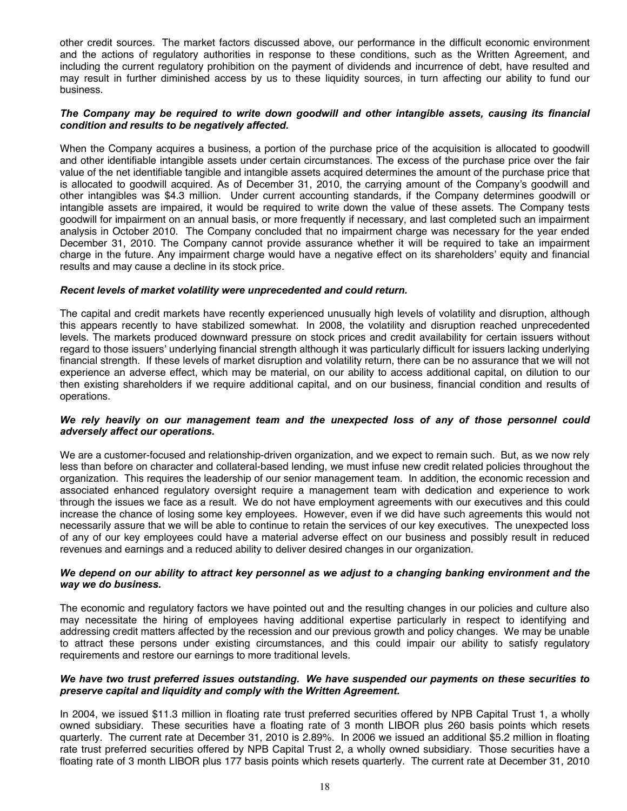other credit sources. The market factors discussed above, our performance in the difficult economic environment and the actions of regulatory authorities in response to these conditions, such as the Written Agreement, and including the current regulatory prohibition on the payment of dividends and incurrence of debt, have resulted and may result in further diminished access by us to these liquidity sources, in turn affecting our ability to fund our business.

#### *The Company may be required to write down goodwill and other intangible assets, causing its financial condition and results to be negatively affected.*

When the Company acquires a business, a portion of the purchase price of the acquisition is allocated to goodwill and other identifiable intangible assets under certain circumstances. The excess of the purchase price over the fair value of the net identifiable tangible and intangible assets acquired determines the amount of the purchase price that is allocated to goodwill acquired. As of December 31, 2010, the carrying amount of the Company's goodwill and other intangibles was \$4.3 million. Under current accounting standards, if the Company determines goodwill or intangible assets are impaired, it would be required to write down the value of these assets. The Company tests goodwill for impairment on an annual basis, or more frequently if necessary, and last completed such an impairment analysis in October 2010. The Company concluded that no impairment charge was necessary for the year ended December 31, 2010. The Company cannot provide assurance whether it will be required to take an impairment charge in the future. Any impairment charge would have a negative effect on its shareholders' equity and financial results and may cause a decline in its stock price.

### *Recent levels of market volatility were unprecedented and could return.*

The capital and credit markets have recently experienced unusually high levels of volatility and disruption, although this appears recently to have stabilized somewhat. In 2008, the volatility and disruption reached unprecedented levels. The markets produced downward pressure on stock prices and credit availability for certain issuers without regard to those issuers' underlying financial strength although it was particularly difficult for issuers lacking underlying financial strength. If these levels of market disruption and volatility return, there can be no assurance that we will not experience an adverse effect, which may be material, on our ability to access additional capital, on dilution to our then existing shareholders if we require additional capital, and on our business, financial condition and results of operations.

#### *We rely heavily on our management team and the unexpected loss of any of those personnel could adversely affect our operations.*

We are a customer-focused and relationship-driven organization, and we expect to remain such. But, as we now rely less than before on character and collateral-based lending, we must infuse new credit related policies throughout the organization. This requires the leadership of our senior management team. In addition, the economic recession and associated enhanced regulatory oversight require a management team with dedication and experience to work through the issues we face as a result. We do not have employment agreements with our executives and this could increase the chance of losing some key employees. However, even if we did have such agreements this would not necessarily assure that we will be able to continue to retain the services of our key executives. The unexpected loss of any of our key employees could have a material adverse effect on our business and possibly result in reduced revenues and earnings and a reduced ability to deliver desired changes in our organization.

#### *We depend on our ability to attract key personnel as we adjust to a changing banking environment and the way we do business.*

The economic and regulatory factors we have pointed out and the resulting changes in our policies and culture also may necessitate the hiring of employees having additional expertise particularly in respect to identifying and addressing credit matters affected by the recession and our previous growth and policy changes. We may be unable to attract these persons under existing circumstances, and this could impair our ability to satisfy regulatory requirements and restore our earnings to more traditional levels.

#### *We have two trust preferred issues outstanding. We have suspended our payments on these securities to preserve capital and liquidity and comply with the Written Agreement.*

In 2004, we issued \$11.3 million in floating rate trust preferred securities offered by NPB Capital Trust 1, a wholly owned subsidiary. These securities have a floating rate of 3 month LIBOR plus 260 basis points which resets quarterly. The current rate at December 31, 2010 is 2.89%. In 2006 we issued an additional \$5.2 million in floating rate trust preferred securities offered by NPB Capital Trust 2, a wholly owned subsidiary. Those securities have a floating rate of 3 month LIBOR plus 177 basis points which resets quarterly. The current rate at December 31, 2010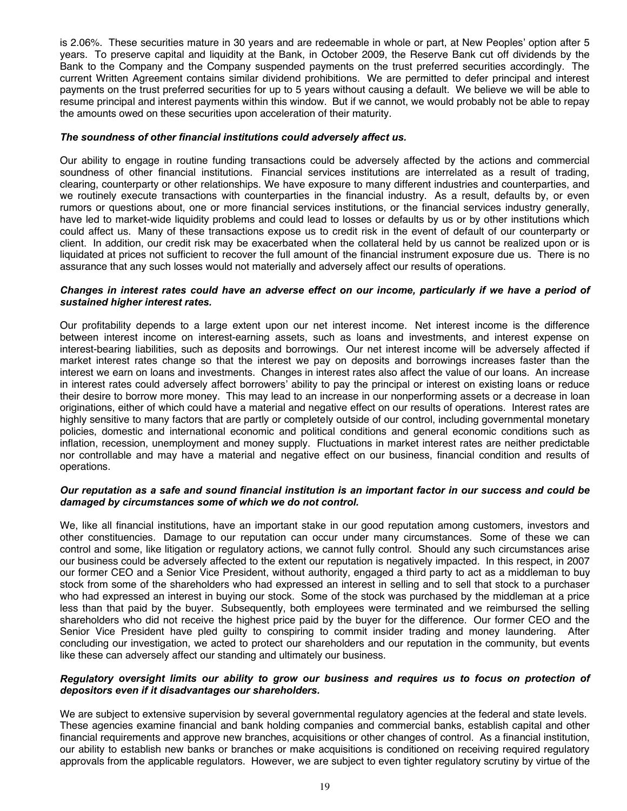is 2.06%. These securities mature in 30 years and are redeemable in whole or part, at New Peoples' option after 5 years. To preserve capital and liquidity at the Bank, in October 2009, the Reserve Bank cut off dividends by the Bank to the Company and the Company suspended payments on the trust preferred securities accordingly. The current Written Agreement contains similar dividend prohibitions. We are permitted to defer principal and interest payments on the trust preferred securities for up to 5 years without causing a default. We believe we will be able to resume principal and interest payments within this window. But if we cannot, we would probably not be able to repay the amounts owed on these securities upon acceleration of their maturity.

#### *The soundness of other financial institutions could adversely affect us.*

Our ability to engage in routine funding transactions could be adversely affected by the actions and commercial soundness of other financial institutions. Financial services institutions are interrelated as a result of trading, clearing, counterparty or other relationships. We have exposure to many different industries and counterparties, and we routinely execute transactions with counterparties in the financial industry. As a result, defaults by, or even rumors or questions about, one or more financial services institutions, or the financial services industry generally, have led to market-wide liquidity problems and could lead to losses or defaults by us or by other institutions which could affect us. Many of these transactions expose us to credit risk in the event of default of our counterparty or client. In addition, our credit risk may be exacerbated when the collateral held by us cannot be realized upon or is liquidated at prices not sufficient to recover the full amount of the financial instrument exposure due us. There is no assurance that any such losses would not materially and adversely affect our results of operations.

#### *Changes in interest rates could have an adverse effect on our income, particularly if we have a period of sustained higher interest rates.*

Our profitability depends to a large extent upon our net interest income. Net interest income is the difference between interest income on interest-earning assets, such as loans and investments, and interest expense on interest-bearing liabilities, such as deposits and borrowings. Our net interest income will be adversely affected if market interest rates change so that the interest we pay on deposits and borrowings increases faster than the interest we earn on loans and investments. Changes in interest rates also affect the value of our loans. An increase in interest rates could adversely affect borrowers' ability to pay the principal or interest on existing loans or reduce their desire to borrow more money. This may lead to an increase in our nonperforming assets or a decrease in loan originations, either of which could have a material and negative effect on our results of operations. Interest rates are highly sensitive to many factors that are partly or completely outside of our control, including governmental monetary policies, domestic and international economic and political conditions and general economic conditions such as inflation, recession, unemployment and money supply. Fluctuations in market interest rates are neither predictable nor controllable and may have a material and negative effect on our business, financial condition and results of operations.

#### *Our reputation as a safe and sound financial institution is an important factor in our success and could be damaged by circumstances some of which we do not control.*

We, like all financial institutions, have an important stake in our good reputation among customers, investors and other constituencies. Damage to our reputation can occur under many circumstances. Some of these we can control and some, like litigation or regulatory actions, we cannot fully control. Should any such circumstances arise our business could be adversely affected to the extent our reputation is negatively impacted. In this respect, in 2007 our former CEO and a Senior Vice President, without authority, engaged a third party to act as a middleman to buy stock from some of the shareholders who had expressed an interest in selling and to sell that stock to a purchaser who had expressed an interest in buying our stock. Some of the stock was purchased by the middleman at a price less than that paid by the buyer. Subsequently, both employees were terminated and we reimbursed the selling shareholders who did not receive the highest price paid by the buyer for the difference. Our former CEO and the Senior Vice President have pled guilty to conspiring to commit insider trading and money laundering. After concluding our investigation, we acted to protect our shareholders and our reputation in the community, but events like these can adversely affect our standing and ultimately our business.

#### *Regulatory oversight limits our ability to grow our business and requires us to focus on protection of depositors even if it disadvantages our shareholders.*

We are subject to extensive supervision by several governmental regulatory agencies at the federal and state levels. These agencies examine financial and bank holding companies and commercial banks, establish capital and other financial requirements and approve new branches, acquisitions or other changes of control. As a financial institution, our ability to establish new banks or branches or make acquisitions is conditioned on receiving required regulatory approvals from the applicable regulators. However, we are subject to even tighter regulatory scrutiny by virtue of the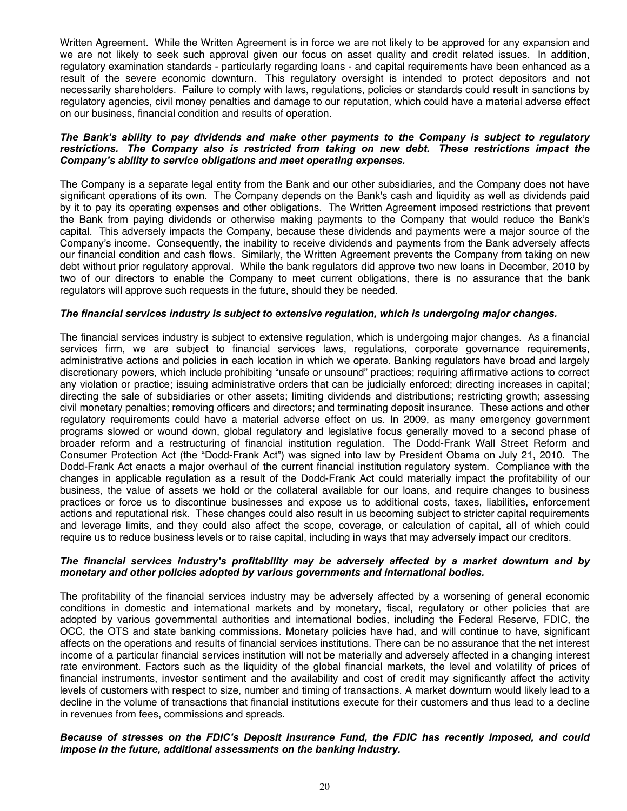Written Agreement. While the Written Agreement is in force we are not likely to be approved for any expansion and we are not likely to seek such approval given our focus on asset quality and credit related issues. In addition, regulatory examination standards - particularly regarding loans - and capital requirements have been enhanced as a result of the severe economic downturn. This regulatory oversight is intended to protect depositors and not necessarily shareholders. Failure to comply with laws, regulations, policies or standards could result in sanctions by regulatory agencies, civil money penalties and damage to our reputation, which could have a material adverse effect on our business, financial condition and results of operation.

#### *The Bank's ability to pay dividends and make other payments to the Company is subject to regulatory restrictions. The Company also is restricted from taking on new debt. These restrictions impact the Company's ability to service obligations and meet operating expenses.*

The Company is a separate legal entity from the Bank and our other subsidiaries, and the Company does not have significant operations of its own. The Company depends on the Bank's cash and liquidity as well as dividends paid by it to pay its operating expenses and other obligations. The Written Agreement imposed restrictions that prevent the Bank from paying dividends or otherwise making payments to the Company that would reduce the Bank's capital. This adversely impacts the Company, because these dividends and payments were a major source of the Company's income. Consequently, the inability to receive dividends and payments from the Bank adversely affects our financial condition and cash flows. Similarly, the Written Agreement prevents the Company from taking on new debt without prior regulatory approval. While the bank regulators did approve two new loans in December, 2010 by two of our directors to enable the Company to meet current obligations, there is no assurance that the bank regulators will approve such requests in the future, should they be needed.

#### *The financial services industry is subject to extensive regulation, which is undergoing major changes.*

The financial services industry is subject to extensive regulation, which is undergoing major changes. As a financial services firm, we are subject to financial services laws, regulations, corporate governance requirements, administrative actions and policies in each location in which we operate. Banking regulators have broad and largely discretionary powers, which include prohibiting "unsafe or unsound" practices; requiring affirmative actions to correct any violation or practice; issuing administrative orders that can be judicially enforced; directing increases in capital; directing the sale of subsidiaries or other assets; limiting dividends and distributions; restricting growth; assessing civil monetary penalties; removing officers and directors; and terminating deposit insurance. These actions and other regulatory requirements could have a material adverse effect on us. In 2009, as many emergency government programs slowed or wound down, global regulatory and legislative focus generally moved to a second phase of broader reform and a restructuring of financial institution regulation. The Dodd-Frank Wall Street Reform and Consumer Protection Act (the "Dodd-Frank Act") was signed into law by President Obama on July 21, 2010. The Dodd-Frank Act enacts a major overhaul of the current financial institution regulatory system. Compliance with the changes in applicable regulation as a result of the Dodd-Frank Act could materially impact the profitability of our business, the value of assets we hold or the collateral available for our loans, and require changes to business practices or force us to discontinue businesses and expose us to additional costs, taxes, liabilities, enforcement actions and reputational risk. These changes could also result in us becoming subject to stricter capital requirements and leverage limits, and they could also affect the scope, coverage, or calculation of capital, all of which could require us to reduce business levels or to raise capital, including in ways that may adversely impact our creditors.

### *The financial services industry's profitability may be adversely affected by a market downturn and by monetary and other policies adopted by various governments and international bodies.*

The profitability of the financial services industry may be adversely affected by a worsening of general economic conditions in domestic and international markets and by monetary, fiscal, regulatory or other policies that are adopted by various governmental authorities and international bodies, including the Federal Reserve, FDIC, the OCC, the OTS and state banking commissions. Monetary policies have had, and will continue to have, significant affects on the operations and results of financial services institutions. There can be no assurance that the net interest income of a particular financial services institution will not be materially and adversely affected in a changing interest rate environment. Factors such as the liquidity of the global financial markets, the level and volatility of prices of financial instruments, investor sentiment and the availability and cost of credit may significantly affect the activity levels of customers with respect to size, number and timing of transactions. A market downturn would likely lead to a decline in the volume of transactions that financial institutions execute for their customers and thus lead to a decline in revenues from fees, commissions and spreads.

#### *Because of stresses on the FDIC's Deposit Insurance Fund, the FDIC has recently imposed, and could impose in the future, additional assessments on the banking industry.*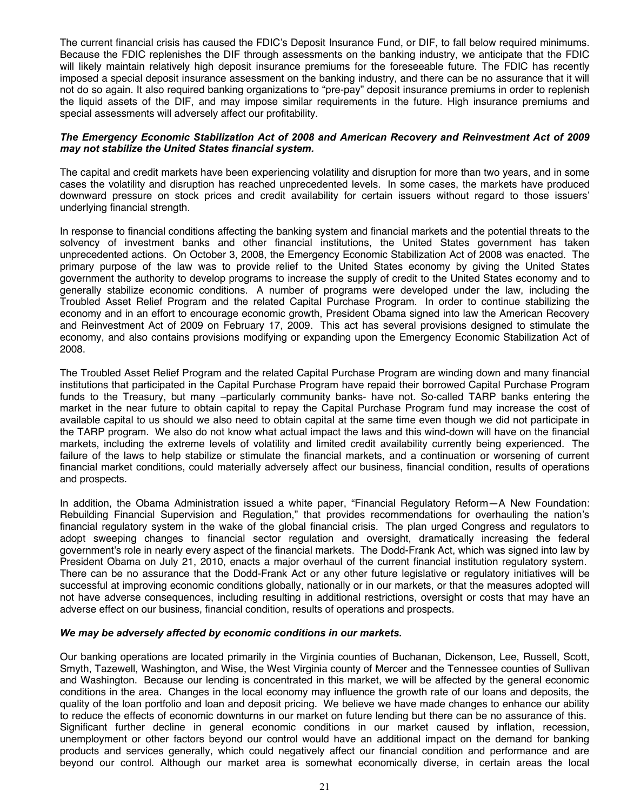The current financial crisis has caused the FDIC's Deposit Insurance Fund, or DIF, to fall below required minimums. Because the FDIC replenishes the DIF through assessments on the banking industry, we anticipate that the FDIC will likely maintain relatively high deposit insurance premiums for the foreseeable future. The FDIC has recently imposed a special deposit insurance assessment on the banking industry, and there can be no assurance that it will not do so again. It also required banking organizations to "pre-pay" deposit insurance premiums in order to replenish the liquid assets of the DIF, and may impose similar requirements in the future. High insurance premiums and special assessments will adversely affect our profitability.

#### *The Emergency Economic Stabilization Act of 2008 and American Recovery and Reinvestment Act of 2009 may not stabilize the United States financial system.*

The capital and credit markets have been experiencing volatility and disruption for more than two years, and in some cases the volatility and disruption has reached unprecedented levels. In some cases, the markets have produced downward pressure on stock prices and credit availability for certain issuers without regard to those issuers' underlying financial strength.

In response to financial conditions affecting the banking system and financial markets and the potential threats to the solvency of investment banks and other financial institutions, the United States government has taken unprecedented actions. On October 3, 2008, the Emergency Economic Stabilization Act of 2008 was enacted. The primary purpose of the law was to provide relief to the United States economy by giving the United States government the authority to develop programs to increase the supply of credit to the United States economy and to generally stabilize economic conditions. A number of programs were developed under the law, including the Troubled Asset Relief Program and the related Capital Purchase Program. In order to continue stabilizing the economy and in an effort to encourage economic growth, President Obama signed into law the American Recovery and Reinvestment Act of 2009 on February 17, 2009. This act has several provisions designed to stimulate the economy, and also contains provisions modifying or expanding upon the Emergency Economic Stabilization Act of 2008.

The Troubled Asset Relief Program and the related Capital Purchase Program are winding down and many financial institutions that participated in the Capital Purchase Program have repaid their borrowed Capital Purchase Program funds to the Treasury, but many -particularly community banks- have not. So-called TARP banks entering the market in the near future to obtain capital to repay the Capital Purchase Program fund may increase the cost of available capital to us should we also need to obtain capital at the same time even though we did not participate in the TARP program. We also do not know what actual impact the laws and this wind-down will have on the financial markets, including the extreme levels of volatility and limited credit availability currently being experienced. The failure of the laws to help stabilize or stimulate the financial markets, and a continuation or worsening of current financial market conditions, could materially adversely affect our business, financial condition, results of operations and prospects.

In addition, the Obama Administration issued a white paper, "Financial Regulatory Reform—A New Foundation: Rebuilding Financial Supervision and Regulation," that provides recommendations for overhauling the nation's financial regulatory system in the wake of the global financial crisis. The plan urged Congress and regulators to adopt sweeping changes to financial sector regulation and oversight, dramatically increasing the federal government's role in nearly every aspect of the financial markets. The Dodd-Frank Act, which was signed into law by President Obama on July 21, 2010, enacts a major overhaul of the current financial institution regulatory system. There can be no assurance that the Dodd-Frank Act or any other future legislative or regulatory initiatives will be successful at improving economic conditions globally, nationally or in our markets, or that the measures adopted will not have adverse consequences, including resulting in additional restrictions, oversight or costs that may have an adverse effect on our business, financial condition, results of operations and prospects.

#### *We may be adversely affected by economic conditions in our markets.*

Our banking operations are located primarily in the Virginia counties of Buchanan, Dickenson, Lee, Russell, Scott, Smyth, Tazewell, Washington, and Wise, the West Virginia county of Mercer and the Tennessee counties of Sullivan and Washington. Because our lending is concentrated in this market, we will be affected by the general economic conditions in the area. Changes in the local economy may influence the growth rate of our loans and deposits, the quality of the loan portfolio and loan and deposit pricing. We believe we have made changes to enhance our ability to reduce the effects of economic downturns in our market on future lending but there can be no assurance of this. Significant further decline in general economic conditions in our market caused by inflation, recession, unemployment or other factors beyond our control would have an additional impact on the demand for banking products and services generally, which could negatively affect our financial condition and performance and are beyond our control. Although our market area is somewhat economically diverse, in certain areas the local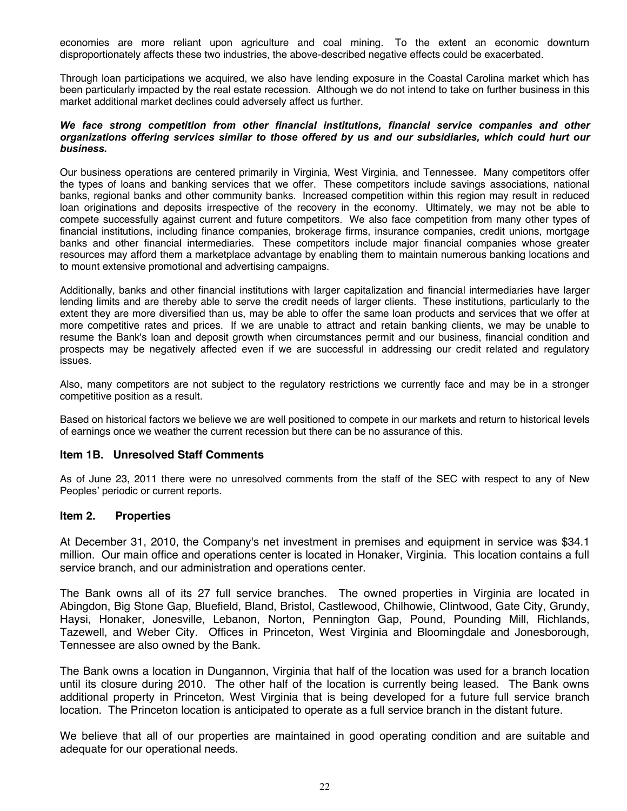economies are more reliant upon agriculture and coal mining. To the extent an economic downturn disproportionately affects these two industries, the above-described negative effects could be exacerbated.

Through loan participations we acquired, we also have lending exposure in the Coastal Carolina market which has been particularly impacted by the real estate recession. Although we do not intend to take on further business in this market additional market declines could adversely affect us further.

#### *We face strong competition from other financial institutions, financial service companies and other organizations offering services similar to those offered by us and our subsidiaries, which could hurt our business.*

Our business operations are centered primarily in Virginia, West Virginia, and Tennessee. Many competitors offer the types of loans and banking services that we offer. These competitors include savings associations, national banks, regional banks and other community banks. Increased competition within this region may result in reduced loan originations and deposits irrespective of the recovery in the economy. Ultimately, we may not be able to compete successfully against current and future competitors. We also face competition from many other types of financial institutions, including finance companies, brokerage firms, insurance companies, credit unions, mortgage banks and other financial intermediaries. These competitors include major financial companies whose greater resources may afford them a marketplace advantage by enabling them to maintain numerous banking locations and to mount extensive promotional and advertising campaigns.

Additionally, banks and other financial institutions with larger capitalization and financial intermediaries have larger lending limits and are thereby able to serve the credit needs of larger clients. These institutions, particularly to the extent they are more diversified than us, may be able to offer the same loan products and services that we offer at more competitive rates and prices. If we are unable to attract and retain banking clients, we may be unable to resume the Bank's loan and deposit growth when circumstances permit and our business, financial condition and prospects may be negatively affected even if we are successful in addressing our credit related and regulatory issues.

Also, many competitors are not subject to the regulatory restrictions we currently face and may be in a stronger competitive position as a result.

Based on historical factors we believe we are well positioned to compete in our markets and return to historical levels of earnings once we weather the current recession but there can be no assurance of this.

# **Item 1B. Unresolved Staff Comments**

As of June 23, 2011 there were no unresolved comments from the staff of the SEC with respect to any of New Peoples' periodic or current reports.

#### **Item 2. Properties**

At December 31, 2010, the Company's net investment in premises and equipment in service was \$34.1 million. Our main office and operations center is located in Honaker, Virginia. This location contains a full service branch, and our administration and operations center.

The Bank owns all of its 27 full service branches. The owned properties in Virginia are located in Abingdon, Big Stone Gap, Bluefield, Bland, Bristol, Castlewood, Chilhowie, Clintwood, Gate City, Grundy, Haysi, Honaker, Jonesville, Lebanon, Norton, Pennington Gap, Pound, Pounding Mill, Richlands, Tazewell, and Weber City. Offices in Princeton, West Virginia and Bloomingdale and Jonesborough, Tennessee are also owned by the Bank.

The Bank owns a location in Dungannon, Virginia that half of the location was used for a branch location until its closure during 2010. The other half of the location is currently being leased. The Bank owns additional property in Princeton, West Virginia that is being developed for a future full service branch location. The Princeton location is anticipated to operate as a full service branch in the distant future.

We believe that all of our properties are maintained in good operating condition and are suitable and adequate for our operational needs.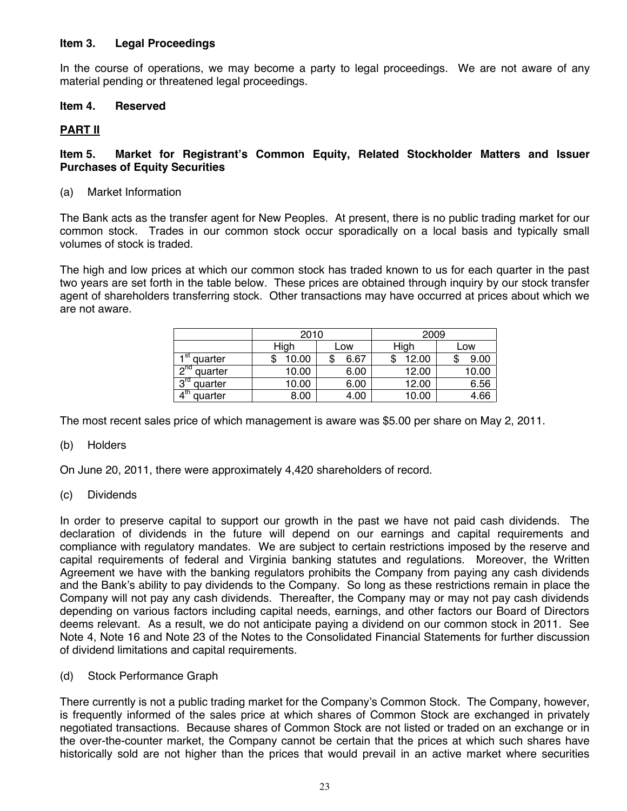# **Item 3. Legal Proceedings**

In the course of operations, we may become a party to legal proceedings. We are not aware of any material pending or threatened legal proceedings.

# **Item 4. Reserved**

# **PART II**

# **Item 5. Market for Registrant's Common Equity, Related Stockholder Matters and Issuer Purchases of Equity Securities**

(a) Market Information

The Bank acts as the transfer agent for New Peoples. At present, there is no public trading market for our common stock. Trades in our common stock occur sporadically on a local basis and typically small volumes of stock is traded.

The high and low prices at which our common stock has traded known to us for each quarter in the past two years are set forth in the table below. These prices are obtained through inquiry by our stock transfer agent of shareholders transferring stock. Other transactions may have occurred at prices about which we are not aware.

|                            | 2010       |           | 2009       |           |  |  |  |  |  |
|----------------------------|------------|-----------|------------|-----------|--|--|--|--|--|
|                            | High       | Low       | High       | Low       |  |  |  |  |  |
| ⊿ st<br>quarter            | 10.00<br>Φ | 6.67<br>Φ | 12.00<br>Ψ | 9.00<br>w |  |  |  |  |  |
| n <sub>nd</sub><br>quarter | 10.00      | 6.00      | 12.00      | 10.00     |  |  |  |  |  |
| $3^{\text{rd}}$<br>quarter | 10.00      | 6.00      | 12.00      | 6.56      |  |  |  |  |  |
| ∡th<br>quarter             | 8.00       | 4.00      | 10.00      | 4.66      |  |  |  |  |  |

The most recent sales price of which management is aware was \$5.00 per share on May 2, 2011.

(b) Holders

On June 20, 2011, there were approximately 4,420 shareholders of record.

(c) Dividends

In order to preserve capital to support our growth in the past we have not paid cash dividends. The declaration of dividends in the future will depend on our earnings and capital requirements and compliance with regulatory mandates. We are subject to certain restrictions imposed by the reserve and capital requirements of federal and Virginia banking statutes and regulations. Moreover, the Written Agreement we have with the banking regulators prohibits the Company from paying any cash dividends and the Bank's ability to pay dividends to the Company. So long as these restrictions remain in place the Company will not pay any cash dividends. Thereafter, the Company may or may not pay cash dividends depending on various factors including capital needs, earnings, and other factors our Board of Directors deems relevant. As a result, we do not anticipate paying a dividend on our common stock in 2011. See Note 4, Note 16 and Note 23 of the Notes to the Consolidated Financial Statements for further discussion of dividend limitations and capital requirements.

(d) Stock Performance Graph

There currently is not a public trading market for the Company's Common Stock. The Company, however, is frequently informed of the sales price at which shares of Common Stock are exchanged in privately negotiated transactions. Because shares of Common Stock are not listed or traded on an exchange or in the over-the-counter market, the Company cannot be certain that the prices at which such shares have historically sold are not higher than the prices that would prevail in an active market where securities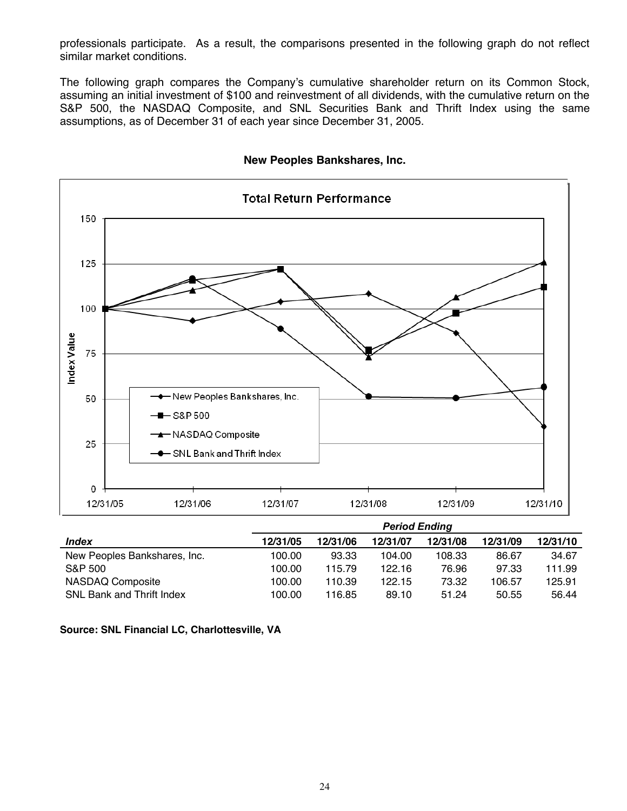professionals participate. As a result, the comparisons presented in the following graph do not reflect similar market conditions.

The following graph compares the Company's cumulative shareholder return on its Common Stock, assuming an initial investment of \$100 and reinvestment of all dividends, with the cumulative return on the S&P 500, the NASDAQ Composite, and SNL Securities Bank and Thrift Index using the same assumptions, as of December 31 of each year since December 31, 2005.



# **New Peoples Bankshares, Inc.**

|                                  | <b>Period Ending</b> |          |          |          |          |          |  |  |  |  |  |  |
|----------------------------------|----------------------|----------|----------|----------|----------|----------|--|--|--|--|--|--|
| Index                            | 12/31/05             | 12/31/06 | 12/31/07 | 12/31/08 | 12/31/09 | 12/31/10 |  |  |  |  |  |  |
| New Peoples Bankshares, Inc.     | 100.00               | 93.33    | 104.00   | 108.33   | 86.67    | 34.67    |  |  |  |  |  |  |
| S&P 500                          | 100.00               | 115.79   | 122.16   | 76.96    | 97.33    | 111.99   |  |  |  |  |  |  |
| NASDAQ Composite                 | 100.00               | 110.39   | 122.15   | 73.32    | 106.57   | 125.91   |  |  |  |  |  |  |
| <b>SNL Bank and Thrift Index</b> | 100.00               | 116.85   | 89.10    | 51.24    | 50.55    | 56.44    |  |  |  |  |  |  |

**Source: SNL Financial LC, Charlottesville, VA**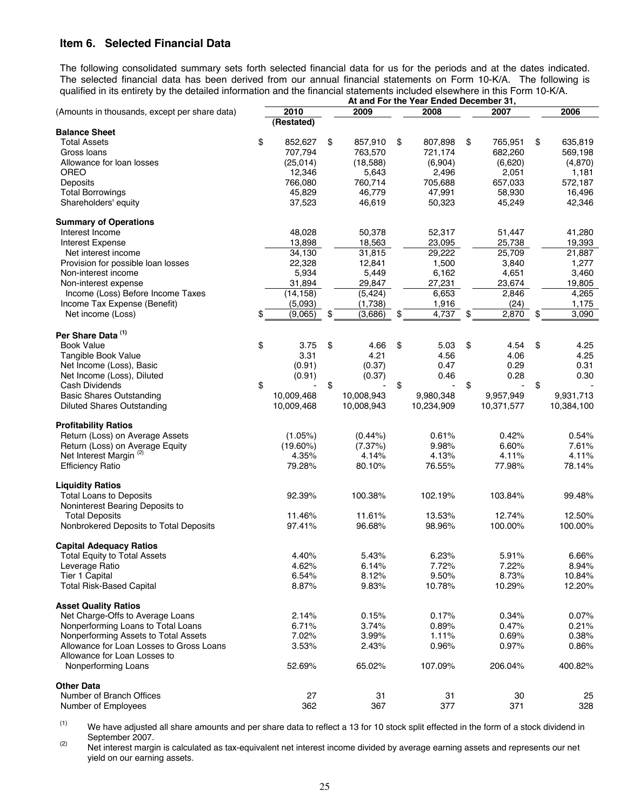# **Item 6. Selected Financial Data**

The following consolidated summary sets forth selected financial data for us for the periods and at the dates indicated. The selected financial data has been derived from our annual financial statements on Form 10-K/A. The following is qualified in its entirety by the detailed information and the financial statements included elsewhere in this Form 10-K/A.

|                                                                 |               |               | At and For the Year Ended December 31, |               |               |
|-----------------------------------------------------------------|---------------|---------------|----------------------------------------|---------------|---------------|
| (Amounts in thousands, except per share data)                   | 2010          | 2009          | 2008                                   | 2007          | 2006          |
|                                                                 | (Restated)    |               |                                        |               |               |
| <b>Balance Sheet</b>                                            |               |               |                                        |               |               |
| <b>Total Assets</b>                                             | \$<br>852,627 | \$<br>857,910 | \$<br>807,898                          | \$<br>765,951 | \$<br>635,819 |
| Gross loans                                                     | 707,794       | 763,570       | 721,174                                | 682,260       | 569,198       |
| Allowance for loan losses                                       | (25, 014)     | (18, 588)     | (6,904)                                | (6,620)       | (4,870)       |
| <b>OREO</b>                                                     | 12,346        | 5,643         | 2,496                                  | 2,051         | 1,181         |
| Deposits                                                        | 766,080       | 760,714       | 705,688                                | 657,033       | 572,187       |
| <b>Total Borrowings</b>                                         | 45,829        | 46,779        | 47,991                                 | 58,930        | 16,496        |
| Shareholders' equity                                            | 37,523        | 46,619        | 50,323                                 | 45,249        | 42,346        |
|                                                                 |               |               |                                        |               |               |
| <b>Summary of Operations</b>                                    |               |               |                                        |               |               |
| Interest Income                                                 | 48,028        | 50,378        | 52,317                                 | 51,447        | 41,280        |
| <b>Interest Expense</b>                                         | 13,898        | 18,563        | 23,095                                 | 25,738        | 19,393        |
| Net interest income                                             | 34,130        | 31,815        | 29,222                                 | 25,709        | 21,887        |
| Provision for possible loan losses                              | 22,328        | 12,841        | 1,500                                  | 3,840         | 1,277         |
| Non-interest income                                             | 5,934         | 5,449         | 6,162                                  | 4,651         | 3,460         |
| Non-interest expense                                            | 31,894        | 29,847        | 27,231                                 | 23,674        | 19,805        |
| Income (Loss) Before Income Taxes                               | (14, 158)     | (5, 424)      | 6,653                                  | 2,846         | 4,265         |
| Income Tax Expense (Benefit)                                    | (5,093)       | (1,738)       | 1,916                                  | (24)          | 1,175         |
| Net income (Loss)                                               | \$<br>(9,065) | \$<br>(3,686) | \$<br>4,737                            | \$<br>2,870   | \$<br>3,090   |
|                                                                 |               |               |                                        |               |               |
| Per Share Data <sup>(1)</sup>                                   |               |               |                                        |               |               |
| <b>Book Value</b>                                               | \$<br>3.75    | \$<br>4.66    | \$<br>5.03                             | \$<br>4.54    | \$<br>4.25    |
| <b>Tangible Book Value</b>                                      | 3.31          | 4.21          | 4.56                                   | 4.06          | 4.25          |
| Net Income (Loss), Basic                                        | (0.91)        | (0.37)        | 0.47                                   | 0.29          | 0.31          |
| Net Income (Loss), Diluted                                      | (0.91)        | (0.37)        | 0.46                                   | 0.28          | 0.30          |
| Cash Dividends                                                  | \$            | \$            | \$                                     | \$            | \$            |
| <b>Basic Shares Outstanding</b>                                 | 10,009,468    | 10,008,943    | 9,980,348                              | 9,957,949     | 9,931,713     |
| <b>Diluted Shares Outstanding</b>                               | 10,009,468    | 10,008,943    | 10,234,909                             | 10,371,577    | 10,384,100    |
| <b>Profitability Ratios</b>                                     |               |               |                                        |               |               |
| Return (Loss) on Average Assets                                 | $(1.05\%)$    | $(0.44\%)$    | 0.61%                                  | 0.42%         | 0.54%         |
| Return (Loss) on Average Equity                                 | $(19.60\%)$   | (7.37%)       | 9.98%                                  | 6.60%         | 7.61%         |
| Net Interest Margin <sup>(2)</sup>                              | 4.35%         | 4.14%         | 4.13%                                  | 4.11%         | 4.11%         |
| <b>Efficiency Ratio</b>                                         | 79.28%        | 80.10%        | 76.55%                                 | 77.98%        | 78.14%        |
|                                                                 |               |               |                                        |               |               |
| <b>Liquidity Ratios</b>                                         |               |               |                                        |               |               |
| <b>Total Loans to Deposits</b>                                  | 92.39%        | 100.38%       | 102.19%                                | 103.84%       | 99.48%        |
| Noninterest Bearing Deposits to                                 |               |               |                                        |               |               |
| <b>Total Deposits</b>                                           | 11.46%        | 11.61%        | 13.53%                                 | 12.74%        | 12.50%        |
| Nonbrokered Deposits to Total Deposits                          | 97.41%        | 96.68%        | 98.96%                                 | 100.00%       | 100.00%       |
| <b>Capital Adequacy Ratios</b>                                  |               |               |                                        |               |               |
| <b>Total Equity to Total Assets</b>                             | 4.40%         | 5.43%         | 6.23%                                  | 5.91%         | 6.66%         |
| Leverage Ratio                                                  | 4.62%         | 6.14%         | 7.72%                                  | 7.22%         | 8.94%         |
| Tier 1 Capital                                                  | 6.54%         | 8.12%         | 9.50%                                  | 8.73%         | 10.84%        |
| <b>Total Risk-Based Capital</b>                                 | 8.87%         | 9.83%         | 10.78%                                 | 10.29%        | 12.20%        |
|                                                                 |               |               |                                        |               |               |
| <b>Asset Quality Ratios</b><br>Net Charge-Offs to Average Loans | 2.14%         | 0.15%         | 0.17%                                  | 0.34%         | 0.07%         |
| Nonperforming Loans to Total Loans                              | 6.71%         | 3.74%         | 0.89%                                  | 0.47%         | 0.21%         |
| Nonperforming Assets to Total Assets                            | 7.02%         | 3.99%         | 1.11%                                  | 0.69%         | 0.38%         |
| Allowance for Loan Losses to Gross Loans                        | 3.53%         | 2.43%         | 0.96%                                  | 0.97%         | 0.86%         |
| Allowance for Loan Losses to                                    |               |               |                                        |               |               |
| Nonperforming Loans                                             | 52.69%        | 65.02%        | 107.09%                                | 206.04%       | 400.82%       |
|                                                                 |               |               |                                        |               |               |
| <b>Other Data</b>                                               |               |               |                                        |               |               |
| Number of Branch Offices                                        | 27            | 31            | 31                                     | 30            | 25            |
| Number of Employees                                             | 362           | 367           | 377                                    | 371           | 328           |

(1) We have adjusted all share amounts and per share data to reflect a 13 for 10 stock split effected in the form of a stock dividend in September 2007.

September 2007.<br>Net interest margin is calculated as tax-equivalent net interest income divided by average earning assets and represents our net yield on our earning assets.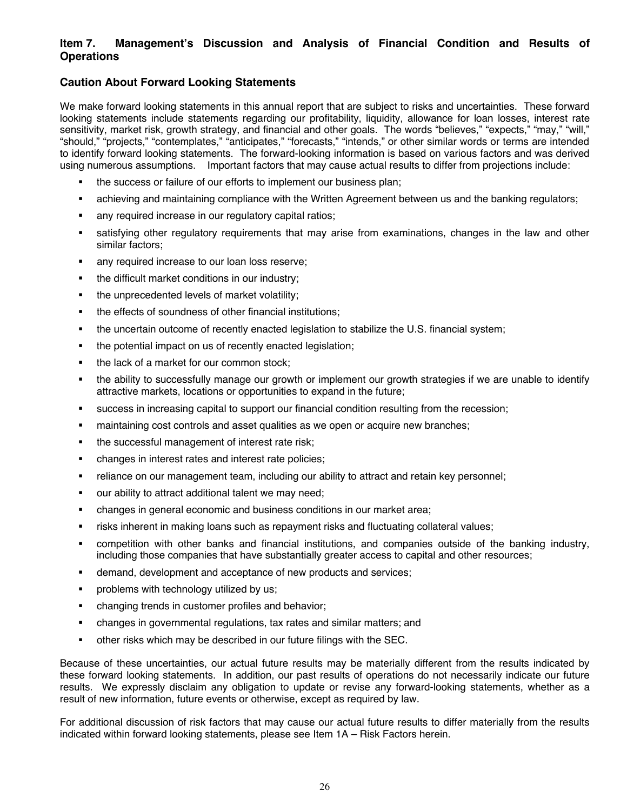# **Item 7. Management's Discussion and Analysis of Financial Condition and Results of Operations**

# **Caution About Forward Looking Statements**

We make forward looking statements in this annual report that are subject to risks and uncertainties. These forward looking statements include statements regarding our profitability, liquidity, allowance for loan losses, interest rate sensitivity, market risk, growth strategy, and financial and other goals. The words "believes," "expects," "may," "will," "should," "projects," "contemplates," "anticipates," "forecasts," "intends," or other similar words or terms are intended to identify forward looking statements. The forward-looking information is based on various factors and was derived using numerous assumptions. Important factors that may cause actual results to differ from projections include:

- the success or failure of our efforts to implement our business plan;
- achieving and maintaining compliance with the Written Agreement between us and the banking regulators;
- **EXECT** any required increase in our requilatory capital ratios:
- satisfying other regulatory requirements that may arise from examinations, changes in the law and other similar factors;
- **any required increase to our loan loss reserve;**
- the difficult market conditions in our industry;
- the unprecedented levels of market volatility;
- the effects of soundness of other financial institutions;
- the uncertain outcome of recently enacted legislation to stabilize the U.S. financial system;
- the potential impact on us of recently enacted legislation;
- the lack of a market for our common stock:
- the ability to successfully manage our growth or implement our growth strategies if we are unable to identify attractive markets, locations or opportunities to expand in the future;
- success in increasing capital to support our financial condition resulting from the recession;
- maintaining cost controls and asset qualities as we open or acquire new branches;
- the successful management of interest rate risk;
- changes in interest rates and interest rate policies;
- reliance on our management team, including our ability to attract and retain key personnel;
- our ability to attract additional talent we may need;
- changes in general economic and business conditions in our market area;
- **Filtum** risks inherent in making loans such as repayment risks and fluctuating collateral values;
- competition with other banks and financial institutions, and companies outside of the banking industry, including those companies that have substantially greater access to capital and other resources;
- demand, development and acceptance of new products and services;
- **•** problems with technology utilized by us;
- **EXEC** changing trends in customer profiles and behavior;
- changes in governmental regulations, tax rates and similar matters; and
- other risks which may be described in our future filings with the SEC.

Because of these uncertainties, our actual future results may be materially different from the results indicated by these forward looking statements. In addition, our past results of operations do not necessarily indicate our future results. We expressly disclaim any obligation to update or revise any forward-looking statements, whether as a result of new information, future events or otherwise, except as required by law.

For additional discussion of risk factors that may cause our actual future results to differ materially from the results indicated within forward looking statements, please see Item 1A – Risk Factors herein.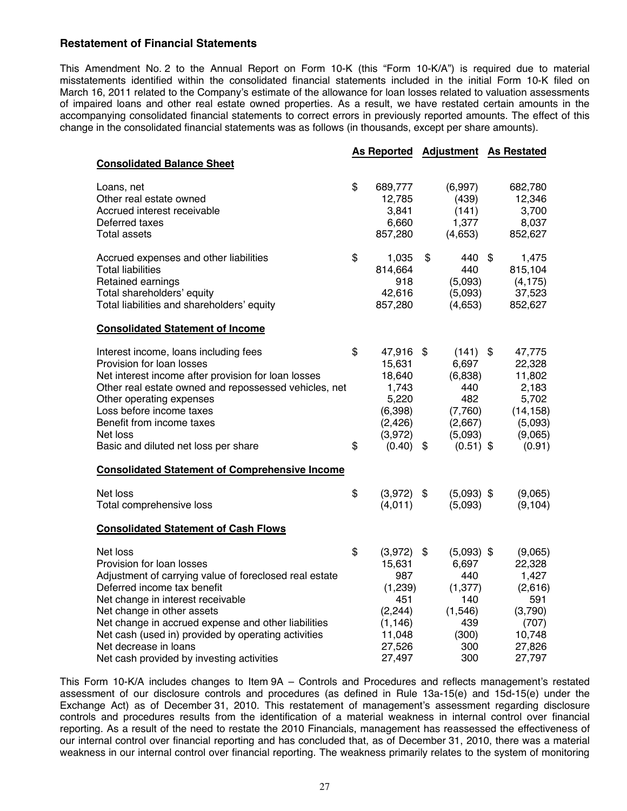## **Restatement of Financial Statements**

This Amendment No. 2 to the Annual Report on Form 10-K (this "Form 10-K/A") is required due to material misstatements identified within the consolidated financial statements included in the initial Form 10-K filed on March 16, 2011 related to the Company's estimate of the allowance for loan losses related to valuation assessments of impaired loans and other real estate owned properties. As a result, we have restated certain amounts in the accompanying consolidated financial statements to correct errors in previously reported amounts. The effect of this change in the consolidated financial statements was as follows (in thousands, except per share amounts).

|                                                                                                                                                                                                                                                                                                                                                                                       |          | <b>As Reported</b>                                                                                |     | <b>Adjustment</b>                                                                         | <b>As Restated</b>                                                                              |
|---------------------------------------------------------------------------------------------------------------------------------------------------------------------------------------------------------------------------------------------------------------------------------------------------------------------------------------------------------------------------------------|----------|---------------------------------------------------------------------------------------------------|-----|-------------------------------------------------------------------------------------------|-------------------------------------------------------------------------------------------------|
| <b>Consolidated Balance Sheet</b>                                                                                                                                                                                                                                                                                                                                                     |          |                                                                                                   |     |                                                                                           |                                                                                                 |
| Loans, net<br>Other real estate owned<br>Accrued interest receivable<br>Deferred taxes<br>Total assets                                                                                                                                                                                                                                                                                | \$       | 689,777<br>12,785<br>3,841<br>6,660<br>857,280                                                    |     | (6,997)<br>(439)<br>(141)<br>1,377<br>(4,653)                                             | 682,780<br>12,346<br>3,700<br>8,037<br>852,627                                                  |
| Accrued expenses and other liabilities<br><b>Total liabilities</b><br>Retained earnings<br>Total shareholders' equity<br>Total liabilities and shareholders' equity                                                                                                                                                                                                                   | \$       | 1,035<br>814,664<br>918<br>42,616<br>857,280                                                      | \$  | 440<br>440<br>(5,093)<br>(5,093)<br>(4,653)                                               | \$<br>1,475<br>815,104<br>(4, 175)<br>37,523<br>852,627                                         |
| <b>Consolidated Statement of Income</b>                                                                                                                                                                                                                                                                                                                                               |          |                                                                                                   |     |                                                                                           |                                                                                                 |
| Interest income, loans including fees<br>Provision for loan losses<br>Net interest income after provision for loan losses<br>Other real estate owned and repossessed vehicles, net<br>Other operating expenses<br>Loss before income taxes<br>Benefit from income taxes<br>Net loss<br>Basic and diluted net loss per share                                                           | \$<br>\$ | 47,916 \$<br>15,631<br>18,640<br>1,743<br>5,220<br>(6, 398)<br>(2, 426)<br>(3,972)<br>$(0.40)$ \$ |     | (141)<br>6,697<br>(6,838)<br>440<br>482<br>(7,760)<br>(2,667)<br>(5,093)<br>$(0.51)$ \$   | \$<br>47,775<br>22,328<br>11,802<br>2,183<br>5,702<br>(14, 158)<br>(5,093)<br>(9,065)<br>(0.91) |
| <b>Consolidated Statement of Comprehensive Income</b>                                                                                                                                                                                                                                                                                                                                 |          |                                                                                                   |     |                                                                                           |                                                                                                 |
| Net loss<br>Total comprehensive loss                                                                                                                                                                                                                                                                                                                                                  | \$       | (3,972)<br>(4,011)                                                                                | \$  | $(5,093)$ \$<br>(5,093)                                                                   | (9,065)<br>(9, 104)                                                                             |
| <b>Consolidated Statement of Cash Flows</b>                                                                                                                                                                                                                                                                                                                                           |          |                                                                                                   |     |                                                                                           |                                                                                                 |
| Net loss<br>Provision for loan losses<br>Adjustment of carrying value of foreclosed real estate<br>Deferred income tax benefit<br>Net change in interest receivable<br>Net change in other assets<br>Net change in accrued expense and other liabilities<br>Net cash (used in) provided by operating activities<br>Net decrease in loans<br>Net cash provided by investing activities | \$       | (3,972)<br>15,631<br>987<br>(1,239)<br>451<br>(2, 244)<br>(1, 146)<br>11,048<br>27,526<br>27,497  | -\$ | $(5,093)$ \$<br>6,697<br>440<br>(1, 377)<br>140<br>(1, 546)<br>439<br>(300)<br>300<br>300 | (9,065)<br>22,328<br>1,427<br>(2,616)<br>591<br>(3,790)<br>(707)<br>10,748<br>27,826<br>27,797  |

This Form 10-K/A includes changes to Item 9A – Controls and Procedures and reflects management's restated assessment of our disclosure controls and procedures (as defined in Rule 13a-15(e) and 15d-15(e) under the Exchange Act) as of December 31, 2010. This restatement of management's assessment regarding disclosure controls and procedures results from the identification of a material weakness in internal control over financial reporting. As a result of the need to restate the 2010 Financials, management has reassessed the effectiveness of our internal control over financial reporting and has concluded that, as of December 31, 2010, there was a material weakness in our internal control over financial reporting. The weakness primarily relates to the system of monitoring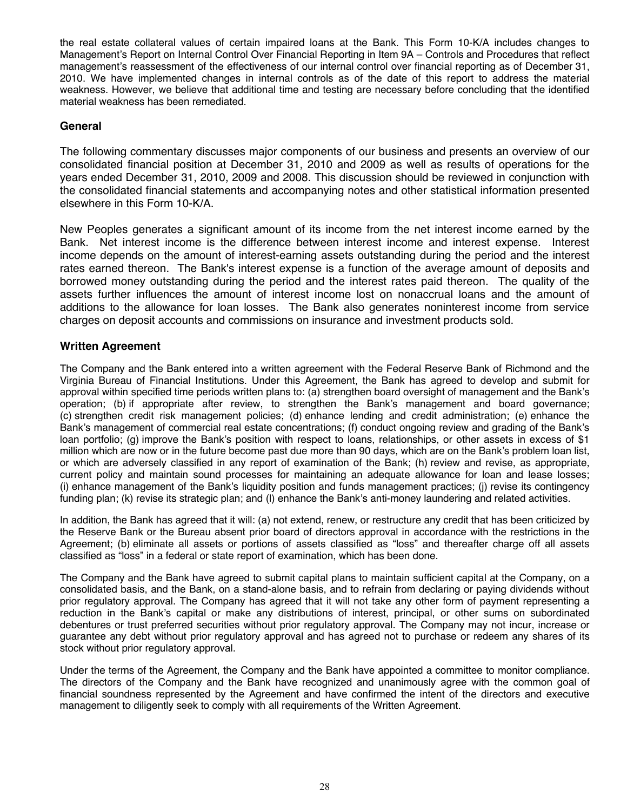the real estate collateral values of certain impaired loans at the Bank. This Form 10-K/A includes changes to Management's Report on Internal Control Over Financial Reporting in Item 9A – Controls and Procedures that reflect management's reassessment of the effectiveness of our internal control over financial reporting as of December 31, 2010. We have implemented changes in internal controls as of the date of this report to address the material weakness. However, we believe that additional time and testing are necessary before concluding that the identified material weakness has been remediated.

# **General**

The following commentary discusses major components of our business and presents an overview of our consolidated financial position at December 31, 2010 and 2009 as well as results of operations for the years ended December 31, 2010, 2009 and 2008. This discussion should be reviewed in conjunction with the consolidated financial statements and accompanying notes and other statistical information presented elsewhere in this Form 10-K/A.

New Peoples generates a significant amount of its income from the net interest income earned by the Bank. Net interest income is the difference between interest income and interest expense. Interest income depends on the amount of interest-earning assets outstanding during the period and the interest rates earned thereon. The Bank's interest expense is a function of the average amount of deposits and borrowed money outstanding during the period and the interest rates paid thereon. The quality of the assets further influences the amount of interest income lost on nonaccrual loans and the amount of additions to the allowance for loan losses. The Bank also generates noninterest income from service charges on deposit accounts and commissions on insurance and investment products sold.

# **Written Agreement**

The Company and the Bank entered into a written agreement with the Federal Reserve Bank of Richmond and the Virginia Bureau of Financial Institutions. Under this Agreement, the Bank has agreed to develop and submit for approval within specified time periods written plans to: (a) strengthen board oversight of management and the Bank's operation; (b) if appropriate after review, to strengthen the Bank's management and board governance; (c) strengthen credit risk management policies; (d) enhance lending and credit administration; (e) enhance the Bank's management of commercial real estate concentrations; (f) conduct ongoing review and grading of the Bank's loan portfolio; (g) improve the Bank's position with respect to loans, relationships, or other assets in excess of \$1 million which are now or in the future become past due more than 90 days, which are on the Bank's problem loan list, or which are adversely classified in any report of examination of the Bank; (h) review and revise, as appropriate, current policy and maintain sound processes for maintaining an adequate allowance for loan and lease losses; (i) enhance management of the Bank's liquidity position and funds management practices; (j) revise its contingency funding plan; (k) revise its strategic plan; and (l) enhance the Bank's anti-money laundering and related activities.

In addition, the Bank has agreed that it will: (a) not extend, renew, or restructure any credit that has been criticized by the Reserve Bank or the Bureau absent prior board of directors approval in accordance with the restrictions in the Agreement; (b) eliminate all assets or portions of assets classified as "loss" and thereafter charge off all assets classified as "loss" in a federal or state report of examination, which has been done.

The Company and the Bank have agreed to submit capital plans to maintain sufficient capital at the Company, on a consolidated basis, and the Bank, on a stand-alone basis, and to refrain from declaring or paying dividends without prior regulatory approval. The Company has agreed that it will not take any other form of payment representing a reduction in the Bank's capital or make any distributions of interest, principal, or other sums on subordinated debentures or trust preferred securities without prior regulatory approval. The Company may not incur, increase or guarantee any debt without prior regulatory approval and has agreed not to purchase or redeem any shares of its stock without prior regulatory approval.

Under the terms of the Agreement, the Company and the Bank have appointed a committee to monitor compliance. The directors of the Company and the Bank have recognized and unanimously agree with the common goal of financial soundness represented by the Agreement and have confirmed the intent of the directors and executive management to diligently seek to comply with all requirements of the Written Agreement.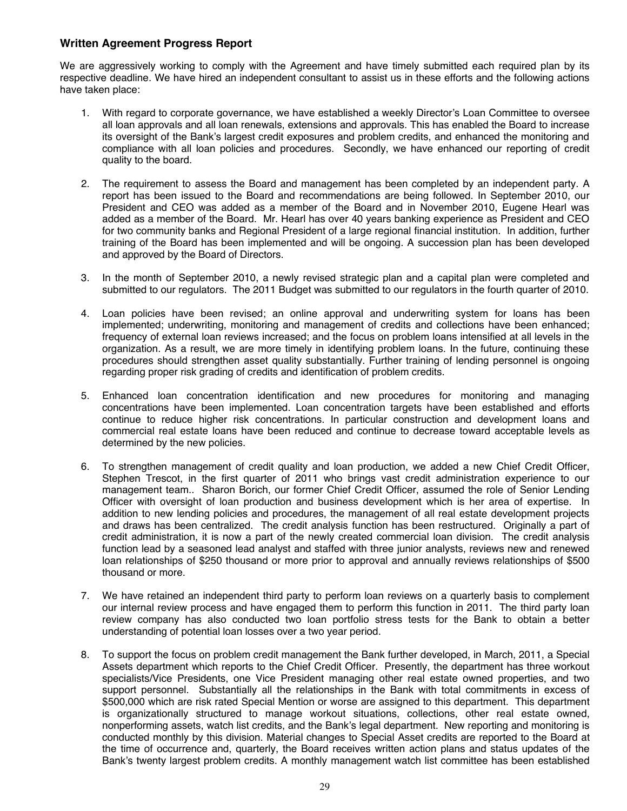# **Written Agreement Progress Report**

We are aggressively working to comply with the Agreement and have timely submitted each required plan by its respective deadline. We have hired an independent consultant to assist us in these efforts and the following actions have taken place:

- 1. With regard to corporate governance, we have established a weekly Director's Loan Committee to oversee all loan approvals and all loan renewals, extensions and approvals. This has enabled the Board to increase its oversight of the Bank's largest credit exposures and problem credits, and enhanced the monitoring and compliance with all loan policies and procedures. Secondly, we have enhanced our reporting of credit quality to the board.
- 2. The requirement to assess the Board and management has been completed by an independent party. A report has been issued to the Board and recommendations are being followed. In September 2010, our President and CEO was added as a member of the Board and in November 2010, Eugene Hearl was added as a member of the Board. Mr. Hearl has over 40 years banking experience as President and CEO for two community banks and Regional President of a large regional financial institution. In addition, further training of the Board has been implemented and will be ongoing. A succession plan has been developed and approved by the Board of Directors.
- 3. In the month of September 2010, a newly revised strategic plan and a capital plan were completed and submitted to our regulators. The 2011 Budget was submitted to our regulators in the fourth quarter of 2010.
- 4. Loan policies have been revised; an online approval and underwriting system for loans has been implemented; underwriting, monitoring and management of credits and collections have been enhanced; frequency of external loan reviews increased; and the focus on problem loans intensified at all levels in the organization. As a result, we are more timely in identifying problem loans. In the future, continuing these procedures should strengthen asset quality substantially. Further training of lending personnel is ongoing regarding proper risk grading of credits and identification of problem credits.
- 5. Enhanced loan concentration identification and new procedures for monitoring and managing concentrations have been implemented. Loan concentration targets have been established and efforts continue to reduce higher risk concentrations. In particular construction and development loans and commercial real estate loans have been reduced and continue to decrease toward acceptable levels as determined by the new policies.
- 6. To strengthen management of credit quality and loan production, we added a new Chief Credit Officer, Stephen Trescot, in the first quarter of 2011 who brings vast credit administration experience to our management team.. Sharon Borich, our former Chief Credit Officer, assumed the role of Senior Lending Officer with oversight of loan production and business development which is her area of expertise. In addition to new lending policies and procedures, the management of all real estate development projects and draws has been centralized. The credit analysis function has been restructured. Originally a part of credit administration, it is now a part of the newly created commercial loan division. The credit analysis function lead by a seasoned lead analyst and staffed with three junior analysts, reviews new and renewed loan relationships of \$250 thousand or more prior to approval and annually reviews relationships of \$500 thousand or more.
- 7. We have retained an independent third party to perform loan reviews on a quarterly basis to complement our internal review process and have engaged them to perform this function in 2011. The third party loan review company has also conducted two loan portfolio stress tests for the Bank to obtain a better understanding of potential loan losses over a two year period.
- 8. To support the focus on problem credit management the Bank further developed, in March, 2011, a Special Assets department which reports to the Chief Credit Officer. Presently, the department has three workout specialists/Vice Presidents, one Vice President managing other real estate owned properties, and two support personnel. Substantially all the relationships in the Bank with total commitments in excess of \$500,000 which are risk rated Special Mention or worse are assigned to this department. This department is organizationally structured to manage workout situations, collections, other real estate owned, nonperforming assets, watch list credits, and the Bank's legal department. New reporting and monitoring is conducted monthly by this division. Material changes to Special Asset credits are reported to the Board at the time of occurrence and, quarterly, the Board receives written action plans and status updates of the Bank's twenty largest problem credits. A monthly management watch list committee has been established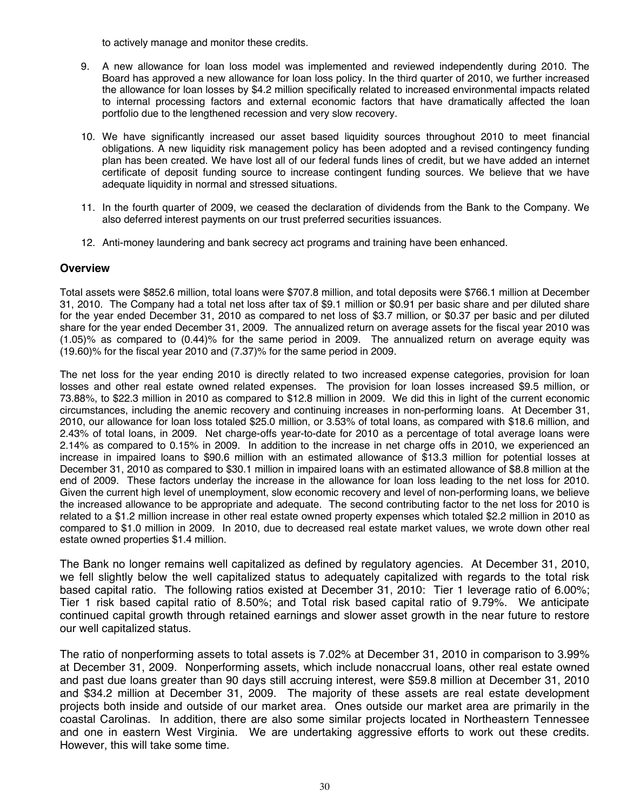to actively manage and monitor these credits.

- 9. A new allowance for loan loss model was implemented and reviewed independently during 2010. The Board has approved a new allowance for loan loss policy. In the third quarter of 2010, we further increased the allowance for loan losses by \$4.2 million specifically related to increased environmental impacts related to internal processing factors and external economic factors that have dramatically affected the loan portfolio due to the lengthened recession and very slow recovery.
- 10. We have significantly increased our asset based liquidity sources throughout 2010 to meet financial obligations. A new liquidity risk management policy has been adopted and a revised contingency funding plan has been created. We have lost all of our federal funds lines of credit, but we have added an internet certificate of deposit funding source to increase contingent funding sources. We believe that we have adequate liquidity in normal and stressed situations.
- 11. In the fourth quarter of 2009, we ceased the declaration of dividends from the Bank to the Company. We also deferred interest payments on our trust preferred securities issuances.
- 12. Anti-money laundering and bank secrecy act programs and training have been enhanced.

### **Overview**

Total assets were \$852.6 million, total loans were \$707.8 million, and total deposits were \$766.1 million at December 31, 2010. The Company had a total net loss after tax of \$9.1 million or \$0.91 per basic share and per diluted share for the year ended December 31, 2010 as compared to net loss of \$3.7 million, or \$0.37 per basic and per diluted share for the year ended December 31, 2009. The annualized return on average assets for the fiscal year 2010 was (1.05)% as compared to (0.44)% for the same period in 2009. The annualized return on average equity was (19.60)% for the fiscal year 2010 and (7.37)% for the same period in 2009.

The net loss for the year ending 2010 is directly related to two increased expense categories, provision for loan losses and other real estate owned related expenses. The provision for loan losses increased \$9.5 million, or 73.88%, to \$22.3 million in 2010 as compared to \$12.8 million in 2009. We did this in light of the current economic circumstances, including the anemic recovery and continuing increases in non-performing loans. At December 31, 2010, our allowance for loan loss totaled \$25.0 million, or 3.53% of total loans, as compared with \$18.6 million, and 2.43% of total loans, in 2009. Net charge-offs year-to-date for 2010 as a percentage of total average loans were 2.14% as compared to 0.15% in 2009. In addition to the increase in net charge offs in 2010, we experienced an increase in impaired loans to \$90.6 million with an estimated allowance of \$13.3 million for potential losses at December 31, 2010 as compared to \$30.1 million in impaired loans with an estimated allowance of \$8.8 million at the end of 2009. These factors underlay the increase in the allowance for loan loss leading to the net loss for 2010. Given the current high level of unemployment, slow economic recovery and level of non-performing loans, we believe the increased allowance to be appropriate and adequate. The second contributing factor to the net loss for 2010 is related to a \$1.2 million increase in other real estate owned property expenses which totaled \$2.2 million in 2010 as compared to \$1.0 million in 2009. In 2010, due to decreased real estate market values, we wrote down other real estate owned properties \$1.4 million.

The Bank no longer remains well capitalized as defined by regulatory agencies. At December 31, 2010, we fell slightly below the well capitalized status to adequately capitalized with regards to the total risk based capital ratio. The following ratios existed at December 31, 2010: Tier 1 leverage ratio of 6.00%; Tier 1 risk based capital ratio of 8.50%; and Total risk based capital ratio of 9.79%. We anticipate continued capital growth through retained earnings and slower asset growth in the near future to restore our well capitalized status.

The ratio of nonperforming assets to total assets is 7.02% at December 31, 2010 in comparison to 3.99% at December 31, 2009. Nonperforming assets, which include nonaccrual loans, other real estate owned and past due loans greater than 90 days still accruing interest, were \$59.8 million at December 31, 2010 and \$34.2 million at December 31, 2009. The majority of these assets are real estate development projects both inside and outside of our market area. Ones outside our market area are primarily in the coastal Carolinas. In addition, there are also some similar projects located in Northeastern Tennessee and one in eastern West Virginia. We are undertaking aggressive efforts to work out these credits. However, this will take some time.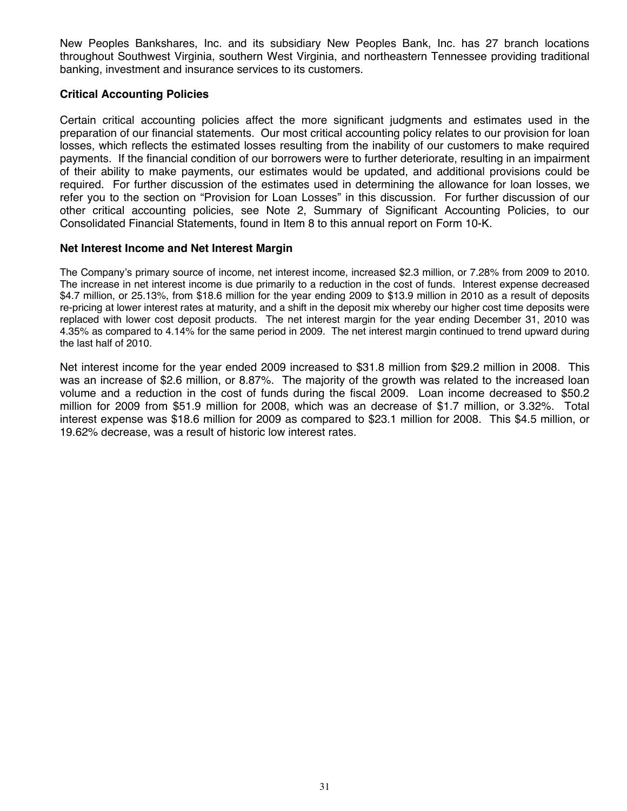New Peoples Bankshares, Inc. and its subsidiary New Peoples Bank, Inc. has 27 branch locations throughout Southwest Virginia, southern West Virginia, and northeastern Tennessee providing traditional banking, investment and insurance services to its customers.

# **Critical Accounting Policies**

Certain critical accounting policies affect the more significant judgments and estimates used in the preparation of our financial statements. Our most critical accounting policy relates to our provision for loan losses, which reflects the estimated losses resulting from the inability of our customers to make required payments. If the financial condition of our borrowers were to further deteriorate, resulting in an impairment of their ability to make payments, our estimates would be updated, and additional provisions could be required. For further discussion of the estimates used in determining the allowance for loan losses, we refer you to the section on "Provision for Loan Losses" in this discussion. For further discussion of our other critical accounting policies, see Note 2, Summary of Significant Accounting Policies, to our Consolidated Financial Statements, found in Item 8 to this annual report on Form 10-K.

# **Net Interest Income and Net Interest Margin**

The Company's primary source of income, net interest income, increased \$2.3 million, or 7.28% from 2009 to 2010. The increase in net interest income is due primarily to a reduction in the cost of funds. Interest expense decreased \$4.7 million, or 25.13%, from \$18.6 million for the year ending 2009 to \$13.9 million in 2010 as a result of deposits re-pricing at lower interest rates at maturity, and a shift in the deposit mix whereby our higher cost time deposits were replaced with lower cost deposit products. The net interest margin for the year ending December 31, 2010 was 4.35% as compared to 4.14% for the same period in 2009. The net interest margin continued to trend upward during the last half of 2010.

Net interest income for the year ended 2009 increased to \$31.8 million from \$29.2 million in 2008. This was an increase of \$2.6 million, or 8.87%. The majority of the growth was related to the increased loan volume and a reduction in the cost of funds during the fiscal 2009. Loan income decreased to \$50.2 million for 2009 from \$51.9 million for 2008, which was an decrease of \$1.7 million, or 3.32%. Total interest expense was \$18.6 million for 2009 as compared to \$23.1 million for 2008. This \$4.5 million, or 19.62% decrease, was a result of historic low interest rates.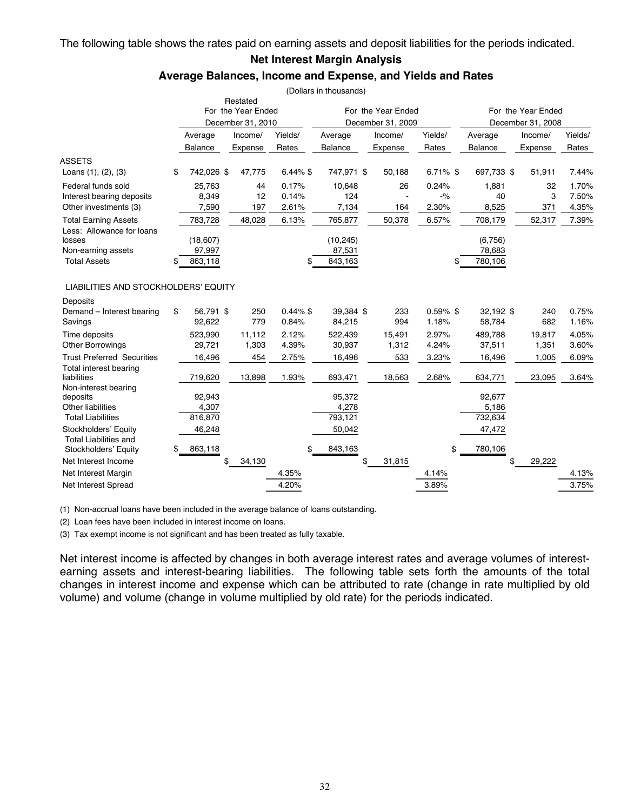The following table shows the rates paid on earning assets and deposit liabilities for the periods indicated.

# **Net Interest Margin Analysis**

# **Average Balances, Income and Expense, and Yields and Rates**

|                                      |    |            |                                |             | (Dollars in thousands) |                    |             |                   |                    |         |  |  |  |
|--------------------------------------|----|------------|--------------------------------|-------------|------------------------|--------------------|-------------|-------------------|--------------------|---------|--|--|--|
|                                      |    |            | Restated<br>For the Year Ended |             |                        | For the Year Ended |             |                   | For the Year Ended |         |  |  |  |
|                                      |    |            | December 31, 2010              |             |                        | December 31, 2009  |             | December 31, 2008 |                    |         |  |  |  |
|                                      |    | Average    | Income/                        | Yields/     | Average                | Income/            | Yields/     | Average           | Income/            | Yields/ |  |  |  |
|                                      |    | Balance    | Expense                        | Rates       | <b>Balance</b>         | Expense            | Rates       | <b>Balance</b>    | Expense            | Rates   |  |  |  |
| <b>ASSETS</b>                        |    |            |                                |             |                        |                    |             |                   |                    |         |  |  |  |
| Loans $(1)$ , $(2)$ , $(3)$          | \$ | 742,026 \$ | 47,775                         | $6.44\%$ \$ | 747,971 \$             | 50,188             | $6.71\%$ \$ | 697,733 \$        | 51,911             | 7.44%   |  |  |  |
| Federal funds sold                   |    | 25,763     | 44                             | 0.17%       | 10,648                 | 26                 | 0.24%       | 1,881             | 32                 | 1.70%   |  |  |  |
| Interest bearing deposits            |    | 8,349      | 12                             | 0.14%       | 124                    |                    | $-9/0$      | 40                | 3                  | 7.50%   |  |  |  |
| Other investments (3)                |    | 7,590      | 197                            | 2.61%       | 7,134                  | 164                | 2.30%       | 8,525             | 371                | 4.35%   |  |  |  |
| <b>Total Earning Assets</b>          |    | 783,728    | 48,028                         | 6.13%       | 765,877                | 50,378             | 6.57%       | 708,179           | 52,317             | 7.39%   |  |  |  |
| Less: Allowance for loans            |    |            |                                |             |                        |                    |             |                   |                    |         |  |  |  |
| losses                               |    | (18, 607)  |                                |             | (10, 245)              |                    |             | (6,756)           |                    |         |  |  |  |
| Non-earning assets                   |    | 97,997     |                                |             | 87,531                 |                    |             | 78,683            |                    |         |  |  |  |
| <b>Total Assets</b>                  |    | 863,118    |                                | \$          | 843,163                |                    |             | 780,106           |                    |         |  |  |  |
| LIABILITIES AND STOCKHOLDERS' EQUITY |    |            |                                |             |                        |                    |             |                   |                    |         |  |  |  |
| Deposits                             |    |            |                                |             |                        |                    |             |                   |                    |         |  |  |  |
| Demand - Interest bearing            | \$ | 56,791 \$  | 250                            | $0.44\%$ \$ | 39,384 \$              | 233                | $0.59\%$ \$ | 32,192 \$         | 240                | 0.75%   |  |  |  |
| Savings                              |    | 92,622     | 779                            | 0.84%       | 84,215                 | 994                | 1.18%       | 58,784            | 682                | 1.16%   |  |  |  |
| Time deposits                        |    | 523,990    | 11,112                         | 2.12%       | 522,439                | 15,491             | 2.97%       | 489,788           | 19,817             | 4.05%   |  |  |  |
| <b>Other Borrowings</b>              |    | 29,721     | 1,303                          | 4.39%       | 30,937                 | 1,312              | 4.24%       | 37,511            | 1,351              | 3.60%   |  |  |  |
| <b>Trust Preferred Securities</b>    |    | 16,496     | 454                            | 2.75%       | 16,496                 | 533                | 3.23%       | 16,496            | 1,005              | 6.09%   |  |  |  |
| Total interest bearing               |    |            |                                |             |                        |                    |             |                   |                    |         |  |  |  |
| liabilities<br>Non-interest bearing  |    | 719,620    | 13,898                         | 1.93%       | 693,471                | 18,563             | 2.68%       | 634,771           | 23,095             | 3.64%   |  |  |  |
| deposits                             |    | 92,943     |                                |             | 95,372                 |                    |             | 92,677            |                    |         |  |  |  |
| <b>Other liabilities</b>             |    | 4,307      |                                |             | 4,278                  |                    |             | 5,186             |                    |         |  |  |  |
| <b>Total Liabilities</b>             |    | 816,870    |                                |             | 793,121                |                    |             | 732,634           |                    |         |  |  |  |
| Stockholders' Equity                 |    | 46,248     |                                |             | 50,042                 |                    |             | 47,472            |                    |         |  |  |  |
| <b>Total Liabilities and</b>         |    |            |                                |             |                        |                    |             |                   |                    |         |  |  |  |
| Stockholders' Equity                 | S  | 863,118    |                                | \$          | 843,163                |                    | \$          | 780,106           |                    |         |  |  |  |
| Net Interest Income                  |    | \$         | 34,130                         |             | \$                     | 31,815             |             | \$                | 29,222             |         |  |  |  |
| Net Interest Margin                  |    |            |                                | 4.35%       |                        |                    | 4.14%       |                   |                    | 4.13%   |  |  |  |
| Net Interest Spread                  |    |            |                                | 4.20%       |                        |                    | 3.89%       |                   |                    | 3.75%   |  |  |  |

(1) Non-accrual loans have been included in the average balance of loans outstanding.

(2) Loan fees have been included in interest income on loans.

(3) Tax exempt income is not significant and has been treated as fully taxable.

Net interest income is affected by changes in both average interest rates and average volumes of interestearning assets and interest-bearing liabilities. The following table sets forth the amounts of the total changes in interest income and expense which can be attributed to rate (change in rate multiplied by old volume) and volume (change in volume multiplied by old rate) for the periods indicated.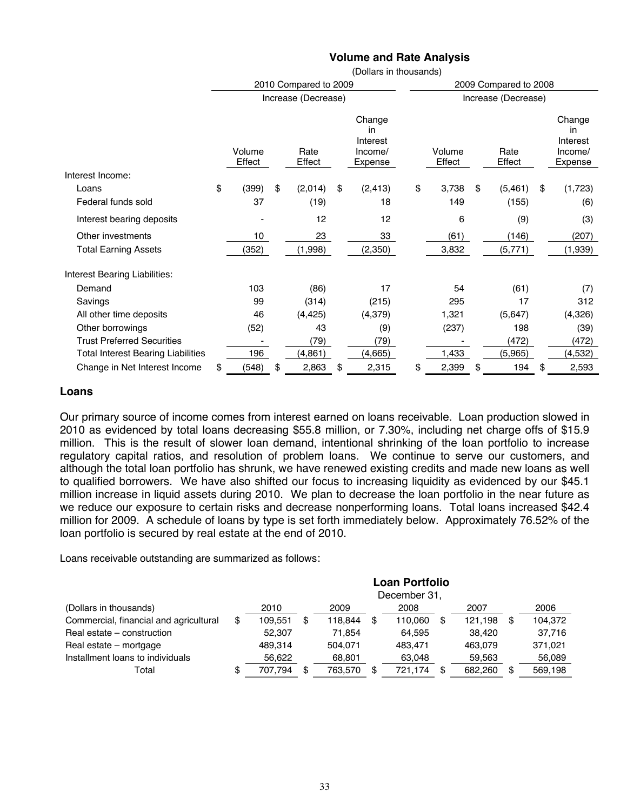#### (Dollars in thousands) 2010 Compared to 2009 2009 Compared to 2008 Increase (Decrease) Increase (Decrease) Volume **Effect** Rate **Effect** Change in Interest Income/ Expense Volume Effect Rate **Effect** Change in Interest Income/ Expense Interest Income: Loans \$ (399) \$ (2,014) \$ (2,413) \$ 3,738 \$ (5,461) \$ (1,723) Federal funds sold 37 (19) 18 149 (155) (6) Interest bearing deposits  $\qquad \qquad - \qquad \qquad 12 \qquad \qquad 12 \qquad \qquad 6 \qquad \qquad (9) \qquad \qquad (3)$ Other investments 10 23 33 (61) (146) (207) Total Earning Assets (352) (1,998) (2,350) 3,832 (5,771) (1,939) Interest Bearing Liabilities: Demand 103 (86) 17 54 (61) (7) Savings 99 (314) (215) 295 17 312 All other time deposits 46 (4,425) (4,379) 1,321 (5,647) (4,326) Other borrowings (52) 43 (9) (237) 198 (39) Trust Preferred Securities - (79) (79) - (472) (472) Total Interest Bearing Liabilities 196 (4,861) (4,665) 1,433 (5,965) (4,532) Change in Net Interest Income \$ (548) \$ 2,863 \$ 2,315 \$ 2,399 \$ 194 \$ 2,593

 **Volume and Rate Analysis** 

# **Loans**

Our primary source of income comes from interest earned on loans receivable. Loan production slowed in 2010 as evidenced by total loans decreasing \$55.8 million, or 7.30%, including net charge offs of \$15.9 million. This is the result of slower loan demand, intentional shrinking of the loan portfolio to increase regulatory capital ratios, and resolution of problem loans. We continue to serve our customers, and although the total loan portfolio has shrunk, we have renewed existing credits and made new loans as well to qualified borrowers. We have also shifted our focus to increasing liquidity as evidenced by our \$45.1 million increase in liquid assets during 2010. We plan to decrease the loan portfolio in the near future as we reduce our exposure to certain risks and decrease nonperforming loans. Total loans increased \$42.4 million for 2009. A schedule of loans by type is set forth immediately below. Approximately 76.52% of the loan portfolio is secured by real estate at the end of 2010.

Loans receivable outstanding are summarized as follows:

|                                        |   |         |    |         |   | Loan Portfolio<br>December 31, |    |         |   |         |
|----------------------------------------|---|---------|----|---------|---|--------------------------------|----|---------|---|---------|
| (Dollars in thousands)                 |   | 2010    |    | 2009    |   | 2008                           |    | 2007    |   | 2006    |
| Commercial, financial and agricultural | S | 109.551 | \$ | 118,844 | S | 110.060                        | \$ | 121,198 | S | 104,372 |
| Real estate – construction             |   | 52.307  |    | 71.854  |   | 64.595                         |    | 38.420  |   | 37,716  |
| Real estate – mortgage                 |   | 489.314 |    | 504.071 |   | 483.471                        |    | 463.079 |   | 371,021 |
| Installment loans to individuals       |   | 56.622  |    | 68.801  |   | 63.048                         |    | 59.563  |   | 56,089  |
| Total                                  |   | 707.794 | £. | 763.570 | S | 721.174                        | S  | 682.260 | S | 569.198 |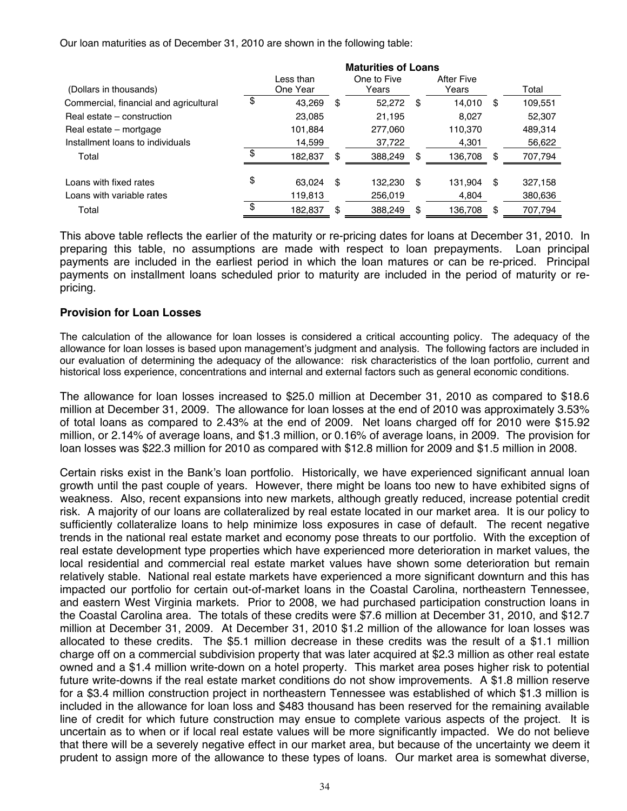Our loan maturities as of December 31, 2010 are shown in the following table:

|                                        |                       |    | <b>Maturities of Loans</b> |    |                     |    |         |
|----------------------------------------|-----------------------|----|----------------------------|----|---------------------|----|---------|
| (Dollars in thousands)                 | Less than<br>One Year |    | One to Five<br>Years       |    | After Five<br>Years |    | Total   |
| Commercial, financial and agricultural | \$<br>43,269          | \$ | 52,272                     | -S | 14,010              | S  | 109,551 |
| Real estate – construction             | 23,085                |    | 21,195                     |    | 8,027               |    | 52,307  |
| Real estate – mortgage                 | 101,884               |    | 277,060                    |    | 110,370             |    | 489,314 |
| Installment loans to individuals       | 14,599                |    | 37,722                     |    | 4,301               |    | 56,622  |
| Total                                  | \$<br>182,837         | \$ | 388,249                    | \$ | 136,708             | -S | 707,794 |
| Loans with fixed rates                 | \$<br>63.024          | \$ | 132,230                    | \$ | 131,904             | \$ | 327,158 |
| Loans with variable rates              | 119,813               |    | 256,019                    |    | 4.804               |    | 380,636 |
| Total                                  | \$<br>182,837         | S  | 388,249                    | S  | 136,708             |    | 707.794 |

This above table reflects the earlier of the maturity or re-pricing dates for loans at December 31, 2010. In preparing this table, no assumptions are made with respect to loan prepayments. Loan principal payments are included in the earliest period in which the loan matures or can be re-priced. Principal payments on installment loans scheduled prior to maturity are included in the period of maturity or repricing.

# **Provision for Loan Losses**

The calculation of the allowance for loan losses is considered a critical accounting policy. The adequacy of the allowance for loan losses is based upon management's judgment and analysis. The following factors are included in our evaluation of determining the adequacy of the allowance: risk characteristics of the loan portfolio, current and historical loss experience, concentrations and internal and external factors such as general economic conditions.

The allowance for loan losses increased to \$25.0 million at December 31, 2010 as compared to \$18.6 million at December 31, 2009. The allowance for loan losses at the end of 2010 was approximately 3.53% of total loans as compared to 2.43% at the end of 2009. Net loans charged off for 2010 were \$15.92 million, or 2.14% of average loans, and \$1.3 million, or 0.16% of average loans, in 2009. The provision for loan losses was \$22.3 million for 2010 as compared with \$12.8 million for 2009 and \$1.5 million in 2008.

Certain risks exist in the Bank's loan portfolio. Historically, we have experienced significant annual loan growth until the past couple of years. However, there might be loans too new to have exhibited signs of weakness. Also, recent expansions into new markets, although greatly reduced, increase potential credit risk. A majority of our loans are collateralized by real estate located in our market area. It is our policy to sufficiently collateralize loans to help minimize loss exposures in case of default. The recent negative trends in the national real estate market and economy pose threats to our portfolio. With the exception of real estate development type properties which have experienced more deterioration in market values, the local residential and commercial real estate market values have shown some deterioration but remain relatively stable. National real estate markets have experienced a more significant downturn and this has impacted our portfolio for certain out-of-market loans in the Coastal Carolina, northeastern Tennessee, and eastern West Virginia markets. Prior to 2008, we had purchased participation construction loans in the Coastal Carolina area. The totals of these credits were \$7.6 million at December 31, 2010, and \$12.7 million at December 31, 2009. At December 31, 2010 \$1.2 million of the allowance for loan losses was allocated to these credits. The \$5.1 million decrease in these credits was the result of a \$1.1 million charge off on a commercial subdivision property that was later acquired at \$2.3 million as other real estate owned and a \$1.4 million write-down on a hotel property. This market area poses higher risk to potential future write-downs if the real estate market conditions do not show improvements. A \$1.8 million reserve for a \$3.4 million construction project in northeastern Tennessee was established of which \$1.3 million is included in the allowance for loan loss and \$483 thousand has been reserved for the remaining available line of credit for which future construction may ensue to complete various aspects of the project. It is uncertain as to when or if local real estate values will be more significantly impacted. We do not believe that there will be a severely negative effect in our market area, but because of the uncertainty we deem it prudent to assign more of the allowance to these types of loans. Our market area is somewhat diverse,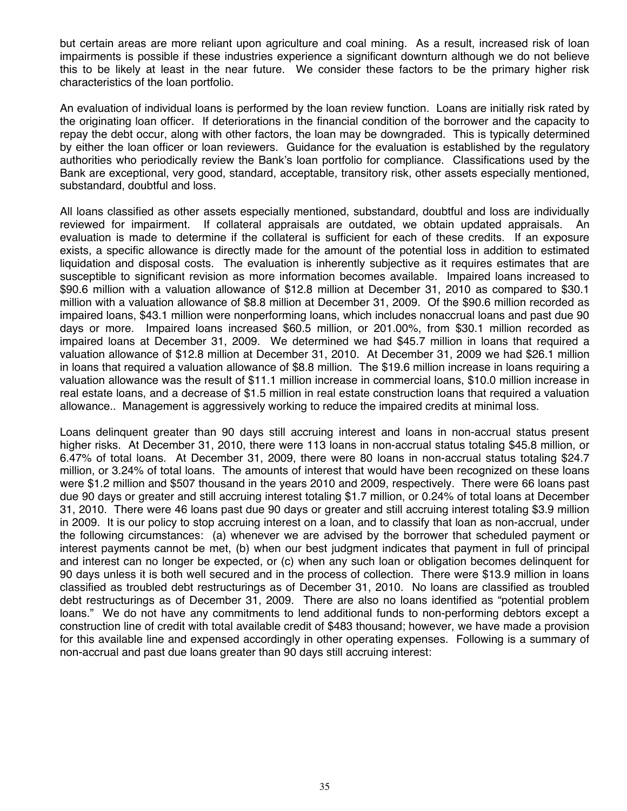but certain areas are more reliant upon agriculture and coal mining. As a result, increased risk of loan impairments is possible if these industries experience a significant downturn although we do not believe this to be likely at least in the near future. We consider these factors to be the primary higher risk characteristics of the loan portfolio.

An evaluation of individual loans is performed by the loan review function. Loans are initially risk rated by the originating loan officer. If deteriorations in the financial condition of the borrower and the capacity to repay the debt occur, along with other factors, the loan may be downgraded. This is typically determined by either the loan officer or loan reviewers. Guidance for the evaluation is established by the regulatory authorities who periodically review the Bank's loan portfolio for compliance. Classifications used by the Bank are exceptional, very good, standard, acceptable, transitory risk, other assets especially mentioned, substandard, doubtful and loss.

All loans classified as other assets especially mentioned, substandard, doubtful and loss are individually reviewed for impairment. If collateral appraisals are outdated, we obtain updated appraisals. An evaluation is made to determine if the collateral is sufficient for each of these credits. If an exposure exists, a specific allowance is directly made for the amount of the potential loss in addition to estimated liquidation and disposal costs. The evaluation is inherently subjective as it requires estimates that are susceptible to significant revision as more information becomes available. Impaired loans increased to \$90.6 million with a valuation allowance of \$12.8 million at December 31, 2010 as compared to \$30.1 million with a valuation allowance of \$8.8 million at December 31, 2009. Of the \$90.6 million recorded as impaired loans, \$43.1 million were nonperforming loans, which includes nonaccrual loans and past due 90 days or more. Impaired loans increased \$60.5 million, or 201.00%, from \$30.1 million recorded as impaired loans at December 31, 2009. We determined we had \$45.7 million in loans that required a valuation allowance of \$12.8 million at December 31, 2010. At December 31, 2009 we had \$26.1 million in loans that required a valuation allowance of \$8.8 million. The \$19.6 million increase in loans requiring a valuation allowance was the result of \$11.1 million increase in commercial loans, \$10.0 million increase in real estate loans, and a decrease of \$1.5 million in real estate construction loans that required a valuation allowance.. Management is aggressively working to reduce the impaired credits at minimal loss.

Loans delinquent greater than 90 days still accruing interest and loans in non-accrual status present higher risks. At December 31, 2010, there were 113 loans in non-accrual status totaling \$45.8 million, or 6.47% of total loans. At December 31, 2009, there were 80 loans in non-accrual status totaling \$24.7 million, or 3.24% of total loans. The amounts of interest that would have been recognized on these loans were \$1.2 million and \$507 thousand in the years 2010 and 2009, respectively. There were 66 loans past due 90 days or greater and still accruing interest totaling \$1.7 million, or 0.24% of total loans at December 31, 2010. There were 46 loans past due 90 days or greater and still accruing interest totaling \$3.9 million in 2009. It is our policy to stop accruing interest on a loan, and to classify that loan as non-accrual, under the following circumstances: (a) whenever we are advised by the borrower that scheduled payment or interest payments cannot be met, (b) when our best judgment indicates that payment in full of principal and interest can no longer be expected, or (c) when any such loan or obligation becomes delinquent for 90 days unless it is both well secured and in the process of collection. There were \$13.9 million in loans classified as troubled debt restructurings as of December 31, 2010. No loans are classified as troubled debt restructurings as of December 31, 2009. There are also no loans identified as "potential problem loans." We do not have any commitments to lend additional funds to non-performing debtors except a construction line of credit with total available credit of \$483 thousand; however, we have made a provision for this available line and expensed accordingly in other operating expenses. Following is a summary of non-accrual and past due loans greater than 90 days still accruing interest: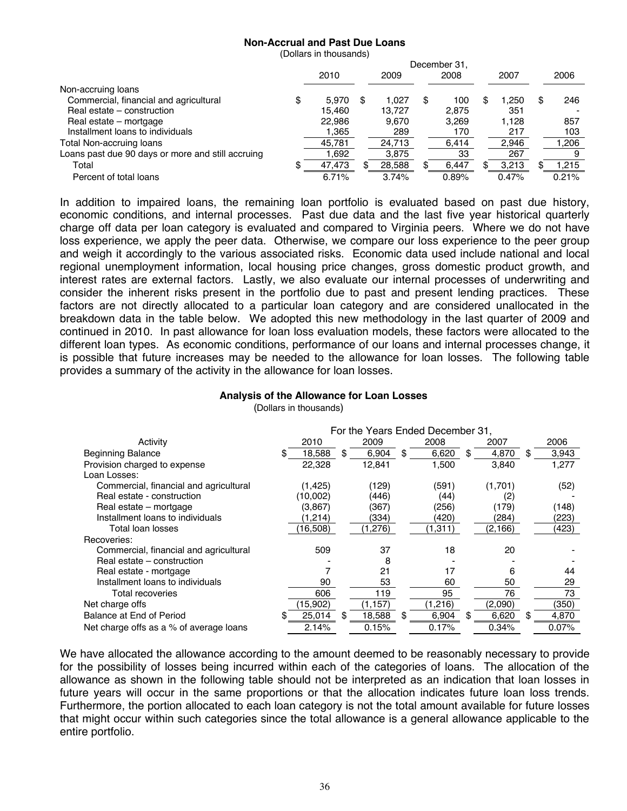# **Non-Accrual and Past Due Loans**

(Dollars in thousands)

|                                                   |    | December 31. |   |        |    |       |    |       |     |       |  |  |
|---------------------------------------------------|----|--------------|---|--------|----|-------|----|-------|-----|-------|--|--|
|                                                   |    | 2010         |   | 2009   |    | 2008  |    | 2007  |     | 2006  |  |  |
| Non-accruing loans                                |    |              |   |        |    |       |    |       |     |       |  |  |
| Commercial, financial and agricultural            | \$ | 5.970        | S | 1.027  | S  | 100   | S  | 1,250 | \$. | 246   |  |  |
| Real estate – construction                        |    | 15.460       |   | 13.727 |    | 2.875 |    | 351   |     |       |  |  |
| Real estate – mortgage                            |    | 22.986       |   | 9.670  |    | 3.269 |    | 1.128 |     | 857   |  |  |
| Installment loans to individuals                  |    | 1.365        |   | 289    |    | 170   |    | 217   |     | 103   |  |  |
| Total Non-accruing loans                          |    | 45,781       |   | 24,713 |    | 6,414 |    | 2.946 |     | .206  |  |  |
| Loans past due 90 days or more and still accruing |    | 1.692        |   | 3.875  |    | 33    |    | 267   |     | 9     |  |  |
| Total                                             | S  | 47,473       |   | 28,588 | SS | 6,447 | SS | 3,213 | S   | 1,215 |  |  |
| Percent of total loans                            |    | 6.71%        |   | 3.74%  |    | 0.89% |    | 0.47% |     | 0.21% |  |  |

In addition to impaired loans, the remaining loan portfolio is evaluated based on past due history, economic conditions, and internal processes. Past due data and the last five year historical quarterly charge off data per loan category is evaluated and compared to Virginia peers. Where we do not have loss experience, we apply the peer data. Otherwise, we compare our loss experience to the peer group and weigh it accordingly to the various associated risks. Economic data used include national and local regional unemployment information, local housing price changes, gross domestic product growth, and interest rates are external factors. Lastly, we also evaluate our internal processes of underwriting and consider the inherent risks present in the portfolio due to past and present lending practices. These factors are not directly allocated to a particular loan category and are considered unallocated in the breakdown data in the table below. We adopted this new methodology in the last quarter of 2009 and continued in 2010. In past allowance for loan loss evaluation models, these factors were allocated to the different loan types. As economic conditions, performance of our loans and internal processes change, it is possible that future increases may be needed to the allowance for loan losses. The following table provides a summary of the activity in the allowance for loan losses.

#### **Analysis of the Allowance for Loan Losses**

(Dollars in thousands)

| For the Years Ended December 31.        |   |          |    |          |    |          |     |          |    |       |  |  |  |
|-----------------------------------------|---|----------|----|----------|----|----------|-----|----------|----|-------|--|--|--|
| Activity                                |   | 2010     |    | 2009     |    | 2008     |     | 2007     |    | 2006  |  |  |  |
| <b>Beginning Balance</b>                | S | 18,588   | \$ | 6,904    | \$ | 6,620    | \$  | 4,870    | æ. | 3,943 |  |  |  |
| Provision charged to expense            |   | 22,328   |    | 12,841   |    | 1,500    |     | 3,840    |    | 1,277 |  |  |  |
| Loan Losses:                            |   |          |    |          |    |          |     |          |    |       |  |  |  |
| Commercial, financial and agricultural  |   | (1, 425) |    | (129)    |    | (591)    |     | (1,701)  |    | (52)  |  |  |  |
| Real estate - construction              |   | (10,002) |    | (446)    |    | (44)     |     | (2)      |    |       |  |  |  |
| Real estate – mortgage                  |   | (3.867)  |    | (367)    |    | (256)    |     | (179)    |    | (148) |  |  |  |
| Installment loans to individuals        |   | (1,214)  |    | (334)    |    | (420)    |     | (284)    |    | (223) |  |  |  |
| Total loan losses                       |   | (16,508) |    | (1,276)  |    | (1, 311) |     | (2, 166) |    | (423) |  |  |  |
| Recoveries:                             |   |          |    |          |    |          |     |          |    |       |  |  |  |
| Commercial, financial and agricultural  |   | 509      |    | 37       |    | 18       |     | 20       |    |       |  |  |  |
| Real estate – construction              |   |          |    | 8        |    |          |     |          |    |       |  |  |  |
| Real estate - mortgage                  |   |          |    | 21       |    | 17       |     | 6        |    | 44    |  |  |  |
| Installment loans to individuals        |   | 90       |    | 53       |    | 60       |     | 50       |    | 29    |  |  |  |
| Total recoveries                        |   | 606      |    | 119      |    | 95       |     | 76       |    | 73    |  |  |  |
| Net charge offs                         |   | (15,902) |    | (1, 157) |    | (1,216)  |     | (2,090)  |    | (350) |  |  |  |
| Balance at End of Period                |   | 25,014   | \$ | 18,588   | S  | 6,904    | \$. | 6,620    | \$ | 4,870 |  |  |  |
| Net charge offs as a % of average loans |   | 2.14%    |    | 0.15%    |    | 0.17%    |     | 0.34%    |    | 0.07% |  |  |  |

We have allocated the allowance according to the amount deemed to be reasonably necessary to provide for the possibility of losses being incurred within each of the categories of loans. The allocation of the allowance as shown in the following table should not be interpreted as an indication that loan losses in future years will occur in the same proportions or that the allocation indicates future loan loss trends. Furthermore, the portion allocated to each loan category is not the total amount available for future losses that might occur within such categories since the total allowance is a general allowance applicable to the entire portfolio.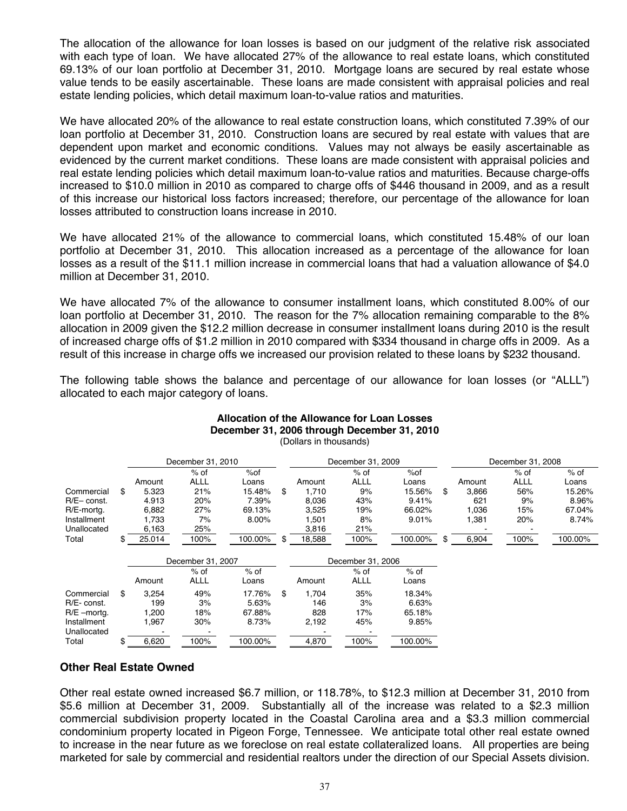The allocation of the allowance for loan losses is based on our judgment of the relative risk associated with each type of loan. We have allocated 27% of the allowance to real estate loans, which constituted 69.13% of our loan portfolio at December 31, 2010. Mortgage loans are secured by real estate whose value tends to be easily ascertainable. These loans are made consistent with appraisal policies and real estate lending policies, which detail maximum loan-to-value ratios and maturities.

We have allocated 20% of the allowance to real estate construction loans, which constituted 7.39% of our loan portfolio at December 31, 2010. Construction loans are secured by real estate with values that are dependent upon market and economic conditions. Values may not always be easily ascertainable as evidenced by the current market conditions. These loans are made consistent with appraisal policies and real estate lending policies which detail maximum loan-to-value ratios and maturities. Because charge-offs increased to \$10.0 million in 2010 as compared to charge offs of \$446 thousand in 2009, and as a result of this increase our historical loss factors increased; therefore, our percentage of the allowance for loan losses attributed to construction loans increase in 2010.

We have allocated 21% of the allowance to commercial loans, which constituted 15.48% of our loan portfolio at December 31, 2010. This allocation increased as a percentage of the allowance for loan losses as a result of the \$11.1 million increase in commercial loans that had a valuation allowance of \$4.0 million at December 31, 2010.

We have allocated 7% of the allowance to consumer installment loans, which constituted 8.00% of our loan portfolio at December 31, 2010. The reason for the 7% allocation remaining comparable to the 8% allocation in 2009 given the \$12.2 million decrease in consumer installment loans during 2010 is the result of increased charge offs of \$1.2 million in 2010 compared with \$334 thousand in charge offs in 2009. As a result of this increase in charge offs we increased our provision related to these loans by \$232 thousand.

The following table shows the balance and percentage of our allowance for loan losses (or "ALLL") allocated to each major category of loans.

|               |              | December 31, 2010 |         |     |        | December 31, 2009 |         |    | December 31, 2008 |             |         |  |  |
|---------------|--------------|-------------------|---------|-----|--------|-------------------|---------|----|-------------------|-------------|---------|--|--|
|               |              | $%$ of            | %of     |     |        | $%$ of            | %of     |    |                   | $%$ of      | % of    |  |  |
|               | Amount       | <b>ALLL</b>       | Loans   |     | Amount | ALLL              | Loans   |    | Amount            | <b>ALLL</b> | Loans   |  |  |
| Commercial    | \$<br>5.323  | 21%               | 15.48%  | \$  | 1,710  | 9%                | 15.56%  | \$ | 3,866             | 56%         | 15.26%  |  |  |
| R/E-const.    | 4.913        | 20%               | 7.39%   |     | 8,036  | 43%               | 9.41%   |    | 621               | 9%          | 8.96%   |  |  |
| R/E-mortg.    | 6,882        | 27%               | 69.13%  |     | 3,525  | 19%               | 66.02%  |    | 1,036             | 15%         | 67.04%  |  |  |
| Installment   | 1,733        | 7%                | 8.00%   |     | 1,501  | 8%                | 9.01%   |    | 1,381             | 20%         | 8.74%   |  |  |
| Unallocated   | 6,163        | 25%               |         |     | 3,816  | 21%               |         |    |                   |             |         |  |  |
| Total         | \$<br>25.014 | 100%              | 100.00% | \$. | 18,588 | 100%              | 100.00% | S. | 6,904             | 100%        | 100.00% |  |  |
|               |              |                   |         |     |        |                   |         |    |                   |             |         |  |  |
|               |              | December 31, 2007 |         |     |        | December 31, 2006 |         |    |                   |             |         |  |  |
|               |              | $%$ of            | $%$ of  |     |        | % of              | $%$ of  |    |                   |             |         |  |  |
|               | Amount       | ALLL              | Loans   |     | Amount | ALLL              | Loans   |    |                   |             |         |  |  |
| Commercial    | \$<br>3,254  | 49%               | 17.76%  | \$  | 1.704  | 35%               | 18.34%  |    |                   |             |         |  |  |
| R/E-const.    | 199          | 3%                | 5.63%   |     | 146    | 3%                | 6.63%   |    |                   |             |         |  |  |
| $R/E$ -mortg. | 1,200        | 18%               | 67.88%  |     | 828    | 17%               | 65.18%  |    |                   |             |         |  |  |
| Installment   | 1,967        | 30%               | 8.73%   |     | 2,192  | 45%               | 9.85%   |    |                   |             |         |  |  |
| Unallocated   |              |                   |         |     |        |                   |         |    |                   |             |         |  |  |
| Total         | \$<br>6,620  | 100%              | 100.00% |     | 4,870  | 100%              | 100.00% |    |                   |             |         |  |  |

#### **Allocation of the Allowance for Loan Losses December 31, 2006 through December 31, 2010**  (Dollars in thousands)

# **Other Real Estate Owned**

Other real estate owned increased \$6.7 million, or 118.78%, to \$12.3 million at December 31, 2010 from \$5.6 million at December 31, 2009. Substantially all of the increase was related to a \$2.3 million commercial subdivision property located in the Coastal Carolina area and a \$3.3 million commercial condominium property located in Pigeon Forge, Tennessee. We anticipate total other real estate owned to increase in the near future as we foreclose on real estate collateralized loans. All properties are being marketed for sale by commercial and residential realtors under the direction of our Special Assets division.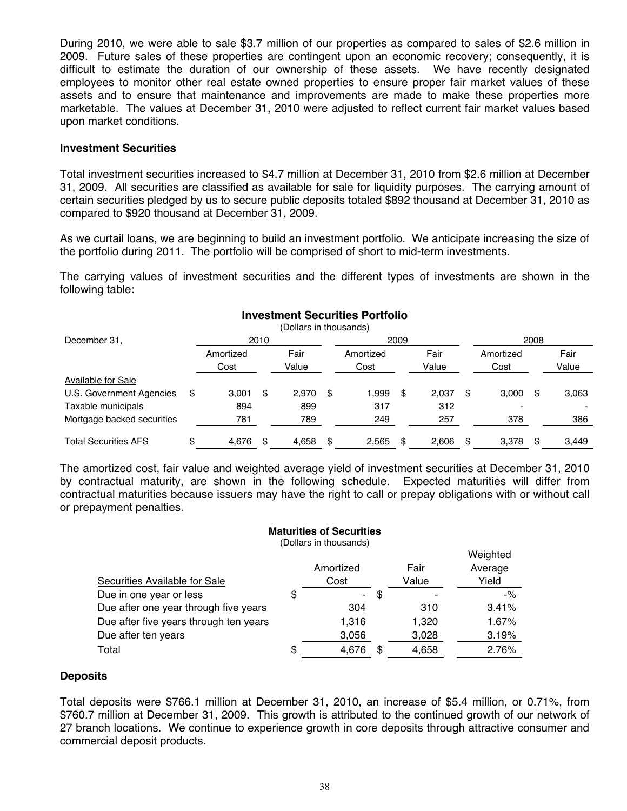During 2010, we were able to sale \$3.7 million of our properties as compared to sales of \$2.6 million in 2009. Future sales of these properties are contingent upon an economic recovery; consequently, it is difficult to estimate the duration of our ownership of these assets. We have recently designated employees to monitor other real estate owned properties to ensure proper fair market values of these assets and to ensure that maintenance and improvements are made to make these properties more marketable. The values at December 31, 2010 were adjusted to reflect current fair market values based upon market conditions.

### **Investment Securities**

Total investment securities increased to \$4.7 million at December 31, 2010 from \$2.6 million at December 31, 2009. All securities are classified as available for sale for liquidity purposes. The carrying amount of certain securities pledged by us to secure public deposits totaled \$892 thousand at December 31, 2010 as compared to \$920 thousand at December 31, 2009.

As we curtail loans, we are beginning to build an investment portfolio. We anticipate increasing the size of the portfolio during 2011. The portfolio will be comprised of short to mid-term investments.

The carrying values of investment securities and the different types of investments are shown in the following table:

|                             |    |           |      | (Dollars in thousands) |           | <b>Investment Securities Portfolio</b> |      |       |   |           |    |       |  |
|-----------------------------|----|-----------|------|------------------------|-----------|----------------------------------------|------|-------|---|-----------|----|-------|--|
| December 31,                |    |           | 2010 |                        |           |                                        | 2009 |       |   | 2008      |    |       |  |
|                             |    | Amortized | Fair |                        | Amortized |                                        |      | Fair  |   | Amortized |    | Fair  |  |
|                             |    | Cost      |      | Value                  |           | Cost                                   |      | Value |   | Cost      |    | Value |  |
| Available for Sale          |    |           |      |                        |           |                                        |      |       |   |           |    |       |  |
| U.S. Government Agencies    | \$ | 3,001     | \$   | 2.970                  | - \$      | 1.999                                  | \$   | 2,037 | S | 3,000     | -S | 3,063 |  |
| Taxable municipals          |    | 894       |      | 899                    |           | 317                                    |      | 312   |   |           |    |       |  |
| Mortgage backed securities  |    | 781       |      | 789                    |           | 249                                    |      | 257   |   | 378       |    | 386   |  |
| <b>Total Securities AFS</b> | \$ | 4,676     | S    | 4,658                  | \$.       | 2,565                                  | \$   | 2,606 | S | 3,378     |    | 3,449 |  |

The amortized cost, fair value and weighted average yield of investment securities at December 31, 2010 by contractual maturity, are shown in the following schedule. Expected maturities will differ from contractual maturities because issuers may have the right to call or prepay obligations with or without call or prepayment penalties.

# **Maturities of Securities**

Weighted

(Dollars in thousands)

| Securities Available for Sale          | Amortized<br>Cost |      | Fair<br>Value | <u>VVCIYIILCU</u><br>Average<br>Yield |
|----------------------------------------|-------------------|------|---------------|---------------------------------------|
| Due in one year or less                | \$                | - \$ | -             | $-$ %                                 |
| Due after one year through five years  | 304               |      | 310           | 3.41%                                 |
| Due after five years through ten years | 1.316             |      | 1,320         | 1.67%                                 |
| Due after ten years                    | 3,056             |      | 3,028         | 3.19%                                 |
| Total                                  | \$<br>4.676       |      | 4.658         | 2.76%                                 |

#### **Deposits**

Total deposits were \$766.1 million at December 31, 2010, an increase of \$5.4 million, or 0.71%, from \$760.7 million at December 31, 2009. This growth is attributed to the continued growth of our network of 27 branch locations. We continue to experience growth in core deposits through attractive consumer and commercial deposit products.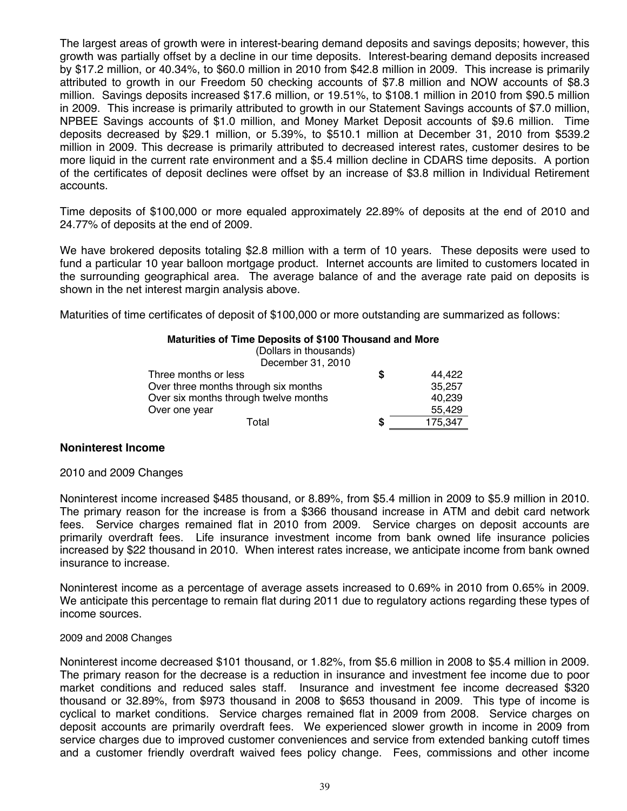The largest areas of growth were in interest-bearing demand deposits and savings deposits; however, this growth was partially offset by a decline in our time deposits. Interest-bearing demand deposits increased by \$17.2 million, or 40.34%, to \$60.0 million in 2010 from \$42.8 million in 2009. This increase is primarily attributed to growth in our Freedom 50 checking accounts of \$7.8 million and NOW accounts of \$8.3 million. Savings deposits increased \$17.6 million, or 19.51%, to \$108.1 million in 2010 from \$90.5 million in 2009. This increase is primarily attributed to growth in our Statement Savings accounts of \$7.0 million, NPBEE Savings accounts of \$1.0 million, and Money Market Deposit accounts of \$9.6 million. Time deposits decreased by \$29.1 million, or 5.39%, to \$510.1 million at December 31, 2010 from \$539.2 million in 2009. This decrease is primarily attributed to decreased interest rates, customer desires to be more liquid in the current rate environment and a \$5.4 million decline in CDARS time deposits. A portion of the certificates of deposit declines were offset by an increase of \$3.8 million in Individual Retirement accounts.

Time deposits of \$100,000 or more equaled approximately 22.89% of deposits at the end of 2010 and 24.77% of deposits at the end of 2009.

We have brokered deposits totaling \$2.8 million with a term of 10 years. These deposits were used to fund a particular 10 year balloon mortgage product. Internet accounts are limited to customers located in the surrounding geographical area. The average balance of and the average rate paid on deposits is shown in the net interest margin analysis above.

Maturities of time certificates of deposit of \$100,000 or more outstanding are summarized as follows:

| (Dollars in thousands)                |   |         |
|---------------------------------------|---|---------|
| December 31, 2010                     |   |         |
| Three months or less                  | S | 44.422  |
| Over three months through six months  |   | 35,257  |
| Over six months through twelve months |   | 40,239  |
| Over one year                         |   | 55,429  |
| Total                                 |   | 175,347 |

#### **Noninterest Income**

#### 2010 and 2009 Changes

Noninterest income increased \$485 thousand, or 8.89%, from \$5.4 million in 2009 to \$5.9 million in 2010. The primary reason for the increase is from a \$366 thousand increase in ATM and debit card network fees. Service charges remained flat in 2010 from 2009. Service charges on deposit accounts are primarily overdraft fees. Life insurance investment income from bank owned life insurance policies increased by \$22 thousand in 2010. When interest rates increase, we anticipate income from bank owned insurance to increase.

Noninterest income as a percentage of average assets increased to 0.69% in 2010 from 0.65% in 2009. We anticipate this percentage to remain flat during 2011 due to regulatory actions regarding these types of income sources.

#### 2009 and 2008 Changes

Noninterest income decreased \$101 thousand, or 1.82%, from \$5.6 million in 2008 to \$5.4 million in 2009. The primary reason for the decrease is a reduction in insurance and investment fee income due to poor market conditions and reduced sales staff. Insurance and investment fee income decreased \$320 thousand or 32.89%, from \$973 thousand in 2008 to \$653 thousand in 2009. This type of income is cyclical to market conditions. Service charges remained flat in 2009 from 2008. Service charges on deposit accounts are primarily overdraft fees. We experienced slower growth in income in 2009 from service charges due to improved customer conveniences and service from extended banking cutoff times and a customer friendly overdraft waived fees policy change. Fees, commissions and other income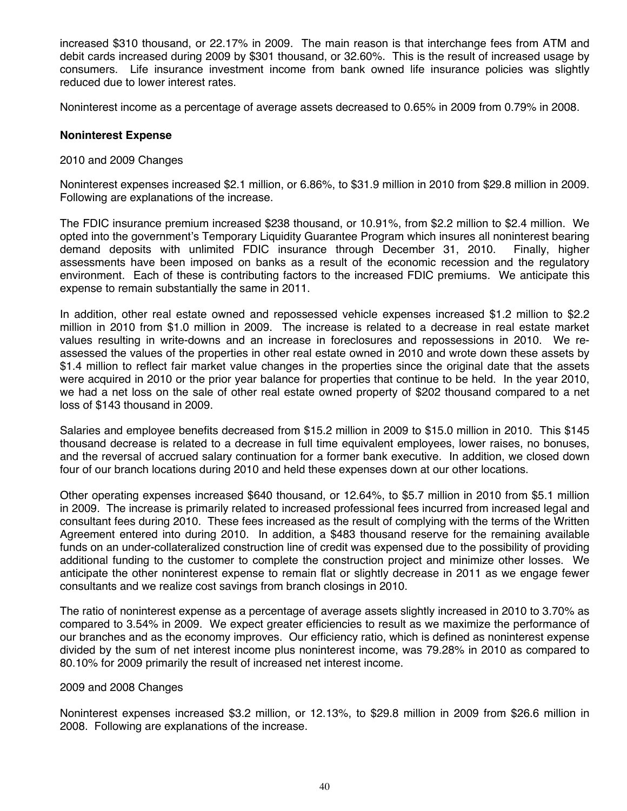increased \$310 thousand, or 22.17% in 2009. The main reason is that interchange fees from ATM and debit cards increased during 2009 by \$301 thousand, or 32.60%. This is the result of increased usage by consumers. Life insurance investment income from bank owned life insurance policies was slightly reduced due to lower interest rates.

Noninterest income as a percentage of average assets decreased to 0.65% in 2009 from 0.79% in 2008.

#### **Noninterest Expense**

#### 2010 and 2009 Changes

Noninterest expenses increased \$2.1 million, or 6.86%, to \$31.9 million in 2010 from \$29.8 million in 2009. Following are explanations of the increase.

The FDIC insurance premium increased \$238 thousand, or 10.91%, from \$2.2 million to \$2.4 million. We opted into the government's Temporary Liquidity Guarantee Program which insures all noninterest bearing demand deposits with unlimited FDIC insurance through December 31, 2010. Finally, higher assessments have been imposed on banks as a result of the economic recession and the regulatory environment. Each of these is contributing factors to the increased FDIC premiums. We anticipate this expense to remain substantially the same in 2011.

In addition, other real estate owned and repossessed vehicle expenses increased \$1.2 million to \$2.2 million in 2010 from \$1.0 million in 2009. The increase is related to a decrease in real estate market values resulting in write-downs and an increase in foreclosures and repossessions in 2010. We reassessed the values of the properties in other real estate owned in 2010 and wrote down these assets by \$1.4 million to reflect fair market value changes in the properties since the original date that the assets were acquired in 2010 or the prior year balance for properties that continue to be held. In the year 2010, we had a net loss on the sale of other real estate owned property of \$202 thousand compared to a net loss of \$143 thousand in 2009.

Salaries and employee benefits decreased from \$15.2 million in 2009 to \$15.0 million in 2010. This \$145 thousand decrease is related to a decrease in full time equivalent employees, lower raises, no bonuses, and the reversal of accrued salary continuation for a former bank executive. In addition, we closed down four of our branch locations during 2010 and held these expenses down at our other locations.

Other operating expenses increased \$640 thousand, or 12.64%, to \$5.7 million in 2010 from \$5.1 million in 2009. The increase is primarily related to increased professional fees incurred from increased legal and consultant fees during 2010. These fees increased as the result of complying with the terms of the Written Agreement entered into during 2010. In addition, a \$483 thousand reserve for the remaining available funds on an under-collateralized construction line of credit was expensed due to the possibility of providing additional funding to the customer to complete the construction project and minimize other losses. We anticipate the other noninterest expense to remain flat or slightly decrease in 2011 as we engage fewer consultants and we realize cost savings from branch closings in 2010.

The ratio of noninterest expense as a percentage of average assets slightly increased in 2010 to 3.70% as compared to 3.54% in 2009. We expect greater efficiencies to result as we maximize the performance of our branches and as the economy improves. Our efficiency ratio, which is defined as noninterest expense divided by the sum of net interest income plus noninterest income, was 79.28% in 2010 as compared to 80.10% for 2009 primarily the result of increased net interest income.

#### 2009 and 2008 Changes

Noninterest expenses increased \$3.2 million, or 12.13%, to \$29.8 million in 2009 from \$26.6 million in 2008. Following are explanations of the increase.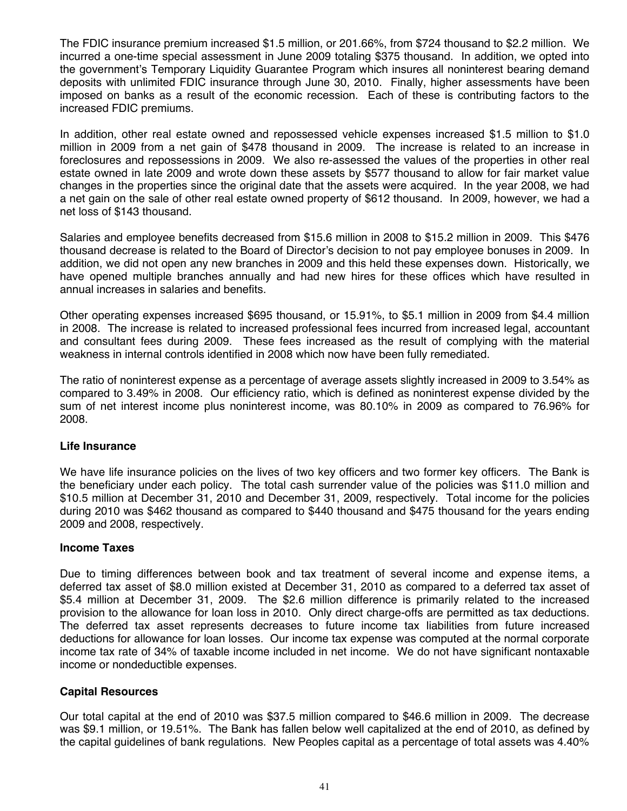The FDIC insurance premium increased \$1.5 million, or 201.66%, from \$724 thousand to \$2.2 million. We incurred a one-time special assessment in June 2009 totaling \$375 thousand. In addition, we opted into the government's Temporary Liquidity Guarantee Program which insures all noninterest bearing demand deposits with unlimited FDIC insurance through June 30, 2010. Finally, higher assessments have been imposed on banks as a result of the economic recession. Each of these is contributing factors to the increased FDIC premiums.

In addition, other real estate owned and repossessed vehicle expenses increased \$1.5 million to \$1.0 million in 2009 from a net gain of \$478 thousand in 2009. The increase is related to an increase in foreclosures and repossessions in 2009. We also re-assessed the values of the properties in other real estate owned in late 2009 and wrote down these assets by \$577 thousand to allow for fair market value changes in the properties since the original date that the assets were acquired. In the year 2008, we had a net gain on the sale of other real estate owned property of \$612 thousand. In 2009, however, we had a net loss of \$143 thousand.

Salaries and employee benefits decreased from \$15.6 million in 2008 to \$15.2 million in 2009. This \$476 thousand decrease is related to the Board of Director's decision to not pay employee bonuses in 2009. In addition, we did not open any new branches in 2009 and this held these expenses down. Historically, we have opened multiple branches annually and had new hires for these offices which have resulted in annual increases in salaries and benefits.

Other operating expenses increased \$695 thousand, or 15.91%, to \$5.1 million in 2009 from \$4.4 million in 2008. The increase is related to increased professional fees incurred from increased legal, accountant and consultant fees during 2009. These fees increased as the result of complying with the material weakness in internal controls identified in 2008 which now have been fully remediated.

The ratio of noninterest expense as a percentage of average assets slightly increased in 2009 to 3.54% as compared to 3.49% in 2008. Our efficiency ratio, which is defined as noninterest expense divided by the sum of net interest income plus noninterest income, was 80.10% in 2009 as compared to 76.96% for 2008.

#### **Life Insurance**

We have life insurance policies on the lives of two key officers and two former key officers. The Bank is the beneficiary under each policy. The total cash surrender value of the policies was \$11.0 million and \$10.5 million at December 31, 2010 and December 31, 2009, respectively. Total income for the policies during 2010 was \$462 thousand as compared to \$440 thousand and \$475 thousand for the years ending 2009 and 2008, respectively.

#### **Income Taxes**

Due to timing differences between book and tax treatment of several income and expense items, a deferred tax asset of \$8.0 million existed at December 31, 2010 as compared to a deferred tax asset of \$5.4 million at December 31, 2009. The \$2.6 million difference is primarily related to the increased provision to the allowance for loan loss in 2010. Only direct charge-offs are permitted as tax deductions. The deferred tax asset represents decreases to future income tax liabilities from future increased deductions for allowance for loan losses. Our income tax expense was computed at the normal corporate income tax rate of 34% of taxable income included in net income. We do not have significant nontaxable income or nondeductible expenses.

#### **Capital Resources**

Our total capital at the end of 2010 was \$37.5 million compared to \$46.6 million in 2009. The decrease was \$9.1 million, or 19.51%. The Bank has fallen below well capitalized at the end of 2010, as defined by the capital guidelines of bank regulations. New Peoples capital as a percentage of total assets was 4.40%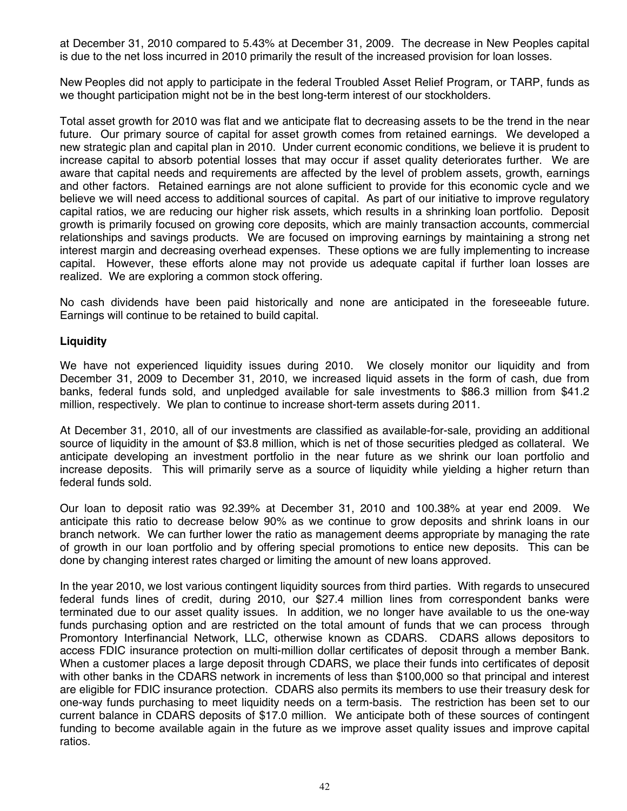at December 31, 2010 compared to 5.43% at December 31, 2009. The decrease in New Peoples capital is due to the net loss incurred in 2010 primarily the result of the increased provision for loan losses.

New Peoples did not apply to participate in the federal Troubled Asset Relief Program, or TARP, funds as we thought participation might not be in the best long-term interest of our stockholders.

Total asset growth for 2010 was flat and we anticipate flat to decreasing assets to be the trend in the near future. Our primary source of capital for asset growth comes from retained earnings. We developed a new strategic plan and capital plan in 2010. Under current economic conditions, we believe it is prudent to increase capital to absorb potential losses that may occur if asset quality deteriorates further. We are aware that capital needs and requirements are affected by the level of problem assets, growth, earnings and other factors. Retained earnings are not alone sufficient to provide for this economic cycle and we believe we will need access to additional sources of capital. As part of our initiative to improve regulatory capital ratios, we are reducing our higher risk assets, which results in a shrinking loan portfolio. Deposit growth is primarily focused on growing core deposits, which are mainly transaction accounts, commercial relationships and savings products. We are focused on improving earnings by maintaining a strong net interest margin and decreasing overhead expenses. These options we are fully implementing to increase capital. However, these efforts alone may not provide us adequate capital if further loan losses are realized. We are exploring a common stock offering.

No cash dividends have been paid historically and none are anticipated in the foreseeable future. Earnings will continue to be retained to build capital.

# **Liquidity**

We have not experienced liquidity issues during 2010. We closely monitor our liquidity and from December 31, 2009 to December 31, 2010, we increased liquid assets in the form of cash, due from banks, federal funds sold, and unpledged available for sale investments to \$86.3 million from \$41.2 million, respectively. We plan to continue to increase short-term assets during 2011.

At December 31, 2010, all of our investments are classified as available-for-sale, providing an additional source of liquidity in the amount of \$3.8 million, which is net of those securities pledged as collateral. We anticipate developing an investment portfolio in the near future as we shrink our loan portfolio and increase deposits. This will primarily serve as a source of liquidity while yielding a higher return than federal funds sold.

Our loan to deposit ratio was 92.39% at December 31, 2010 and 100.38% at year end 2009. We anticipate this ratio to decrease below 90% as we continue to grow deposits and shrink loans in our branch network. We can further lower the ratio as management deems appropriate by managing the rate of growth in our loan portfolio and by offering special promotions to entice new deposits. This can be done by changing interest rates charged or limiting the amount of new loans approved.

In the year 2010, we lost various contingent liquidity sources from third parties. With regards to unsecured federal funds lines of credit, during 2010, our \$27.4 million lines from correspondent banks were terminated due to our asset quality issues. In addition, we no longer have available to us the one-way funds purchasing option and are restricted on the total amount of funds that we can process through Promontory Interfinancial Network, LLC, otherwise known as CDARS. CDARS allows depositors to access FDIC insurance protection on multi-million dollar certificates of deposit through a member Bank. When a customer places a large deposit through CDARS, we place their funds into certificates of deposit with other banks in the CDARS network in increments of less than \$100,000 so that principal and interest are eligible for FDIC insurance protection. CDARS also permits its members to use their treasury desk for one-way funds purchasing to meet liquidity needs on a term-basis. The restriction has been set to our current balance in CDARS deposits of \$17.0 million. We anticipate both of these sources of contingent funding to become available again in the future as we improve asset quality issues and improve capital ratios.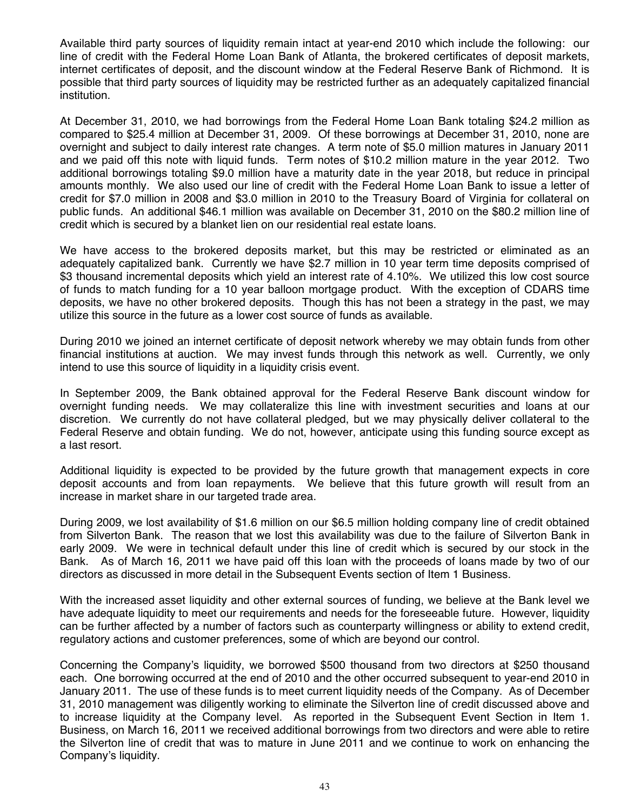Available third party sources of liquidity remain intact at year-end 2010 which include the following: our line of credit with the Federal Home Loan Bank of Atlanta, the brokered certificates of deposit markets, internet certificates of deposit, and the discount window at the Federal Reserve Bank of Richmond. It is possible that third party sources of liquidity may be restricted further as an adequately capitalized financial institution.

At December 31, 2010, we had borrowings from the Federal Home Loan Bank totaling \$24.2 million as compared to \$25.4 million at December 31, 2009. Of these borrowings at December 31, 2010, none are overnight and subject to daily interest rate changes. A term note of \$5.0 million matures in January 2011 and we paid off this note with liquid funds. Term notes of \$10.2 million mature in the year 2012. Two additional borrowings totaling \$9.0 million have a maturity date in the year 2018, but reduce in principal amounts monthly. We also used our line of credit with the Federal Home Loan Bank to issue a letter of credit for \$7.0 million in 2008 and \$3.0 million in 2010 to the Treasury Board of Virginia for collateral on public funds. An additional \$46.1 million was available on December 31, 2010 on the \$80.2 million line of credit which is secured by a blanket lien on our residential real estate loans.

We have access to the brokered deposits market, but this may be restricted or eliminated as an adequately capitalized bank. Currently we have \$2.7 million in 10 year term time deposits comprised of \$3 thousand incremental deposits which yield an interest rate of 4.10%. We utilized this low cost source of funds to match funding for a 10 year balloon mortgage product. With the exception of CDARS time deposits, we have no other brokered deposits. Though this has not been a strategy in the past, we may utilize this source in the future as a lower cost source of funds as available.

During 2010 we joined an internet certificate of deposit network whereby we may obtain funds from other financial institutions at auction. We may invest funds through this network as well. Currently, we only intend to use this source of liquidity in a liquidity crisis event.

In September 2009, the Bank obtained approval for the Federal Reserve Bank discount window for overnight funding needs. We may collateralize this line with investment securities and loans at our discretion. We currently do not have collateral pledged, but we may physically deliver collateral to the Federal Reserve and obtain funding. We do not, however, anticipate using this funding source except as a last resort.

Additional liquidity is expected to be provided by the future growth that management expects in core deposit accounts and from loan repayments. We believe that this future growth will result from an increase in market share in our targeted trade area.

During 2009, we lost availability of \$1.6 million on our \$6.5 million holding company line of credit obtained from Silverton Bank. The reason that we lost this availability was due to the failure of Silverton Bank in early 2009. We were in technical default under this line of credit which is secured by our stock in the Bank. As of March 16, 2011 we have paid off this loan with the proceeds of loans made by two of our directors as discussed in more detail in the Subsequent Events section of Item 1 Business.

With the increased asset liquidity and other external sources of funding, we believe at the Bank level we have adequate liquidity to meet our requirements and needs for the foreseeable future. However, liquidity can be further affected by a number of factors such as counterparty willingness or ability to extend credit, regulatory actions and customer preferences, some of which are beyond our control.

Concerning the Company's liquidity, we borrowed \$500 thousand from two directors at \$250 thousand each. One borrowing occurred at the end of 2010 and the other occurred subsequent to year-end 2010 in January 2011. The use of these funds is to meet current liquidity needs of the Company. As of December 31, 2010 management was diligently working to eliminate the Silverton line of credit discussed above and to increase liquidity at the Company level. As reported in the Subsequent Event Section in Item 1. Business, on March 16, 2011 we received additional borrowings from two directors and were able to retire the Silverton line of credit that was to mature in June 2011 and we continue to work on enhancing the Company's liquidity.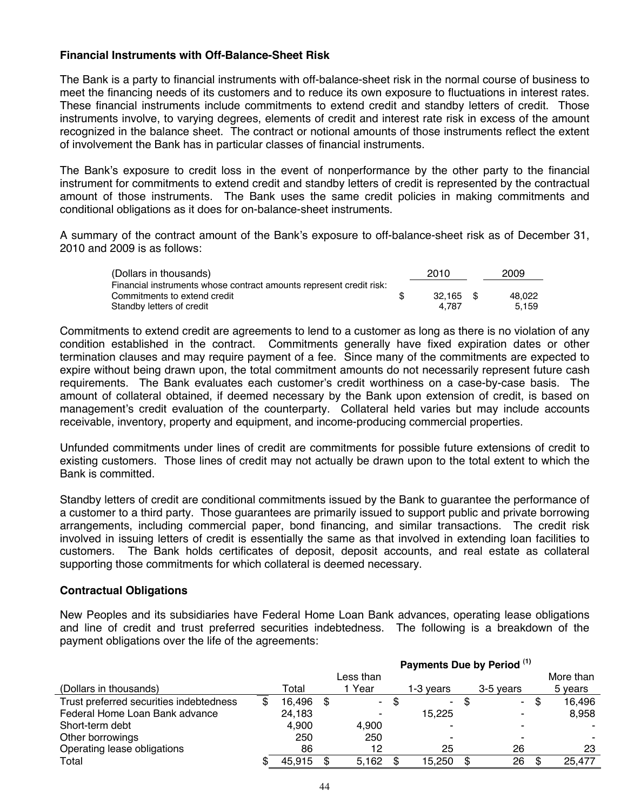### **Financial Instruments with Off-Balance-Sheet Risk**

The Bank is a party to financial instruments with off-balance-sheet risk in the normal course of business to meet the financing needs of its customers and to reduce its own exposure to fluctuations in interest rates. These financial instruments include commitments to extend credit and standby letters of credit. Those instruments involve, to varying degrees, elements of credit and interest rate risk in excess of the amount recognized in the balance sheet. The contract or notional amounts of those instruments reflect the extent of involvement the Bank has in particular classes of financial instruments.

The Bank's exposure to credit loss in the event of nonperformance by the other party to the financial instrument for commitments to extend credit and standby letters of credit is represented by the contractual amount of those instruments. The Bank uses the same credit policies in making commitments and conditional obligations as it does for on-balance-sheet instruments.

A summary of the contract amount of the Bank's exposure to off-balance-sheet risk as of December 31, 2010 and 2009 is as follows:

| (Dollars in thousands)                                              | 2010      | 2009   |
|---------------------------------------------------------------------|-----------|--------|
| Financial instruments whose contract amounts represent credit risk: |           |        |
| Commitments to extend credit                                        | 32.165 \$ | 48.022 |
| Standby letters of credit                                           | 4.787     | 5.159  |

Commitments to extend credit are agreements to lend to a customer as long as there is no violation of any condition established in the contract. Commitments generally have fixed expiration dates or other termination clauses and may require payment of a fee. Since many of the commitments are expected to expire without being drawn upon, the total commitment amounts do not necessarily represent future cash requirements. The Bank evaluates each customer's credit worthiness on a case-by-case basis. The amount of collateral obtained, if deemed necessary by the Bank upon extension of credit, is based on management's credit evaluation of the counterparty. Collateral held varies but may include accounts receivable, inventory, property and equipment, and income-producing commercial properties.

Unfunded commitments under lines of credit are commitments for possible future extensions of credit to existing customers. Those lines of credit may not actually be drawn upon to the total extent to which the Bank is committed.

Standby letters of credit are conditional commitments issued by the Bank to guarantee the performance of a customer to a third party. Those guarantees are primarily issued to support public and private borrowing arrangements, including commercial paper, bond financing, and similar transactions. The credit risk involved in issuing letters of credit is essentially the same as that involved in extending loan facilities to customers. The Bank holds certificates of deposit, deposit accounts, and real estate as collateral supporting those commitments for which collateral is deemed necessary.

#### **Contractual Obligations**

New Peoples and its subsidiaries have Federal Home Loan Bank advances, operating lease obligations and line of credit and trust preferred securities indebtedness. The following is a breakdown of the payment obligations over the life of the agreements:

|                                         | Payments Due by Period <sup>(1)</sup> |  |           |     |                |    |                          |      |           |  |  |
|-----------------------------------------|---------------------------------------|--|-----------|-----|----------------|----|--------------------------|------|-----------|--|--|
|                                         |                                       |  | Less than |     |                |    |                          |      | More than |  |  |
| (Dollars in thousands)                  | Total                                 |  | 1 Year    |     | 1-3 years      |    | 3-5 years                |      | 5 years   |  |  |
| Trust preferred securities indebtedness | 16,496                                |  | $\sim 10$ | -\$ | $\blacksquare$ | -S | $\blacksquare$           | - \$ | 16,496    |  |  |
| Federal Home Loan Bank advance          | 24,183                                |  |           |     | 15.225         |    | $\overline{\phantom{0}}$ |      | 8.958     |  |  |
| Short-term debt                         | 4.900                                 |  | 4.900     |     |                |    |                          |      |           |  |  |
| Other borrowings                        | 250                                   |  | 250       |     |                |    |                          |      |           |  |  |
| Operating lease obligations             | 86                                    |  | 12        |     | 25             |    | 26                       |      | 23        |  |  |
| Total                                   | 45.915                                |  | 5.162     |     | 15,250         |    | 26                       |      | 25,477    |  |  |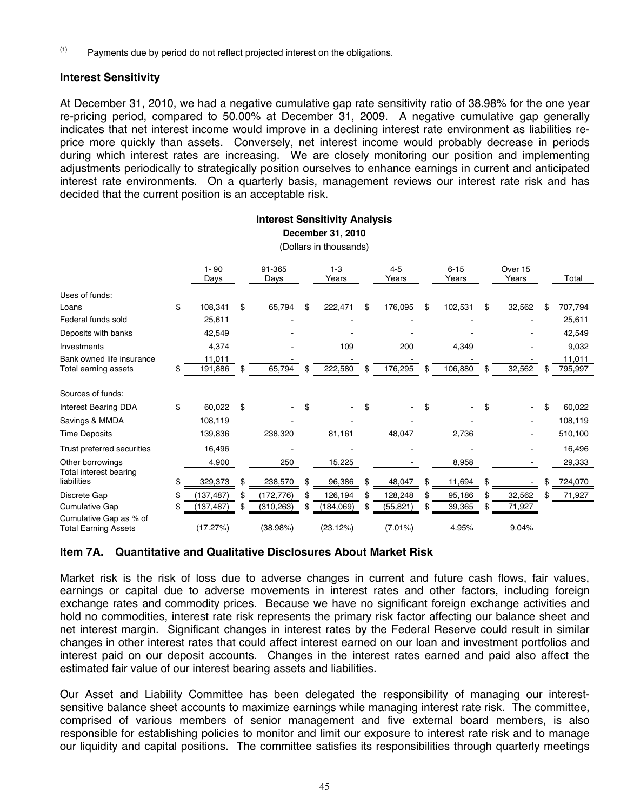# **Interest Sensitivity**

At December 31, 2010, we had a negative cumulative gap rate sensitivity ratio of 38.98% for the one year re-pricing period, compared to 50.00% at December 31, 2009. A negative cumulative gap generally indicates that net interest income would improve in a declining interest rate environment as liabilities reprice more quickly than assets. Conversely, net interest income would probably decrease in periods during which interest rates are increasing. We are closely monitoring our position and implementing adjustments periodically to strategically position ourselves to enhance earnings in current and anticipated interest rate environments. On a quarterly basis, management reviews our interest rate risk and has decided that the current position is an acceptable risk.

**Interest Sensitivity Analysis** 

| December 31, 2010<br>(Dollars in thousands)           |    |                         |    |                       |    |                |     |                  |    |                   |     |                  |    |         |
|-------------------------------------------------------|----|-------------------------|----|-----------------------|----|----------------|-----|------------------|----|-------------------|-----|------------------|----|---------|
|                                                       |    | $1 - 90$<br><b>Days</b> |    | 91-365<br><b>Days</b> |    | $1-3$<br>Years |     | $4 - 5$<br>Years |    | $6 - 15$<br>Years |     | Over 15<br>Years |    | Total   |
| Uses of funds:                                        |    |                         |    |                       |    |                |     |                  |    |                   |     |                  |    |         |
| Loans                                                 | \$ | 108,341                 | \$ | 65,794                | \$ | 222,471        | \$  | 176,095          | \$ | 102,531           | \$  | 32,562           | \$ | 707,794 |
| Federal funds sold                                    |    | 25,611                  |    |                       |    |                |     |                  |    |                   |     |                  |    | 25,611  |
| Deposits with banks                                   |    | 42,549                  |    |                       |    |                |     |                  |    |                   |     |                  |    | 42,549  |
| Investments                                           |    | 4,374                   |    |                       |    | 109            |     | 200              |    | 4,349             |     |                  |    | 9,032   |
| Bank owned life insurance                             |    | 11,011                  |    |                       |    |                |     |                  |    |                   |     |                  |    | 11,011  |
| Total earning assets                                  | \$ | 191,886                 | \$ | 65,794                | \$ | 222,580        | \$. | 176,295          | \$ | 106,880           | \$. | 32,562           | S  | 795,997 |
| Sources of funds:                                     |    |                         |    |                       |    |                |     |                  |    |                   |     |                  |    |         |
| <b>Interest Bearing DDA</b>                           | \$ | 60,022                  | \$ |                       | \$ |                | \$  |                  | \$ |                   | \$  |                  | \$ | 60,022  |
| Savings & MMDA                                        |    | 108,119                 |    |                       |    |                |     |                  |    |                   |     |                  |    | 108,119 |
| <b>Time Deposits</b>                                  |    | 139,836                 |    | 238,320               |    | 81,161         |     | 48,047           |    | 2,736             |     |                  |    | 510,100 |
| Trust preferred securities                            |    | 16,496                  |    |                       |    |                |     |                  |    |                   |     |                  |    | 16,496  |
| Other borrowings                                      |    | 4,900                   |    | 250                   |    | 15,225         |     |                  |    | 8,958             |     |                  |    | 29,333  |
| Total interest bearing<br>liabilities                 | \$ | 329,373                 | \$ | 238,570               | \$ | 96,386         | \$  | 48,047           | \$ | 11,694            | \$  |                  | \$ | 724,070 |
| Discrete Gap                                          | \$ | (137,487)               | \$ | (172, 776)            | \$ | 126,194        | S   | 128,248          | S  | 95,186            | \$  | 32,562           | S  | 71,927  |
| Cumulative Gap                                        | \$ | 137,487                 |    | (310, 263)            | \$ | (184, 069)     | \$  | (55, 821)        | \$ | 39,365            | \$  | 71,927           |    |         |
| Cumulative Gap as % of<br><b>Total Earning Assets</b> |    | (17.27%)                |    | (38.98%)              |    | (23.12%)       |     | $(7.01\%)$       |    | 4.95%             |     | 9.04%            |    |         |

# **Item 7A. Quantitative and Qualitative Disclosures About Market Risk**

Market risk is the risk of loss due to adverse changes in current and future cash flows, fair values, earnings or capital due to adverse movements in interest rates and other factors, including foreign exchange rates and commodity prices. Because we have no significant foreign exchange activities and hold no commodities, interest rate risk represents the primary risk factor affecting our balance sheet and net interest margin. Significant changes in interest rates by the Federal Reserve could result in similar changes in other interest rates that could affect interest earned on our loan and investment portfolios and interest paid on our deposit accounts. Changes in the interest rates earned and paid also affect the estimated fair value of our interest bearing assets and liabilities.

Our Asset and Liability Committee has been delegated the responsibility of managing our interestsensitive balance sheet accounts to maximize earnings while managing interest rate risk. The committee, comprised of various members of senior management and five external board members, is also responsible for establishing policies to monitor and limit our exposure to interest rate risk and to manage our liquidity and capital positions. The committee satisfies its responsibilities through quarterly meetings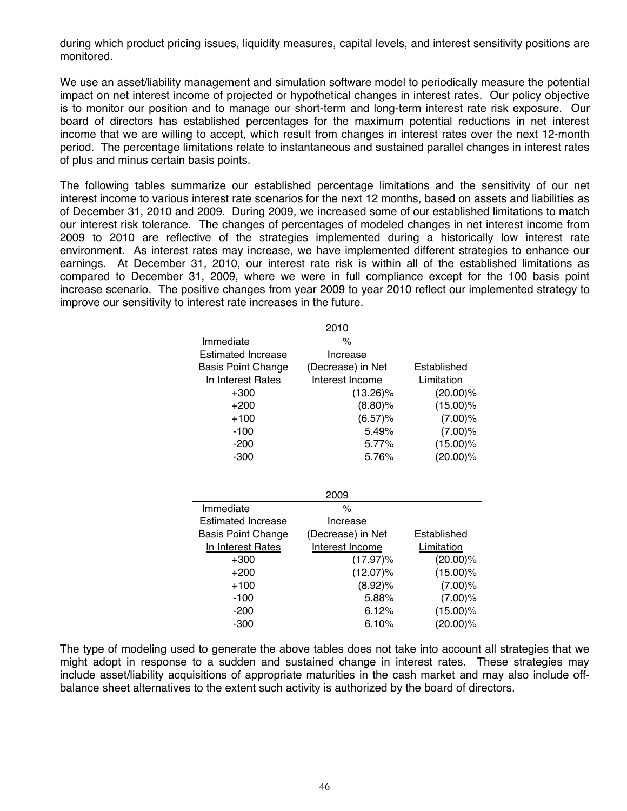during which product pricing issues, liquidity measures, capital levels, and interest sensitivity positions are monitored.

We use an asset/liability management and simulation software model to periodically measure the potential impact on net interest income of projected or hypothetical changes in interest rates. Our policy objective is to monitor our position and to manage our short-term and long-term interest rate risk exposure. Our board of directors has established percentages for the maximum potential reductions in net interest income that we are willing to accept, which result from changes in interest rates over the next 12-month period. The percentage limitations relate to instantaneous and sustained parallel changes in interest rates of plus and minus certain basis points.

The following tables summarize our established percentage limitations and the sensitivity of our net interest income to various interest rate scenarios for the next 12 months, based on assets and liabilities as of December 31, 2010 and 2009. During 2009, we increased some of our established limitations to match our interest risk tolerance. The changes of percentages of modeled changes in net interest income from 2009 to 2010 are reflective of the strategies implemented during a historically low interest rate environment. As interest rates may increase, we have implemented different strategies to enhance our earnings. At December 31, 2010, our interest rate risk is within all of the established limitations as compared to December 31, 2009, where we were in full compliance except for the 100 basis point increase scenario. The positive changes from year 2009 to year 2010 reflect our implemented strategy to improve our sensitivity to interest rate increases in the future.

|                           | 2010              |             |
|---------------------------|-------------------|-------------|
| Immediate                 | %                 |             |
| <b>Estimated Increase</b> | Increase          |             |
| <b>Basis Point Change</b> | (Decrease) in Net | Established |
| In Interest Rates         | Interest Income   | Limitation  |
| $+300$                    | $(13.26)\%$       | $(20.00)\%$ |
| $+200$                    | $(8.80)$ %        | $(15.00)\%$ |
| $+100$                    | (6.57)%           | $(7.00)$ %  |
| $-100$                    | 5.49%             | $(7.00)$ %  |
| $-200$                    | 5.77%             | $(15.00)\%$ |
| $-300$                    | 5.76%             | $(20.00)\%$ |
|                           |                   |             |
|                           |                   |             |
|                           | 2009              |             |
| Immediate                 | $\%$              |             |
| <b>Estimated Increase</b> | Increase          |             |
| <b>Basis Point Change</b> | (Decrease) in Net | Established |
| In Interest Rates         | Interest Income   | Limitation  |
| $+300$                    | $(17.97)\%$       | $(20.00)\%$ |
| $+200$                    | $(12.07)$ %       | $(15.00)$ % |
| $+100$                    | (8.92)%           | $(7.00)$ %  |
| $-100$                    | 5.88%             | $(7.00)$ %  |
| $-200$                    | 6.12%             | $(15.00)$ % |
| $-300$                    | 6.10%             | $(20.00)\%$ |

The type of modeling used to generate the above tables does not take into account all strategies that we might adopt in response to a sudden and sustained change in interest rates. These strategies may include asset/liability acquisitions of appropriate maturities in the cash market and may also include offbalance sheet alternatives to the extent such activity is authorized by the board of directors.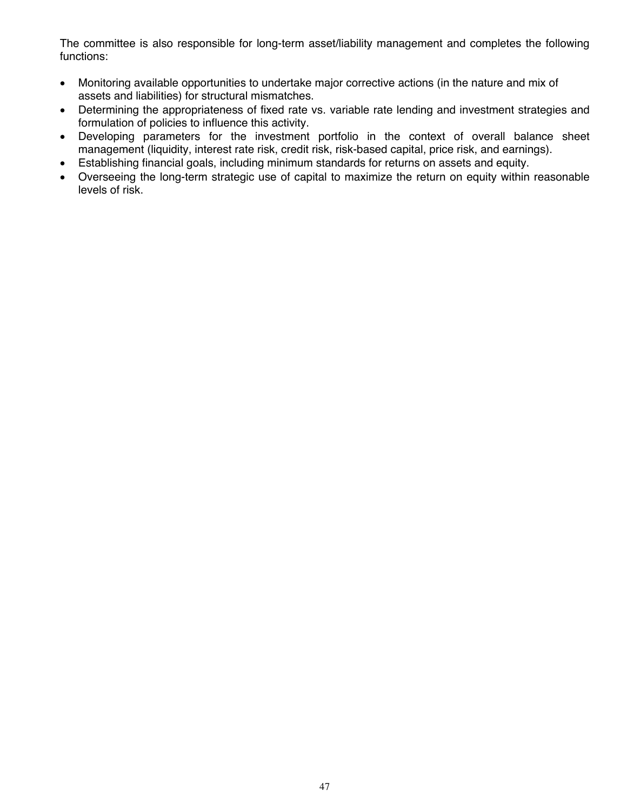The committee is also responsible for long-term asset/liability management and completes the following functions:

- Monitoring available opportunities to undertake major corrective actions (in the nature and mix of assets and liabilities) for structural mismatches.
- Determining the appropriateness of fixed rate vs. variable rate lending and investment strategies and formulation of policies to influence this activity.
- Developing parameters for the investment portfolio in the context of overall balance sheet management (liquidity, interest rate risk, credit risk, risk-based capital, price risk, and earnings).
- Establishing financial goals, including minimum standards for returns on assets and equity.
- Overseeing the long-term strategic use of capital to maximize the return on equity within reasonable levels of risk.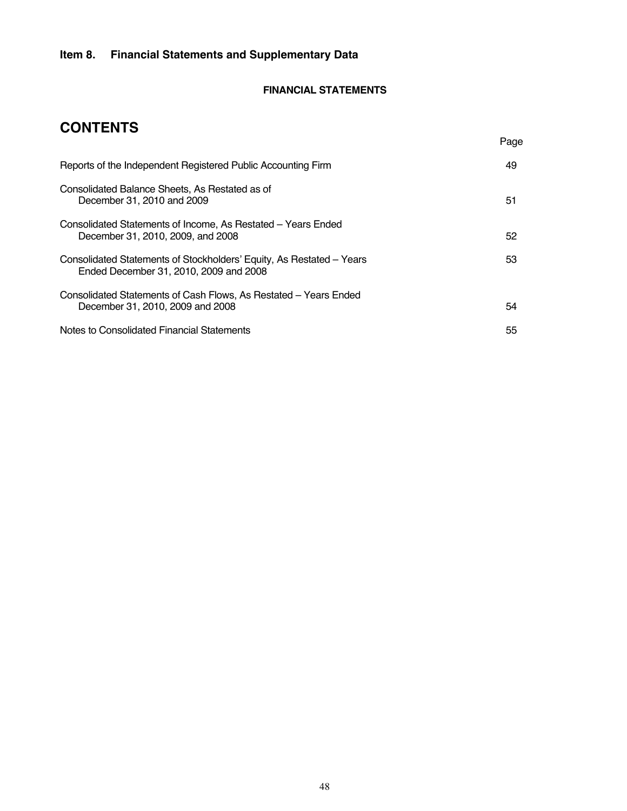# **FINANCIAL STATEMENTS**

# **CONTENTS**

|                                                                                                                | Page |
|----------------------------------------------------------------------------------------------------------------|------|
| Reports of the Independent Registered Public Accounting Firm                                                   | 49   |
| Consolidated Balance Sheets, As Restated as of<br>December 31, 2010 and 2009                                   | 51   |
| Consolidated Statements of Income, As Restated – Years Ended<br>December 31, 2010, 2009, and 2008              | 52   |
| Consolidated Statements of Stockholders' Equity, As Restated - Years<br>Ended December 31, 2010, 2009 and 2008 | 53   |
| Consolidated Statements of Cash Flows, As Restated – Years Ended<br>December 31, 2010, 2009 and 2008           | 54   |
| Notes to Consolidated Financial Statements                                                                     | 55   |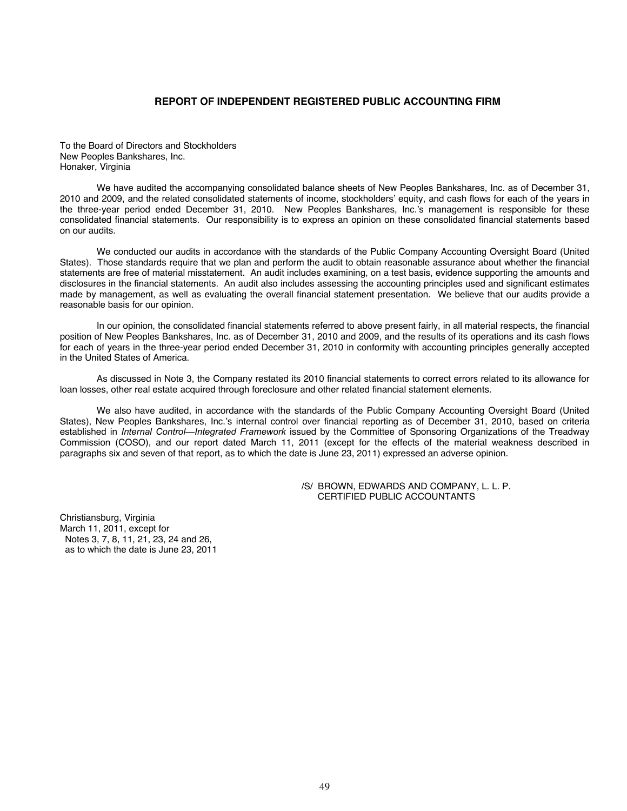#### **REPORT OF INDEPENDENT REGISTERED PUBLIC ACCOUNTING FIRM**

To the Board of Directors and Stockholders New Peoples Bankshares, Inc. Honaker, Virginia

We have audited the accompanying consolidated balance sheets of New Peoples Bankshares, Inc. as of December 31, 2010 and 2009, and the related consolidated statements of income, stockholders' equity, and cash flows for each of the years in the three-year period ended December 31, 2010. New Peoples Bankshares, Inc.'s management is responsible for these consolidated financial statements. Our responsibility is to express an opinion on these consolidated financial statements based on our audits.

We conducted our audits in accordance with the standards of the Public Company Accounting Oversight Board (United States). Those standards require that we plan and perform the audit to obtain reasonable assurance about whether the financial statements are free of material misstatement. An audit includes examining, on a test basis, evidence supporting the amounts and disclosures in the financial statements. An audit also includes assessing the accounting principles used and significant estimates made by management, as well as evaluating the overall financial statement presentation. We believe that our audits provide a reasonable basis for our opinion.

In our opinion, the consolidated financial statements referred to above present fairly, in all material respects, the financial position of New Peoples Bankshares, Inc. as of December 31, 2010 and 2009, and the results of its operations and its cash flows for each of years in the three-year period ended December 31, 2010 in conformity with accounting principles generally accepted in the United States of America.

As discussed in Note 3, the Company restated its 2010 financial statements to correct errors related to its allowance for loan losses, other real estate acquired through foreclosure and other related financial statement elements.

We also have audited, in accordance with the standards of the Public Company Accounting Oversight Board (United States), New Peoples Bankshares, Inc.'s internal control over financial reporting as of December 31, 2010, based on criteria established in *Internal Control—Integrated Framework* issued by the Committee of Sponsoring Organizations of the Treadway Commission (COSO), and our report dated March 11, 2011 (except for the effects of the material weakness described in paragraphs six and seven of that report, as to which the date is June 23, 2011) expressed an adverse opinion.

> /S/ BROWN, EDWARDS AND COMPANY, L. L. P. CERTIFIED PUBLIC ACCOUNTANTS

Christiansburg, Virginia March 11, 2011, except for Notes 3, 7, 8, 11, 21, 23, 24 and 26, as to which the date is June 23, 2011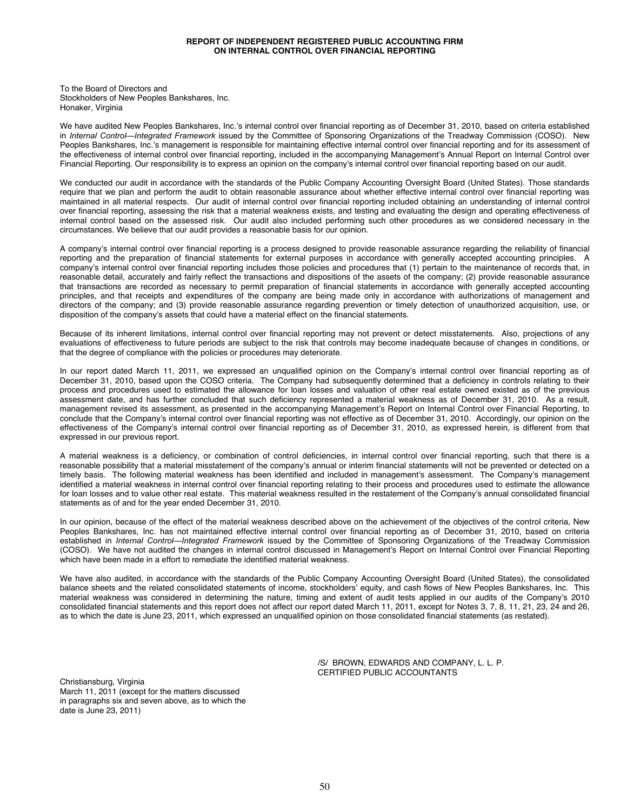#### **REPORT OF INDEPENDENT REGISTERED PUBLIC ACCOUNTING FIRM ON INTERNAL CONTROL OVER FINANCIAL REPORTING**

To the Board of Directors and Stockholders of New Peoples Bankshares, Inc. Honaker, Virginia

We have audited New Peoples Bankshares, Inc.'s internal control over financial reporting as of December 31, 2010, based on criteria established in *Internal Control—Integrated Framework* issued by the Committee of Sponsoring Organizations of the Treadway Commission (COSO). New Peoples Bankshares, Inc.'s management is responsible for maintaining effective internal control over financial reporting and for its assessment of the effectiveness of internal control over financial reporting, included in the accompanying Management's Annual Report on Internal Control over Financial Reporting. Our responsibility is to express an opinion on the company's internal control over financial reporting based on our audit.

We conducted our audit in accordance with the standards of the Public Company Accounting Oversight Board (United States). Those standards require that we plan and perform the audit to obtain reasonable assurance about whether effective internal control over financial reporting was maintained in all material respects. Our audit of internal control over financial reporting included obtaining an understanding of internal control over financial reporting, assessing the risk that a material weakness exists, and testing and evaluating the design and operating effectiveness of internal control based on the assessed risk. Our audit also included performing such other procedures as we considered necessary in the circumstances. We believe that our audit provides a reasonable basis for our opinion.

A company's internal control over financial reporting is a process designed to provide reasonable assurance regarding the reliability of financial reporting and the preparation of financial statements for external purposes in accordance with generally accepted accounting principles. A company's internal control over financial reporting includes those policies and procedures that (1) pertain to the maintenance of records that, in reasonable detail, accurately and fairly reflect the transactions and dispositions of the assets of the company; (2) provide reasonable assurance that transactions are recorded as necessary to permit preparation of financial statements in accordance with generally accepted accounting principles, and that receipts and expenditures of the company are being made only in accordance with authorizations of management and directors of the company; and (3) provide reasonable assurance regarding prevention or timely detection of unauthorized acquisition, use, or disposition of the company's assets that could have a material effect on the financial statements.

Because of its inherent limitations, internal control over financial reporting may not prevent or detect misstatements. Also, projections of any evaluations of effectiveness to future periods are subject to the risk that controls may become inadequate because of changes in conditions, or that the degree of compliance with the policies or procedures may deteriorate.

In our report dated March 11, 2011, we expressed an unqualified opinion on the Company's internal control over financial reporting as of December 31, 2010, based upon the COSO criteria. The Company had subsequently determined that a deficiency in controls relating to their process and procedures used to estimated the allowance for loan losses and valuation of other real estate owned existed as of the previous assessment date, and has further concluded that such deficiency represented a material weakness as of December 31, 2010. As a result, management revised its assessment, as presented in the accompanying Management's Report on Internal Control over Financial Reporting, to conclude that the Company's internal control over financial reporting was not effective as of December 31, 2010. Accordingly, our opinion on the effectiveness of the Company's internal control over financial reporting as of December 31, 2010, as expressed herein, is different from that expressed in our previous report.

A material weakness is a deficiency, or combination of control deficiencies, in internal control over financial reporting, such that there is a reasonable possibility that a material misstatement of the company's annual or interim financial statements will not be prevented or detected on a timely basis. The following material weakness has been identified and included in management's assessment. The Company's management identified a material weakness in internal control over financial reporting relating to their process and procedures used to estimate the allowance for loan losses and to value other real estate. This material weakness resulted in the restatement of the Company's annual consolidated financial statements as of and for the year ended December 31, 2010.

In our opinion, because of the effect of the material weakness described above on the achievement of the objectives of the control criteria, New Peoples Bankshares, Inc. has not maintained effective internal control over financial reporting as of December 31, 2010, based on criteria established in *Internal Control—Integrated Framework* issued by the Committee of Sponsoring Organizations of the Treadway Commission (COSO). We have not audited the changes in internal control discussed in Management's Report on Internal Control over Financial Reporting which have been made in a effort to remediate the identified material weakness.

We have also audited, in accordance with the standards of the Public Company Accounting Oversight Board (United States), the consolidated balance sheets and the related consolidated statements of income, stockholders' equity, and cash flows of New Peoples Bankshares, Inc. This material weakness was considered in determining the nature, timing and extent of audit tests applied in our audits of the Company's 2010 consolidated financial statements and this report does not affect our report dated March 11, 2011, except for Notes 3, 7, 8, 11, 21, 23, 24 and 26, as to which the date is June 23, 2011, which expressed an unqualified opinion on those consolidated financial statements (as restated).

> /S/ BROWN, EDWARDS AND COMPANY, L. L. P. CERTIFIED PUBLIC ACCOUNTANTS

Christiansburg, Virginia March 11, 2011 (except for the matters discussed in paragraphs six and seven above, as to which the date is June 23, 2011)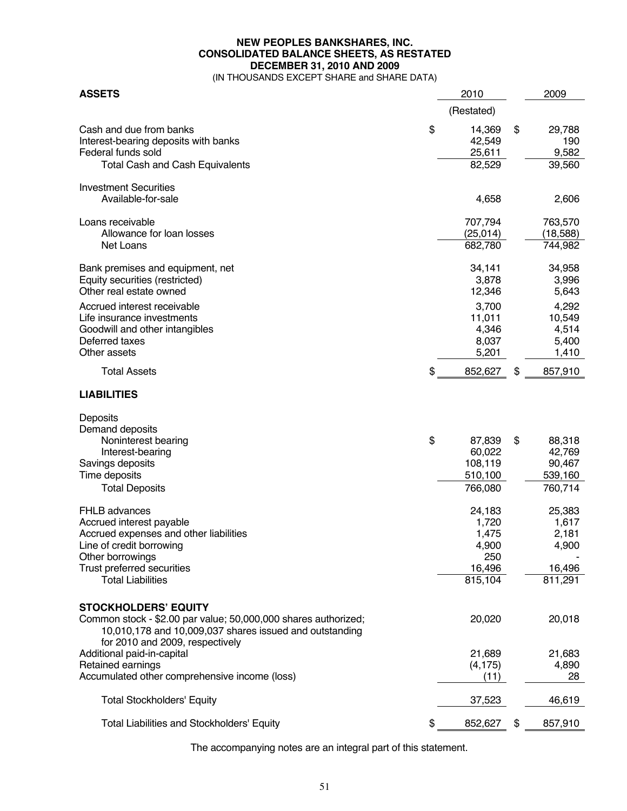### **NEW PEOPLES BANKSHARES, INC. CONSOLIDATED BALANCE SHEETS, AS RESTATED DECEMBER 31, 2010 AND 2009**

(IN THOUSANDS EXCEPT SHARE and SHARE DATA)

| <b>ASSETS</b>                                                  | 2010          | 2009          |
|----------------------------------------------------------------|---------------|---------------|
|                                                                | (Restated)    |               |
| Cash and due from banks                                        | \$<br>14,369  | \$<br>29,788  |
| Interest-bearing deposits with banks                           | 42,549        | 190           |
| Federal funds sold                                             | 25,611        | 9,582         |
| <b>Total Cash and Cash Equivalents</b>                         | 82,529        | 39,560        |
| <b>Investment Securities</b>                                   |               |               |
| Available-for-sale                                             | 4,658         | 2,606         |
| Loans receivable                                               | 707,794       | 763,570       |
| Allowance for loan losses                                      | (25, 014)     | (18,588)      |
| Net Loans                                                      | 682,780       | 744,982       |
| Bank premises and equipment, net                               | 34,141        | 34,958        |
| Equity securities (restricted)                                 | 3,878         | 3,996         |
| Other real estate owned                                        | 12,346        | 5,643         |
| Accrued interest receivable                                    | 3,700         | 4,292         |
| Life insurance investments                                     | 11,011        | 10,549        |
| Goodwill and other intangibles                                 | 4,346         | 4,514         |
| Deferred taxes                                                 | 8,037         | 5,400         |
| Other assets                                                   | 5,201         | 1,410         |
| <b>Total Assets</b>                                            | \$<br>852,627 | \$<br>857,910 |
| <b>LIABILITIES</b>                                             |               |               |
| Deposits                                                       |               |               |
| Demand deposits                                                |               |               |
| Noninterest bearing                                            | \$<br>87,839  | \$<br>88,318  |
| Interest-bearing                                               | 60,022        | 42,769        |
| Savings deposits                                               | 108,119       | 90,467        |
| Time deposits                                                  | 510,100       | 539,160       |
| <b>Total Deposits</b>                                          | 766,080       | 760,714       |
| <b>FHLB</b> advances                                           | 24,183        | 25,383        |
| Accrued interest payable                                       | 1,720         | 1,617         |
| Accrued expenses and other liabilities                         | 1,475         | 2,181         |
| Line of credit borrowing                                       | 4,900         | 4,900         |
| Other borrowings                                               | 250           |               |
| Trust preferred securities<br><b>Total Liabilities</b>         | 16,496        | 16,496        |
|                                                                | 815,104       | 811,291       |
| <b>STOCKHOLDERS' EQUITY</b>                                    |               |               |
| Common stock - \$2.00 par value; 50,000,000 shares authorized; | 20,020        | 20,018        |
| 10,010,178 and 10,009,037 shares issued and outstanding        |               |               |
| for 2010 and 2009, respectively                                |               |               |
| Additional paid-in-capital                                     | 21,689        | 21,683        |
| Retained earnings                                              | (4, 175)      | 4,890         |
| Accumulated other comprehensive income (loss)                  | (11)          | 28            |
|                                                                |               |               |
| <b>Total Stockholders' Equity</b>                              | 37,523        | 46,619        |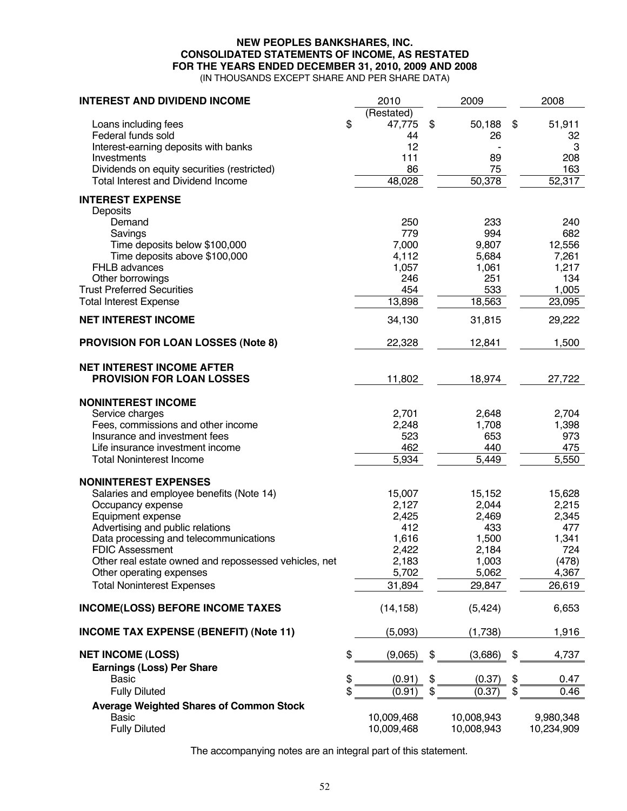# **NEW PEOPLES BANKSHARES, INC. CONSOLIDATED STATEMENTS OF INCOME, AS RESTATED FOR THE YEARS ENDED DECEMBER 31, 2010, 2009 AND 2008**

(IN THOUSANDS EXCEPT SHARE AND PER SHARE DATA)

| <b>INTEREST AND DIVIDEND INCOME</b>                   | 2010                       | 2009          | 2008         |
|-------------------------------------------------------|----------------------------|---------------|--------------|
| Loans including fees                                  | \$<br>(Restated)<br>47,775 | \$<br>50,188  | \$<br>51,911 |
| Federal funds sold                                    | 44                         | 26            | 32           |
| Interest-earning deposits with banks                  | 12                         |               | 3            |
| Investments                                           | 111                        | 89            | 208          |
| Dividends on equity securities (restricted)           | 86                         | 75            | 163          |
| <b>Total Interest and Dividend Income</b>             | 48,028                     | 50,378        | 52,317       |
|                                                       |                            |               |              |
| <b>INTEREST EXPENSE</b>                               |                            |               |              |
| Deposits<br>Demand                                    | 250                        | 233           | 240          |
| Savings                                               | 779                        | 994           | 682          |
| Time deposits below \$100,000                         | 7,000                      | 9,807         | 12,556       |
| Time deposits above \$100,000                         | 4,112                      | 5,684         | 7,261        |
| <b>FHLB</b> advances                                  | 1,057                      | 1,061         | 1,217        |
| Other borrowings                                      | 246                        | 251           | 134          |
| <b>Trust Preferred Securities</b>                     | 454                        | 533           | 1,005        |
| <b>Total Interest Expense</b>                         | 13,898                     | 18,563        | 23,095       |
|                                                       |                            |               |              |
| <b>NET INTEREST INCOME</b>                            | 34,130                     | 31,815        | 29,222       |
| <b>PROVISION FOR LOAN LOSSES (Note 8)</b>             | 22,328                     | 12,841        | 1,500        |
|                                                       |                            |               |              |
| <b>NET INTEREST INCOME AFTER</b>                      |                            |               |              |
| <b>PROVISION FOR LOAN LOSSES</b>                      | 11,802                     | 18,974        | 27,722       |
|                                                       |                            |               |              |
| <b>NONINTEREST INCOME</b>                             |                            |               |              |
| Service charges                                       | 2,701                      | 2,648         | 2,704        |
| Fees, commissions and other income                    | 2,248                      | 1,708         | 1,398        |
| Insurance and investment fees                         | 523                        | 653           | 973          |
| Life insurance investment income                      | 462                        | 440           | 475          |
| <b>Total Noninterest Income</b>                       | 5,934                      | 5,449         | 5,550        |
|                                                       |                            |               |              |
| <b>NONINTEREST EXPENSES</b>                           |                            |               |              |
| Salaries and employee benefits (Note 14)              | 15,007                     | 15,152        | 15,628       |
| Occupancy expense                                     | 2,127                      | 2,044         | 2,215        |
| Equipment expense                                     | 2,425                      | 2,469         | 2,345        |
| Advertising and public relations                      | 412                        | 433           | 477          |
| Data processing and telecommunications                | 1,616                      | 1,500         | 1,341        |
| <b>FDIC Assessment</b>                                | 2,422                      | 2,184         | 724          |
| Other real estate owned and repossessed vehicles, net | 2,183                      | 1,003         | (478)        |
| Other operating expenses                              | 5,702                      | 5,062         | 4,367        |
| <b>Total Noninterest Expenses</b>                     | 31,894                     | 29,847        | 26,619       |
| <b>INCOME(LOSS) BEFORE INCOME TAXES</b>               | (14, 158)                  | (5, 424)      | 6,653        |
|                                                       |                            |               |              |
| <b>INCOME TAX EXPENSE (BENEFIT) (Note 11)</b>         | (5,093)                    | (1,738)       | 1,916        |
| <b>NET INCOME (LOSS)</b>                              | \$<br>(9,065)              | \$<br>(3,686) | \$<br>4,737  |
| <b>Earnings (Loss) Per Share</b>                      |                            |               |              |
| Basic                                                 | \$<br>(0.91)               | \$<br>(0.37)  | \$<br>0.47   |
| <b>Fully Diluted</b>                                  | \$<br>(0.91)               | \$<br>(0.37)  | \$<br>0.46   |
| <b>Average Weighted Shares of Common Stock</b>        |                            |               |              |
| <b>Basic</b>                                          | 10,009,468                 | 10,008,943    | 9,980,348    |
| <b>Fully Diluted</b>                                  | 10,009,468                 | 10,008,943    | 10,234,909   |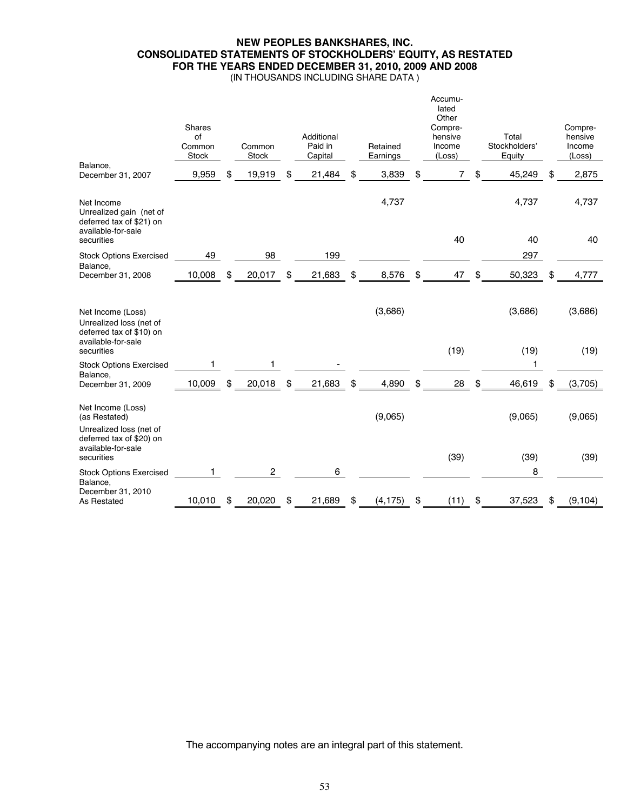# **NEW PEOPLES BANKSHARES, INC. CONSOLIDATED STATEMENTS OF STOCKHOLDERS' EQUITY, AS RESTATED FOR THE YEARS ENDED DECEMBER 31, 2010, 2009 AND 2008**

(IN THOUSANDS INCLUDING SHARE DATA )

|                                                                                                              | Shares<br>οf<br>Common<br><b>Stock</b> |    | Common<br><b>Stock</b> | Additional<br>Paid in<br>Capital |    | Retained<br>Earnings |    | Accumu-<br>lated<br>Other<br>Compre-<br>hensive<br>Income<br>(Loss) | Total<br>Stockholders'<br>Equity |    | Compre-<br>hensive<br>Income<br>(Loss) |
|--------------------------------------------------------------------------------------------------------------|----------------------------------------|----|------------------------|----------------------------------|----|----------------------|----|---------------------------------------------------------------------|----------------------------------|----|----------------------------------------|
| Balance,<br>December 31, 2007                                                                                | 9,959                                  | S  | 19,919                 | \$<br>21,484                     | S  | 3,839                | S  | $\overline{7}$                                                      | \$<br>45,249                     |    | 2,875                                  |
| Net Income<br>Unrealized gain (net of<br>deferred tax of \$21) on<br>available-for-sale                      |                                        |    |                        |                                  |    | 4,737                |    |                                                                     | 4,737                            |    | 4,737                                  |
| securities                                                                                                   |                                        |    |                        |                                  |    |                      |    | 40                                                                  | 40                               |    | 40                                     |
| <b>Stock Options Exercised</b><br>Balance,                                                                   | 49                                     |    | 98                     | 199                              |    |                      |    |                                                                     | 297                              |    |                                        |
| December 31, 2008                                                                                            | 10,008                                 | \$ | 20,017                 | \$<br>21,683                     | \$ | 8,576                | \$ | 47                                                                  | \$<br>50,323                     | S  | 4,777                                  |
| Net Income (Loss)<br>Unrealized loss (net of<br>deferred tax of \$10) on<br>available-for-sale<br>securities |                                        |    |                        |                                  |    | (3,686)              |    | (19)                                                                | (3,686)<br>(19)                  |    | (3,686)<br>(19)                        |
| <b>Stock Options Exercised</b><br>Balance,                                                                   |                                        |    |                        |                                  |    |                      |    |                                                                     | 1                                |    |                                        |
| December 31, 2009                                                                                            | 10,009                                 | \$ | 20,018                 | \$<br>21,683                     | \$ | 4,890                | \$ | 28                                                                  | \$<br>46,619                     | \$ | (3,705)                                |
| Net Income (Loss)<br>(as Restated)<br>Unrealized loss (net of                                                |                                        |    |                        |                                  |    | (9,065)              |    |                                                                     | (9,065)                          |    | (9,065)                                |
| deferred tax of \$20) on<br>available-for-sale<br>securities                                                 |                                        |    |                        |                                  |    |                      |    | (39)                                                                | (39)                             |    | (39)                                   |
| <b>Stock Options Exercised</b><br>Balance,                                                                   |                                        |    | $\overline{2}$         | 6                                |    |                      |    |                                                                     | 8                                |    |                                        |
| December 31, 2010<br>As Restated                                                                             | 10,010                                 | \$ | 20,020                 | \$<br>21,689                     | \$ | (4, 175)             | \$ | (11)                                                                | \$<br>37,523                     | \$ | (9, 104)                               |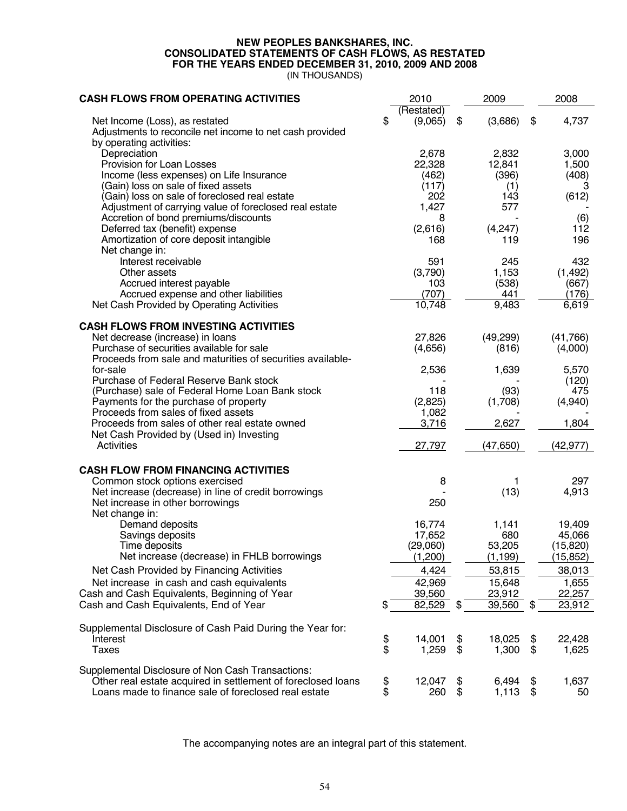#### **NEW PEOPLES BANKSHARES, INC. CONSOLIDATED STATEMENTS OF CASH FLOWS, AS RESTATED FOR THE YEARS ENDED DECEMBER 31, 2010, 2009 AND 2008**

(IN THOUSANDS)

| <b>CASH FLOWS FROM OPERATING ACTIVITIES</b>                                                |          | 2010           | 2009           | 2008         |
|--------------------------------------------------------------------------------------------|----------|----------------|----------------|--------------|
|                                                                                            |          | (Restated)     |                |              |
| Net Income (Loss), as restated<br>Adjustments to reconcile net income to net cash provided | \$       | (9,065)        | \$<br>(3,686)  | \$<br>4,737  |
| by operating activities:                                                                   |          |                |                |              |
| Depreciation                                                                               |          | 2,678          | 2,832          | 3,000        |
| Provision for Loan Losses                                                                  |          | 22,328         | 12,841         | 1,500        |
| Income (less expenses) on Life Insurance                                                   |          | (462)          | (396)          | (408)        |
| (Gain) loss on sale of fixed assets                                                        |          | (117)          | (1)            | 3            |
| (Gain) loss on sale of foreclosed real estate                                              |          | 202            | 143            | (612)        |
| Adjustment of carrying value of foreclosed real estate                                     |          | 1,427          | 577            |              |
| Accretion of bond premiums/discounts                                                       |          | 8              |                | (6)          |
| Deferred tax (benefit) expense<br>Amortization of core deposit intangible                  |          | (2,616)<br>168 | (4,247)<br>119 | 112<br>196   |
| Net change in:                                                                             |          |                |                |              |
| Interest receivable                                                                        |          | 591            | 245            | 432          |
| Other assets                                                                               |          | (3,790)        | 1,153          | (1, 492)     |
| Accrued interest payable                                                                   |          | 103            | (538)          | (667)        |
| Accrued expense and other liabilities                                                      |          | (707)          | 441            | (176)        |
| Net Cash Provided by Operating Activities                                                  |          | 10,748         | 9,483          | 6,619        |
| <b>CASH FLOWS FROM INVESTING ACTIVITIES</b>                                                |          |                |                |              |
| Net decrease (increase) in loans                                                           |          | 27,826         | (49, 299)      | (41, 766)    |
| Purchase of securities available for sale                                                  |          | (4,656)        | (816)          | (4,000)      |
| Proceeds from sale and maturities of securities available-                                 |          |                |                |              |
| for-sale                                                                                   |          | 2,536          | 1,639          | 5,570        |
| Purchase of Federal Reserve Bank stock                                                     |          |                |                | (120)        |
| (Purchase) sale of Federal Home Loan Bank stock                                            |          | 118            | (93)           | 475          |
| Payments for the purchase of property                                                      |          | (2,825)        | (1,708)        | (4,940)      |
| Proceeds from sales of fixed assets                                                        |          | 1,082          |                |              |
| Proceeds from sales of other real estate owned                                             |          | 3,716          | 2,627          | 1,804        |
| Net Cash Provided by (Used in) Investing<br>Activities                                     |          | 27,797         | (47, 650)      | (42, 977)    |
|                                                                                            |          |                |                |              |
| <b>CASH FLOW FROM FINANCING ACTIVITIES</b>                                                 |          |                |                |              |
| Common stock options exercised                                                             |          | 8              | 1              | 297          |
| Net increase (decrease) in line of credit borrowings                                       |          |                | (13)           | 4,913        |
| Net increase in other borrowings                                                           |          | 250            |                |              |
| Net change in:                                                                             |          |                |                |              |
| Demand deposits                                                                            |          | 16,774         | 1,141          | 19,409       |
| Savings deposits                                                                           |          | 17,652         | 680            | 45,066       |
| Time deposits                                                                              |          | (29,060)       | 53,205         | (15, 820)    |
| Net increase (decrease) in FHLB borrowings                                                 |          | (1,200)        | (1, 199)       | (15, 852)    |
| Net Cash Provided by Financing Activities                                                  |          | 4,424          | 53,815         | 38,013       |
| Net increase in cash and cash equivalents                                                  |          | 42,969         | 15,648         | 1,655        |
| Cash and Cash Equivalents, Beginning of Year                                               |          | 39,560         | 23,912         | 22,257       |
| Cash and Cash Equivalents, End of Year                                                     | \$       | 82,529         | \$<br>39,560   | \$<br>23,912 |
| Supplemental Disclosure of Cash Paid During the Year for:                                  |          |                |                |              |
| Interest                                                                                   |          | 14,001         | \$<br>18,025   | \$<br>22,428 |
| <b>Taxes</b>                                                                               | \$<br>\$ | 1,259          | \$<br>1,300    | \$<br>1,625  |
|                                                                                            |          |                |                |              |
| Supplemental Disclosure of Non Cash Transactions:                                          |          |                |                |              |
| Other real estate acquired in settlement of foreclosed loans                               | \$       | 12,047         | \$<br>6,494    | \$<br>1,637  |
| Loans made to finance sale of foreclosed real estate                                       |          | 260            | \$<br>1,113    | \$<br>50     |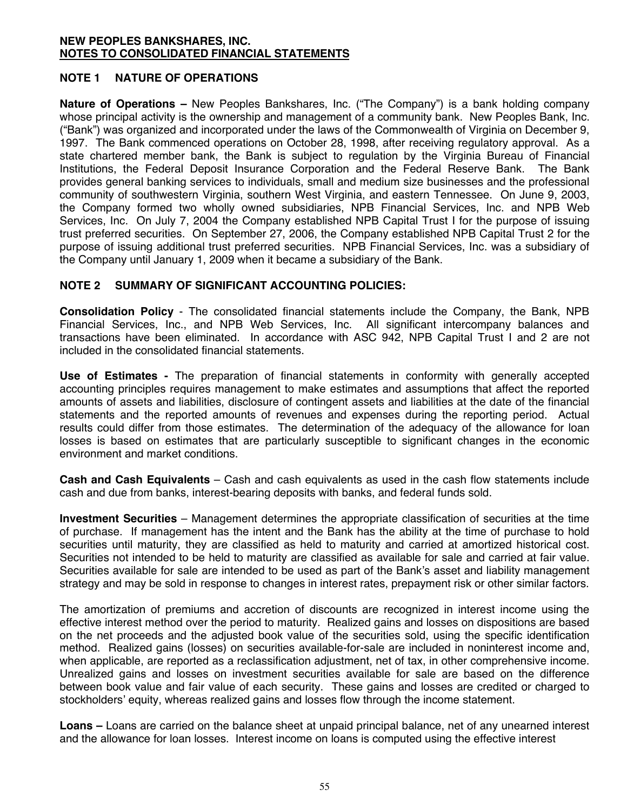# **NOTE 1 NATURE OF OPERATIONS**

**Nature of Operations –** New Peoples Bankshares, Inc. ("The Company") is a bank holding company whose principal activity is the ownership and management of a community bank. New Peoples Bank, Inc. ("Bank") was organized and incorporated under the laws of the Commonwealth of Virginia on December 9, 1997. The Bank commenced operations on October 28, 1998, after receiving regulatory approval. As a state chartered member bank, the Bank is subject to regulation by the Virginia Bureau of Financial Institutions, the Federal Deposit Insurance Corporation and the Federal Reserve Bank. The Bank provides general banking services to individuals, small and medium size businesses and the professional community of southwestern Virginia, southern West Virginia, and eastern Tennessee. On June 9, 2003, the Company formed two wholly owned subsidiaries, NPB Financial Services, Inc. and NPB Web Services, Inc. On July 7, 2004 the Company established NPB Capital Trust I for the purpose of issuing trust preferred securities. On September 27, 2006, the Company established NPB Capital Trust 2 for the purpose of issuing additional trust preferred securities. NPB Financial Services, Inc. was a subsidiary of the Company until January 1, 2009 when it became a subsidiary of the Bank.

# **NOTE 2 SUMMARY OF SIGNIFICANT ACCOUNTING POLICIES:**

**Consolidation Policy** - The consolidated financial statements include the Company, the Bank, NPB Financial Services, Inc., and NPB Web Services, Inc. All significant intercompany balances and transactions have been eliminated. In accordance with ASC 942, NPB Capital Trust I and 2 are not included in the consolidated financial statements.

**Use of Estimates -** The preparation of financial statements in conformity with generally accepted accounting principles requires management to make estimates and assumptions that affect the reported amounts of assets and liabilities, disclosure of contingent assets and liabilities at the date of the financial statements and the reported amounts of revenues and expenses during the reporting period. Actual results could differ from those estimates. The determination of the adequacy of the allowance for loan losses is based on estimates that are particularly susceptible to significant changes in the economic environment and market conditions.

**Cash and Cash Equivalents** – Cash and cash equivalents as used in the cash flow statements include cash and due from banks, interest-bearing deposits with banks, and federal funds sold.

**Investment Securities** – Management determines the appropriate classification of securities at the time of purchase. If management has the intent and the Bank has the ability at the time of purchase to hold securities until maturity, they are classified as held to maturity and carried at amortized historical cost. Securities not intended to be held to maturity are classified as available for sale and carried at fair value. Securities available for sale are intended to be used as part of the Bank's asset and liability management strategy and may be sold in response to changes in interest rates, prepayment risk or other similar factors.

The amortization of premiums and accretion of discounts are recognized in interest income using the effective interest method over the period to maturity. Realized gains and losses on dispositions are based on the net proceeds and the adjusted book value of the securities sold, using the specific identification method. Realized gains (losses) on securities available-for-sale are included in noninterest income and, when applicable, are reported as a reclassification adjustment, net of tax, in other comprehensive income. Unrealized gains and losses on investment securities available for sale are based on the difference between book value and fair value of each security. These gains and losses are credited or charged to stockholders' equity, whereas realized gains and losses flow through the income statement.

**Loans –** Loans are carried on the balance sheet at unpaid principal balance, net of any unearned interest and the allowance for loan losses. Interest income on loans is computed using the effective interest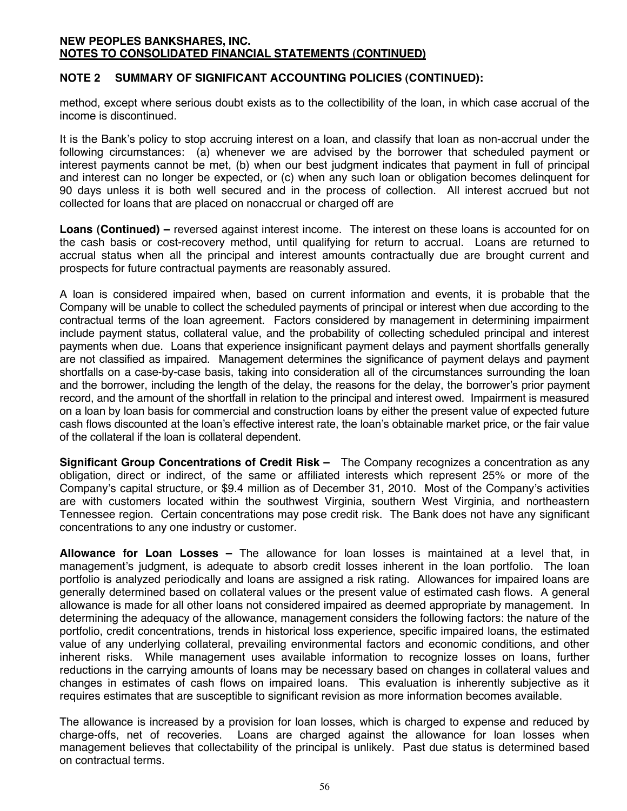# **NOTE 2 SUMMARY OF SIGNIFICANT ACCOUNTING POLICIES (CONTINUED):**

method, except where serious doubt exists as to the collectibility of the loan, in which case accrual of the income is discontinued.

It is the Bank's policy to stop accruing interest on a loan, and classify that loan as non-accrual under the following circumstances: (a) whenever we are advised by the borrower that scheduled payment or interest payments cannot be met, (b) when our best judgment indicates that payment in full of principal and interest can no longer be expected, or (c) when any such loan or obligation becomes delinquent for 90 days unless it is both well secured and in the process of collection. All interest accrued but not collected for loans that are placed on nonaccrual or charged off are

**Loans (Continued)** – reversed against interest income. The interest on these loans is accounted for on the cash basis or cost-recovery method, until qualifying for return to accrual. Loans are returned to accrual status when all the principal and interest amounts contractually due are brought current and prospects for future contractual payments are reasonably assured.

A loan is considered impaired when, based on current information and events, it is probable that the Company will be unable to collect the scheduled payments of principal or interest when due according to the contractual terms of the loan agreement. Factors considered by management in determining impairment include payment status, collateral value, and the probability of collecting scheduled principal and interest payments when due. Loans that experience insignificant payment delays and payment shortfalls generally are not classified as impaired. Management determines the significance of payment delays and payment shortfalls on a case-by-case basis, taking into consideration all of the circumstances surrounding the loan and the borrower, including the length of the delay, the reasons for the delay, the borrower's prior payment record, and the amount of the shortfall in relation to the principal and interest owed. Impairment is measured on a loan by loan basis for commercial and construction loans by either the present value of expected future cash flows discounted at the loan's effective interest rate, the loan's obtainable market price, or the fair value of the collateral if the loan is collateral dependent.

**Significant Group Concentrations of Credit Risk –** The Company recognizes a concentration as any obligation, direct or indirect, of the same or affiliated interests which represent 25% or more of the Company's capital structure, or \$9.4 million as of December 31, 2010. Most of the Company's activities are with customers located within the southwest Virginia, southern West Virginia, and northeastern Tennessee region. Certain concentrations may pose credit risk. The Bank does not have any significant concentrations to any one industry or customer.

**Allowance for Loan Losses –** The allowance for loan losses is maintained at a level that, in management's judgment, is adequate to absorb credit losses inherent in the loan portfolio. The loan portfolio is analyzed periodically and loans are assigned a risk rating. Allowances for impaired loans are generally determined based on collateral values or the present value of estimated cash flows. A general allowance is made for all other loans not considered impaired as deemed appropriate by management. In determining the adequacy of the allowance, management considers the following factors: the nature of the portfolio, credit concentrations, trends in historical loss experience, specific impaired loans, the estimated value of any underlying collateral, prevailing environmental factors and economic conditions, and other inherent risks. While management uses available information to recognize losses on loans, further reductions in the carrying amounts of loans may be necessary based on changes in collateral values and changes in estimates of cash flows on impaired loans. This evaluation is inherently subjective as it requires estimates that are susceptible to significant revision as more information becomes available.

The allowance is increased by a provision for loan losses, which is charged to expense and reduced by charge-offs, net of recoveries. Loans are charged against the allowance for loan losses when management believes that collectability of the principal is unlikely. Past due status is determined based on contractual terms.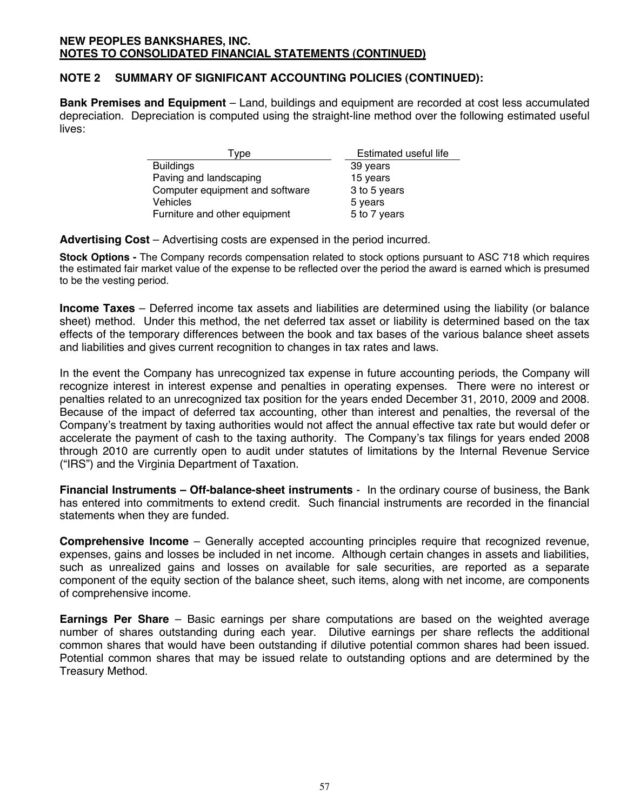# **NOTE 2 SUMMARY OF SIGNIFICANT ACCOUNTING POLICIES (CONTINUED):**

**Bank Premises and Equipment** – Land, buildings and equipment are recorded at cost less accumulated depreciation. Depreciation is computed using the straight-line method over the following estimated useful lives:

| Type                            | Estimated useful life |
|---------------------------------|-----------------------|
| <b>Buildings</b>                | 39 years              |
| Paving and landscaping          | 15 years              |
| Computer equipment and software | 3 to 5 years          |
| <b>Vehicles</b>                 | 5 years               |
| Furniture and other equipment   | 5 to 7 years          |

**Advertising Cost** – Advertising costs are expensed in the period incurred.

**Stock Options -** The Company records compensation related to stock options pursuant to ASC 718 which requires the estimated fair market value of the expense to be reflected over the period the award is earned which is presumed to be the vesting period.

**Income Taxes** – Deferred income tax assets and liabilities are determined using the liability (or balance sheet) method. Under this method, the net deferred tax asset or liability is determined based on the tax effects of the temporary differences between the book and tax bases of the various balance sheet assets and liabilities and gives current recognition to changes in tax rates and laws.

In the event the Company has unrecognized tax expense in future accounting periods, the Company will recognize interest in interest expense and penalties in operating expenses. There were no interest or penalties related to an unrecognized tax position for the years ended December 31, 2010, 2009 and 2008. Because of the impact of deferred tax accounting, other than interest and penalties, the reversal of the Company's treatment by taxing authorities would not affect the annual effective tax rate but would defer or accelerate the payment of cash to the taxing authority. The Company's tax filings for years ended 2008 through 2010 are currently open to audit under statutes of limitations by the Internal Revenue Service ("IRS") and the Virginia Department of Taxation.

**Financial Instruments – Off-balance-sheet instruments** - In the ordinary course of business, the Bank has entered into commitments to extend credit. Such financial instruments are recorded in the financial statements when they are funded.

**Comprehensive Income** – Generally accepted accounting principles require that recognized revenue, expenses, gains and losses be included in net income. Although certain changes in assets and liabilities, such as unrealized gains and losses on available for sale securities, are reported as a separate component of the equity section of the balance sheet, such items, along with net income, are components of comprehensive income.

**Earnings Per Share** – Basic earnings per share computations are based on the weighted average number of shares outstanding during each year. Dilutive earnings per share reflects the additional common shares that would have been outstanding if dilutive potential common shares had been issued. Potential common shares that may be issued relate to outstanding options and are determined by the Treasury Method.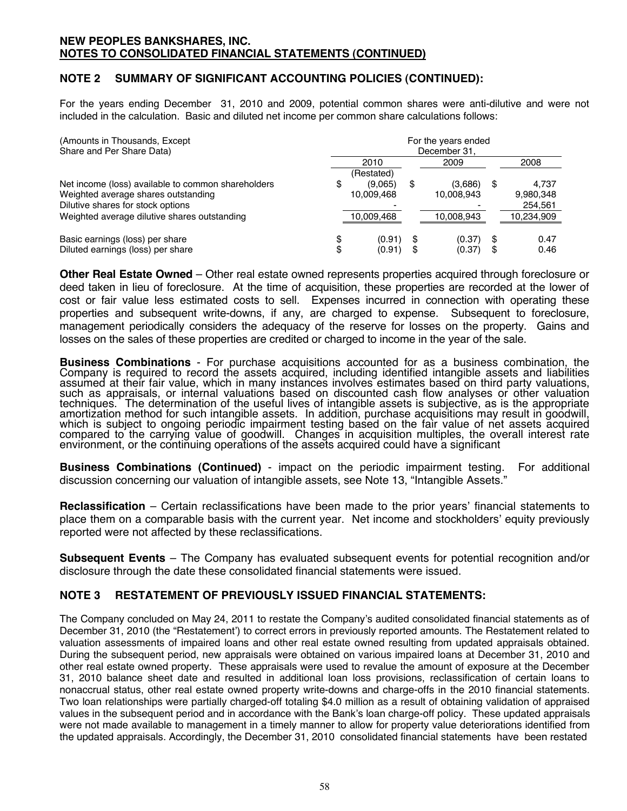# **NOTE 2 SUMMARY OF SIGNIFICANT ACCOUNTING POLICIES (CONTINUED):**

For the years ending December 31, 2010 and 2009, potential common shares were anti-dilutive and were not included in the calculation. Basic and diluted net income per common share calculations follows:

| (Amounts in Thousands, Except<br>Share and Per Share Data) | For the years ended<br>December 31 |            |    |            |   |            |  |  |  |  |  |
|------------------------------------------------------------|------------------------------------|------------|----|------------|---|------------|--|--|--|--|--|
|                                                            |                                    | 2010       |    | 2009       |   | 2008       |  |  |  |  |  |
|                                                            |                                    | (Restated) |    |            |   |            |  |  |  |  |  |
| Net income (loss) available to common shareholders         | S                                  | (9,065)    | \$ | (3,686)    | S | 4.737      |  |  |  |  |  |
| Weighted average shares outstanding                        |                                    | 10,009,468 |    | 10,008,943 |   | 9,980,348  |  |  |  |  |  |
| Dilutive shares for stock options                          |                                    |            |    |            |   | 254,561    |  |  |  |  |  |
| Weighted average dilutive shares outstanding               |                                    | 10,009,468 |    | 10,008,943 |   | 10,234,909 |  |  |  |  |  |
| Basic earnings (loss) per share                            | \$                                 | (0.91)     |    | (0.37)     | S | 0.47       |  |  |  |  |  |
| Diluted earnings (loss) per share                          |                                    | (0.91)     |    | (0.37)     |   | 0.46       |  |  |  |  |  |

**Other Real Estate Owned** – Other real estate owned represents properties acquired through foreclosure or deed taken in lieu of foreclosure. At the time of acquisition, these properties are recorded at the lower of cost or fair value less estimated costs to sell. Expenses incurred in connection with operating these properties and subsequent write-downs, if any, are charged to expense. Subsequent to foreclosure, management periodically considers the adequacy of the reserve for losses on the property. Gains and losses on the sales of these properties are credited or charged to income in the year of the sale.

**Business Combinations** - For purchase acquisitions accounted for as a business combination, the<br>Company is required to record the assets acquired, including identified intangible assets and liabilities<br>assumed at their fa such as appraisals, or internal valuations based on discounted cash flow analyses or other valuation techniques. The determination of the useful lives of intangible assets is subjective, as is the appropriate amortization method for such intangible assets. In addition, purchase acquisitions may result in goodwill, which is subject to ongoing periodic impairment testing based on the fair value of net assets acquired compared to the carrying value of goodwill. Changes in acquisition multiples, the overall interest rate environment, or the continuing operations of the assets acquired could have a significant

**Business Combinations (Continued)** - impact on the periodic impairment testing. For additional discussion concerning our valuation of intangible assets, see Note 13, "Intangible Assets."

**Reclassification** – Certain reclassifications have been made to the prior years' financial statements to place them on a comparable basis with the current year. Net income and stockholders' equity previously reported were not affected by these reclassifications.

**Subsequent Events** – The Company has evaluated subsequent events for potential recognition and/or disclosure through the date these consolidated financial statements were issued.

# **NOTE 3 RESTATEMENT OF PREVIOUSLY ISSUED FINANCIAL STATEMENTS:**

The Company concluded on May 24, 2011 to restate the Company's audited consolidated financial statements as of December 31, 2010 (the "Restatement') to correct errors in previously reported amounts. The Restatement related to valuation assessments of impaired loans and other real estate owned resulting from updated appraisals obtained. During the subsequent period, new appraisals were obtained on various impaired loans at December 31, 2010 and other real estate owned property. These appraisals were used to revalue the amount of exposure at the December 31, 2010 balance sheet date and resulted in additional loan loss provisions, reclassification of certain loans to nonaccrual status, other real estate owned property write-downs and charge-offs in the 2010 financial statements. Two loan relationships were partially charged-off totaling \$4.0 million as a result of obtaining validation of appraised values in the subsequent period and in accordance with the Bank's loan charge-off policy. These updated appraisals were not made available to management in a timely manner to allow for property value deteriorations identified from the updated appraisals. Accordingly, the December 31, 2010 consolidated financial statements have been restated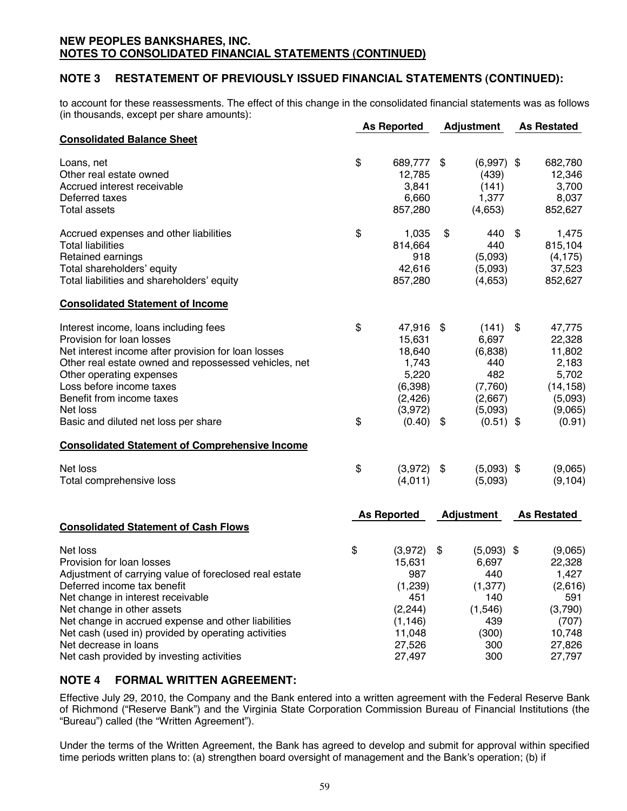# **NOTE 3 RESTATEMENT OF PREVIOUSLY ISSUED FINANCIAL STATEMENTS (CONTINUED):**

to account for these reassessments. The effect of this change in the consolidated financial statements was as follows (in thousands, except per share amounts):

|                                                                                                                                                                                                                                                                                                                                          |          | <b>As Reported</b>                                                                           |      | <b>Adjustment</b>                                                                       | <b>As Restated</b> |                                                                                           |
|------------------------------------------------------------------------------------------------------------------------------------------------------------------------------------------------------------------------------------------------------------------------------------------------------------------------------------------|----------|----------------------------------------------------------------------------------------------|------|-----------------------------------------------------------------------------------------|--------------------|-------------------------------------------------------------------------------------------|
| <b>Consolidated Balance Sheet</b>                                                                                                                                                                                                                                                                                                        |          |                                                                                              |      |                                                                                         |                    |                                                                                           |
| Loans, net<br>Other real estate owned<br>Accrued interest receivable<br>Deferred taxes<br>Total assets                                                                                                                                                                                                                                   | \$       | 689,777<br>12,785<br>3,841<br>6,660<br>857,280                                               | \$   | $(6,997)$ \$<br>(439)<br>(141)<br>1,377<br>(4,653)                                      |                    | 682,780<br>12,346<br>3,700<br>8,037<br>852,627                                            |
| Accrued expenses and other liabilities<br><b>Total liabilities</b><br>Retained earnings<br>Total shareholders' equity<br>Total liabilities and shareholders' equity                                                                                                                                                                      | \$       | 1,035<br>814,664<br>918<br>42,616<br>857,280                                                 | \$   | 440<br>440<br>(5,093)<br>(5,093)<br>(4,653)                                             | \$                 | 1,475<br>815,104<br>(4, 175)<br>37,523<br>852,627                                         |
| <b>Consolidated Statement of Income</b>                                                                                                                                                                                                                                                                                                  |          |                                                                                              |      |                                                                                         |                    |                                                                                           |
| Interest income, loans including fees<br>Provision for loan losses<br>Net interest income after provision for loan losses<br>Other real estate owned and repossessed vehicles, net<br>Other operating expenses<br>Loss before income taxes<br>Benefit from income taxes<br>Net loss<br>Basic and diluted net loss per share              | \$<br>\$ | 47,916 \$<br>15,631<br>18,640<br>1,743<br>5,220<br>(6, 398)<br>(2, 426)<br>(3,972)<br>(0.40) | - \$ | (141)<br>6,697<br>(6,838)<br>440<br>482<br>(7,760)<br>(2,667)<br>(5,093)<br>$(0.51)$ \$ | \$                 | 47,775<br>22,328<br>11,802<br>2,183<br>5,702<br>(14, 158)<br>(5,093)<br>(9,065)<br>(0.91) |
| <b>Consolidated Statement of Comprehensive Income</b>                                                                                                                                                                                                                                                                                    |          |                                                                                              |      |                                                                                         |                    |                                                                                           |
| Net loss<br>Total comprehensive loss                                                                                                                                                                                                                                                                                                     | \$       | (3,972)<br>(4,011)                                                                           | \$   | $(5,093)$ \$<br>(5,093)                                                                 |                    | (9,065)<br>(9, 104)                                                                       |
| <b>Consolidated Statement of Cash Flows</b>                                                                                                                                                                                                                                                                                              |          | <b>As Reported</b>                                                                           |      | <b>Adjustment</b>                                                                       |                    | <b>As Restated</b>                                                                        |
| Net loss<br>Provision for loan losses<br>Adjustment of carrying value of foreclosed real estate<br>Deferred income tax benefit<br>Net change in interest receivable<br>Net change in other assets<br>Net change in accrued expense and other liabilities<br>Net cash (used in) provided by operating activities<br>Net decrease in loans | \$       | (3,972)<br>15,631<br>987<br>(1,239)<br>451<br>(2, 244)<br>(1, 146)<br>11,048<br>27,526       | -\$  | $(5,093)$ \$<br>6,697<br>440<br>(1, 377)<br>140<br>(1, 546)<br>439<br>(300)<br>300      |                    | (9,065)<br>22,328<br>1,427<br>(2,616)<br>591<br>(3,790)<br>(707)<br>10,748<br>27,826      |
| Net cash provided by investing activities                                                                                                                                                                                                                                                                                                |          | 27,497                                                                                       |      | 300                                                                                     |                    | 27,797                                                                                    |

# **NOTE 4 FORMAL WRITTEN AGREEMENT:**

Effective July 29, 2010, the Company and the Bank entered into a written agreement with the Federal Reserve Bank of Richmond ("Reserve Bank") and the Virginia State Corporation Commission Bureau of Financial Institutions (the "Bureau") called (the "Written Agreement").

Under the terms of the Written Agreement, the Bank has agreed to develop and submit for approval within specified time periods written plans to: (a) strengthen board oversight of management and the Bank's operation; (b) if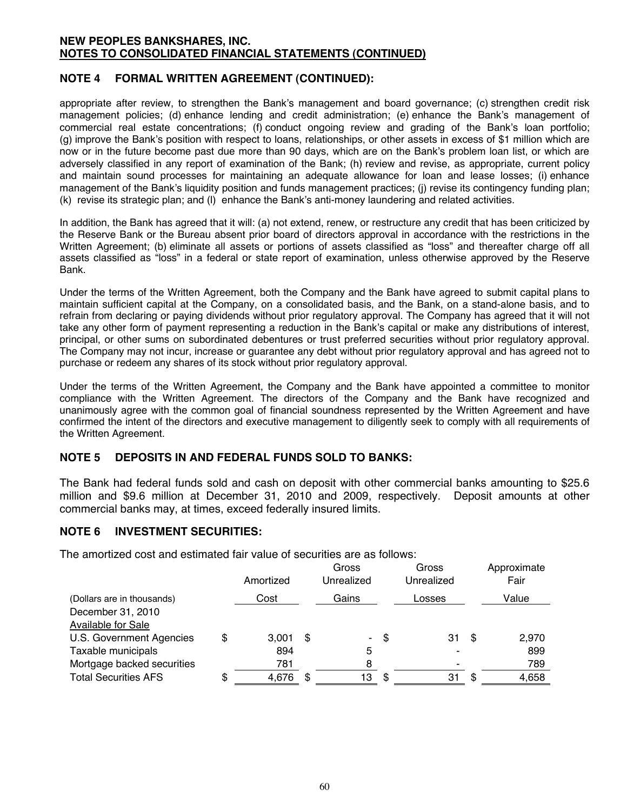# **NOTE 4 FORMAL WRITTEN AGREEMENT (CONTINUED):**

appropriate after review, to strengthen the Bank's management and board governance; (c) strengthen credit risk management policies; (d) enhance lending and credit administration; (e) enhance the Bank's management of commercial real estate concentrations; (f) conduct ongoing review and grading of the Bank's loan portfolio; (g) improve the Bank's position with respect to loans, relationships, or other assets in excess of \$1 million which are now or in the future become past due more than 90 days, which are on the Bank's problem loan list, or which are adversely classified in any report of examination of the Bank; (h) review and revise, as appropriate, current policy and maintain sound processes for maintaining an adequate allowance for loan and lease losses; (i) enhance management of the Bank's liquidity position and funds management practices; (j) revise its contingency funding plan; (k) revise its strategic plan; and (l) enhance the Bank's anti-money laundering and related activities.

In addition, the Bank has agreed that it will: (a) not extend, renew, or restructure any credit that has been criticized by the Reserve Bank or the Bureau absent prior board of directors approval in accordance with the restrictions in the Written Agreement; (b) eliminate all assets or portions of assets classified as "loss" and thereafter charge off all assets classified as "loss" in a federal or state report of examination, unless otherwise approved by the Reserve Bank.

Under the terms of the Written Agreement, both the Company and the Bank have agreed to submit capital plans to maintain sufficient capital at the Company, on a consolidated basis, and the Bank, on a stand-alone basis, and to refrain from declaring or paying dividends without prior regulatory approval. The Company has agreed that it will not take any other form of payment representing a reduction in the Bank's capital or make any distributions of interest, principal, or other sums on subordinated debentures or trust preferred securities without prior regulatory approval. The Company may not incur, increase or guarantee any debt without prior regulatory approval and has agreed not to purchase or redeem any shares of its stock without prior regulatory approval.

Under the terms of the Written Agreement, the Company and the Bank have appointed a committee to monitor compliance with the Written Agreement. The directors of the Company and the Bank have recognized and unanimously agree with the common goal of financial soundness represented by the Written Agreement and have confirmed the intent of the directors and executive management to diligently seek to comply with all requirements of the Written Agreement.

# **NOTE 5 DEPOSITS IN AND FEDERAL FUNDS SOLD TO BANKS:**

The Bank had federal funds sold and cash on deposit with other commercial banks amounting to \$25.6 million and \$9.6 million at December 31, 2010 and 2009, respectively. Deposit amounts at other commercial banks may, at times, exceed federally insured limits.

#### **NOTE 6 INVESTMENT SECURITIES:**

The amortized cost and estimated fair value of securities are as follows:

|                             | Amortized   |   | Gross<br>Unrealized |      | Gross<br>Unrealized |    | Approximate<br>Fair |
|-----------------------------|-------------|---|---------------------|------|---------------------|----|---------------------|
| (Dollars are in thousands)  | Cost        |   | Gains               |      | Losses              |    | Value               |
| December 31, 2010           |             |   |                     |      |                     |    |                     |
| Available for Sale          |             |   |                     |      |                     |    |                     |
| U.S. Government Agencies    | \$<br>3.001 | S |                     | - \$ | 31                  | -S | 2,970               |
| Taxable municipals          | 894         |   | 5                   |      | ۰                   |    | 899                 |
| Mortgage backed securities  | 781         |   | 8                   |      | -                   |    | 789                 |
| <b>Total Securities AFS</b> | \$<br>4,676 |   | 13                  | -S   | 31                  | £. | 4,658               |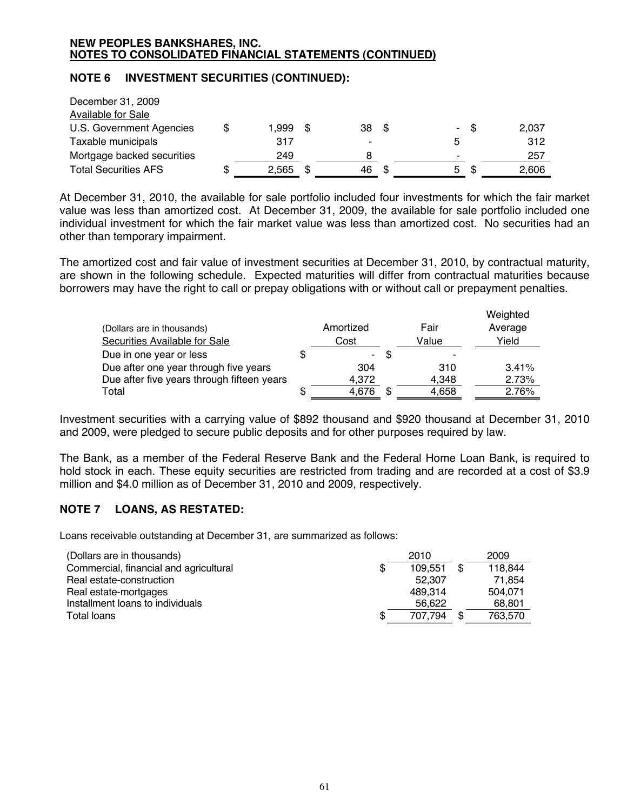# **NOTE 6 INVESTMENT SECURITIES (CONTINUED):**

| December 31, 2009           |             |    |      |                |      |       |
|-----------------------------|-------------|----|------|----------------|------|-------|
| Available for Sale          |             |    |      |                |      |       |
| U.S. Government Agencies    | 1.999       | 38 | - \$ | $\blacksquare$ | - \$ | 2,037 |
| Taxable municipals          | 317         |    |      | 5              |      | 312   |
| Mortgage backed securities  | 249         |    |      | ۰              |      | 257   |
| <b>Total Securities AFS</b> | \$<br>2,565 | 46 |      | 5              |      | 2,606 |

At December 31, 2010, the available for sale portfolio included four investments for which the fair market value was less than amortized cost. At December 31, 2009, the available for sale portfolio included one individual investment for which the fair market value was less than amortized cost. No securities had an other than temporary impairment.

The amortized cost and fair value of investment securities at December 31, 2010, by contractual maturity, are shown in the following schedule. Expected maturities will differ from contractual maturities because borrowers may have the right to call or prepay obligations with or without call or prepayment penalties.

and the con-

|                                            |           |   |       | Weighted |
|--------------------------------------------|-----------|---|-------|----------|
| (Dollars are in thousands)                 | Amortized |   | Fair  | Average  |
| Securities Available for Sale              | Cost      |   | Value | Yield    |
| Due in one year or less                    | e.        | S |       |          |
| Due after one year through five years      | 304       |   | 310   | 3.41%    |
| Due after five years through fifteen years | 4.372     |   | 4.348 | 2.73%    |
| Total                                      | 4.676     |   | 4,658 | 2.76%    |

Investment securities with a carrying value of \$892 thousand and \$920 thousand at December 31, 2010 and 2009, were pledged to secure public deposits and for other purposes required by law.

The Bank, as a member of the Federal Reserve Bank and the Federal Home Loan Bank, is required to hold stock in each. These equity securities are restricted from trading and are recorded at a cost of \$3.9 million and \$4.0 million as of December 31, 2010 and 2009, respectively.

# **NOTE 7 LOANS, AS RESTATED:**

Loans receivable outstanding at December 31, are summarized as follows:

| (Dollars are in thousands)             |   | 2010    | 2009    |
|----------------------------------------|---|---------|---------|
| Commercial, financial and agricultural | S | 109.551 | 118,844 |
| Real estate-construction               |   | 52,307  | 71.854  |
| Real estate-mortgages                  |   | 489.314 | 504.071 |
| Installment loans to individuals       |   | 56.622  | 68.801  |
| Total loans                            |   | 707.794 | 763.570 |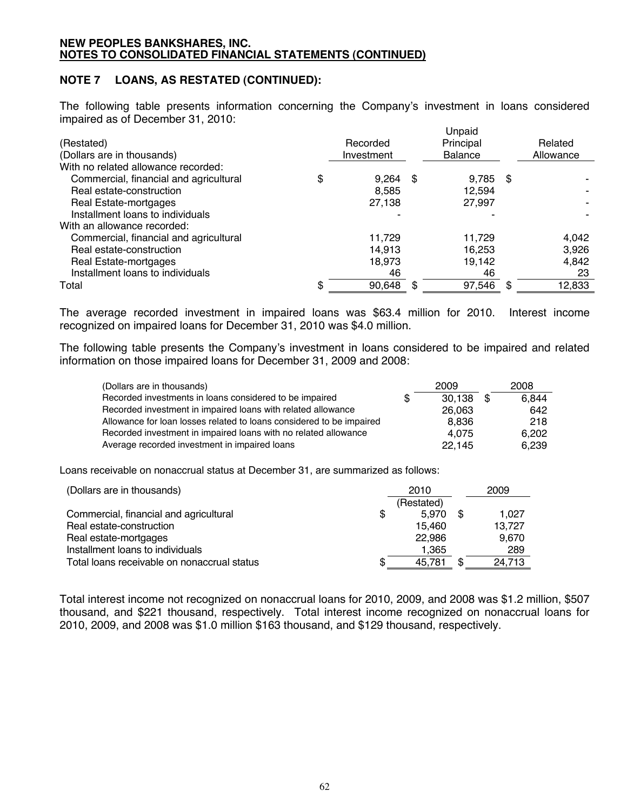# **NOTE 7 LOANS, AS RESTATED (CONTINUED):**

The following table presents information concerning the Company's investment in loans considered impaired as of December 31, 2010:

| (Restated)                                   | Recorded   |      | Unpaid<br>Principal | Related   |
|----------------------------------------------|------------|------|---------------------|-----------|
| (Dollars are in thousands)                   | Investment |      | Balance             | Allowance |
|                                              |            |      |                     |           |
| With no related allowance recorded:          |            |      |                     |           |
| Commercial, financial and agricultural<br>\$ | 9.264      | - \$ | $9,785$ \$          |           |
| Real estate-construction                     | 8.585      |      | 12.594              |           |
| Real Estate-mortgages                        | 27,138     |      | 27,997              |           |
| Installment loans to individuals             |            |      |                     |           |
| With an allowance recorded:                  |            |      |                     |           |
| Commercial, financial and agricultural       | 11.729     |      | 11.729              | 4,042     |
| Real estate-construction                     | 14.913     |      | 16.253              | 3,926     |
| Real Estate-mortgages                        | 18.973     |      | 19.142              | 4,842     |
| Installment loans to individuals             | 46         |      | 46                  | 23        |
| \$<br>Total                                  | 90,648     | S    | 97,546              | 12,833    |

The average recorded investment in impaired loans was \$63.4 million for 2010. Interest income recognized on impaired loans for December 31, 2010 was \$4.0 million.

The following table presents the Company's investment in loans considered to be impaired and related information on those impaired loans for December 31, 2009 and 2008:

| (Dollars are in thousands)                                           |   | 2009   |      | 2008  |
|----------------------------------------------------------------------|---|--------|------|-------|
| Recorded investments in loans considered to be impaired              | S | 30.138 | - \$ | 6.844 |
| Recorded investment in impaired loans with related allowance         |   | 26.063 |      | 642   |
| Allowance for loan losses related to loans considered to be impaired |   | 8.836  |      | 218   |
| Recorded investment in impaired loans with no related allowance      |   | 4.075  |      | 6.202 |
| Average recorded investment in impaired loans                        |   | 22.145 |      | 6.239 |

Loans receivable on nonaccrual status at December 31, are summarized as follows:

| (Dollars are in thousands)                  |   | 2010       | 2009   |
|---------------------------------------------|---|------------|--------|
|                                             |   | (Restated) |        |
| Commercial, financial and agricultural      | S | 5.970      | 1.027  |
| Real estate-construction                    |   | 15.460     | 13.727 |
| Real estate-mortgages                       |   | 22,986     | 9,670  |
| Installment loans to individuals            |   | 1.365      | 289    |
| Total loans receivable on nonaccrual status | S | 45.781     | 24.713 |

Total interest income not recognized on nonaccrual loans for 2010, 2009, and 2008 was \$1.2 million, \$507 thousand, and \$221 thousand, respectively. Total interest income recognized on nonaccrual loans for 2010, 2009, and 2008 was \$1.0 million \$163 thousand, and \$129 thousand, respectively.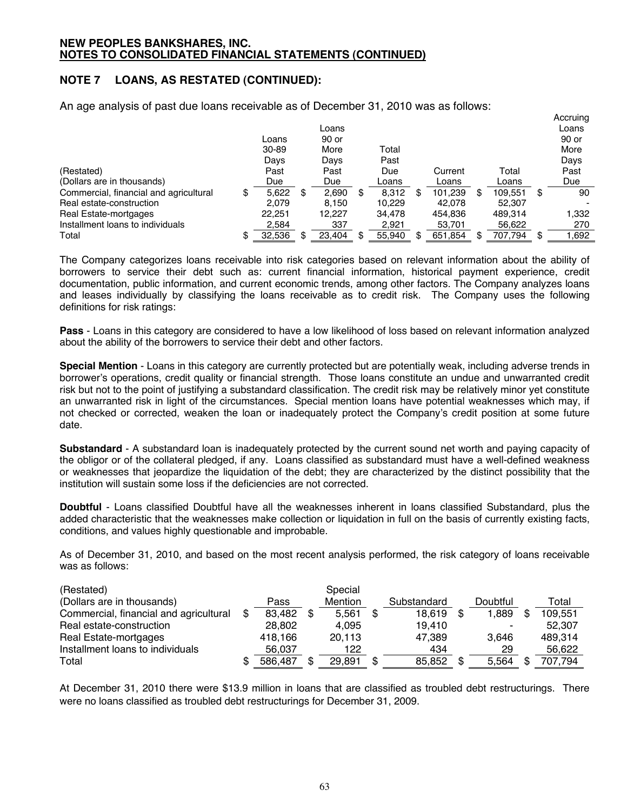# **NOTE 7 LOANS, AS RESTATED (CONTINUED):**

An age analysis of past due loans receivable as of December 31, 2010 was as follows:

|                                        |              |    |        |              |               |   |         |    | <b>ACCIUIII</b> |
|----------------------------------------|--------------|----|--------|--------------|---------------|---|---------|----|-----------------|
|                                        |              |    | Loans  |              |               |   |         |    | Loans           |
|                                        | Loans        |    | 90 or  |              |               |   |         |    | 90 or           |
|                                        | 30-89        |    | More   | Total        |               |   |         |    | More            |
|                                        | Days         |    | Days   | Past         |               |   |         |    | Days            |
| (Restated)                             | Past         |    | Past   | Due          | Current       |   | Total   |    | Past            |
| (Dollars are in thousands)             | Due          |    | Due    | Loans        | Loans         |   | Loans   |    | Due             |
| Commercial, financial and agricultural | \$<br>5.622  | \$ | 2,690  | \$<br>8.312  | \$<br>101.239 | S | 109.551 | S  | 90              |
| Real estate-construction               | 2.079        |    | 8.150  | 10.229       | 42.078        |   | 52,307  |    |                 |
| Real Estate-mortgages                  | 22,251       |    | 12.227 | 34.478       | 454.836       |   | 489.314 |    | 1,332           |
| Installment loans to individuals       | 2,584        |    | 337    | 2,921        | 53,701        |   | 56,622  |    | 270             |
| Total                                  | \$<br>32,536 | S  | 23.404 | \$<br>55.940 | 651.854       |   | 707.794 | \$ | 1.692           |

Accu<sub>men</sub>

The Company categorizes loans receivable into risk categories based on relevant information about the ability of borrowers to service their debt such as: current financial information, historical payment experience, credit documentation, public information, and current economic trends, among other factors. The Company analyzes loans and leases individually by classifying the loans receivable as to credit risk. The Company uses the following definitions for risk ratings:

**Pass** - Loans in this category are considered to have a low likelihood of loss based on relevant information analyzed about the ability of the borrowers to service their debt and other factors.

**Special Mention** - Loans in this category are currently protected but are potentially weak, including adverse trends in borrower's operations, credit quality or financial strength. Those loans constitute an undue and unwarranted credit risk but not to the point of justifying a substandard classification. The credit risk may be relatively minor yet constitute an unwarranted risk in light of the circumstances. Special mention loans have potential weaknesses which may, if not checked or corrected, weaken the loan or inadequately protect the Company's credit position at some future date.

**Substandard** - A substandard loan is inadequately protected by the current sound net worth and paying capacity of the obligor or of the collateral pledged, if any. Loans classified as substandard must have a well-defined weakness or weaknesses that jeopardize the liquidation of the debt; they are characterized by the distinct possibility that the institution will sustain some loss if the deficiencies are not corrected.

**Doubtful** - Loans classified Doubtful have all the weaknesses inherent in loans classified Substandard, plus the added characteristic that the weaknesses make collection or liquidation in full on the basis of currently existing facts, conditions, and values highly questionable and improbable.

As of December 31, 2010, and based on the most recent analysis performed, the risk category of loans receivable was as follows:

| (Restated)                             |         |     | Special |             |          |         |
|----------------------------------------|---------|-----|---------|-------------|----------|---------|
| (Dollars are in thousands)             | Pass    |     | Mention | Substandard | Doubtful | Total   |
| Commercial, financial and agricultural | 83,482  | \$. | 5.561   | 18,619      | 1,889    | 109,551 |
| Real estate-construction               | 28.802  |     | 4.095   | 19.410      |          | 52.307  |
| Real Estate-mortgages                  | 418.166 |     | 20.113  | 47.389      | 3.646    | 489.314 |
| Installment loans to individuals       | 56,037  |     | 122     | 434         | 29       | 56,622  |
| Total                                  | 586.487 |     | 29.891  | 85.852      | 5.564    | 707.794 |

At December 31, 2010 there were \$13.9 million in loans that are classified as troubled debt restructurings. There were no loans classified as troubled debt restructurings for December 31, 2009.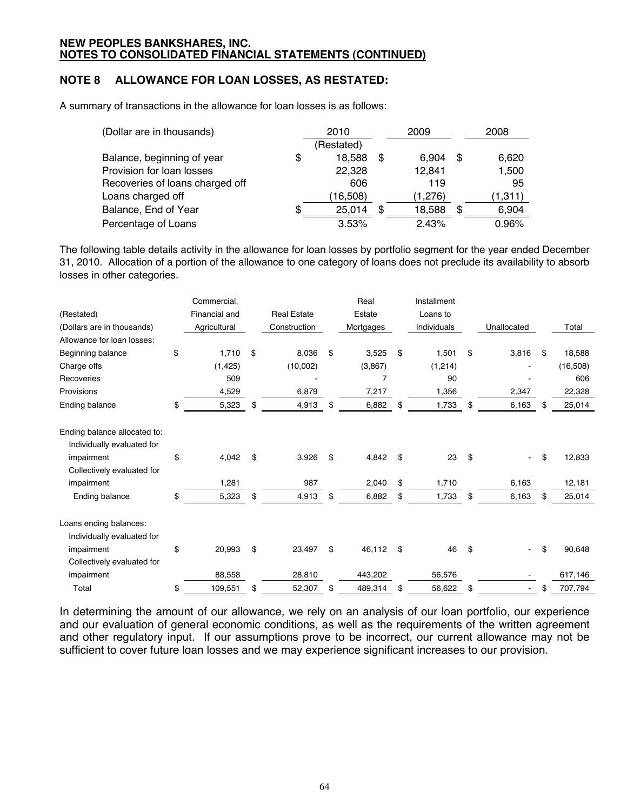# **NOTE 8 ALLOWANCE FOR LOAN LOSSES, AS RESTATED:**

A summary of transactions in the allowance for loan losses is as follows:

| (Dollar are in thousands)       |    | 2010       |    | 2009    |     | 2008    |
|---------------------------------|----|------------|----|---------|-----|---------|
|                                 |    | (Restated) |    |         |     |         |
| Balance, beginning of year      | \$ | 18.588     | S  | 6.904   | \$  | 6,620   |
| Provision for loan losses       |    | 22,328     |    | 12,841  |     | 1,500   |
| Recoveries of loans charged off |    | 606        |    | 119     |     | -95     |
| Loans charged off               |    | (16,508)   |    | (1,276) |     | (1,311) |
| Balance, End of Year            | £. | 25,014     | £. | 18,588  | \$. | 6,904   |
| Percentage of Loans             |    | 3.53%      |    | 2.43%   |     | 0.96%   |

The following table details activity in the allowance for loan losses by portfolio segment for the year ended December 31, 2010. Allocation of a portion of the allowance to one category of loans does not preclude its availability to absorb losses in other categories.

|                                                                          | Commercial,   |                    | Real          | Installment  |             |    |           |
|--------------------------------------------------------------------------|---------------|--------------------|---------------|--------------|-------------|----|-----------|
| (Restated)                                                               | Financial and | <b>Real Estate</b> | Estate        | Loans to     |             |    |           |
| (Dollars are in thousands)                                               | Agricultural  | Construction       | Mortgages     | Individuals  | Unallocated |    | Total     |
| Allowance for loan losses:                                               |               |                    |               |              |             |    |           |
| Beginning balance                                                        | \$<br>1,710   | \$<br>8,036        | \$<br>3,525   | \$<br>1,501  | \$<br>3,816 | \$ | 18,588    |
| Charge offs                                                              | (1, 425)      | (10,002)           | (3,867)       | (1, 214)     |             |    | (16, 508) |
| Recoveries                                                               | 509           |                    | 7             | 90           |             |    | 606       |
| Provisions                                                               | 4,529         | 6,879              | 7,217         | 1,356        | 2,347       |    | 22,328    |
| Ending balance                                                           | \$<br>5,323   | \$<br>4,913        | \$<br>6,882   | \$<br>1,733  | \$<br>6,163 | S  | 25,014    |
| Ending balance allocated to:<br>Individually evaluated for<br>impairment | \$<br>4,042   | \$<br>3,926        | \$<br>4,842   | \$<br>23     | \$          | \$ | 12,833    |
| Collectively evaluated for                                               |               |                    |               |              |             |    |           |
| impairment                                                               | 1,281         | 987                | 2,040         | \$<br>1,710  | 6,163       |    | 12,181    |
| Ending balance                                                           | \$<br>5,323   | \$<br>4,913        | \$<br>6,882   | \$<br>1,733  | \$<br>6,163 | \$ | 25,014    |
| Loans ending balances:<br>Individually evaluated for                     |               |                    |               |              |             |    |           |
| impairment                                                               | \$<br>20,993  | \$<br>23,497       | \$<br>46,112  | \$<br>46     | \$          |    | 90,648    |
| Collectively evaluated for                                               |               |                    |               |              |             |    |           |
| impairment                                                               | 88,558        | 28,810             | 443,202       | 56,576       |             |    | 617,146   |
| Total                                                                    | \$<br>109,551 | \$<br>52,307       | \$<br>489,314 | \$<br>56,622 | \$          | \$ | 707,794   |

In determining the amount of our allowance, we rely on an analysis of our loan portfolio, our experience and our evaluation of general economic conditions, as well as the requirements of the written agreement and other regulatory input. If our assumptions prove to be incorrect, our current allowance may not be sufficient to cover future loan losses and we may experience significant increases to our provision.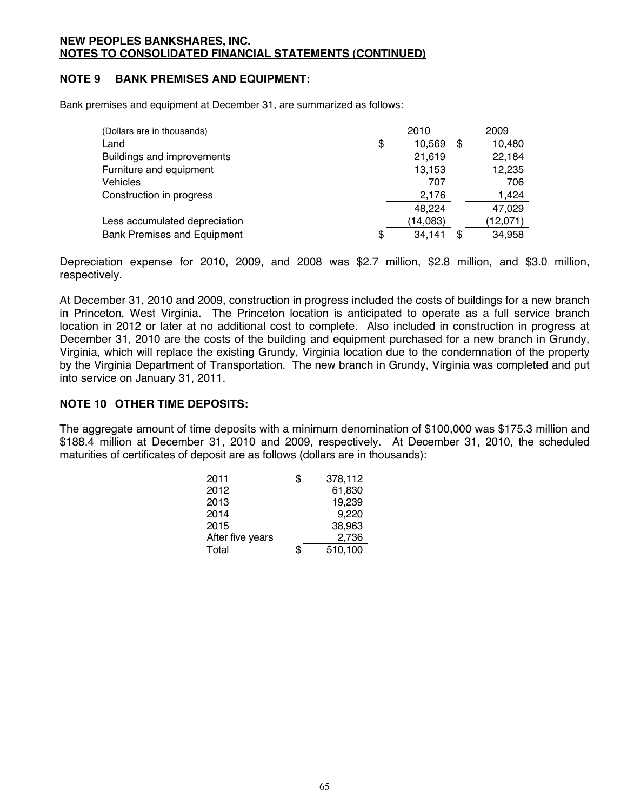# **NOTE 9 BANK PREMISES AND EQUIPMENT:**

Bank premises and equipment at December 31, are summarized as follows:

| (Dollars are in thousands)         | 2010         |    | 2009     |
|------------------------------------|--------------|----|----------|
| Land                               | \$<br>10,569 | S  | 10,480   |
| Buildings and improvements         | 21,619       |    | 22,184   |
| Furniture and equipment            | 13,153       |    | 12,235   |
| <b>Vehicles</b>                    | 707          |    | 706      |
| Construction in progress           | 2,176        |    | 1,424    |
|                                    | 48,224       |    | 47,029   |
| Less accumulated depreciation      | (14,083)     |    | (12,071) |
| <b>Bank Premises and Equipment</b> | \$<br>34,141 | £. | 34,958   |

Depreciation expense for 2010, 2009, and 2008 was \$2.7 million, \$2.8 million, and \$3.0 million, respectively.

At December 31, 2010 and 2009, construction in progress included the costs of buildings for a new branch in Princeton, West Virginia. The Princeton location is anticipated to operate as a full service branch location in 2012 or later at no additional cost to complete. Also included in construction in progress at December 31, 2010 are the costs of the building and equipment purchased for a new branch in Grundy, Virginia, which will replace the existing Grundy, Virginia location due to the condemnation of the property by the Virginia Department of Transportation. The new branch in Grundy, Virginia was completed and put into service on January 31, 2011.

#### **NOTE 10 OTHER TIME DEPOSITS:**

The aggregate amount of time deposits with a minimum denomination of \$100,000 was \$175.3 million and \$188.4 million at December 31, 2010 and 2009, respectively. At December 31, 2010, the scheduled maturities of certificates of deposit are as follows (dollars are in thousands):

| 2011             | \$<br>378,112 |
|------------------|---------------|
| 2012             | 61,830        |
| 2013             | 19,239        |
| 2014             | 9,220         |
| 2015             | 38,963        |
| After five years | 2,736         |
| Total            | \$<br>510,100 |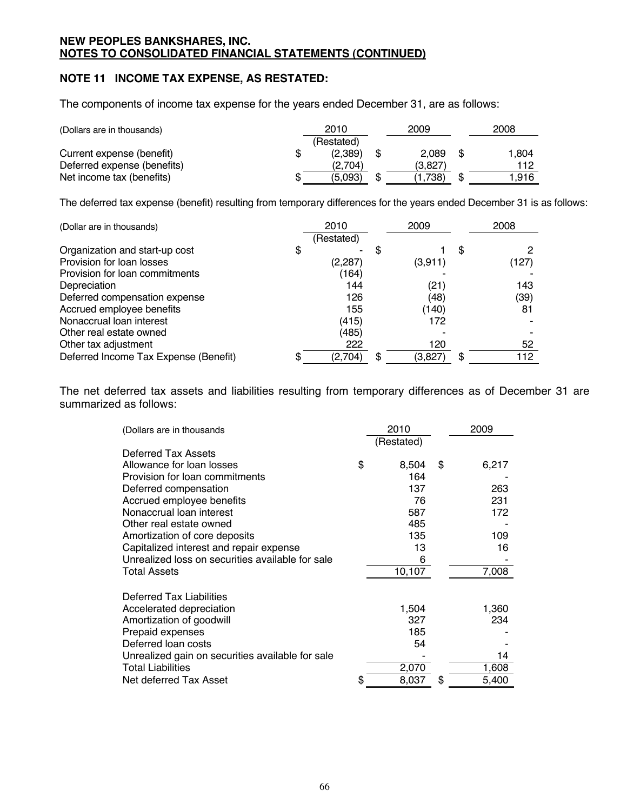# **NOTE 11 INCOME TAX EXPENSE, AS RESTATED:**

The components of income tax expense for the years ended December 31, are as follows:

| (Dollars are in thousands)  | 2010       | 2009    | 2008  |  |
|-----------------------------|------------|---------|-------|--|
|                             | (Restated) |         |       |  |
| Current expense (benefit)   | (2.389)    | 2.089   | 1.804 |  |
| Deferred expense (benefits) | (2.704)    | (3.827) | 112   |  |
| Net income tax (benefits)   | (5,093)    | (1,738) | 1.916 |  |

The deferred tax expense (benefit) resulting from temporary differences for the years ended December 31 is as follows:

| (Dollar are in thousands)             | 2010<br>(Restated) |    | 2009    |   | 2008  |
|---------------------------------------|--------------------|----|---------|---|-------|
| Organization and start-up cost        | \$                 | S  |         | S |       |
| Provision for loan losses             | (2,287)            |    | (3,911) |   | (127) |
| Provision for loan commitments        | (164)              |    |         |   |       |
| Depreciation                          | 144                |    | (21)    |   | 143   |
| Deferred compensation expense         | 126                |    | (48)    |   | (39)  |
| Accrued employee benefits             | 155                |    | (140)   |   | 81    |
| Nonaccrual loan interest              | (415)              |    | 172     |   |       |
| Other real estate owned               | (485)              |    |         |   |       |
| Other tax adjustment                  | 222                |    | 120     |   | 52    |
| Deferred Income Tax Expense (Benefit) | (2,704)            | \$ | (3,827  | S | 112   |

The net deferred tax assets and liabilities resulting from temporary differences as of December 31 are summarized as follows:

| (Dollars are in thousands                        | 2010        | 2009 |       |  |
|--------------------------------------------------|-------------|------|-------|--|
|                                                  | (Restated)  |      |       |  |
| Deferred Tax Assets                              |             |      |       |  |
| Allowance for loan losses                        | \$<br>8,504 | \$   | 6,217 |  |
| Provision for loan commitments                   | 164         |      |       |  |
| Deferred compensation                            | 137         |      | 263   |  |
| Accrued employee benefits                        | 76          |      | 231   |  |
| Nonaccrual loan interest                         | 587         |      | 172   |  |
| Other real estate owned                          | 485         |      |       |  |
| Amortization of core deposits                    | 135         |      | 109   |  |
| Capitalized interest and repair expense          | 13          |      | 16    |  |
| Unrealized loss on securities available for sale | 6           |      |       |  |
| <b>Total Assets</b>                              | 10, 107     |      | 7,008 |  |
|                                                  |             |      |       |  |
| Deferred Tax Liabilities                         |             |      |       |  |
| Accelerated depreciation                         | 1,504       |      | 1,360 |  |
| Amortization of goodwill                         | 327         |      | 234   |  |
| Prepaid expenses                                 | 185         |      |       |  |
| Deferred loan costs                              | 54          |      |       |  |
| Unrealized gain on securities available for sale |             |      | 14    |  |
| <b>Total Liabilities</b>                         | 2,070       |      | 1,608 |  |
| Net deferred Tax Asset                           | \$<br>8,037 | \$   | 5,400 |  |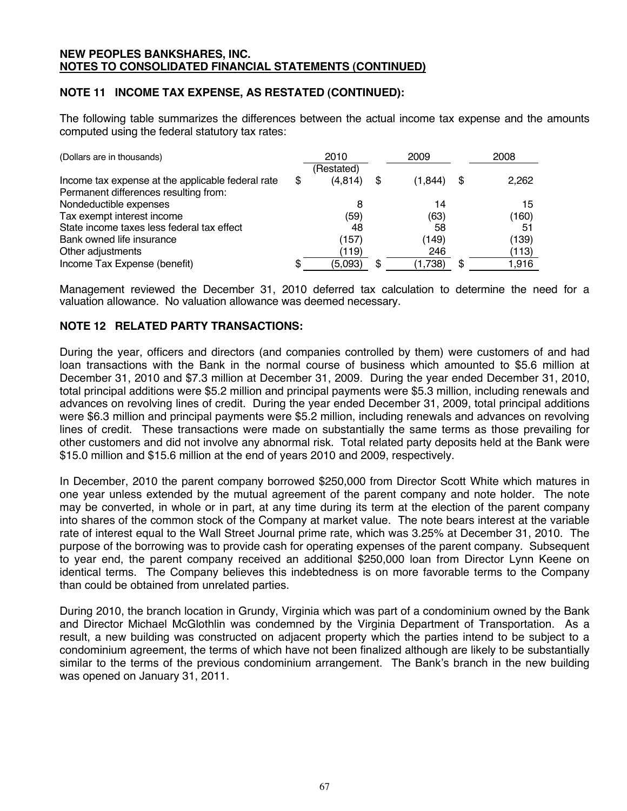# **NOTE 11 INCOME TAX EXPENSE, AS RESTATED (CONTINUED):**

The following table summarizes the differences between the actual income tax expense and the amounts computed using the federal statutory tax rates:

| (Dollars are in thousands)                        | 2010          |     | 2009    | 2008        |
|---------------------------------------------------|---------------|-----|---------|-------------|
|                                                   | (Restated)    |     |         |             |
| Income tax expense at the applicable federal rate | \$<br>(4,814) | \$  | (1.844) | \$<br>2,262 |
| Permanent differences resulting from:             |               |     |         |             |
| Nondeductible expenses                            | 8             |     | 14      | 15          |
| Tax exempt interest income                        | (59)          |     | (63)    | (160)       |
| State income taxes less federal tax effect        | 48            |     | 58      | 51          |
| Bank owned life insurance                         | (157)         |     | (149)   | (139)       |
| Other adjustments                                 | (119)         |     | 246     | (113)       |
| Income Tax Expense (benefit)                      | (5,093)       | \$. | (1,738) | \$<br>1,916 |

Management reviewed the December 31, 2010 deferred tax calculation to determine the need for a valuation allowance. No valuation allowance was deemed necessary.

#### **NOTE 12 RELATED PARTY TRANSACTIONS:**

During the year, officers and directors (and companies controlled by them) were customers of and had loan transactions with the Bank in the normal course of business which amounted to \$5.6 million at December 31, 2010 and \$7.3 million at December 31, 2009. During the year ended December 31, 2010, total principal additions were \$5.2 million and principal payments were \$5.3 million, including renewals and advances on revolving lines of credit. During the year ended December 31, 2009, total principal additions were \$6.3 million and principal payments were \$5.2 million, including renewals and advances on revolving lines of credit. These transactions were made on substantially the same terms as those prevailing for other customers and did not involve any abnormal risk. Total related party deposits held at the Bank were \$15.0 million and \$15.6 million at the end of years 2010 and 2009, respectively.

In December, 2010 the parent company borrowed \$250,000 from Director Scott White which matures in one year unless extended by the mutual agreement of the parent company and note holder. The note may be converted, in whole or in part, at any time during its term at the election of the parent company into shares of the common stock of the Company at market value. The note bears interest at the variable rate of interest equal to the Wall Street Journal prime rate, which was 3.25% at December 31, 2010. The purpose of the borrowing was to provide cash for operating expenses of the parent company. Subsequent to year end, the parent company received an additional \$250,000 loan from Director Lynn Keene on identical terms. The Company believes this indebtedness is on more favorable terms to the Company than could be obtained from unrelated parties.

During 2010, the branch location in Grundy, Virginia which was part of a condominium owned by the Bank and Director Michael McGlothlin was condemned by the Virginia Department of Transportation. As a result, a new building was constructed on adjacent property which the parties intend to be subject to a condominium agreement, the terms of which have not been finalized although are likely to be substantially similar to the terms of the previous condominium arrangement. The Bank's branch in the new building was opened on January 31, 2011.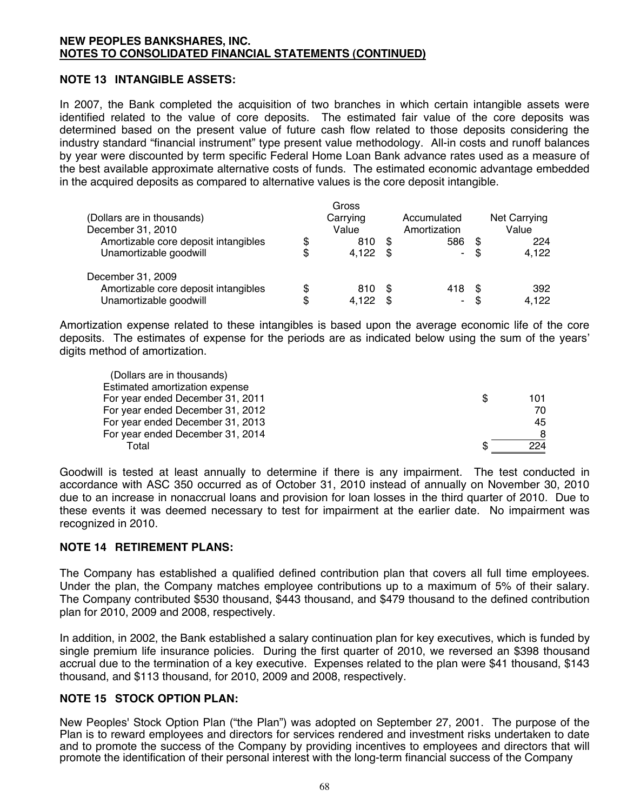#### **NOTE 13 INTANGIBLE ASSETS:**

In 2007, the Bank completed the acquisition of two branches in which certain intangible assets were identified related to the value of core deposits. The estimated fair value of the core deposits was determined based on the present value of future cash flow related to those deposits considering the industry standard "financial instrument" type present value methodology. All-in costs and runoff balances by year were discounted by term specific Federal Home Loan Bank advance rates used as a measure of the best available approximate alternative costs of funds. The estimated economic advantage embedded in the acquired deposits as compared to alternative values is the core deposit intangible.

| (Dollars are in thousands)<br>December 31, 2010                                     |          | Gross<br>Carrying<br>Value |            | Accumulated<br>Amortization |          | Net Carrying<br>Value |
|-------------------------------------------------------------------------------------|----------|----------------------------|------------|-----------------------------|----------|-----------------------|
| Amortizable core deposit intangibles<br>Unamortizable goodwill                      | S<br>\$  | 810<br>4,122               | -S<br>ß.   | 586<br>$\sim$               | \$<br>£. | 224<br>4,122          |
| December 31, 2009<br>Amortizable core deposit intangibles<br>Unamortizable goodwill | S.<br>\$ | 810<br>4.122               | - \$<br>Я. | 418<br>$\blacksquare$       | -S<br>ß. | 392<br>4,122          |

Amortization expense related to these intangibles is based upon the average economic life of the core deposits. The estimates of expense for the periods are as indicated below using the sum of the years' digits method of amortization.

| (Dollars are in thousands)       |    |     |
|----------------------------------|----|-----|
| Estimated amortization expense   |    |     |
| For year ended December 31, 2011 | -S | 101 |
| For year ended December 31, 2012 |    | 70  |
| For year ended December 31, 2013 |    | 45  |
| For year ended December 31, 2014 |    | 8   |
| Total                            |    | 224 |

Goodwill is tested at least annually to determine if there is any impairment. The test conducted in accordance with ASC 350 occurred as of October 31, 2010 instead of annually on November 30, 2010 due to an increase in nonaccrual loans and provision for loan losses in the third quarter of 2010. Due to these events it was deemed necessary to test for impairment at the earlier date. No impairment was recognized in 2010.

# **NOTE 14 RETIREMENT PLANS:**

The Company has established a qualified defined contribution plan that covers all full time employees. Under the plan, the Company matches employee contributions up to a maximum of 5% of their salary. The Company contributed \$530 thousand, \$443 thousand, and \$479 thousand to the defined contribution plan for 2010, 2009 and 2008, respectively.

In addition, in 2002, the Bank established a salary continuation plan for key executives, which is funded by single premium life insurance policies. During the first quarter of 2010, we reversed an \$398 thousand accrual due to the termination of a key executive. Expenses related to the plan were \$41 thousand, \$143 thousand, and \$113 thousand, for 2010, 2009 and 2008, respectively.

# **NOTE 15 STOCK OPTION PLAN:**

New Peoples' Stock Option Plan ("the Plan") was adopted on September 27, 2001. The purpose of the Plan is to reward employees and directors for services rendered and investment risks undertaken to date and to promote the success of the Company by providing incentives to employees and directors that will promote the identification of their personal interest with the long-term financial success of the Company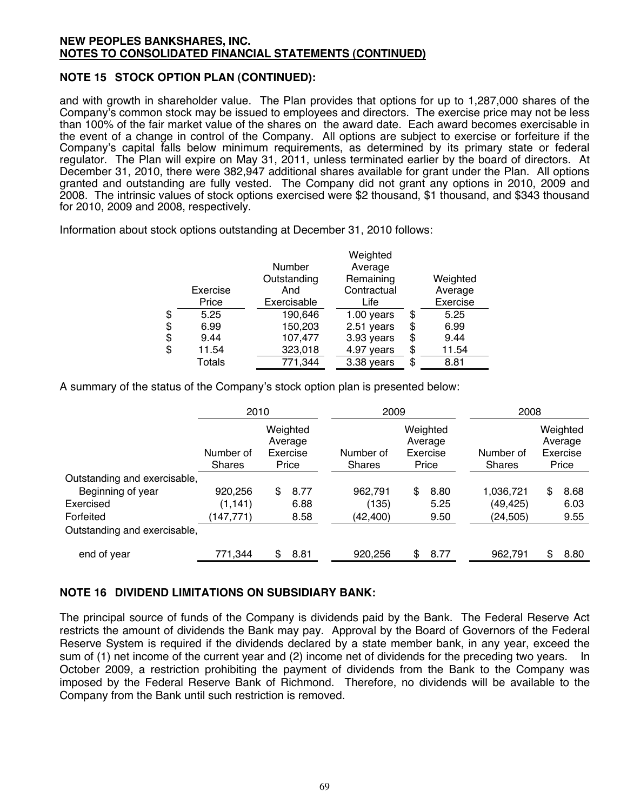# **NOTE 15 STOCK OPTION PLAN (CONTINUED):**

and with growth in shareholder value. The Plan provides that options for up to 1,287,000 shares of the Company's common stock may be issued to employees and directors. The exercise price may not be less than 100% of the fair market value of the shares on the award date. Each award becomes exercisable in the event of a change in control of the Company. All options are subject to exercise or forfeiture if the Company's capital falls below minimum requirements, as determined by its primary state or federal regulator. The Plan will expire on May 31, 2011, unless terminated earlier by the board of directors. At December 31, 2010, there were 382,947 additional shares available for grant under the Plan. All options granted and outstanding are fully vested. The Company did not grant any options in 2010, 2009 and 2008. The intrinsic values of stock options exercised were \$2 thousand, \$1 thousand, and \$343 thousand for 2010, 2009 and 2008, respectively.

Information about stock options outstanding at December 31, 2010 follows:

|             |             | Weighted     |    |          |
|-------------|-------------|--------------|----|----------|
|             | Number      | Average      |    |          |
|             | Outstanding | Remaining    |    | Weighted |
| Exercise    | And         | Contractual  |    | Average  |
| Price       | Exercisable | Life         |    | Exercise |
| \$<br>5.25  | 190,646     | $1.00$ years | S  | 5.25     |
| \$<br>6.99  | 150,203     | 2.51 years   | \$ | 6.99     |
| \$<br>9.44  | 107,477     | 3.93 years   | \$ | 9.44     |
| \$<br>11.54 | 323,018     | 4.97 years   | \$ | 11.54    |
| Totals      | 771,344     | 3.38 years   | S  | 8.81     |

A summary of the status of the Company's stock option plan is presented below:

|                              | 2010                       |                                          |      | 2009                       | 2008                                     |      |                            |  |    |                                          |  |
|------------------------------|----------------------------|------------------------------------------|------|----------------------------|------------------------------------------|------|----------------------------|--|----|------------------------------------------|--|
|                              | Number of<br><b>Shares</b> | Weighted<br>Average<br>Exercise<br>Price |      | Number of<br><b>Shares</b> | Weighted<br>Average<br>Exercise<br>Price |      | Number of<br><b>Shares</b> |  |    | Weighted<br>Average<br>Exercise<br>Price |  |
| Outstanding and exercisable, |                            |                                          |      |                            |                                          |      |                            |  |    |                                          |  |
| Beginning of year            | 920,256                    | \$                                       | 8.77 | 962,791                    | \$                                       | 8.80 | 1,036,721                  |  | S  | 8.68                                     |  |
| Exercised                    | (1, 141)                   |                                          | 6.88 | (135)                      |                                          | 5.25 | (49,425)                   |  |    | 6.03                                     |  |
| Forfeited                    | (147, 771)                 |                                          | 8.58 | (42,400)                   |                                          | 9.50 | (24, 505)                  |  |    | 9.55                                     |  |
| Outstanding and exercisable, |                            |                                          |      |                            |                                          |      |                            |  |    |                                          |  |
| end of year                  | 771,344                    | \$                                       | 8.81 | 920,256                    | \$                                       | 8.77 | 962,791                    |  | \$ | 8.80                                     |  |

# **NOTE 16 DIVIDEND LIMITATIONS ON SUBSIDIARY BANK:**

The principal source of funds of the Company is dividends paid by the Bank. The Federal Reserve Act restricts the amount of dividends the Bank may pay. Approval by the Board of Governors of the Federal Reserve System is required if the dividends declared by a state member bank, in any year, exceed the sum of (1) net income of the current year and (2) income net of dividends for the preceding two years. In October 2009, a restriction prohibiting the payment of dividends from the Bank to the Company was imposed by the Federal Reserve Bank of Richmond. Therefore, no dividends will be available to the Company from the Bank until such restriction is removed.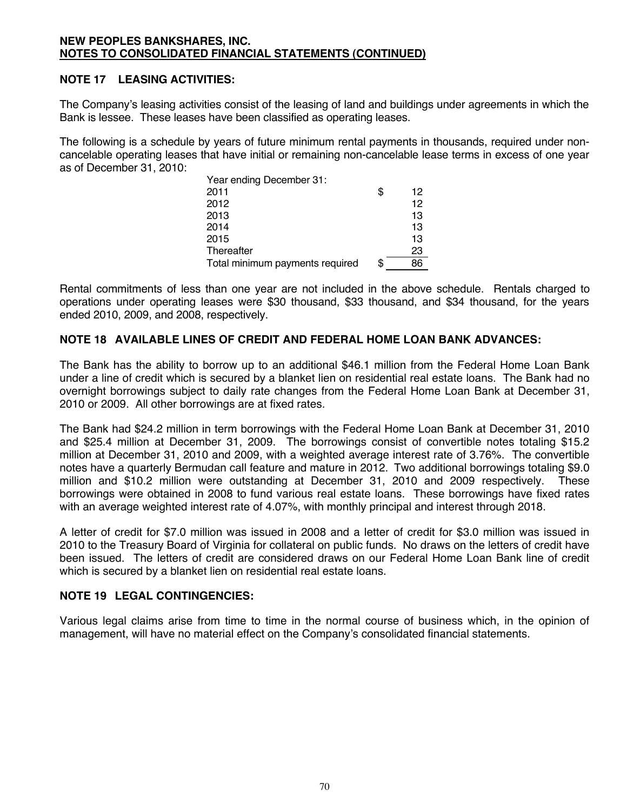# **NOTE 17 LEASING ACTIVITIES:**

The Company's leasing activities consist of the leasing of land and buildings under agreements in which the Bank is lessee. These leases have been classified as operating leases.

The following is a schedule by years of future minimum rental payments in thousands, required under noncancelable operating leases that have initial or remaining non-cancelable lease terms in excess of one year as of December 31, 2010:

| Year ending December 31:        |   |    |
|---------------------------------|---|----|
| 2011                            | S | 12 |
| 2012                            |   | 12 |
| 2013                            |   | 13 |
| 2014                            |   | 13 |
| 2015                            |   | 13 |
| Thereafter                      |   | 23 |
| Total minimum payments required | S | 86 |
|                                 |   |    |

Rental commitments of less than one year are not included in the above schedule. Rentals charged to operations under operating leases were \$30 thousand, \$33 thousand, and \$34 thousand, for the years ended 2010, 2009, and 2008, respectively.

# **NOTE 18 AVAILABLE LINES OF CREDIT AND FEDERAL HOME LOAN BANK ADVANCES:**

The Bank has the ability to borrow up to an additional \$46.1 million from the Federal Home Loan Bank under a line of credit which is secured by a blanket lien on residential real estate loans. The Bank had no overnight borrowings subject to daily rate changes from the Federal Home Loan Bank at December 31, 2010 or 2009. All other borrowings are at fixed rates.

The Bank had \$24.2 million in term borrowings with the Federal Home Loan Bank at December 31, 2010 and \$25.4 million at December 31, 2009. The borrowings consist of convertible notes totaling \$15.2 million at December 31, 2010 and 2009, with a weighted average interest rate of 3.76%. The convertible notes have a quarterly Bermudan call feature and mature in 2012. Two additional borrowings totaling \$9.0 million and \$10.2 million were outstanding at December 31, 2010 and 2009 respectively. These borrowings were obtained in 2008 to fund various real estate loans. These borrowings have fixed rates with an average weighted interest rate of 4.07%, with monthly principal and interest through 2018.

A letter of credit for \$7.0 million was issued in 2008 and a letter of credit for \$3.0 million was issued in 2010 to the Treasury Board of Virginia for collateral on public funds. No draws on the letters of credit have been issued. The letters of credit are considered draws on our Federal Home Loan Bank line of credit which is secured by a blanket lien on residential real estate loans.

# **NOTE 19 LEGAL CONTINGENCIES:**

Various legal claims arise from time to time in the normal course of business which, in the opinion of management, will have no material effect on the Company's consolidated financial statements.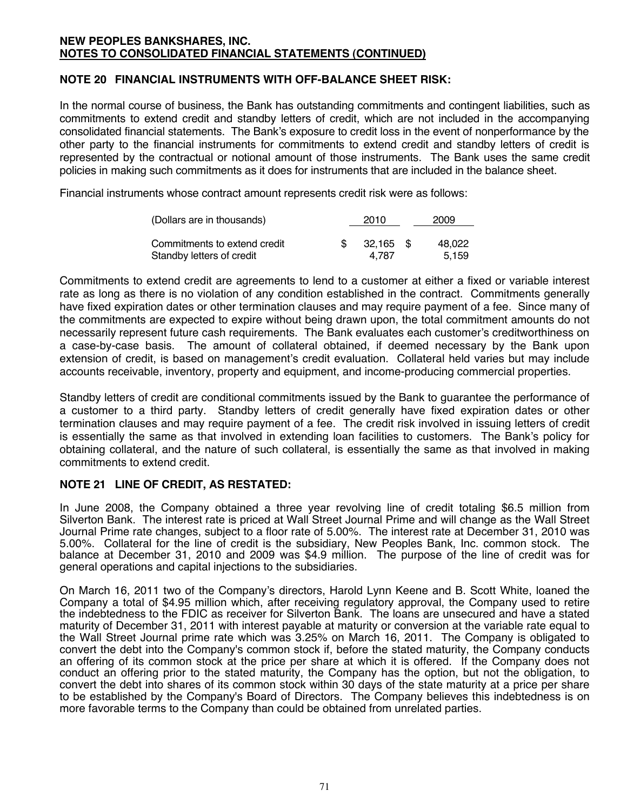# **NOTE 20 FINANCIAL INSTRUMENTS WITH OFF-BALANCE SHEET RISK:**

In the normal course of business, the Bank has outstanding commitments and contingent liabilities, such as commitments to extend credit and standby letters of credit, which are not included in the accompanying consolidated financial statements. The Bank's exposure to credit loss in the event of nonperformance by the other party to the financial instruments for commitments to extend credit and standby letters of credit is represented by the contractual or notional amount of those instruments. The Bank uses the same credit policies in making such commitments as it does for instruments that are included in the balance sheet.

Financial instruments whose contract amount represents credit risk were as follows:

| (Dollars are in thousands)                                | 2010 |                    |  | 2009            |  |  |
|-----------------------------------------------------------|------|--------------------|--|-----------------|--|--|
| Commitments to extend credit<br>Standby letters of credit |      | 32.165 \$<br>4.787 |  | 48.022<br>5.159 |  |  |

Commitments to extend credit are agreements to lend to a customer at either a fixed or variable interest rate as long as there is no violation of any condition established in the contract. Commitments generally have fixed expiration dates or other termination clauses and may require payment of a fee. Since many of the commitments are expected to expire without being drawn upon, the total commitment amounts do not necessarily represent future cash requirements. The Bank evaluates each customer's creditworthiness on a case-by-case basis. The amount of collateral obtained, if deemed necessary by the Bank upon extension of credit, is based on management's credit evaluation. Collateral held varies but may include accounts receivable, inventory, property and equipment, and income-producing commercial properties.

Standby letters of credit are conditional commitments issued by the Bank to guarantee the performance of a customer to a third party. Standby letters of credit generally have fixed expiration dates or other termination clauses and may require payment of a fee. The credit risk involved in issuing letters of credit is essentially the same as that involved in extending loan facilities to customers. The Bank's policy for obtaining collateral, and the nature of such collateral, is essentially the same as that involved in making commitments to extend credit.

# **NOTE 21 LINE OF CREDIT, AS RESTATED:**

In June 2008, the Company obtained a three year revolving line of credit totaling \$6.5 million from Silverton Bank. The interest rate is priced at Wall Street Journal Prime and will change as the Wall Street Journal Prime rate changes, subject to a floor rate of 5.00%. The interest rate at December 31, 2010 was 5.00%. Collateral for the line of credit is the subsidiary, New Peoples Bank, Inc. common stock. The balance at December 31, 2010 and 2009 was \$4.9 million. The purpose of the line of credit was for general operations and capital injections to the subsidiaries.

On March 16, 2011 two of the Company's directors, Harold Lynn Keene and B. Scott White, loaned the Company a total of \$4.95 million which, after receiving regulatory approval, the Company used to retire the indebtedness to the FDIC as receiver for Silverton Bank. The loans are unsecured and have a stated maturity of December 31, 2011 with interest payable at maturity or conversion at the variable rate equal to the Wall Street Journal prime rate which was 3.25% on March 16, 2011. The Company is obligated to convert the debt into the Company's common stock if, before the stated maturity, the Company conducts an offering of its common stock at the price per share at which it is offered. If the Company does not conduct an offering prior to the stated maturity, the Company has the option, but not the obligation, to convert the debt into shares of its common stock within 30 days of the state maturity at a price per share to be established by the Company's Board of Directors. The Company believes this indebtedness is on more favorable terms to the Company than could be obtained from unrelated parties.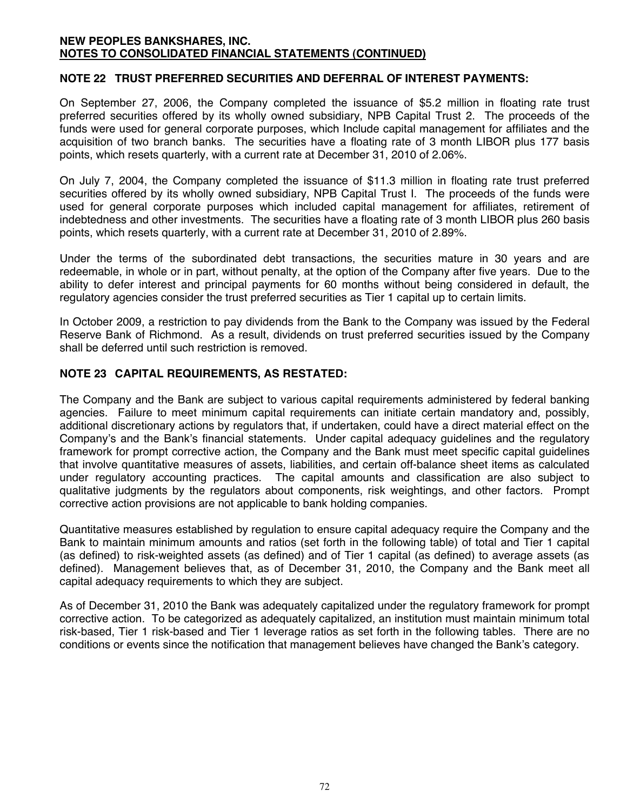### **NOTE 22 TRUST PREFERRED SECURITIES AND DEFERRAL OF INTEREST PAYMENTS:**

On September 27, 2006, the Company completed the issuance of \$5.2 million in floating rate trust preferred securities offered by its wholly owned subsidiary, NPB Capital Trust 2. The proceeds of the funds were used for general corporate purposes, which Include capital management for affiliates and the acquisition of two branch banks. The securities have a floating rate of 3 month LIBOR plus 177 basis points, which resets quarterly, with a current rate at December 31, 2010 of 2.06%.

On July 7, 2004, the Company completed the issuance of \$11.3 million in floating rate trust preferred securities offered by its wholly owned subsidiary, NPB Capital Trust I. The proceeds of the funds were used for general corporate purposes which included capital management for affiliates, retirement of indebtedness and other investments. The securities have a floating rate of 3 month LIBOR plus 260 basis points, which resets quarterly, with a current rate at December 31, 2010 of 2.89%.

Under the terms of the subordinated debt transactions, the securities mature in 30 years and are redeemable, in whole or in part, without penalty, at the option of the Company after five years. Due to the ability to defer interest and principal payments for 60 months without being considered in default, the regulatory agencies consider the trust preferred securities as Tier 1 capital up to certain limits.

In October 2009, a restriction to pay dividends from the Bank to the Company was issued by the Federal Reserve Bank of Richmond. As a result, dividends on trust preferred securities issued by the Company shall be deferred until such restriction is removed.

# **NOTE 23 CAPITAL REQUIREMENTS, AS RESTATED:**

The Company and the Bank are subject to various capital requirements administered by federal banking agencies. Failure to meet minimum capital requirements can initiate certain mandatory and, possibly, additional discretionary actions by regulators that, if undertaken, could have a direct material effect on the Company's and the Bank's financial statements. Under capital adequacy guidelines and the regulatory framework for prompt corrective action, the Company and the Bank must meet specific capital guidelines that involve quantitative measures of assets, liabilities, and certain off-balance sheet items as calculated under regulatory accounting practices. The capital amounts and classification are also subject to qualitative judgments by the regulators about components, risk weightings, and other factors. Prompt corrective action provisions are not applicable to bank holding companies.

Quantitative measures established by regulation to ensure capital adequacy require the Company and the Bank to maintain minimum amounts and ratios (set forth in the following table) of total and Tier 1 capital (as defined) to risk-weighted assets (as defined) and of Tier 1 capital (as defined) to average assets (as defined). Management believes that, as of December 31, 2010, the Company and the Bank meet all capital adequacy requirements to which they are subject.

As of December 31, 2010 the Bank was adequately capitalized under the regulatory framework for prompt corrective action. To be categorized as adequately capitalized, an institution must maintain minimum total risk-based, Tier 1 risk-based and Tier 1 leverage ratios as set forth in the following tables. There are no conditions or events since the notification that management believes have changed the Bank's category.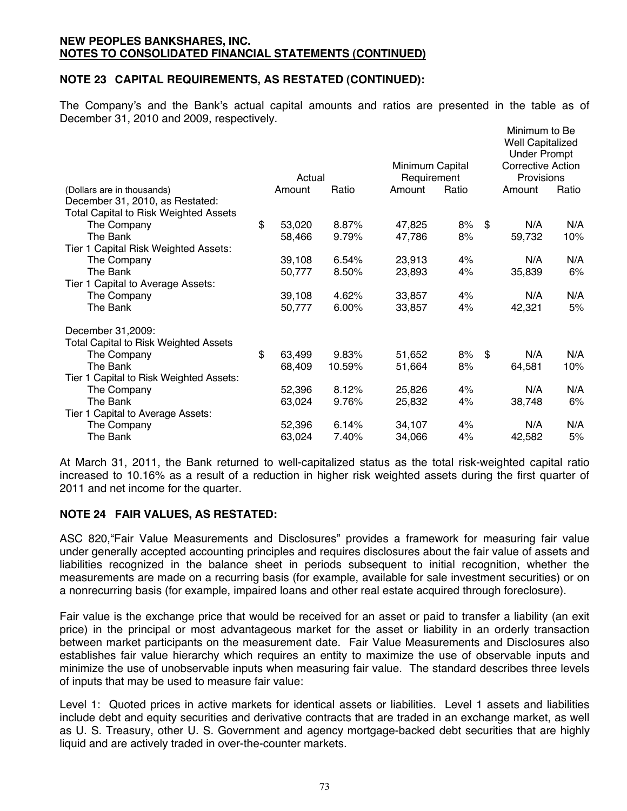## **NOTE 23 CAPITAL REQUIREMENTS, AS RESTATED (CONTINUED):**

The Company's and the Bank's actual capital amounts and ratios are presented in the table as of December 31, 2010 and 2009, respectively.  $M_{\text{in}}$  instead to  $D_{\text{in}}$ 

|                                              | Actual       |        | Minimum Capital<br>Requirement |       |     | MININUM to be<br><b>Well Capitalized</b><br><b>Under Prompt</b><br><b>Corrective Action</b><br>Provisions |       |
|----------------------------------------------|--------------|--------|--------------------------------|-------|-----|-----------------------------------------------------------------------------------------------------------|-------|
| (Dollars are in thousands)                   | Amount       | Ratio  | Amount                         | Ratio |     | Amount                                                                                                    | Ratio |
| December 31, 2010, as Restated:              |              |        |                                |       |     |                                                                                                           |       |
| <b>Total Capital to Risk Weighted Assets</b> |              |        |                                |       |     |                                                                                                           |       |
| The Company                                  | \$<br>53,020 | 8.87%  | 47,825                         | 8%    | \$  | N/A                                                                                                       | N/A   |
| The Bank                                     | 58,466       | 9.79%  | 47,786                         | 8%    |     | 59,732                                                                                                    | 10%   |
| Tier 1 Capital Risk Weighted Assets:         |              |        |                                |       |     |                                                                                                           |       |
| The Company                                  | 39,108       | 6.54%  | 23,913                         | 4%    |     | N/A                                                                                                       | N/A   |
| The Bank                                     | 50,777       | 8.50%  | 23,893                         | 4%    |     | 35,839                                                                                                    | 6%    |
| Tier 1 Capital to Average Assets:            |              |        |                                |       |     |                                                                                                           |       |
| The Company                                  | 39,108       | 4.62%  | 33,857                         | 4%    |     | N/A                                                                                                       | N/A   |
| The Bank                                     | 50,777       | 6.00%  | 33,857                         | 4%    |     | 42,321                                                                                                    | 5%    |
| December 31, 2009:                           |              |        |                                |       |     |                                                                                                           |       |
| <b>Total Capital to Risk Weighted Assets</b> |              |        |                                |       |     |                                                                                                           |       |
| The Company                                  | \$<br>63,499 | 9.83%  | 51,652                         | 8%    | -\$ | N/A                                                                                                       | N/A   |
| The Bank                                     | 68,409       | 10.59% | 51,664                         | 8%    |     | 64,581                                                                                                    | 10%   |
| Tier 1 Capital to Risk Weighted Assets:      |              |        |                                |       |     |                                                                                                           |       |
| The Company                                  | 52,396       | 8.12%  | 25,826                         | 4%    |     | N/A                                                                                                       | N/A   |
| The Bank                                     | 63,024       | 9.76%  | 25,832                         | 4%    |     | 38,748                                                                                                    | 6%    |
| Tier 1 Capital to Average Assets:            |              |        |                                |       |     |                                                                                                           |       |
| The Company                                  | 52,396       | 6.14%  | 34,107                         | 4%    |     | N/A                                                                                                       | N/A   |
| The Bank                                     | 63,024       | 7.40%  | 34,066                         | 4%    |     | 42,582                                                                                                    | 5%    |

At March 31, 2011, the Bank returned to well-capitalized status as the total risk-weighted capital ratio increased to 10.16% as a result of a reduction in higher risk weighted assets during the first quarter of 2011 and net income for the quarter.

## **NOTE 24 FAIR VALUES, AS RESTATED:**

ASC 820,"Fair Value Measurements and Disclosures" provides a framework for measuring fair value under generally accepted accounting principles and requires disclosures about the fair value of assets and liabilities recognized in the balance sheet in periods subsequent to initial recognition, whether the measurements are made on a recurring basis (for example, available for sale investment securities) or on a nonrecurring basis (for example, impaired loans and other real estate acquired through foreclosure).

Fair value is the exchange price that would be received for an asset or paid to transfer a liability (an exit price) in the principal or most advantageous market for the asset or liability in an orderly transaction between market participants on the measurement date. Fair Value Measurements and Disclosures also establishes fair value hierarchy which requires an entity to maximize the use of observable inputs and minimize the use of unobservable inputs when measuring fair value. The standard describes three levels of inputs that may be used to measure fair value:

Level 1: Quoted prices in active markets for identical assets or liabilities. Level 1 assets and liabilities include debt and equity securities and derivative contracts that are traded in an exchange market, as well as U. S. Treasury, other U. S. Government and agency mortgage-backed debt securities that are highly liquid and are actively traded in over-the-counter markets.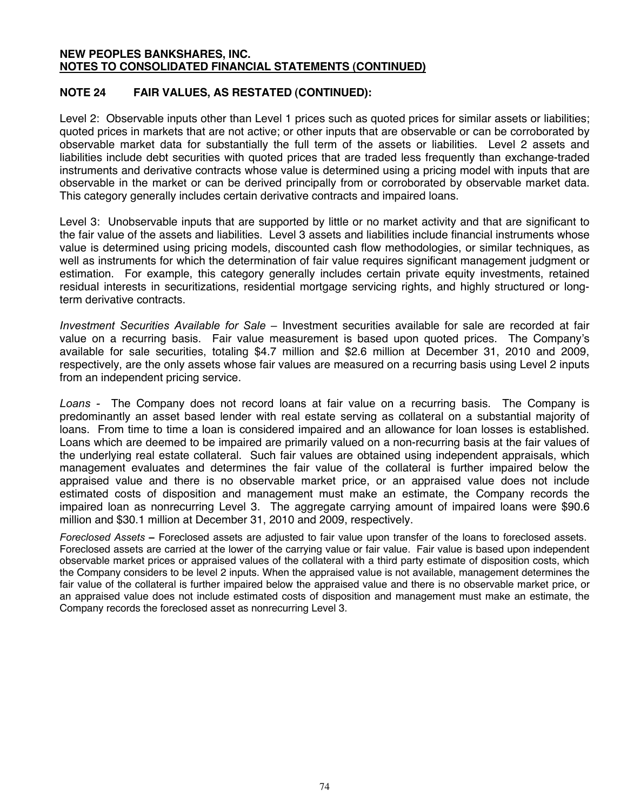## **NOTE 24 FAIR VALUES, AS RESTATED (CONTINUED):**

Level 2: Observable inputs other than Level 1 prices such as quoted prices for similar assets or liabilities; quoted prices in markets that are not active; or other inputs that are observable or can be corroborated by observable market data for substantially the full term of the assets or liabilities. Level 2 assets and liabilities include debt securities with quoted prices that are traded less frequently than exchange-traded instruments and derivative contracts whose value is determined using a pricing model with inputs that are observable in the market or can be derived principally from or corroborated by observable market data. This category generally includes certain derivative contracts and impaired loans.

Level 3: Unobservable inputs that are supported by little or no market activity and that are significant to the fair value of the assets and liabilities. Level 3 assets and liabilities include financial instruments whose value is determined using pricing models, discounted cash flow methodologies, or similar techniques, as well as instruments for which the determination of fair value requires significant management judgment or estimation. For example, this category generally includes certain private equity investments, retained residual interests in securitizations, residential mortgage servicing rights, and highly structured or longterm derivative contracts.

*Investment Securities Available for Sale –* Investment securities available for sale are recorded at fair value on a recurring basis. Fair value measurement is based upon quoted prices. The Company's available for sale securities, totaling \$4.7 million and \$2.6 million at December 31, 2010 and 2009, respectively, are the only assets whose fair values are measured on a recurring basis using Level 2 inputs from an independent pricing service.

*Loans -* The Company does not record loans at fair value on a recurring basis. The Company is predominantly an asset based lender with real estate serving as collateral on a substantial majority of loans. From time to time a loan is considered impaired and an allowance for loan losses is established. Loans which are deemed to be impaired are primarily valued on a non-recurring basis at the fair values of the underlying real estate collateral. Such fair values are obtained using independent appraisals, which management evaluates and determines the fair value of the collateral is further impaired below the appraised value and there is no observable market price, or an appraised value does not include estimated costs of disposition and management must make an estimate, the Company records the impaired loan as nonrecurring Level 3. The aggregate carrying amount of impaired loans were \$90.6 million and \$30.1 million at December 31, 2010 and 2009, respectively.

*Foreclosed Assets –* Foreclosed assets are adjusted to fair value upon transfer of the loans to foreclosed assets. Foreclosed assets are carried at the lower of the carrying value or fair value. Fair value is based upon independent observable market prices or appraised values of the collateral with a third party estimate of disposition costs, which the Company considers to be level 2 inputs. When the appraised value is not available, management determines the fair value of the collateral is further impaired below the appraised value and there is no observable market price, or an appraised value does not include estimated costs of disposition and management must make an estimate, the Company records the foreclosed asset as nonrecurring Level 3.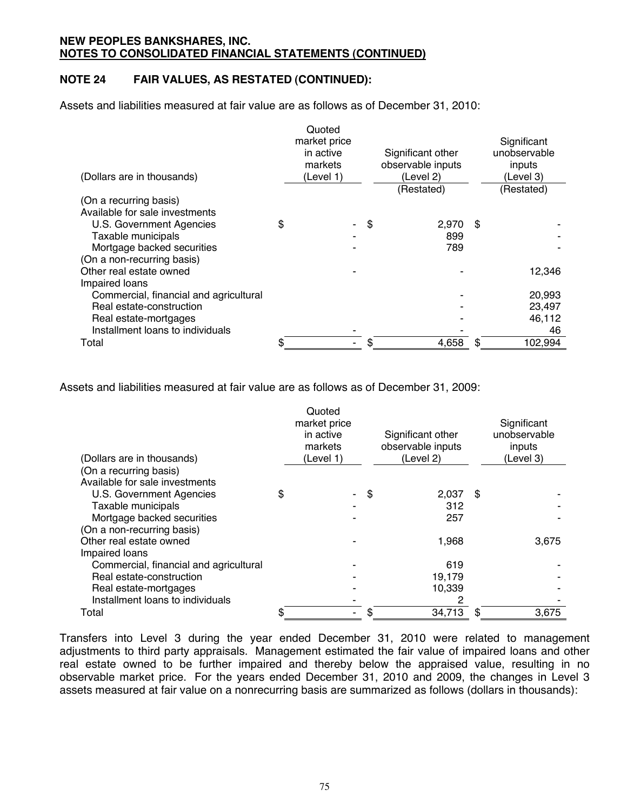## **NOTE 24 FAIR VALUES, AS RESTATED (CONTINUED):**

Assets and liabilities measured at fair value are as follows as of December 31, 2010:

| (Dollars are in thousands)                                 | Quoted<br>market price<br>in active<br>markets<br>(Level 1) | Significant other<br>observable inputs<br>(Level 2) |   | Significant<br>unobservable<br>inputs<br>(Level 3) |
|------------------------------------------------------------|-------------------------------------------------------------|-----------------------------------------------------|---|----------------------------------------------------|
|                                                            |                                                             | (Restated)                                          |   | (Restated)                                         |
| (On a recurring basis)                                     |                                                             |                                                     |   |                                                    |
| Available for sale investments<br>U.S. Government Agencies | \$                                                          | \$<br>2.970                                         | S |                                                    |
| Taxable municipals                                         |                                                             | 899                                                 |   |                                                    |
| Mortgage backed securities                                 |                                                             | 789                                                 |   |                                                    |
| (On a non-recurring basis)                                 |                                                             |                                                     |   |                                                    |
| Other real estate owned                                    |                                                             |                                                     |   | 12,346                                             |
| Impaired loans                                             |                                                             |                                                     |   |                                                    |
| Commercial, financial and agricultural                     |                                                             |                                                     |   | 20,993                                             |
| Real estate-construction                                   |                                                             |                                                     |   | 23,497                                             |
| Real estate-mortgages                                      |                                                             |                                                     |   | 46,112                                             |
| Installment loans to individuals                           |                                                             |                                                     |   | 46                                                 |
| Total                                                      |                                                             | 4,658                                               | S | 102,994                                            |

Assets and liabilities measured at fair value are as follows as of December 31, 2009:

| (Dollars are in thousands)             |   | Quoted<br>market price<br>in active<br>markets<br>(Level 1) | Significant other<br>observable inputs<br>(Level 2) |    | Significant<br>unobservable<br>inputs<br>(Level 3) |
|----------------------------------------|---|-------------------------------------------------------------|-----------------------------------------------------|----|----------------------------------------------------|
| (On a recurring basis)                 |   |                                                             |                                                     |    |                                                    |
| Available for sale investments         |   |                                                             |                                                     |    |                                                    |
| U.S. Government Agencies               | S |                                                             | \$<br>2,037                                         | -S |                                                    |
| Taxable municipals                     |   |                                                             | 312                                                 |    |                                                    |
| Mortgage backed securities             |   |                                                             | 257                                                 |    |                                                    |
| (On a non-recurring basis)             |   |                                                             |                                                     |    |                                                    |
| Other real estate owned                |   |                                                             | 1,968                                               |    | 3,675                                              |
| Impaired loans                         |   |                                                             |                                                     |    |                                                    |
| Commercial, financial and agricultural |   |                                                             | 619                                                 |    |                                                    |
| Real estate-construction               |   |                                                             | 19,179                                              |    |                                                    |
| Real estate-mortgages                  |   |                                                             | 10,339                                              |    |                                                    |
| Installment loans to individuals       |   |                                                             | 2                                                   |    |                                                    |
| Total                                  |   |                                                             | 34,713                                              |    | 3,675                                              |

Transfers into Level 3 during the year ended December 31, 2010 were related to management adjustments to third party appraisals. Management estimated the fair value of impaired loans and other real estate owned to be further impaired and thereby below the appraised value, resulting in no observable market price. For the years ended December 31, 2010 and 2009, the changes in Level 3 assets measured at fair value on a nonrecurring basis are summarized as follows (dollars in thousands):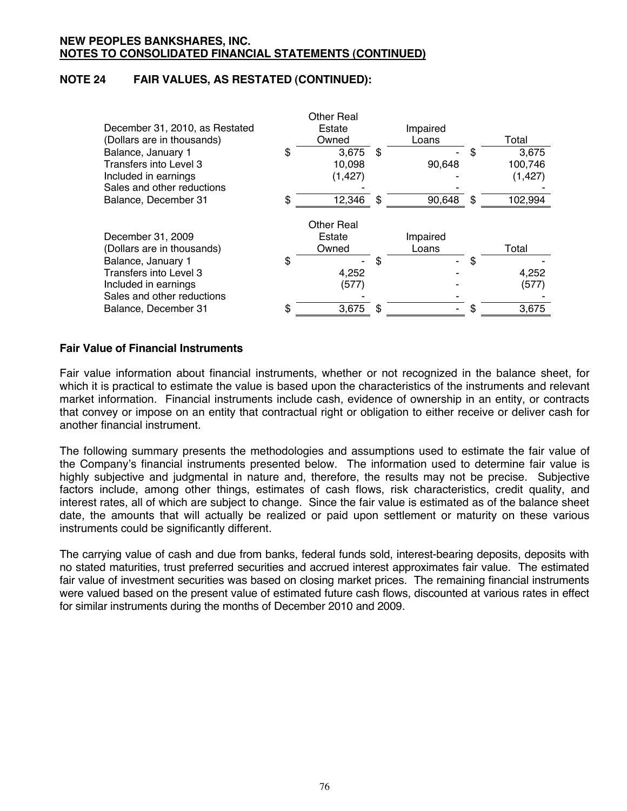## **NOTE 24 FAIR VALUES, AS RESTATED (CONTINUED):**

|                                                 | <b>Other Real</b>                    |                   |     |          |
|-------------------------------------------------|--------------------------------------|-------------------|-----|----------|
| December 31, 2010, as Restated                  | Estate                               | Impaired          |     |          |
| (Dollars are in thousands)                      | Owned                                | Loans             |     | Total    |
| Balance, January 1                              | \$<br>3,675                          | \$                | \$  | 3,675    |
| Transfers into Level 3                          | 10.098                               | 90.648            |     | 100,746  |
| Included in earnings                            | (1, 427)                             |                   |     | (1, 427) |
| Sales and other reductions                      |                                      |                   |     |          |
| Balance, December 31                            | \$<br>12,346                         | \$<br>90,648      | -\$ | 102,994  |
| December 31, 2009<br>(Dollars are in thousands) | <b>Other Real</b><br>Estate<br>Owned | Impaired<br>Loans |     | Total    |
| Balance, January 1                              | \$                                   | \$                | \$  |          |
| Transfers into Level 3                          | 4,252                                |                   |     | 4,252    |
| Included in earnings                            | (577)                                |                   |     | (577)    |
| Sales and other reductions                      |                                      |                   |     |          |
| Balance, December 31                            | \$<br>3,675                          | \$                | \$  | 3,675    |
|                                                 |                                      |                   |     |          |

## **Fair Value of Financial Instruments**

Fair value information about financial instruments, whether or not recognized in the balance sheet, for which it is practical to estimate the value is based upon the characteristics of the instruments and relevant market information. Financial instruments include cash, evidence of ownership in an entity, or contracts that convey or impose on an entity that contractual right or obligation to either receive or deliver cash for another financial instrument.

The following summary presents the methodologies and assumptions used to estimate the fair value of the Company's financial instruments presented below. The information used to determine fair value is highly subjective and judgmental in nature and, therefore, the results may not be precise. Subjective factors include, among other things, estimates of cash flows, risk characteristics, credit quality, and interest rates, all of which are subject to change. Since the fair value is estimated as of the balance sheet date, the amounts that will actually be realized or paid upon settlement or maturity on these various instruments could be significantly different.

The carrying value of cash and due from banks, federal funds sold, interest-bearing deposits, deposits with no stated maturities, trust preferred securities and accrued interest approximates fair value. The estimated fair value of investment securities was based on closing market prices. The remaining financial instruments were valued based on the present value of estimated future cash flows, discounted at various rates in effect for similar instruments during the months of December 2010 and 2009.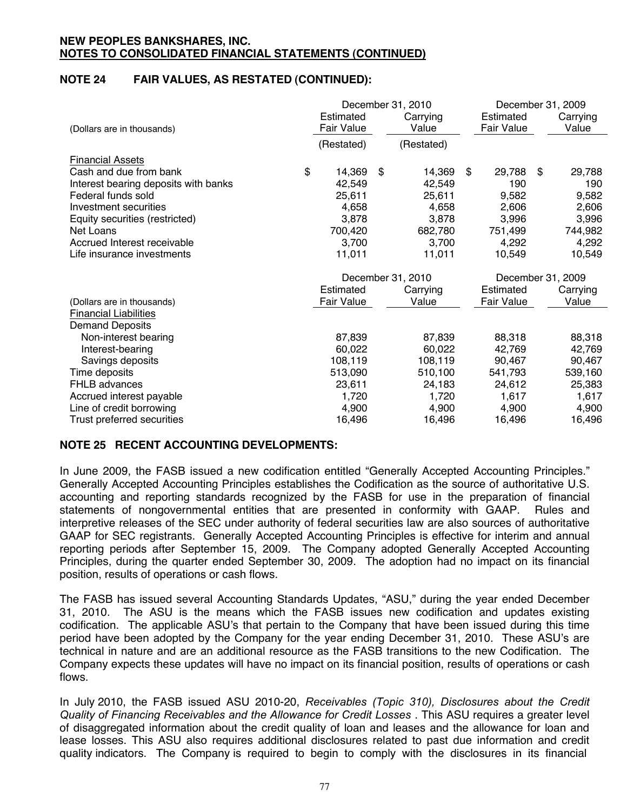## **NOTE 24 FAIR VALUES, AS RESTATED (CONTINUED):**

|                                                        |                   | December 31, 2010 | December 31, 2009 |                   |  |  |
|--------------------------------------------------------|-------------------|-------------------|-------------------|-------------------|--|--|
|                                                        | Estimated         | Carrying          | Estimated         | Carrying          |  |  |
| (Dollars are in thousands)                             | <b>Fair Value</b> | Value             | Fair Value        | Value             |  |  |
|                                                        | (Restated)        | (Restated)        |                   |                   |  |  |
| <b>Financial Assets</b>                                |                   |                   |                   |                   |  |  |
| Cash and due from bank                                 | \$<br>14,369      | \$<br>14,369      | \$<br>29,788      | 29,788<br>\$      |  |  |
| Interest bearing deposits with banks                   | 42,549            | 42,549            | 190               | 190               |  |  |
| Federal funds sold                                     | 25,611            | 25,611            | 9,582             | 9,582             |  |  |
| Investment securities                                  | 4,658             | 4,658             | 2,606             | 2,606             |  |  |
| Equity securities (restricted)                         | 3,878             | 3,878             | 3,996             | 3,996             |  |  |
| Net Loans                                              | 700,420           | 682,780           | 751,499           | 744,982           |  |  |
| Accrued Interest receivable                            | 3,700             | 3,700             | 4,292             | 4,292             |  |  |
| Life insurance investments                             | 11,011            | 11,011            | 10,549            | 10,549            |  |  |
|                                                        |                   |                   |                   |                   |  |  |
|                                                        |                   |                   |                   |                   |  |  |
|                                                        |                   | December 31, 2010 |                   | December 31, 2009 |  |  |
|                                                        | Estimated         | Carrying          | <b>Estimated</b>  | Carrying          |  |  |
| (Dollars are in thousands)                             | <b>Fair Value</b> | Value             | Fair Value        | Value             |  |  |
| <b>Financial Liabilities</b>                           |                   |                   |                   |                   |  |  |
| <b>Demand Deposits</b>                                 |                   |                   |                   |                   |  |  |
| Non-interest bearing                                   | 87,839            | 87,839            | 88,318            | 88,318            |  |  |
| Interest-bearing                                       | 60,022            | 60,022            | 42,769            | 42,769            |  |  |
| Savings deposits                                       | 108,119           | 108,119           | 90,467            | 90,467            |  |  |
| Time deposits                                          | 513,090           | 510,100           | 541,793           | 539,160           |  |  |
| <b>FHLB</b> advances                                   | 23,611            | 24,183            | 24,612            | 25,383            |  |  |
| Accrued interest payable                               | 1,720             | 1,720             | 1,617             | 1,617             |  |  |
| Line of credit borrowing<br>Trust preferred securities | 4,900<br>16,496   | 4,900<br>16,496   | 4,900<br>16,496   | 4,900<br>16,496   |  |  |

## **NOTE 25 RECENT ACCOUNTING DEVELOPMENTS:**

In June 2009, the FASB issued a new codification entitled "Generally Accepted Accounting Principles." Generally Accepted Accounting Principles establishes the Codification as the source of authoritative U.S. accounting and reporting standards recognized by the FASB for use in the preparation of financial statements of nongovernmental entities that are presented in conformity with GAAP. Rules and interpretive releases of the SEC under authority of federal securities law are also sources of authoritative GAAP for SEC registrants. Generally Accepted Accounting Principles is effective for interim and annual reporting periods after September 15, 2009. The Company adopted Generally Accepted Accounting Principles, during the quarter ended September 30, 2009. The adoption had no impact on its financial position, results of operations or cash flows.

The FASB has issued several Accounting Standards Updates, "ASU," during the year ended December 31, 2010. The ASU is the means which the FASB issues new codification and updates existing codification. The applicable ASU's that pertain to the Company that have been issued during this time period have been adopted by the Company for the year ending December 31, 2010. These ASU's are technical in nature and are an additional resource as the FASB transitions to the new Codification. The Company expects these updates will have no impact on its financial position, results of operations or cash flows.

In July 2010, the FASB issued ASU 2010-20, *Receivables (Topic 310), Disclosures about the Credit Quality of Financing Receivables and the Allowance for Credit Losses* . This ASU requires a greater level of disaggregated information about the credit quality of loan and leases and the allowance for loan and lease losses. This ASU also requires additional disclosures related to past due information and credit quality indicators. The Company is required to begin to comply with the disclosures in its financial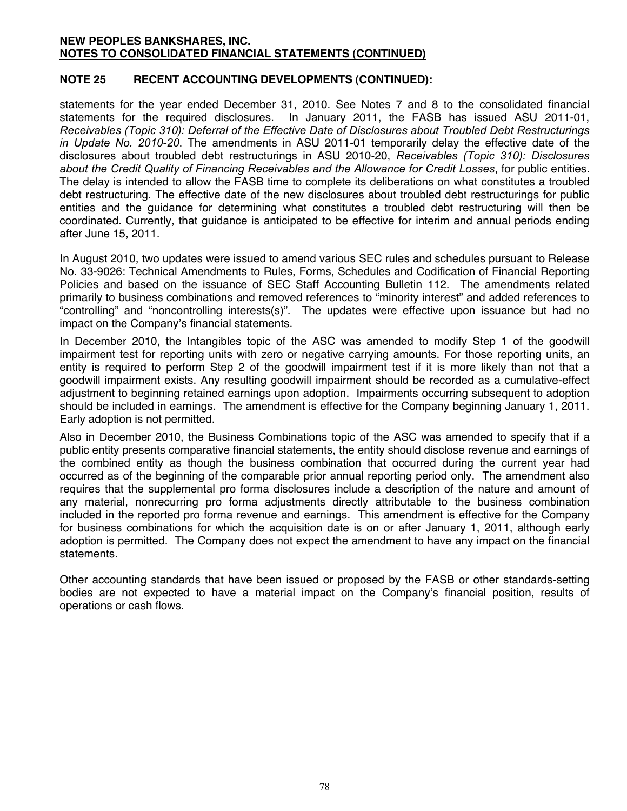## **NOTE 25 RECENT ACCOUNTING DEVELOPMENTS (CONTINUED):**

statements for the year ended December 31, 2010. See Notes 7 and 8 to the consolidated financial statements for the required disclosures. In January 2011, the FASB has issued ASU 2011-01, In January 2011, the FASB has issued ASU 2011-01, *Receivables (Topic 310): Deferral of the Effective Date of Disclosures about Troubled Debt Restructurings in Update No. 2010-20*. The amendments in ASU 2011-01 temporarily delay the effective date of the disclosures about troubled debt restructurings in ASU 2010-20, *Receivables (Topic 310): Disclosures about the Credit Quality of Financing Receivables and the Allowance for Credit Losses*, for public entities. The delay is intended to allow the FASB time to complete its deliberations on what constitutes a troubled debt restructuring. The effective date of the new disclosures about troubled debt restructurings for public entities and the guidance for determining what constitutes a troubled debt restructuring will then be coordinated. Currently, that guidance is anticipated to be effective for interim and annual periods ending after June 15, 2011.

In August 2010, two updates were issued to amend various SEC rules and schedules pursuant to Release No. 33-9026: Technical Amendments to Rules, Forms, Schedules and Codification of Financial Reporting Policies and based on the issuance of SEC Staff Accounting Bulletin 112. The amendments related primarily to business combinations and removed references to "minority interest" and added references to "controlling" and "noncontrolling interests(s)". The updates were effective upon issuance but had no impact on the Company's financial statements.

In December 2010, the Intangibles topic of the ASC was amended to modify Step 1 of the goodwill impairment test for reporting units with zero or negative carrying amounts. For those reporting units, an entity is required to perform Step 2 of the goodwill impairment test if it is more likely than not that a goodwill impairment exists. Any resulting goodwill impairment should be recorded as a cumulative-effect adjustment to beginning retained earnings upon adoption. Impairments occurring subsequent to adoption should be included in earnings. The amendment is effective for the Company beginning January 1, 2011. Early adoption is not permitted.

Also in December 2010, the Business Combinations topic of the ASC was amended to specify that if a public entity presents comparative financial statements, the entity should disclose revenue and earnings of the combined entity as though the business combination that occurred during the current year had occurred as of the beginning of the comparable prior annual reporting period only. The amendment also requires that the supplemental pro forma disclosures include a description of the nature and amount of any material, nonrecurring pro forma adjustments directly attributable to the business combination included in the reported pro forma revenue and earnings. This amendment is effective for the Company for business combinations for which the acquisition date is on or after January 1, 2011, although early adoption is permitted. The Company does not expect the amendment to have any impact on the financial statements.

Other accounting standards that have been issued or proposed by the FASB or other standards-setting bodies are not expected to have a material impact on the Company's financial position, results of operations or cash flows.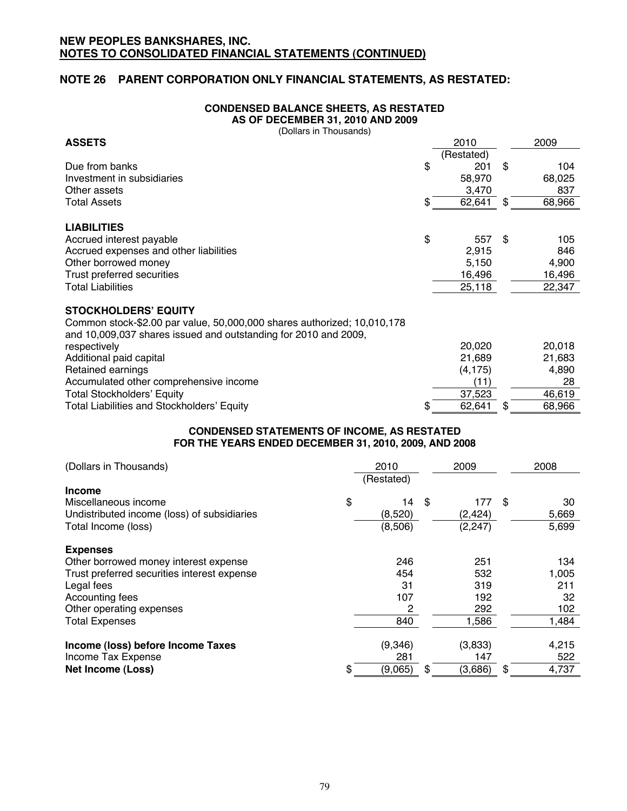## **NOTE 26 PARENT CORPORATION ONLY FINANCIAL STATEMENTS, AS RESTATED:**

#### **CONDENSED BALANCE SHEETS, AS RESTATED AS OF DECEMBER 31, 2010 AND 2009**

(Dollars in Thousands)

| <b>ASSETS</b>                                                           | 2010         |    | 2009   |
|-------------------------------------------------------------------------|--------------|----|--------|
|                                                                         | (Restated)   |    |        |
| Due from banks                                                          | \$<br>201    | \$ | 104    |
| Investment in subsidiaries                                              | 58,970       |    | 68,025 |
| Other assets                                                            | 3,470        |    | 837    |
| <b>Total Assets</b>                                                     | \$<br>62,641 | \$ | 68,966 |
| <b>LIABILITIES</b>                                                      |              |    |        |
| Accrued interest payable                                                | \$<br>557    | \$ | 105    |
| Accrued expenses and other liabilities                                  | 2,915        |    | 846    |
| Other borrowed money                                                    | 5,150        |    | 4,900  |
| Trust preferred securities                                              | 16,496       |    | 16,496 |
| <b>Total Liabilities</b>                                                | 25,118       |    | 22,347 |
| <b>STOCKHOLDERS' EQUITY</b>                                             |              |    |        |
| Common stock-\$2.00 par value, 50,000,000 shares authorized; 10,010,178 |              |    |        |
| and 10,009,037 shares issued and outstanding for 2010 and 2009,         |              |    |        |
| respectively                                                            | 20,020       |    | 20,018 |
| Additional paid capital                                                 | 21,689       |    | 21,683 |
| Retained earnings                                                       | (4, 175)     |    | 4,890  |
| Accumulated other comprehensive income                                  | (11)         |    | 28     |
| <b>Total Stockholders' Equity</b>                                       | 37,523       |    | 46,619 |
| Total Liabilities and Stockholders' Equity                              | \$<br>62,641 | S  | 68,966 |

### **CONDENSED STATEMENTS OF INCOME, AS RESTATED FOR THE YEARS ENDED DECEMBER 31, 2010, 2009, AND 2008**

| (Dollars in Thousands)                      | 2010       |    | 2009     | 2008        |
|---------------------------------------------|------------|----|----------|-------------|
|                                             | (Restated) |    |          |             |
| <b>Income</b>                               |            |    |          |             |
| Miscellaneous income                        | \$<br>14   | -S | 177      | \$<br>30    |
| Undistributed income (loss) of subsidiaries | (8,520)    |    | (2, 424) | 5,669       |
| Total Income (loss)                         | (8,506)    |    | (2, 247) | 5,699       |
| <b>Expenses</b>                             |            |    |          |             |
| Other borrowed money interest expense       | 246        |    | 251      | 134         |
| Trust preferred securities interest expense | 454        |    | 532      | 1,005       |
| Legal fees                                  | 31         |    | 319      | 211         |
| Accounting fees                             | 107        |    | 192      | 32          |
| Other operating expenses                    | 2          |    | 292      | 102         |
| <b>Total Expenses</b>                       | 840        |    | 1,586    | 1,484       |
| Income (loss) before Income Taxes           | (9,346)    |    | (3,833)  | 4,215       |
| Income Tax Expense                          | 281        |    | 147      | 522         |
| <b>Net Income (Loss)</b>                    | (9,065)    | \$ | (3,686)  | \$<br>4,737 |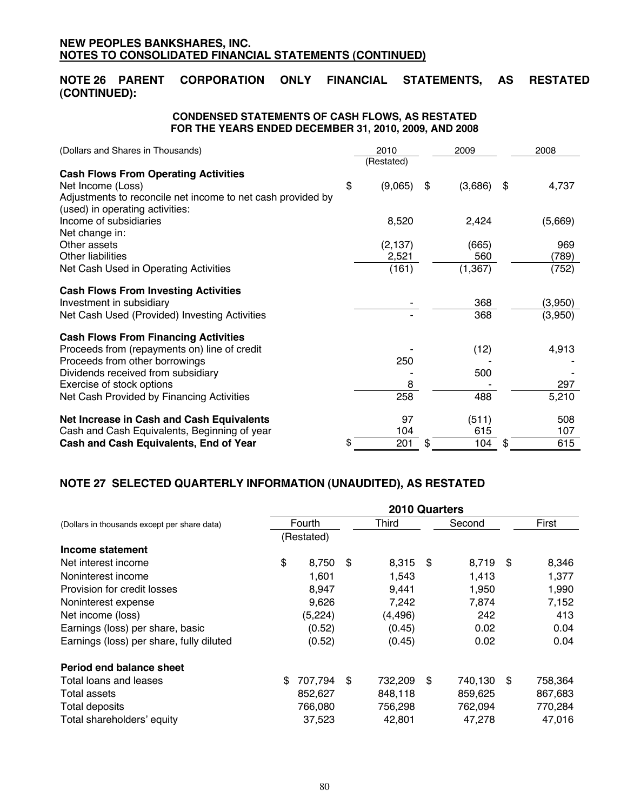## **NOTE 26 PARENT CORPORATION ONLY FINANCIAL STATEMENTS, AS RESTATED (CONTINUED):**

#### **CONDENSED STATEMENTS OF CASH FLOWS, AS RESTATED FOR THE YEARS ENDED DECEMBER 31, 2010, 2009, AND 2008**

| (Dollars and Shares in Thousands)                           | 2010<br>(Restated) |    | 2009     |     | 2008    |
|-------------------------------------------------------------|--------------------|----|----------|-----|---------|
| <b>Cash Flows From Operating Activities</b>                 |                    |    |          |     |         |
| Net Income (Loss)                                           | \$<br>(9,065)      | \$ | (3,686)  | -\$ | 4,737   |
| Adjustments to reconcile net income to net cash provided by |                    |    |          |     |         |
| (used) in operating activities:                             |                    |    |          |     |         |
| Income of subsidiaries                                      | 8,520              |    | 2,424    |     | (5,669) |
| Net change in:                                              |                    |    |          |     |         |
| Other assets                                                | (2, 137)           |    | (665)    |     | 969     |
| Other liabilities                                           | 2,521              |    | 560      |     | (789)   |
| Net Cash Used in Operating Activities                       | (161)              |    | (1, 367) |     | (752)   |
| <b>Cash Flows From Investing Activities</b>                 |                    |    |          |     |         |
| Investment in subsidiary                                    |                    |    | 368      |     | (3,950) |
| Net Cash Used (Provided) Investing Activities               |                    |    | 368      |     | (3,950) |
| <b>Cash Flows From Financing Activities</b>                 |                    |    |          |     |         |
| Proceeds from (repayments on) line of credit                |                    |    | (12)     |     | 4,913   |
| Proceeds from other borrowings                              | 250                |    |          |     |         |
| Dividends received from subsidiary                          |                    |    | 500      |     |         |
| Exercise of stock options                                   | 8                  |    |          |     | 297     |
| Net Cash Provided by Financing Activities                   | 258                |    | 488      |     | 5,210   |
| Net Increase in Cash and Cash Equivalents                   | 97                 |    | (511)    |     | 508     |
| Cash and Cash Equivalents, Beginning of year                | 104                |    | 615      |     | 107     |
| Cash and Cash Equivalents, End of Year                      | \$<br>201          | S  | 104      | \$  | 615     |

# **NOTE 27 SELECTED QUARTERLY INFORMATION (UNAUDITED), AS RESTATED**

|                                              | 2010 Quarters |                           |     |          |       |         |     |         |
|----------------------------------------------|---------------|---------------------------|-----|----------|-------|---------|-----|---------|
| (Dollars in thousands except per share data) |               | Third<br>Fourth<br>Second |     |          | First |         |     |         |
|                                              |               | (Restated)                |     |          |       |         |     |         |
| Income statement                             |               |                           |     |          |       |         |     |         |
| Net interest income                          | \$            | 8,750                     | \$  | 8,315    | -S    | 8,719   | -\$ | 8,346   |
| Noninterest income                           |               | 1,601                     |     | 1,543    |       | 1,413   |     | 1,377   |
| Provision for credit losses                  |               | 8,947                     |     | 9,441    |       | 1,950   |     | 1,990   |
| Noninterest expense                          |               | 9,626                     |     | 7,242    |       | 7,874   |     | 7,152   |
| Net income (loss)                            |               | (5, 224)                  |     | (4, 496) |       | 242     |     | 413     |
| Earnings (loss) per share, basic             |               | (0.52)                    |     | (0.45)   |       | 0.02    |     | 0.04    |
| Earnings (loss) per share, fully diluted     |               | (0.52)                    |     | (0.45)   |       | 0.02    |     | 0.04    |
| Period end balance sheet                     |               |                           |     |          |       |         |     |         |
| Total loans and leases                       | \$.           | 707,794                   | -\$ | 732,209  | \$    | 740,130 | S.  | 758,364 |
| <b>Total assets</b>                          |               | 852,627                   |     | 848,118  |       | 859,625 |     | 867,683 |
| Total deposits                               |               | 766,080                   |     | 756,298  |       | 762,094 |     | 770,284 |
| Total shareholders' equity                   |               | 37,523                    |     | 42,801   |       | 47,278  |     | 47,016  |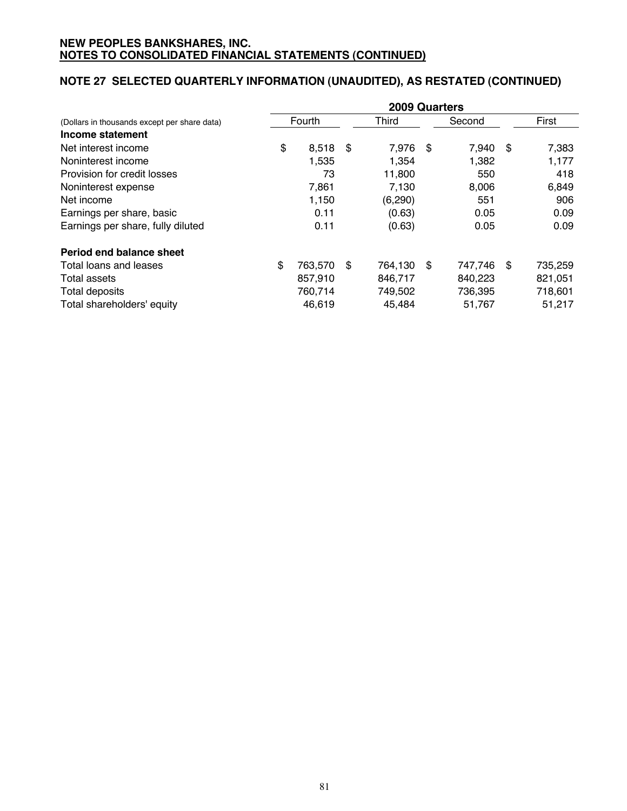# **NOTE 27 SELECTED QUARTERLY INFORMATION (UNAUDITED), AS RESTATED (CONTINUED)**

|                                              | <b>2009 Quarters</b> |         |    |          |      |         |    |         |
|----------------------------------------------|----------------------|---------|----|----------|------|---------|----|---------|
| (Dollars in thousands except per share data) |                      | Fourth  |    | Third    |      | Second  |    | First   |
| Income statement                             |                      |         |    |          |      |         |    |         |
| Net interest income                          | \$                   | 8,518   | -S | 7,976    | - \$ | 7.940   | -S | 7,383   |
| Noninterest income                           |                      | 1,535   |    | 1,354    |      | 1,382   |    | 1,177   |
| Provision for credit losses                  |                      | 73      |    | 11,800   |      | 550     |    | 418     |
| Noninterest expense                          |                      | 7,861   |    | 7,130    |      | 8,006   |    | 6,849   |
| Net income                                   |                      | 1,150   |    | (6, 290) |      | 551     |    | 906     |
| Earnings per share, basic                    |                      | 0.11    |    | (0.63)   |      | 0.05    |    | 0.09    |
| Earnings per share, fully diluted            |                      | 0.11    |    | (0.63)   |      | 0.05    |    | 0.09    |
| Period end balance sheet                     |                      |         |    |          |      |         |    |         |
| Total loans and leases                       | \$                   | 763,570 | \$ | 764,130  | \$   | 747,746 | -S | 735,259 |
| Total assets                                 |                      | 857,910 |    | 846,717  |      | 840,223 |    | 821,051 |
| Total deposits                               |                      | 760,714 |    | 749,502  |      | 736,395 |    | 718,601 |
| Total shareholders' equity                   |                      | 46.619  |    | 45,484   |      | 51,767  |    | 51,217  |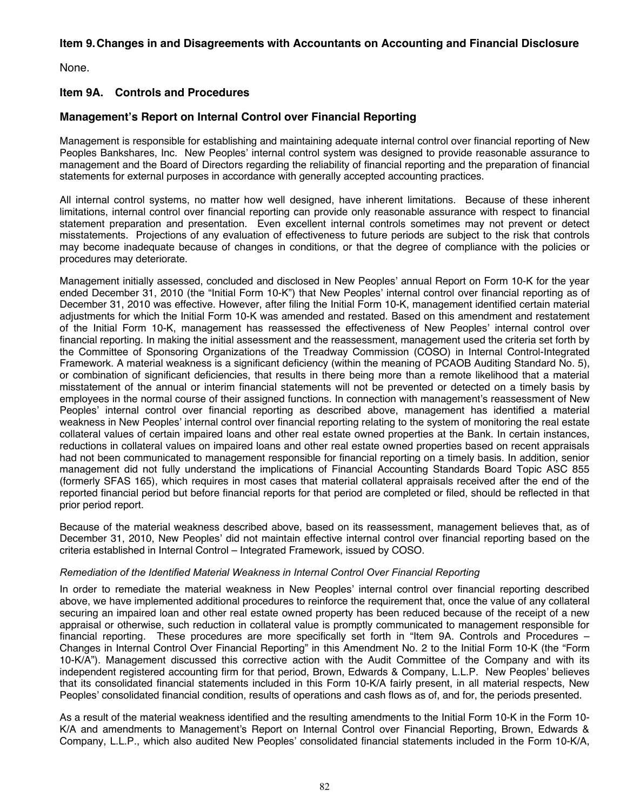## **Item 9. Changes in and Disagreements with Accountants on Accounting and Financial Disclosure**

None.

## **Item 9A. Controls and Procedures**

## **Management's Report on Internal Control over Financial Reporting**

Management is responsible for establishing and maintaining adequate internal control over financial reporting of New Peoples Bankshares, Inc. New Peoples' internal control system was designed to provide reasonable assurance to management and the Board of Directors regarding the reliability of financial reporting and the preparation of financial statements for external purposes in accordance with generally accepted accounting practices.

All internal control systems, no matter how well designed, have inherent limitations. Because of these inherent limitations, internal control over financial reporting can provide only reasonable assurance with respect to financial statement preparation and presentation. Even excellent internal controls sometimes may not prevent or detect misstatements. Projections of any evaluation of effectiveness to future periods are subject to the risk that controls may become inadequate because of changes in conditions, or that the degree of compliance with the policies or procedures may deteriorate.

Management initially assessed, concluded and disclosed in New Peoples' annual Report on Form 10-K for the year ended December 31, 2010 (the "Initial Form 10-K") that New Peoples' internal control over financial reporting as of December 31, 2010 was effective. However, after filing the Initial Form 10-K, management identified certain material adjustments for which the Initial Form 10-K was amended and restated. Based on this amendment and restatement of the Initial Form 10-K, management has reassessed the effectiveness of New Peoples' internal control over financial reporting. In making the initial assessment and the reassessment, management used the criteria set forth by the Committee of Sponsoring Organizations of the Treadway Commission (COSO) in Internal Control-Integrated Framework. A material weakness is a significant deficiency (within the meaning of PCAOB Auditing Standard No. 5), or combination of significant deficiencies, that results in there being more than a remote likelihood that a material misstatement of the annual or interim financial statements will not be prevented or detected on a timely basis by employees in the normal course of their assigned functions. In connection with management's reassessment of New Peoples' internal control over financial reporting as described above, management has identified a material weakness in New Peoples' internal control over financial reporting relating to the system of monitoring the real estate collateral values of certain impaired loans and other real estate owned properties at the Bank. In certain instances, reductions in collateral values on impaired loans and other real estate owned properties based on recent appraisals had not been communicated to management responsible for financial reporting on a timely basis. In addition, senior management did not fully understand the implications of Financial Accounting Standards Board Topic ASC 855 (formerly SFAS 165), which requires in most cases that material collateral appraisals received after the end of the reported financial period but before financial reports for that period are completed or filed, should be reflected in that prior period report.

Because of the material weakness described above, based on its reassessment, management believes that, as of December 31, 2010, New Peoples' did not maintain effective internal control over financial reporting based on the criteria established in Internal Control – Integrated Framework, issued by COSO.

#### *Remediation of the Identified Material Weakness in Internal Control Over Financial Reporting*

In order to remediate the material weakness in New Peoples' internal control over financial reporting described above, we have implemented additional procedures to reinforce the requirement that, once the value of any collateral securing an impaired loan and other real estate owned property has been reduced because of the receipt of a new appraisal or otherwise, such reduction in collateral value is promptly communicated to management responsible for financial reporting. These procedures are more specifically set forth in "Item 9A. Controls and Procedures – Changes in Internal Control Over Financial Reporting" in this Amendment No. 2 to the Initial Form 10-K (the "Form 10-K/A"). Management discussed this corrective action with the Audit Committee of the Company and with its independent registered accounting firm for that period, Brown, Edwards & Company, L.L.P. New Peoples' believes that its consolidated financial statements included in this Form 10-K/A fairly present, in all material respects, New Peoples' consolidated financial condition, results of operations and cash flows as of, and for, the periods presented.

As a result of the material weakness identified and the resulting amendments to the Initial Form 10-K in the Form 10- K/A and amendments to Management's Report on Internal Control over Financial Reporting, Brown, Edwards & Company, L.L.P., which also audited New Peoples' consolidated financial statements included in the Form 10-K/A,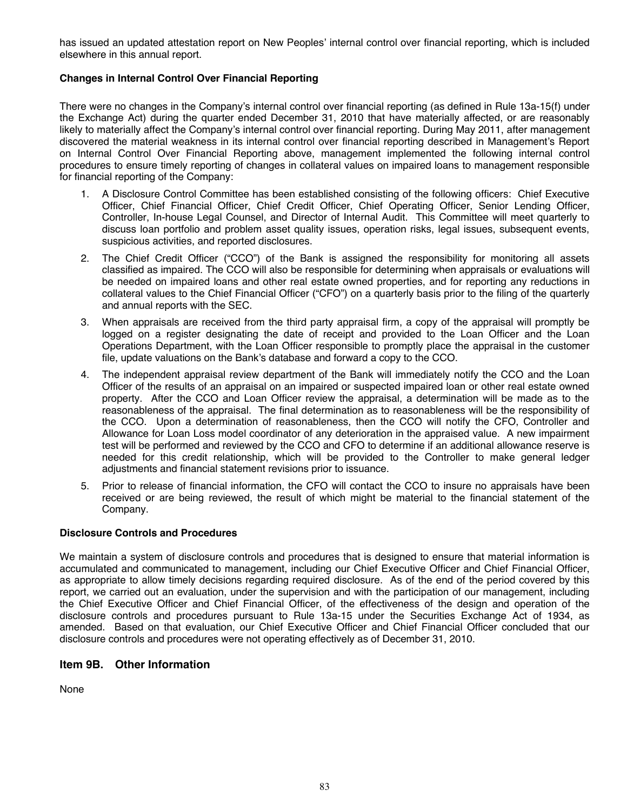has issued an updated attestation report on New Peoples' internal control over financial reporting, which is included elsewhere in this annual report.

## **Changes in Internal Control Over Financial Reporting**

There were no changes in the Company's internal control over financial reporting (as defined in Rule 13a-15(f) under the Exchange Act) during the quarter ended December 31, 2010 that have materially affected, or are reasonably likely to materially affect the Company's internal control over financial reporting. During May 2011, after management discovered the material weakness in its internal control over financial reporting described in Management's Report on Internal Control Over Financial Reporting above, management implemented the following internal control procedures to ensure timely reporting of changes in collateral values on impaired loans to management responsible for financial reporting of the Company:

- 1. A Disclosure Control Committee has been established consisting of the following officers: Chief Executive Officer, Chief Financial Officer, Chief Credit Officer, Chief Operating Officer, Senior Lending Officer, Controller, In-house Legal Counsel, and Director of Internal Audit. This Committee will meet quarterly to discuss loan portfolio and problem asset quality issues, operation risks, legal issues, subsequent events, suspicious activities, and reported disclosures.
- 2. The Chief Credit Officer ("CCO") of the Bank is assigned the responsibility for monitoring all assets classified as impaired. The CCO will also be responsible for determining when appraisals or evaluations will be needed on impaired loans and other real estate owned properties, and for reporting any reductions in collateral values to the Chief Financial Officer ("CFO") on a quarterly basis prior to the filing of the quarterly and annual reports with the SEC.
- 3. When appraisals are received from the third party appraisal firm, a copy of the appraisal will promptly be logged on a register designating the date of receipt and provided to the Loan Officer and the Loan Operations Department, with the Loan Officer responsible to promptly place the appraisal in the customer file, update valuations on the Bank's database and forward a copy to the CCO.
- 4. The independent appraisal review department of the Bank will immediately notify the CCO and the Loan Officer of the results of an appraisal on an impaired or suspected impaired loan or other real estate owned property. After the CCO and Loan Officer review the appraisal, a determination will be made as to the reasonableness of the appraisal. The final determination as to reasonableness will be the responsibility of the CCO. Upon a determination of reasonableness, then the CCO will notify the CFO, Controller and Allowance for Loan Loss model coordinator of any deterioration in the appraised value. A new impairment test will be performed and reviewed by the CCO and CFO to determine if an additional allowance reserve is needed for this credit relationship, which will be provided to the Controller to make general ledger adjustments and financial statement revisions prior to issuance.
- 5. Prior to release of financial information, the CFO will contact the CCO to insure no appraisals have been received or are being reviewed, the result of which might be material to the financial statement of the Company.

#### **Disclosure Controls and Procedures**

We maintain a system of disclosure controls and procedures that is designed to ensure that material information is accumulated and communicated to management, including our Chief Executive Officer and Chief Financial Officer, as appropriate to allow timely decisions regarding required disclosure. As of the end of the period covered by this report, we carried out an evaluation, under the supervision and with the participation of our management, including the Chief Executive Officer and Chief Financial Officer, of the effectiveness of the design and operation of the disclosure controls and procedures pursuant to Rule 13a-15 under the Securities Exchange Act of 1934, as amended. Based on that evaluation, our Chief Executive Officer and Chief Financial Officer concluded that our disclosure controls and procedures were not operating effectively as of December 31, 2010.

#### **Item 9B. Other Information**

None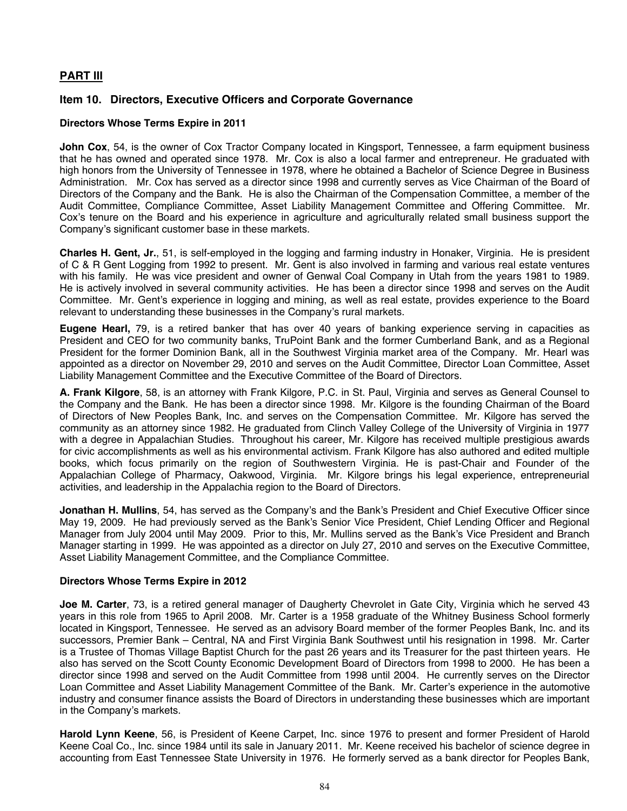## **PART III**

## **Item 10. Directors, Executive Officers and Corporate Governance**

#### **Directors Whose Terms Expire in 2011**

**John Cox**, 54, is the owner of Cox Tractor Company located in Kingsport, Tennessee, a farm equipment business that he has owned and operated since 1978. Mr. Cox is also a local farmer and entrepreneur. He graduated with high honors from the University of Tennessee in 1978, where he obtained a Bachelor of Science Degree in Business Administration. Mr. Cox has served as a director since 1998 and currently serves as Vice Chairman of the Board of Directors of the Company and the Bank. He is also the Chairman of the Compensation Committee, a member of the Audit Committee, Compliance Committee, Asset Liability Management Committee and Offering Committee. Mr. Cox's tenure on the Board and his experience in agriculture and agriculturally related small business support the Company's significant customer base in these markets.

**Charles H. Gent, Jr.**, 51, is self-employed in the logging and farming industry in Honaker, Virginia. He is president of C & R Gent Logging from 1992 to present. Mr. Gent is also involved in farming and various real estate ventures with his family. He was vice president and owner of Genwal Coal Company in Utah from the years 1981 to 1989. He is actively involved in several community activities. He has been a director since 1998 and serves on the Audit Committee. Mr. Gent's experience in logging and mining, as well as real estate, provides experience to the Board relevant to understanding these businesses in the Company's rural markets.

**Eugene Hearl,** 79, is a retired banker that has over 40 years of banking experience serving in capacities as President and CEO for two community banks, TruPoint Bank and the former Cumberland Bank, and as a Regional President for the former Dominion Bank, all in the Southwest Virginia market area of the Company. Mr. Hearl was appointed as a director on November 29, 2010 and serves on the Audit Committee, Director Loan Committee, Asset Liability Management Committee and the Executive Committee of the Board of Directors.

**A. Frank Kilgore**, 58, is an attorney with Frank Kilgore, P.C. in St. Paul, Virginia and serves as General Counsel to the Company and the Bank. He has been a director since 1998. Mr. Kilgore is the founding Chairman of the Board of Directors of New Peoples Bank, Inc. and serves on the Compensation Committee. Mr. Kilgore has served the community as an attorney since 1982. He graduated from Clinch Valley College of the University of Virginia in 1977 with a degree in Appalachian Studies. Throughout his career, Mr. Kilgore has received multiple prestigious awards for civic accomplishments as well as his environmental activism. Frank Kilgore has also authored and edited multiple books, which focus primarily on the region of Southwestern Virginia. He is past-Chair and Founder of the Appalachian College of Pharmacy, Oakwood, Virginia. Mr. Kilgore brings his legal experience, entrepreneurial activities, and leadership in the Appalachia region to the Board of Directors.

**Jonathan H. Mullins**, 54, has served as the Company's and the Bank's President and Chief Executive Officer since May 19, 2009. He had previously served as the Bank's Senior Vice President, Chief Lending Officer and Regional Manager from July 2004 until May 2009. Prior to this, Mr. Mullins served as the Bank's Vice President and Branch Manager starting in 1999. He was appointed as a director on July 27, 2010 and serves on the Executive Committee, Asset Liability Management Committee, and the Compliance Committee.

#### **Directors Whose Terms Expire in 2012**

**Joe M. Carter**, 73, is a retired general manager of Daugherty Chevrolet in Gate City, Virginia which he served 43 years in this role from 1965 to April 2008. Mr. Carter is a 1958 graduate of the Whitney Business School formerly located in Kingsport, Tennessee. He served as an advisory Board member of the former Peoples Bank, Inc. and its successors, Premier Bank – Central, NA and First Virginia Bank Southwest until his resignation in 1998. Mr. Carter is a Trustee of Thomas Village Baptist Church for the past 26 years and its Treasurer for the past thirteen years. He also has served on the Scott County Economic Development Board of Directors from 1998 to 2000. He has been a director since 1998 and served on the Audit Committee from 1998 until 2004. He currently serves on the Director Loan Committee and Asset Liability Management Committee of the Bank. Mr. Carter's experience in the automotive industry and consumer finance assists the Board of Directors in understanding these businesses which are important in the Company's markets.

**Harold Lynn Keene**, 56, is President of Keene Carpet, Inc. since 1976 to present and former President of Harold Keene Coal Co., Inc. since 1984 until its sale in January 2011. Mr. Keene received his bachelor of science degree in accounting from East Tennessee State University in 1976. He formerly served as a bank director for Peoples Bank,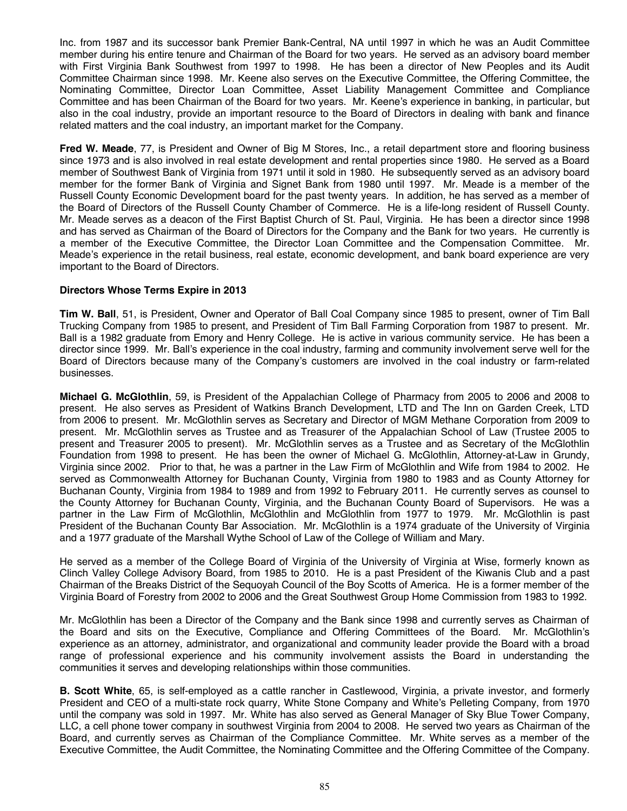Inc. from 1987 and its successor bank Premier Bank-Central, NA until 1997 in which he was an Audit Committee member during his entire tenure and Chairman of the Board for two years. He served as an advisory board member with First Virginia Bank Southwest from 1997 to 1998. He has been a director of New Peoples and its Audit Committee Chairman since 1998. Mr. Keene also serves on the Executive Committee, the Offering Committee, the Nominating Committee, Director Loan Committee, Asset Liability Management Committee and Compliance Committee and has been Chairman of the Board for two years. Mr. Keene's experience in banking, in particular, but also in the coal industry, provide an important resource to the Board of Directors in dealing with bank and finance related matters and the coal industry, an important market for the Company.

**Fred W. Meade**, 77, is President and Owner of Big M Stores, Inc., a retail department store and flooring business since 1973 and is also involved in real estate development and rental properties since 1980. He served as a Board member of Southwest Bank of Virginia from 1971 until it sold in 1980. He subsequently served as an advisory board member for the former Bank of Virginia and Signet Bank from 1980 until 1997. Mr. Meade is a member of the Russell County Economic Development board for the past twenty years. In addition, he has served as a member of the Board of Directors of the Russell County Chamber of Commerce. He is a life-long resident of Russell County. Mr. Meade serves as a deacon of the First Baptist Church of St. Paul, Virginia. He has been a director since 1998 and has served as Chairman of the Board of Directors for the Company and the Bank for two years. He currently is a member of the Executive Committee, the Director Loan Committee and the Compensation Committee. Mr. Meade's experience in the retail business, real estate, economic development, and bank board experience are very important to the Board of Directors.

#### **Directors Whose Terms Expire in 2013**

**Tim W. Ball**, 51, is President, Owner and Operator of Ball Coal Company since 1985 to present, owner of Tim Ball Trucking Company from 1985 to present, and President of Tim Ball Farming Corporation from 1987 to present. Mr. Ball is a 1982 graduate from Emory and Henry College. He is active in various community service. He has been a director since 1999. Mr. Ball's experience in the coal industry, farming and community involvement serve well for the Board of Directors because many of the Company's customers are involved in the coal industry or farm-related businesses.

**Michael G. McGlothlin**, 59, is President of the Appalachian College of Pharmacy from 2005 to 2006 and 2008 to present. He also serves as President of Watkins Branch Development, LTD and The Inn on Garden Creek, LTD from 2006 to present. Mr. McGlothlin serves as Secretary and Director of MGM Methane Corporation from 2009 to present. Mr. McGlothlin serves as Trustee and as Treasurer of the Appalachian School of Law (Trustee 2005 to present and Treasurer 2005 to present). Mr. McGlothlin serves as a Trustee and as Secretary of the McGlothlin Foundation from 1998 to present. He has been the owner of Michael G. McGlothlin, Attorney-at-Law in Grundy, Virginia since 2002. Prior to that, he was a partner in the Law Firm of McGlothlin and Wife from 1984 to 2002. He served as Commonwealth Attorney for Buchanan County, Virginia from 1980 to 1983 and as County Attorney for Buchanan County, Virginia from 1984 to 1989 and from 1992 to February 2011. He currently serves as counsel to the County Attorney for Buchanan County, Virginia, and the Buchanan County Board of Supervisors. He was a partner in the Law Firm of McGlothlin, McGlothlin and McGlothlin from 1977 to 1979. Mr. McGlothlin is past President of the Buchanan County Bar Association. Mr. McGlothlin is a 1974 graduate of the University of Virginia and a 1977 graduate of the Marshall Wythe School of Law of the College of William and Mary.

He served as a member of the College Board of Virginia of the University of Virginia at Wise, formerly known as Clinch Valley College Advisory Board, from 1985 to 2010. He is a past President of the Kiwanis Club and a past Chairman of the Breaks District of the Sequoyah Council of the Boy Scotts of America. He is a former member of the Virginia Board of Forestry from 2002 to 2006 and the Great Southwest Group Home Commission from 1983 to 1992.

Mr. McGlothlin has been a Director of the Company and the Bank since 1998 and currently serves as Chairman of the Board and sits on the Executive, Compliance and Offering Committees of the Board. Mr. McGlothlin's experience as an attorney, administrator, and organizational and community leader provide the Board with a broad range of professional experience and his community involvement assists the Board in understanding the communities it serves and developing relationships within those communities.

**B. Scott White**, 65, is self-employed as a cattle rancher in Castlewood, Virginia, a private investor, and formerly President and CEO of a multi-state rock quarry, White Stone Company and White's Pelleting Company, from 1970 until the company was sold in 1997. Mr. White has also served as General Manager of Sky Blue Tower Company, LLC, a cell phone tower company in southwest Virginia from 2004 to 2008. He served two years as Chairman of the Board, and currently serves as Chairman of the Compliance Committee. Mr. White serves as a member of the Executive Committee, the Audit Committee, the Nominating Committee and the Offering Committee of the Company.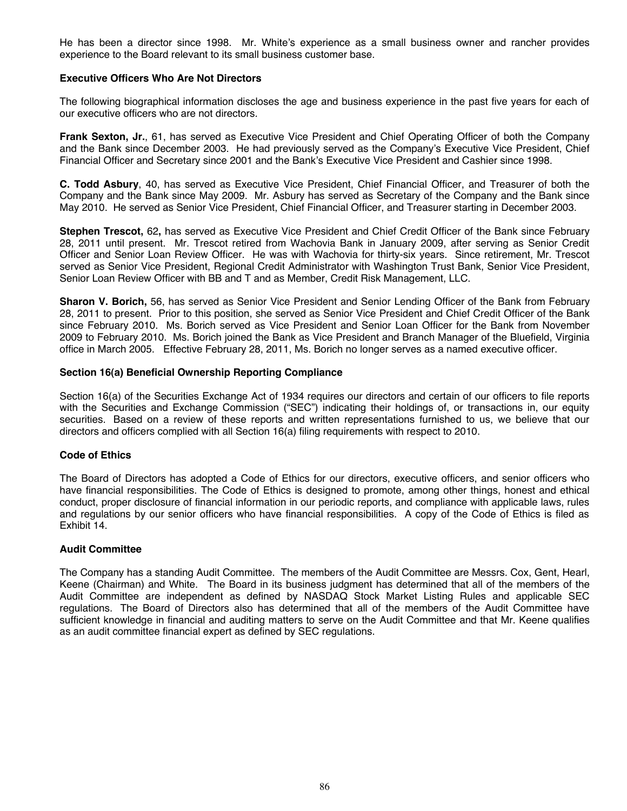He has been a director since 1998. Mr. White's experience as a small business owner and rancher provides experience to the Board relevant to its small business customer base.

#### **Executive Officers Who Are Not Directors**

The following biographical information discloses the age and business experience in the past five years for each of our executive officers who are not directors.

**Frank Sexton, Jr.**, 61, has served as Executive Vice President and Chief Operating Officer of both the Company and the Bank since December 2003. He had previously served as the Company's Executive Vice President, Chief Financial Officer and Secretary since 2001 and the Bank's Executive Vice President and Cashier since 1998.

**C. Todd Asbury**, 40, has served as Executive Vice President, Chief Financial Officer, and Treasurer of both the Company and the Bank since May 2009. Mr. Asbury has served as Secretary of the Company and the Bank since May 2010. He served as Senior Vice President, Chief Financial Officer, and Treasurer starting in December 2003.

**Stephen Trescot,** 62**,** has served as Executive Vice President and Chief Credit Officer of the Bank since February 28, 2011 until present. Mr. Trescot retired from Wachovia Bank in January 2009, after serving as Senior Credit Officer and Senior Loan Review Officer. He was with Wachovia for thirty-six years. Since retirement, Mr. Trescot served as Senior Vice President, Regional Credit Administrator with Washington Trust Bank, Senior Vice President, Senior Loan Review Officer with BB and T and as Member, Credit Risk Management, LLC.

**Sharon V. Borich,** 56, has served as Senior Vice President and Senior Lending Officer of the Bank from February 28, 2011 to present. Prior to this position, she served as Senior Vice President and Chief Credit Officer of the Bank since February 2010. Ms. Borich served as Vice President and Senior Loan Officer for the Bank from November 2009 to February 2010. Ms. Borich joined the Bank as Vice President and Branch Manager of the Bluefield, Virginia office in March 2005. Effective February 28, 2011, Ms. Borich no longer serves as a named executive officer.

#### **Section 16(a) Beneficial Ownership Reporting Compliance**

Section 16(a) of the Securities Exchange Act of 1934 requires our directors and certain of our officers to file reports with the Securities and Exchange Commission ("SEC") indicating their holdings of, or transactions in, our equity securities. Based on a review of these reports and written representations furnished to us, we believe that our directors and officers complied with all Section 16(a) filing requirements with respect to 2010.

#### **Code of Ethics**

The Board of Directors has adopted a Code of Ethics for our directors, executive officers, and senior officers who have financial responsibilities. The Code of Ethics is designed to promote, among other things, honest and ethical conduct, proper disclosure of financial information in our periodic reports, and compliance with applicable laws, rules and regulations by our senior officers who have financial responsibilities. A copy of the Code of Ethics is filed as Exhibit 14.

#### **Audit Committee**

The Company has a standing Audit Committee. The members of the Audit Committee are Messrs. Cox, Gent, Hearl, Keene (Chairman) and White. The Board in its business judgment has determined that all of the members of the Audit Committee are independent as defined by NASDAQ Stock Market Listing Rules and applicable SEC regulations. The Board of Directors also has determined that all of the members of the Audit Committee have sufficient knowledge in financial and auditing matters to serve on the Audit Committee and that Mr. Keene qualifies as an audit committee financial expert as defined by SEC regulations.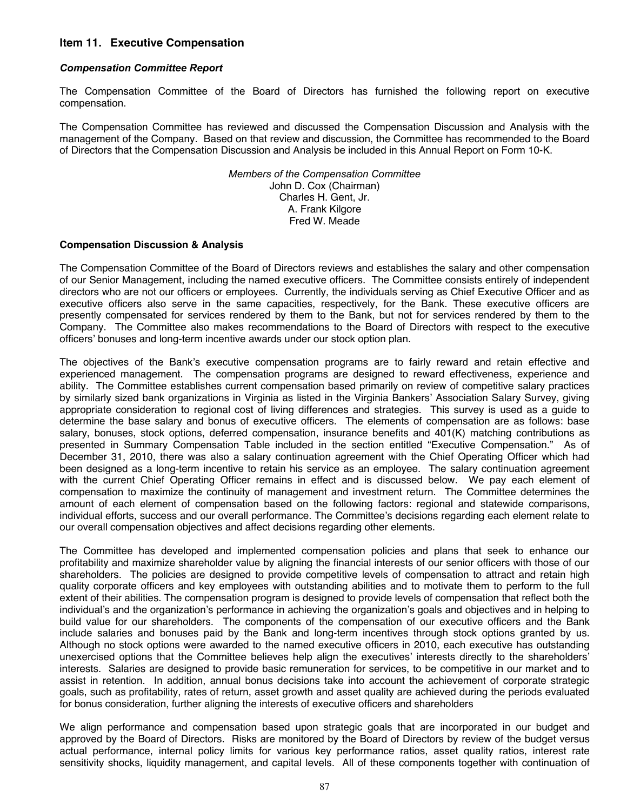## **Item 11. Executive Compensation**

#### *Compensation Committee Report*

The Compensation Committee of the Board of Directors has furnished the following report on executive compensation.

The Compensation Committee has reviewed and discussed the Compensation Discussion and Analysis with the management of the Company. Based on that review and discussion, the Committee has recommended to the Board of Directors that the Compensation Discussion and Analysis be included in this Annual Report on Form 10-K.

> *Members of the Compensation Committee*  John D. Cox (Chairman) Charles H. Gent, Jr. A. Frank Kilgore Fred W. Meade

#### **Compensation Discussion & Analysis**

The Compensation Committee of the Board of Directors reviews and establishes the salary and other compensation of our Senior Management, including the named executive officers. The Committee consists entirely of independent directors who are not our officers or employees. Currently, the individuals serving as Chief Executive Officer and as executive officers also serve in the same capacities, respectively, for the Bank. These executive officers are presently compensated for services rendered by them to the Bank, but not for services rendered by them to the Company. The Committee also makes recommendations to the Board of Directors with respect to the executive officers' bonuses and long-term incentive awards under our stock option plan.

The objectives of the Bank's executive compensation programs are to fairly reward and retain effective and experienced management. The compensation programs are designed to reward effectiveness, experience and ability. The Committee establishes current compensation based primarily on review of competitive salary practices by similarly sized bank organizations in Virginia as listed in the Virginia Bankers' Association Salary Survey, giving appropriate consideration to regional cost of living differences and strategies. This survey is used as a guide to determine the base salary and bonus of executive officers. The elements of compensation are as follows: base salary, bonuses, stock options, deferred compensation, insurance benefits and 401(K) matching contributions as presented in Summary Compensation Table included in the section entitled "Executive Compensation." As of December 31, 2010, there was also a salary continuation agreement with the Chief Operating Officer which had been designed as a long-term incentive to retain his service as an employee. The salary continuation agreement with the current Chief Operating Officer remains in effect and is discussed below. We pay each element of compensation to maximize the continuity of management and investment return. The Committee determines the amount of each element of compensation based on the following factors: regional and statewide comparisons, individual efforts, success and our overall performance. The Committee's decisions regarding each element relate to our overall compensation objectives and affect decisions regarding other elements.

The Committee has developed and implemented compensation policies and plans that seek to enhance our profitability and maximize shareholder value by aligning the financial interests of our senior officers with those of our shareholders. The policies are designed to provide competitive levels of compensation to attract and retain high quality corporate officers and key employees with outstanding abilities and to motivate them to perform to the full extent of their abilities. The compensation program is designed to provide levels of compensation that reflect both the individual's and the organization's performance in achieving the organization's goals and objectives and in helping to build value for our shareholders. The components of the compensation of our executive officers and the Bank include salaries and bonuses paid by the Bank and long-term incentives through stock options granted by us. Although no stock options were awarded to the named executive officers in 2010, each executive has outstanding unexercised options that the Committee believes help align the executives' interests directly to the shareholders' interests. Salaries are designed to provide basic remuneration for services, to be competitive in our market and to assist in retention. In addition, annual bonus decisions take into account the achievement of corporate strategic goals, such as profitability, rates of return, asset growth and asset quality are achieved during the periods evaluated for bonus consideration, further aligning the interests of executive officers and shareholders

We align performance and compensation based upon strategic goals that are incorporated in our budget and approved by the Board of Directors. Risks are monitored by the Board of Directors by review of the budget versus actual performance, internal policy limits for various key performance ratios, asset quality ratios, interest rate sensitivity shocks, liquidity management, and capital levels. All of these components together with continuation of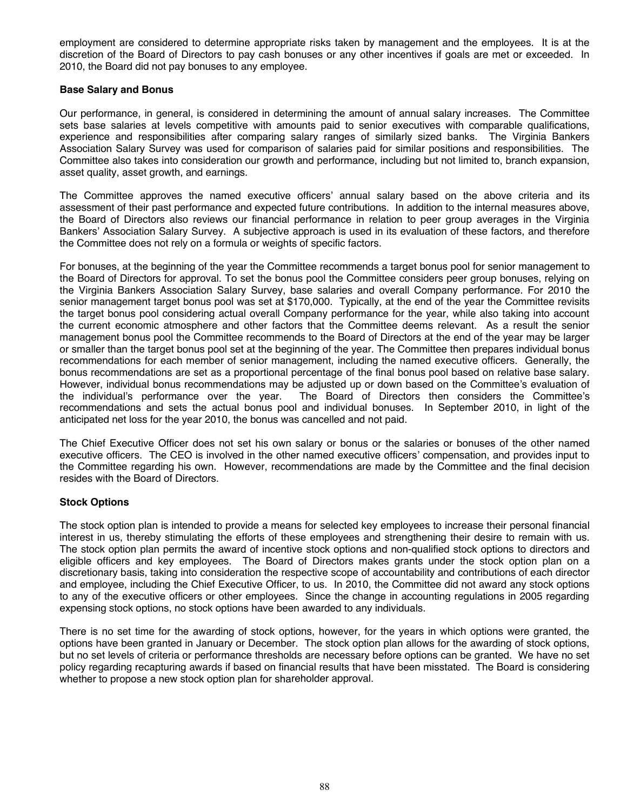employment are considered to determine appropriate risks taken by management and the employees. It is at the discretion of the Board of Directors to pay cash bonuses or any other incentives if goals are met or exceeded. In 2010, the Board did not pay bonuses to any employee.

#### **Base Salary and Bonus**

Our performance, in general, is considered in determining the amount of annual salary increases. The Committee sets base salaries at levels competitive with amounts paid to senior executives with comparable qualifications, experience and responsibilities after comparing salary ranges of similarly sized banks. The Virginia Bankers Association Salary Survey was used for comparison of salaries paid for similar positions and responsibilities. The Committee also takes into consideration our growth and performance, including but not limited to, branch expansion, asset quality, asset growth, and earnings.

The Committee approves the named executive officers' annual salary based on the above criteria and its assessment of their past performance and expected future contributions. In addition to the internal measures above, the Board of Directors also reviews our financial performance in relation to peer group averages in the Virginia Bankers' Association Salary Survey. A subjective approach is used in its evaluation of these factors, and therefore the Committee does not rely on a formula or weights of specific factors.

For bonuses, at the beginning of the year the Committee recommends a target bonus pool for senior management to the Board of Directors for approval. To set the bonus pool the Committee considers peer group bonuses, relying on the Virginia Bankers Association Salary Survey, base salaries and overall Company performance. For 2010 the senior management target bonus pool was set at \$170,000. Typically, at the end of the year the Committee revisits the target bonus pool considering actual overall Company performance for the year, while also taking into account the current economic atmosphere and other factors that the Committee deems relevant. As a result the senior management bonus pool the Committee recommends to the Board of Directors at the end of the year may be larger or smaller than the target bonus pool set at the beginning of the year. The Committee then prepares individual bonus recommendations for each member of senior management, including the named executive officers. Generally, the bonus recommendations are set as a proportional percentage of the final bonus pool based on relative base salary. However, individual bonus recommendations may be adjusted up or down based on the Committee's evaluation of the individual's performance over the vear. The Board of Directors then considers the Committee's The Board of Directors then considers the Committee's recommendations and sets the actual bonus pool and individual bonuses. In September 2010, in light of the anticipated net loss for the year 2010, the bonus was cancelled and not paid.

The Chief Executive Officer does not set his own salary or bonus or the salaries or bonuses of the other named executive officers. The CEO is involved in the other named executive officers' compensation, and provides input to the Committee regarding his own. However, recommendations are made by the Committee and the final decision resides with the Board of Directors.

## **Stock Options**

The stock option plan is intended to provide a means for selected key employees to increase their personal financial interest in us, thereby stimulating the efforts of these employees and strengthening their desire to remain with us. The stock option plan permits the award of incentive stock options and non-qualified stock options to directors and eligible officers and key employees. The Board of Directors makes grants under the stock option plan on a discretionary basis, taking into consideration the respective scope of accountability and contributions of each director and employee, including the Chief Executive Officer, to us. In 2010, the Committee did not award any stock options to any of the executive officers or other employees. Since the change in accounting regulations in 2005 regarding expensing stock options, no stock options have been awarded to any individuals.

There is no set time for the awarding of stock options, however, for the years in which options were granted, the options have been granted in January or December. The stock option plan allows for the awarding of stock options, but no set levels of criteria or performance thresholds are necessary before options can be granted. We have no set policy regarding recapturing awards if based on financial results that have been misstated. The Board is considering whether to propose a new stock option plan for shareholder approval.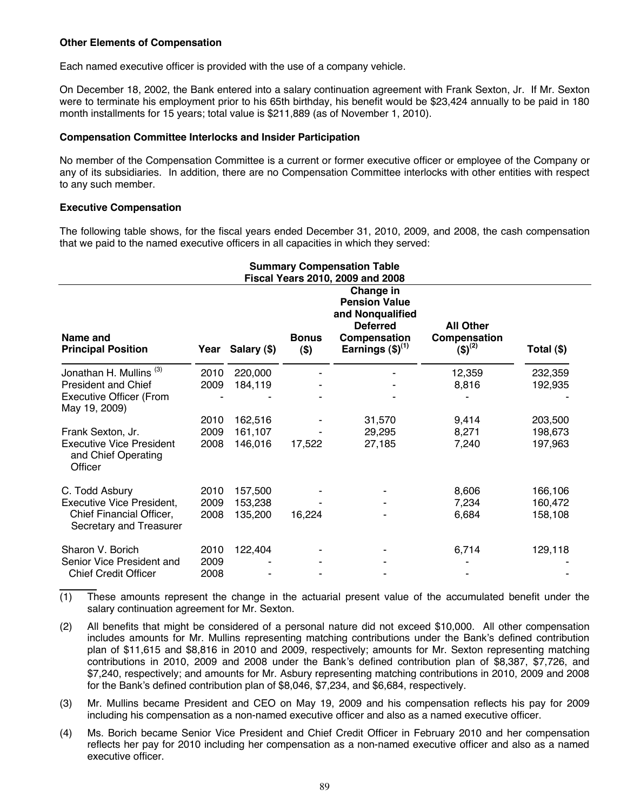#### **Other Elements of Compensation**

Each named executive officer is provided with the use of a company vehicle.

On December 18, 2002, the Bank entered into a salary continuation agreement with Frank Sexton, Jr. If Mr. Sexton were to terminate his employment prior to his 65th birthday, his benefit would be \$23,424 annually to be paid in 180 month installments for 15 years; total value is \$211,889 (as of November 1, 2010).

#### **Compensation Committee Interlocks and Insider Participation**

No member of the Compensation Committee is a current or former executive officer or employee of the Company or any of its subsidiaries. In addition, there are no Compensation Committee interlocks with other entities with respect to any such member.

#### **Executive Compensation**

The following table shows, for the fiscal years ended December 31, 2010, 2009, and 2008, the cash compensation that we paid to the named executive officers in all capacities in which they served:

| <b>Summary Compensation Table</b><br>Fiscal Years 2010, 2009 and 2008                                               |                      |                               |                         |                                                                                                                   |                                                 |                               |  |  |  |
|---------------------------------------------------------------------------------------------------------------------|----------------------|-------------------------------|-------------------------|-------------------------------------------------------------------------------------------------------------------|-------------------------------------------------|-------------------------------|--|--|--|
| Name and<br><b>Principal Position</b>                                                                               |                      | Year Salary (\$)              | <b>Bonus</b><br>$($ \$) | Change in<br><b>Pension Value</b><br>and Nonqualified<br><b>Deferred</b><br>Compensation<br>Earnings $(\$)^{(1)}$ | <b>All Other</b><br>Compensation<br>$(5)^{(2)}$ | Total (\$)                    |  |  |  |
| Jonathan H. Mullins <sup>(3)</sup><br><b>President and Chief</b><br><b>Executive Officer (From</b><br>May 19, 2009) | 2010<br>2009         | 220,000<br>184,119            |                         |                                                                                                                   | 12,359<br>8,816                                 | 232,359<br>192,935            |  |  |  |
| Frank Sexton, Jr.<br><b>Executive Vice President</b><br>and Chief Operating<br>Officer                              | 2010<br>2009<br>2008 | 162,516<br>161,107<br>146,016 | 17,522                  | 31,570<br>29,295<br>27,185                                                                                        | 9,414<br>8,271<br>7,240                         | 203,500<br>198,673<br>197,963 |  |  |  |
| C. Todd Asbury<br><b>Executive Vice President,</b><br>Chief Financial Officer,<br>Secretary and Treasurer           | 2010<br>2009<br>2008 | 157,500<br>153,238<br>135,200 | 16,224                  |                                                                                                                   | 8,606<br>7,234<br>6,684                         | 166,106<br>160,472<br>158,108 |  |  |  |
| Sharon V. Borich<br>Senior Vice President and<br><b>Chief Credit Officer</b>                                        | 2010<br>2009<br>2008 | 122,404                       |                         |                                                                                                                   | 6,714                                           | 129,118                       |  |  |  |

(1) These amounts represent the change in the actuarial present value of the accumulated benefit under the salary continuation agreement for Mr. Sexton.

(2) All benefits that might be considered of a personal nature did not exceed \$10,000. All other compensation includes amounts for Mr. Mullins representing matching contributions under the Bank's defined contribution plan of \$11,615 and \$8,816 in 2010 and 2009, respectively; amounts for Mr. Sexton representing matching contributions in 2010, 2009 and 2008 under the Bank's defined contribution plan of \$8,387, \$7,726, and \$7,240, respectively; and amounts for Mr. Asbury representing matching contributions in 2010, 2009 and 2008 for the Bank's defined contribution plan of \$8,046, \$7,234, and \$6,684, respectively.

(3) Mr. Mullins became President and CEO on May 19, 2009 and his compensation reflects his pay for 2009 including his compensation as a non-named executive officer and also as a named executive officer.

(4) Ms. Borich became Senior Vice President and Chief Credit Officer in February 2010 and her compensation reflects her pay for 2010 including her compensation as a non-named executive officer and also as a named executive officer.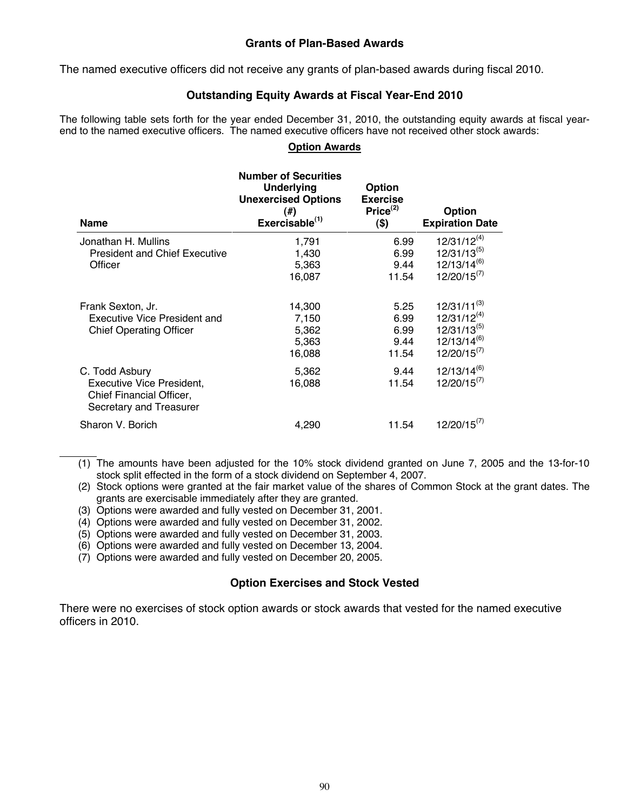## **Grants of Plan-Based Awards**

The named executive officers did not receive any grants of plan-based awards during fiscal 2010.

## **Outstanding Equity Awards at Fiscal Year-End 2010**

The following table sets forth for the year ended December 31, 2010, the outstanding equity awards at fiscal yearend to the named executive officers. The named executive officers have not received other stock awards:

## **Option Awards**

| <b>Name</b>                                                                      | <b>Number of Securities</b><br><b>Underlying</b><br><b>Unexercised Options</b><br>$(\#)$<br>Exercisable $^{(1)}$ | Option<br><b>Exercise</b><br>Price <sup>(2)</sup><br>(\$) | Option<br><b>Expiration Date</b> |
|----------------------------------------------------------------------------------|------------------------------------------------------------------------------------------------------------------|-----------------------------------------------------------|----------------------------------|
| Jonathan H. Mullins                                                              | 1,791                                                                                                            | 6.99                                                      | $12/31/12^{(4)}$                 |
| <b>President and Chief Executive</b>                                             | 1,430                                                                                                            | 6.99                                                      | $12/31/13^{(5)}$                 |
| Officer                                                                          | 5,363                                                                                                            | 9.44                                                      | $12/13/14^{(6)}$                 |
|                                                                                  | 16,087                                                                                                           | 11.54                                                     | $12/20/15^{(7)}$                 |
| Frank Sexton, Jr.                                                                | 14,300                                                                                                           | 5.25                                                      | $12/31/11^{(3)}$                 |
| Executive Vice President and                                                     | 7,150                                                                                                            | 6.99                                                      | $12/31/12^{(4)}$                 |
| <b>Chief Operating Officer</b>                                                   | 5,362                                                                                                            | 6.99                                                      | $12/31/13^{(5)}$                 |
|                                                                                  | 5,363                                                                                                            | 9.44                                                      | $12/13/14^{(6)}$                 |
|                                                                                  | 16,088                                                                                                           | 11.54                                                     | $12/20/15^{(7)}$                 |
| C. Todd Asbury                                                                   | 5,362                                                                                                            | 9.44                                                      | $12/13/14^{(6)}$                 |
| Executive Vice President,<br>Chief Financial Officer,<br>Secretary and Treasurer | 16,088                                                                                                           | 11.54                                                     | $12/20/15^{(7)}$                 |
| Sharon V. Borich                                                                 | 4,290                                                                                                            | 11.54                                                     | $12/20/15^{(7)}$                 |

- (1) The amounts have been adjusted for the 10% stock dividend granted on June 7, 2005 and the 13-for-10 stock split effected in the form of a stock dividend on September 4, 2007.
- (2) Stock options were granted at the fair market value of the shares of Common Stock at the grant dates. The grants are exercisable immediately after they are granted.
- (3) Options were awarded and fully vested on December 31, 2001.
- (4) Options were awarded and fully vested on December 31, 2002.
- (5) Options were awarded and fully vested on December 31, 2003.
- (6) Options were awarded and fully vested on December 13, 2004.
- (7) Options were awarded and fully vested on December 20, 2005.

## **Option Exercises and Stock Vested**

There were no exercises of stock option awards or stock awards that vested for the named executive officers in 2010.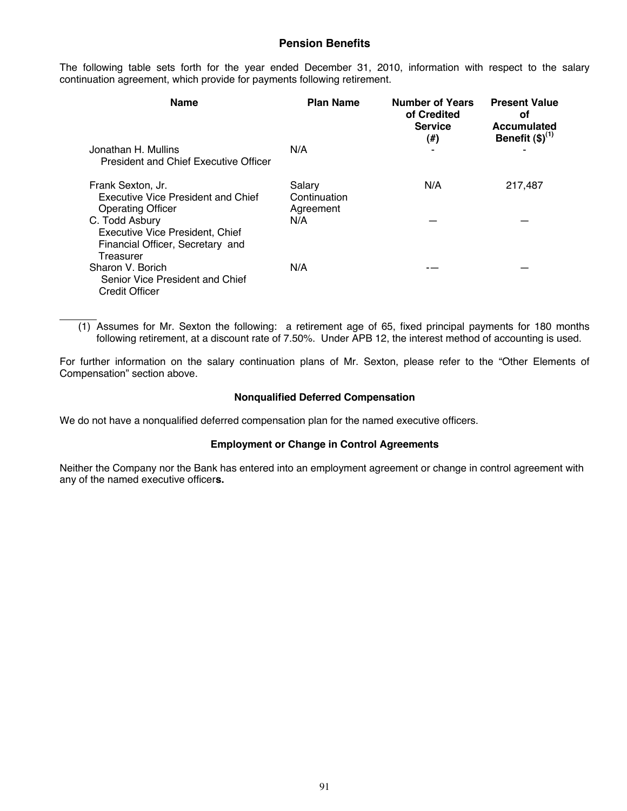#### **Pension Benefits**

The following table sets forth for the year ended December 31, 2010, information with respect to the salary continuation agreement, which provide for payments following retirement.

| <b>Name</b>                                                                                        | <b>Plan Name</b>                    | <b>Number of Years</b><br>of Credited<br><b>Service</b><br>$(\#)$ | <b>Present Value</b><br>οf<br><b>Accumulated</b><br>Benefit $(\$)^{(1)}$ |
|----------------------------------------------------------------------------------------------------|-------------------------------------|-------------------------------------------------------------------|--------------------------------------------------------------------------|
| Jonathan H. Mullins<br><b>President and Chief Executive Officer</b>                                | N/A                                 |                                                                   |                                                                          |
| Frank Sexton, Jr.<br><b>Executive Vice President and Chief</b><br><b>Operating Officer</b>         | Salary<br>Continuation<br>Agreement | N/A                                                               | 217,487                                                                  |
| C. Todd Asbury<br>Executive Vice President, Chief<br>Financial Officer, Secretary and<br>Treasurer | N/A                                 |                                                                   |                                                                          |
| Sharon V. Borich<br>Senior Vice President and Chief<br><b>Credit Officer</b>                       | N/A                                 |                                                                   |                                                                          |

(1) Assumes for Mr. Sexton the following: a retirement age of 65, fixed principal payments for 180 months following retirement, at a discount rate of 7.50%. Under APB 12, the interest method of accounting is used.

For further information on the salary continuation plans of Mr. Sexton, please refer to the "Other Elements of Compensation" section above.

#### **Nonqualified Deferred Compensation**

We do not have a nonqualified deferred compensation plan for the named executive officers.

#### **Employment or Change in Control Agreements**

Neither the Company nor the Bank has entered into an employment agreement or change in control agreement with any of the named executive officer**s.**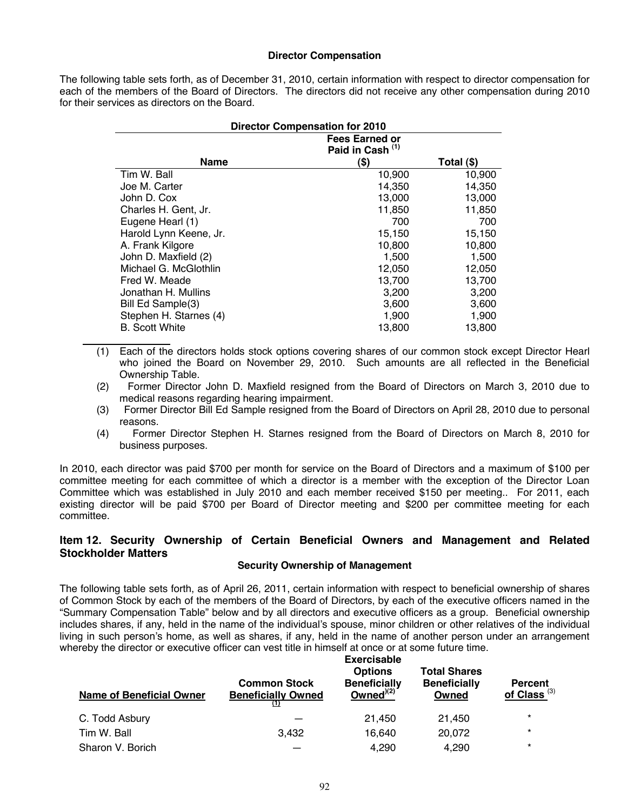#### **Director Compensation**

The following table sets forth, as of December 31, 2010, certain information with respect to director compensation for each of the members of the Board of Directors. The directors did not receive any other compensation during 2010 for their services as directors on the Board.

| <b>Director Compensation for 2010</b> |                             |            |  |
|---------------------------------------|-----------------------------|------------|--|
| <b>Fees Earned or</b>                 |                             |            |  |
|                                       | Paid in Cash <sup>(1)</sup> |            |  |
| <b>Name</b>                           | (\$)                        | Total (\$) |  |
| Tim W. Ball                           | 10,900                      | 10,900     |  |
| Joe M. Carter                         | 14,350                      | 14,350     |  |
| John D. Cox                           | 13,000                      | 13,000     |  |
| Charles H. Gent, Jr.                  | 11,850                      | 11,850     |  |
| Eugene Hearl (1)                      | 700                         | 700        |  |
| Harold Lynn Keene, Jr.                | 15,150                      | 15,150     |  |
| A. Frank Kilgore                      | 10,800                      | 10,800     |  |
| John D. Maxfield (2)                  | 1,500                       | 1,500      |  |
| Michael G. McGlothlin                 | 12,050                      | 12,050     |  |
| Fred W. Meade                         | 13,700                      | 13,700     |  |
| Jonathan H. Mullins                   | 3,200                       | 3,200      |  |
| Bill Ed Sample(3)                     | 3,600                       | 3,600      |  |
| Stephen H. Starnes (4)                | 1,900                       | 1,900      |  |
| <b>B.</b> Scott White                 | 13,800                      | 13,800     |  |

 $\overline{a}$ 

- (1) Each of the directors holds stock options covering shares of our common stock except Director Hearl who joined the Board on November 29, 2010. Such amounts are all reflected in the Beneficial Ownership Table.
- (2) Former Director John D. Maxfield resigned from the Board of Directors on March 3, 2010 due to medical reasons regarding hearing impairment.
- (3) Former Director Bill Ed Sample resigned from the Board of Directors on April 28, 2010 due to personal reasons.
- (4) Former Director Stephen H. Starnes resigned from the Board of Directors on March 8, 2010 for business purposes.

In 2010, each director was paid \$700 per month for service on the Board of Directors and a maximum of \$100 per committee meeting for each committee of which a director is a member with the exception of the Director Loan Committee which was established in July 2010 and each member received \$150 per meeting.. For 2011, each existing director will be paid \$700 per Board of Director meeting and \$200 per committee meeting for each committee.

## **Item 12. Security Ownership of Certain Beneficial Owners and Management and Related Stockholder Matters**

#### **Security Ownership of Management**

The following table sets forth, as of April 26, 2011, certain information with respect to beneficial ownership of shares of Common Stock by each of the members of the Board of Directors, by each of the executive officers named in the "Summary Compensation Table" below and by all directors and executive officers as a group. Beneficial ownership includes shares, if any, held in the name of the individual's spouse, minor children or other relatives of the individual living in such person's home, as well as shares, if any, held in the name of another person under an arrangement whereby the director or executive officer can vest title in himself at once or at some future time. **Exercisable**

| <b>Name of Beneficial Owner</b> | <b>Common Stock</b><br><b>Beneficially Owned</b> | FYA DI AI AMI L<br><b>Options</b><br><b>Beneficially</b><br>Owned $(2)$ | <b>Total Shares</b><br><b>Beneficially</b><br>Owned | <b>Percent</b><br>of Class <sup>(3)</sup> |
|---------------------------------|--------------------------------------------------|-------------------------------------------------------------------------|-----------------------------------------------------|-------------------------------------------|
| C. Todd Asbury                  |                                                  | 21.450                                                                  | 21.450                                              | $\star$                                   |
| Tim W. Ball                     | 3.432                                            | 16.640                                                                  | 20,072                                              | $\star$                                   |
| Sharon V. Borich                |                                                  | 4.290                                                                   | 4.290                                               | $\star$                                   |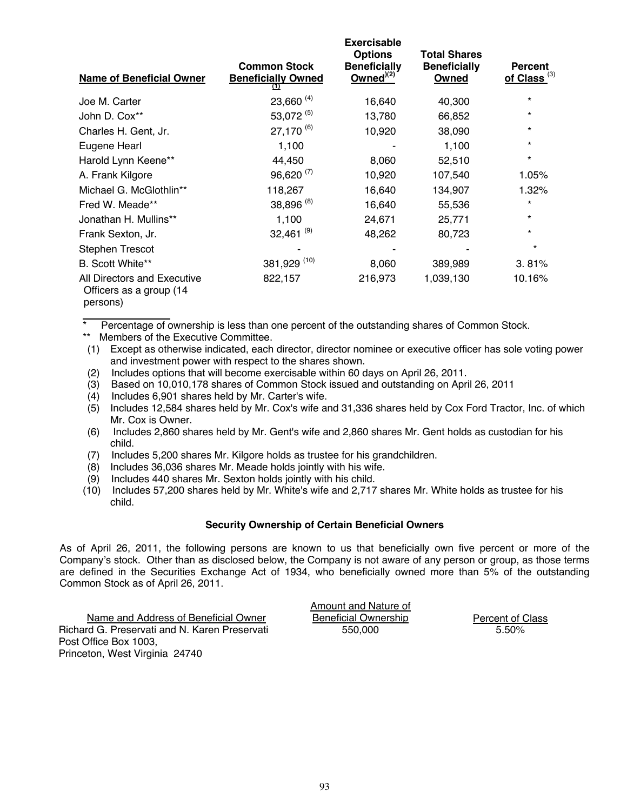| <b>Name of Beneficial Owner</b>                                    | <b>Common Stock</b><br><b>Beneficially Owned</b> | Exercisable<br><b>Options</b><br><b>Beneficially</b><br>Owned $(2)$ | <b>Total Shares</b><br><b>Beneficially</b><br><b>Owned</b> | <b>Percent</b><br>of Class <sup>(3)</sup> |
|--------------------------------------------------------------------|--------------------------------------------------|---------------------------------------------------------------------|------------------------------------------------------------|-------------------------------------------|
| Joe M. Carter                                                      | $23,660$ <sup>(4)</sup>                          | 16,640                                                              | 40,300                                                     | $\star$                                   |
| John D. Cox**                                                      | 53,072 <sup>(5)</sup>                            | 13,780                                                              | 66,852                                                     | $^\star$                                  |
| Charles H. Gent, Jr.                                               | $27,170^{(6)}$                                   | 10,920                                                              | 38,090                                                     | $\star$                                   |
| Eugene Hearl                                                       | 1,100                                            |                                                                     | 1,100                                                      | $\star$                                   |
| Harold Lynn Keene**                                                | 44,450                                           | 8,060                                                               | 52,510                                                     | $\star$                                   |
| A. Frank Kilgore                                                   | 96,620 (7)                                       | 10,920                                                              | 107,540                                                    | 1.05%                                     |
| Michael G. McGlothlin**                                            | 118,267                                          | 16,640                                                              | 134,907                                                    | 1.32%                                     |
| Fred W. Meade**                                                    | 38,896 (8)                                       | 16,640                                                              | 55,536                                                     | $^\star$                                  |
| Jonathan H. Mullins**                                              | 1,100                                            | 24,671                                                              | 25,771                                                     | $\star$                                   |
| Frank Sexton, Jr.                                                  | 32,461 $(9)$                                     | 48,262                                                              | 80,723                                                     | $\star$                                   |
| <b>Stephen Trescot</b>                                             |                                                  |                                                                     |                                                            | $\star$                                   |
| B. Scott White**                                                   | 381,929 (10)                                     | 8,060                                                               | 389,989                                                    | 3.81%                                     |
| All Directors and Executive<br>Officers as a group (14<br>persons) | 822,157                                          | 216,973                                                             | 1,039,130                                                  | 10.16%                                    |

 $\overline{a}$ Percentage of ownership is less than one percent of the outstanding shares of Common Stock.

Members of the Executive Committee.

Princeton, West Virginia 24740

- (1) Except as otherwise indicated, each director, director nominee or executive officer has sole voting power and investment power with respect to the shares shown.
- (2) Includes options that will become exercisable within 60 days on April 26, 2011.
- (3) Based on 10,010,178 shares of Common Stock issued and outstanding on April 26, 2011
- (4) Includes 6,901 shares held by Mr. Carter's wife.
- (5) Includes 12,584 shares held by Mr. Cox's wife and 31,336 shares held by Cox Ford Tractor, Inc. of which Mr. Cox is Owner.
- (6) Includes 2,860 shares held by Mr. Gent's wife and 2,860 shares Mr. Gent holds as custodian for his child.
- (7) Includes 5,200 shares Mr. Kilgore holds as trustee for his grandchildren.
- (8) Includes 36,036 shares Mr. Meade holds jointly with his wife.
- (9) Includes 440 shares Mr. Sexton holds jointly with his child.
- (10) Includes 57,200 shares held by Mr. White's wife and 2,717 shares Mr. White holds as trustee for his child.

#### **Security Ownership of Certain Beneficial Owners**

As of April 26, 2011, the following persons are known to us that beneficially own five percent or more of the Company's stock. Other than as disclosed below, the Company is not aware of any person or group, as those terms are defined in the Securities Exchange Act of 1934, who beneficially owned more than 5% of the outstanding Common Stock as of April 26, 2011.

Name and Address of Beneficial Owner Amount and Nature of Beneficial Ownership<br>550.000 Percent of Class<br>5.50% Richard G. Preservati and N. Karen Preservati Post Office Box 1003, 550.000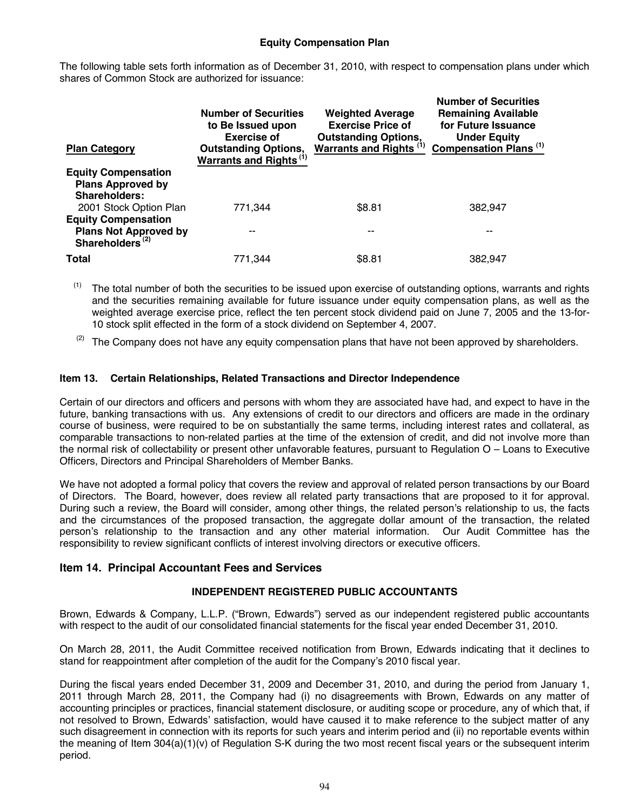### **Equity Compensation Plan**

The following table sets forth information as of December 31, 2010, with respect to compensation plans under which shares of Common Stock are authorized for issuance:

| <b>Plan Category</b>                                                                                          | <b>Number of Securities</b><br>to Be Issued upon<br><b>Exercise of</b><br><b>Outstanding Options,</b><br><b>Warrants and Rights</b> <sup>(1)</sup> | <b>Weighted Average</b><br><b>Exercise Price of</b><br><b>Outstanding Options,</b><br>Warrants and Rights <sup>(1)</sup> | <b>Number of Securities</b><br><b>Remaining Available</b><br>for Future Issuance<br><b>Under Equity</b><br>Compensation Plans <sup>(1)</sup> |
|---------------------------------------------------------------------------------------------------------------|----------------------------------------------------------------------------------------------------------------------------------------------------|--------------------------------------------------------------------------------------------------------------------------|----------------------------------------------------------------------------------------------------------------------------------------------|
| <b>Equity Compensation</b><br><b>Plans Approved by</b><br><b>Shareholders:</b>                                |                                                                                                                                                    |                                                                                                                          |                                                                                                                                              |
| 2001 Stock Option Plan<br><b>Equity Compensation</b><br><b>Plans Not Approved by</b><br>Shareholders $^{(2)}$ | 771.344                                                                                                                                            | \$8.81                                                                                                                   | 382,947<br>--                                                                                                                                |
| <b>Total</b>                                                                                                  | 771.344                                                                                                                                            | \$8.81                                                                                                                   | 382.947                                                                                                                                      |

 $(1)$  The total number of both the securities to be issued upon exercise of outstanding options, warrants and rights and the securities remaining available for future issuance under equity compensation plans, as well as the weighted average exercise price, reflect the ten percent stock dividend paid on June 7, 2005 and the 13-for-10 stock split effected in the form of a stock dividend on September 4, 2007.

 $(2)$  The Company does not have any equity compensation plans that have not been approved by shareholders.

#### **Item 13. Certain Relationships, Related Transactions and Director Independence**

Certain of our directors and officers and persons with whom they are associated have had, and expect to have in the future, banking transactions with us. Any extensions of credit to our directors and officers are made in the ordinary course of business, were required to be on substantially the same terms, including interest rates and collateral, as comparable transactions to non-related parties at the time of the extension of credit, and did not involve more than the normal risk of collectability or present other unfavorable features, pursuant to Regulation O – Loans to Executive Officers, Directors and Principal Shareholders of Member Banks.

We have not adopted a formal policy that covers the review and approval of related person transactions by our Board of Directors. The Board, however, does review all related party transactions that are proposed to it for approval. During such a review, the Board will consider, among other things, the related person's relationship to us, the facts and the circumstances of the proposed transaction, the aggregate dollar amount of the transaction, the related person's relationship to the transaction and any other material information. Our Audit Committee has the responsibility to review significant conflicts of interest involving directors or executive officers.

#### **Item 14. Principal Accountant Fees and Services**

#### **INDEPENDENT REGISTERED PUBLIC ACCOUNTANTS**

Brown, Edwards & Company, L.L.P. ("Brown, Edwards") served as our independent registered public accountants with respect to the audit of our consolidated financial statements for the fiscal year ended December 31, 2010.

On March 28, 2011, the Audit Committee received notification from Brown, Edwards indicating that it declines to stand for reappointment after completion of the audit for the Company's 2010 fiscal year.

During the fiscal years ended December 31, 2009 and December 31, 2010, and during the period from January 1, 2011 through March 28, 2011, the Company had (i) no disagreements with Brown, Edwards on any matter of accounting principles or practices, financial statement disclosure, or auditing scope or procedure, any of which that, if not resolved to Brown, Edwards' satisfaction, would have caused it to make reference to the subject matter of any such disagreement in connection with its reports for such years and interim period and (ii) no reportable events within the meaning of Item 304(a)(1)(v) of Regulation S-K during the two most recent fiscal years or the subsequent interim period.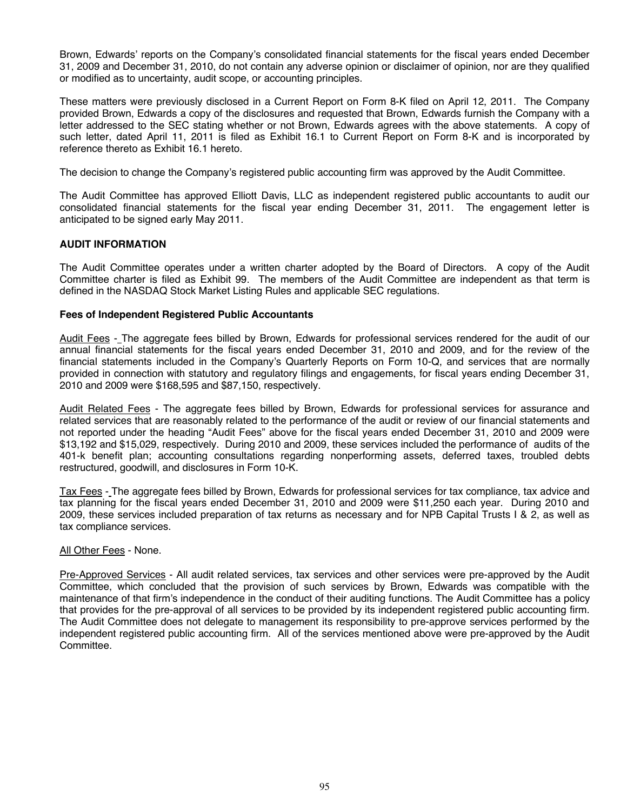Brown, Edwards' reports on the Company's consolidated financial statements for the fiscal years ended December 31, 2009 and December 31, 2010, do not contain any adverse opinion or disclaimer of opinion, nor are they qualified or modified as to uncertainty, audit scope, or accounting principles.

These matters were previously disclosed in a Current Report on Form 8-K filed on April 12, 2011. The Company provided Brown, Edwards a copy of the disclosures and requested that Brown, Edwards furnish the Company with a letter addressed to the SEC stating whether or not Brown, Edwards agrees with the above statements. A copy of such letter, dated April 11, 2011 is filed as Exhibit 16.1 to Current Report on Form 8-K and is incorporated by reference thereto as Exhibit 16.1 hereto.

The decision to change the Company's registered public accounting firm was approved by the Audit Committee.

The Audit Committee has approved Elliott Davis, LLC as independent registered public accountants to audit our consolidated financial statements for the fiscal year ending December 31, 2011. The engagement letter is anticipated to be signed early May 2011.

#### **AUDIT INFORMATION**

The Audit Committee operates under a written charter adopted by the Board of Directors. A copy of the Audit Committee charter is filed as Exhibit 99. The members of the Audit Committee are independent as that term is defined in the NASDAQ Stock Market Listing Rules and applicable SEC regulations.

#### **Fees of Independent Registered Public Accountants**

Audit Fees - The aggregate fees billed by Brown, Edwards for professional services rendered for the audit of our annual financial statements for the fiscal years ended December 31, 2010 and 2009, and for the review of the financial statements included in the Company's Quarterly Reports on Form 10-Q, and services that are normally provided in connection with statutory and regulatory filings and engagements, for fiscal years ending December 31, 2010 and 2009 were \$168,595 and \$87,150, respectively.

Audit Related Fees - The aggregate fees billed by Brown, Edwards for professional services for assurance and related services that are reasonably related to the performance of the audit or review of our financial statements and not reported under the heading "Audit Fees" above for the fiscal years ended December 31, 2010 and 2009 were \$13,192 and \$15,029, respectively. During 2010 and 2009, these services included the performance of audits of the 401-k benefit plan; accounting consultations regarding nonperforming assets, deferred taxes, troubled debts restructured, goodwill, and disclosures in Form 10-K.

Tax Fees - The aggregate fees billed by Brown, Edwards for professional services for tax compliance, tax advice and tax planning for the fiscal years ended December 31, 2010 and 2009 were \$11,250 each year. During 2010 and 2009, these services included preparation of tax returns as necessary and for NPB Capital Trusts I & 2, as well as tax compliance services.

#### All Other Fees - None.

Pre-Approved Services - All audit related services, tax services and other services were pre-approved by the Audit Committee, which concluded that the provision of such services by Brown, Edwards was compatible with the maintenance of that firm's independence in the conduct of their auditing functions. The Audit Committee has a policy that provides for the pre-approval of all services to be provided by its independent registered public accounting firm. The Audit Committee does not delegate to management its responsibility to pre-approve services performed by the independent registered public accounting firm. All of the services mentioned above were pre-approved by the Audit Committee.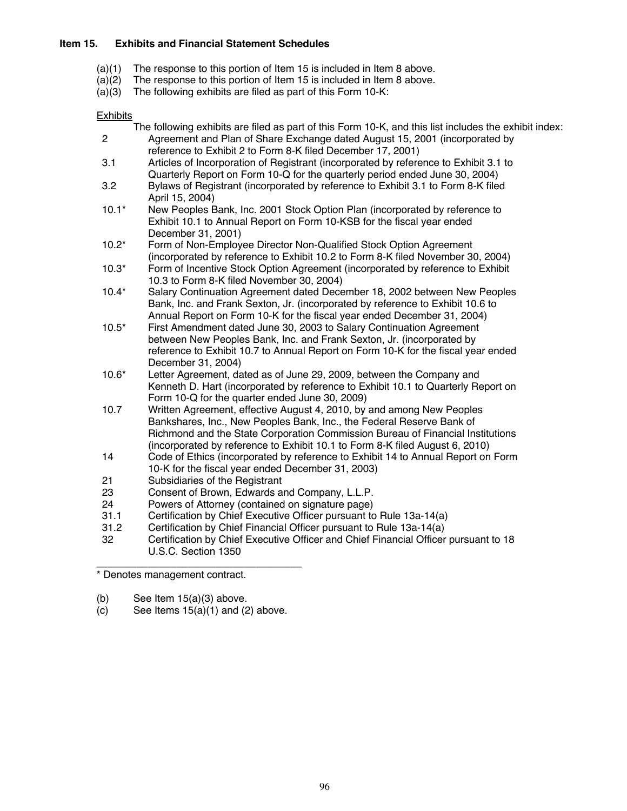## **Item 15. Exhibits and Financial Statement Schedules**

- (a)(1) The response to this portion of Item 15 is included in Item 8 above.
- (a)(2) The response to this portion of Item 15 is included in Item 8 above.<br>(a)(3) The following exhibits are filed as part of this Form 10-K:
- The following exhibits are filed as part of this Form 10-K:

### **Exhibits**

- The following exhibits are filed as part of this Form 10-K, and this list includes the exhibit index:<br>Agreement and Plan of Share Exchange dated August 15, 2001 (incorporated by
- Agreement and Plan of Share Exchange dated August 15, 2001 (incorporated by reference to Exhibit 2 to Form 8-K filed December 17, 2001)
- 3.1 Articles of Incorporation of Registrant (incorporated by reference to Exhibit 3.1 to Quarterly Report on Form 10-Q for the quarterly period ended June 30, 2004)
- 3.2 Bylaws of Registrant (incorporated by reference to Exhibit 3.1 to Form 8-K filed April 15, 2004)
- 10.1\* New Peoples Bank, Inc. 2001 Stock Option Plan (incorporated by reference to Exhibit 10.1 to Annual Report on Form 10-KSB for the fiscal year ended December 31, 2001)
- 10.2\* Form of Non-Employee Director Non-Qualified Stock Option Agreement (incorporated by reference to Exhibit 10.2 to Form 8-K filed November 30, 2004)
- 10.3\* Form of Incentive Stock Option Agreement (incorporated by reference to Exhibit 10.3 to Form 8-K filed November 30, 2004)
- 10.4\* Salary Continuation Agreement dated December 18, 2002 between New Peoples Bank, Inc. and Frank Sexton, Jr. (incorporated by reference to Exhibit 10.6 to Annual Report on Form 10-K for the fiscal year ended December 31, 2004)
- 10.5\* First Amendment dated June 30, 2003 to Salary Continuation Agreement between New Peoples Bank, Inc. and Frank Sexton, Jr. (incorporated by reference to Exhibit 10.7 to Annual Report on Form 10-K for the fiscal year ended December 31, 2004)
- 10.6\* Letter Agreement, dated as of June 29, 2009, between the Company and Kenneth D. Hart (incorporated by reference to Exhibit 10.1 to Quarterly Report on Form 10-Q for the quarter ended June 30, 2009)
- 10.7 Written Agreement, effective August 4, 2010, by and among New Peoples Bankshares, Inc., New Peoples Bank, Inc., the Federal Reserve Bank of Richmond and the State Corporation Commission Bureau of Financial Institutions (incorporated by reference to Exhibit 10.1 to Form 8-K filed August 6, 2010)
- 14 Code of Ethics (incorporated by reference to Exhibit 14 to Annual Report on Form 10-K for the fiscal year ended December 31, 2003)
- 21 Subsidiaries of the Registrant<br>23 Consent of Brown, Edwards a
- 23 Consent of Brown, Edwards and Company, L.L.P.<br>24 Powers of Attorney (contained on signature page)
- 24 Powers of Attorney (contained on signature page)<br>31.1 Certification by Chief Executive Officer pursuant to
- 31.1 Certification by Chief Executive Officer pursuant to Rule 13a-14(a)
- 31.2 Certification by Chief Financial Officer pursuant to Rule 13a-14(a)
- 32 Certification by Chief Executive Officer and Chief Financial Officer pursuant to 18 U.S.C. Section 1350

\_\_\_\_\_\_\_\_\_\_\_\_\_\_\_\_\_\_\_\_\_\_\_\_\_\_\_\_\_\_\_\_\_\_\_\_ \* Denotes management contract.

- (b) See Item  $15(a)(3)$  above.<br>(c) See Items  $15(a)(1)$  and (2)
- See Items  $15(a)(1)$  and (2) above.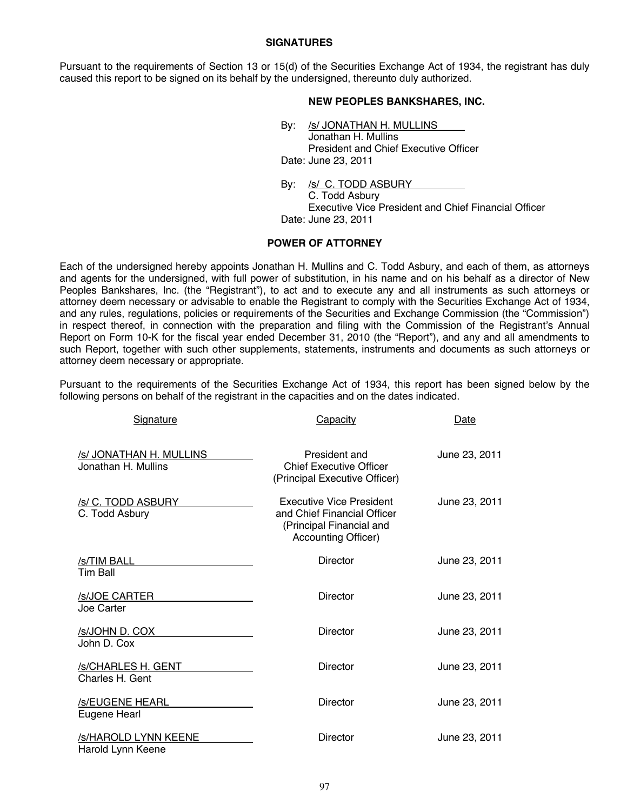#### **SIGNATURES**

Pursuant to the requirements of Section 13 or 15(d) of the Securities Exchange Act of 1934, the registrant has duly caused this report to be signed on its behalf by the undersigned, thereunto duly authorized.

#### **NEW PEOPLES BANKSHARES, INC.**

By: /s/ JONATHAN H. MULLINS Jonathan H. Mullins President and Chief Executive Officer Date: June 23, 2011

By: /s/ C. TODD ASBURY C. Todd Asbury Executive Vice President and Chief Financial Officer Date: June 23, 2011

#### **POWER OF ATTORNEY**

Each of the undersigned hereby appoints Jonathan H. Mullins and C. Todd Asbury, and each of them, as attorneys and agents for the undersigned, with full power of substitution, in his name and on his behalf as a director of New Peoples Bankshares, Inc. (the "Registrant"), to act and to execute any and all instruments as such attorneys or attorney deem necessary or advisable to enable the Registrant to comply with the Securities Exchange Act of 1934, and any rules, regulations, policies or requirements of the Securities and Exchange Commission (the "Commission") in respect thereof, in connection with the preparation and filing with the Commission of the Registrant's Annual Report on Form 10-K for the fiscal year ended December 31, 2010 (the "Report"), and any and all amendments to such Report, together with such other supplements, statements, instruments and documents as such attorneys or attorney deem necessary or appropriate.

Pursuant to the requirements of the Securities Exchange Act of 1934, this report has been signed below by the following persons on behalf of the registrant in the capacities and on the dates indicated.

| Signature                                      | Capacity                                                                                                                 | Date          |
|------------------------------------------------|--------------------------------------------------------------------------------------------------------------------------|---------------|
| /s/ JONATHAN H. MULLINS<br>Jonathan H. Mullins | President and<br><b>Chief Executive Officer</b><br>(Principal Executive Officer)                                         | June 23, 2011 |
| <b>/s/ C. TODD ASBURY</b><br>C. Todd Asbury    | <b>Executive Vice President</b><br>and Chief Financial Officer<br>(Principal Financial and<br><b>Accounting Officer)</b> | June 23, 2011 |
| /s/TIM BALL<br><b>Tim Ball</b>                 | Director                                                                                                                 | June 23, 2011 |
| /s/JOE CARTER<br>Joe Carter                    | <b>Director</b>                                                                                                          | June 23, 2011 |
| <b>/s/JOHN D. COX</b><br>John D. Cox           | Director                                                                                                                 | June 23, 2011 |
| /s/CHARLES H. GENT<br>Charles H. Gent          | <b>Director</b>                                                                                                          | June 23, 2011 |
| /s/EUGENE HEARL<br>Eugene Hearl                | Director                                                                                                                 | June 23, 2011 |
| /s/HAROLD LYNN KEENE<br>Harold Lynn Keene      | <b>Director</b>                                                                                                          | June 23, 2011 |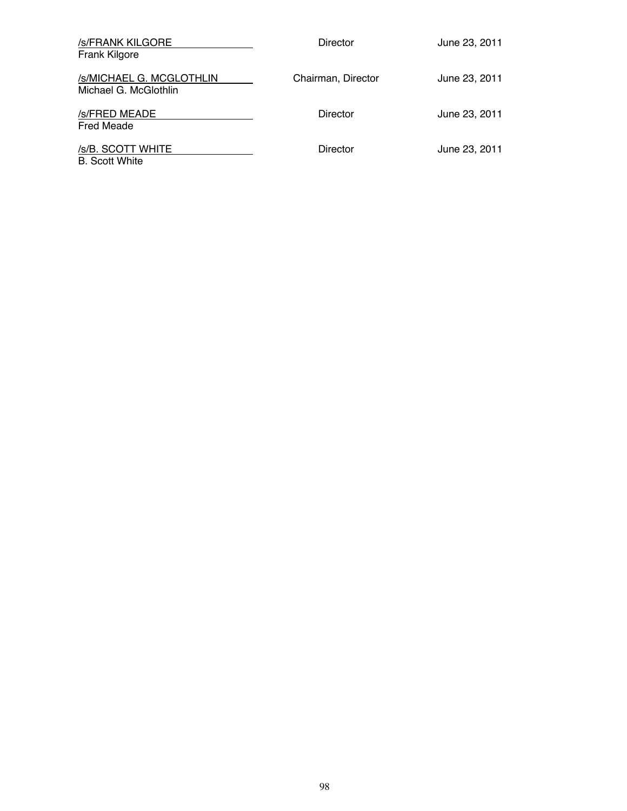| /s/FRANK KILGORE<br><b>Frank Kilgore</b>          | Director           | June 23, 2011 |
|---------------------------------------------------|--------------------|---------------|
| /s/MICHAEL G. MCGLOTHLIN<br>Michael G. McGlothlin | Chairman, Director | June 23, 2011 |
| /s/FRED MEADE<br><b>Fred Meade</b>                | Director           | June 23, 2011 |
| /s/B. SCOTT WHITE<br><b>B.</b> Scott White        | <b>Director</b>    | June 23, 2011 |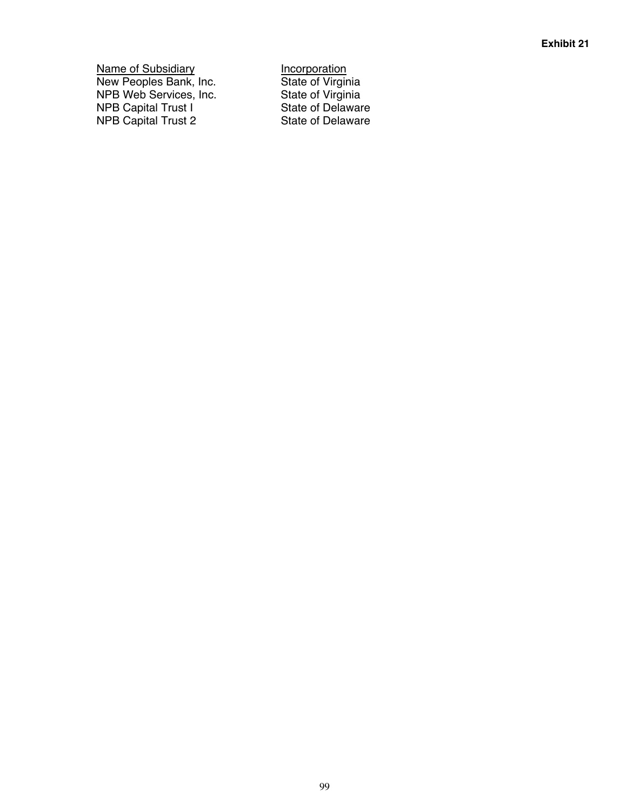<u>Name of Subsidiary Incorporation</u> New Peoples Bank, Inc. State of Virginia NPB Web Services, Inc.<br>
NPB Capital Trust I State of Delaware NPB Capital Trust I State of Delaware NPB Capital Trust 2 State of Delaware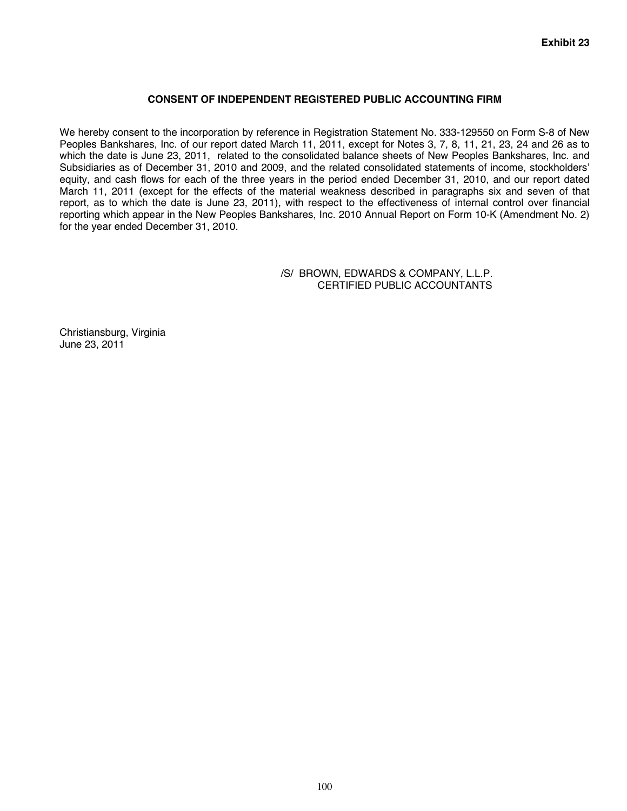## **CONSENT OF INDEPENDENT REGISTERED PUBLIC ACCOUNTING FIRM**

We hereby consent to the incorporation by reference in Registration Statement No. 333-129550 on Form S-8 of New Peoples Bankshares, Inc. of our report dated March 11, 2011, except for Notes 3, 7, 8, 11, 21, 23, 24 and 26 as to which the date is June 23, 2011, related to the consolidated balance sheets of New Peoples Bankshares, Inc. and Subsidiaries as of December 31, 2010 and 2009, and the related consolidated statements of income, stockholders' equity, and cash flows for each of the three years in the period ended December 31, 2010, and our report dated March 11, 2011 (except for the effects of the material weakness described in paragraphs six and seven of that report, as to which the date is June 23, 2011), with respect to the effectiveness of internal control over financial reporting which appear in the New Peoples Bankshares, Inc. 2010 Annual Report on Form 10-K (Amendment No. 2) for the year ended December 31, 2010.

> /S/ BROWN, EDWARDS & COMPANY, L.L.P. CERTIFIED PUBLIC ACCOUNTANTS

Christiansburg, Virginia June 23, 2011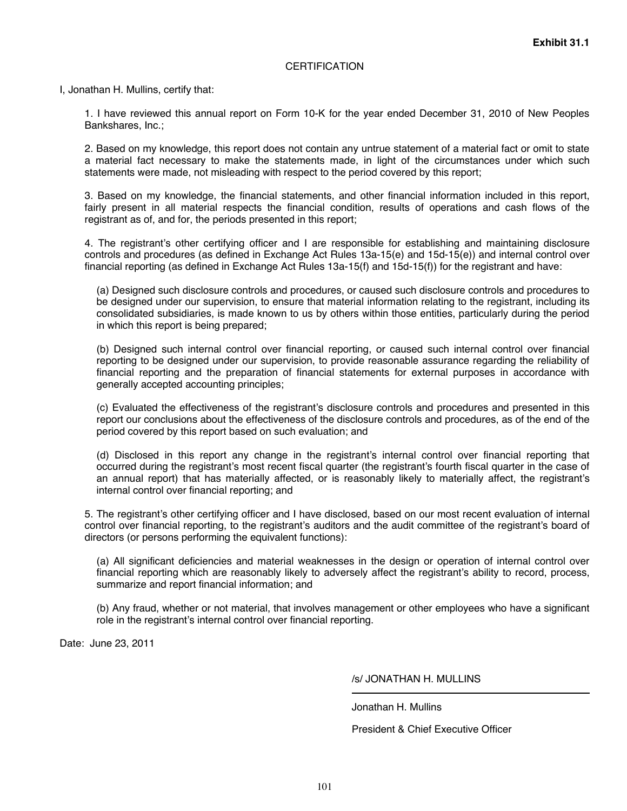#### **CERTIFICATION**

I, Jonathan H. Mullins, certify that:

1. I have reviewed this annual report on Form 10-K for the year ended December 31, 2010 of New Peoples Bankshares, Inc.;

2. Based on my knowledge, this report does not contain any untrue statement of a material fact or omit to state a material fact necessary to make the statements made, in light of the circumstances under which such statements were made, not misleading with respect to the period covered by this report;

3. Based on my knowledge, the financial statements, and other financial information included in this report, fairly present in all material respects the financial condition, results of operations and cash flows of the registrant as of, and for, the periods presented in this report;

4. The registrant's other certifying officer and I are responsible for establishing and maintaining disclosure controls and procedures (as defined in Exchange Act Rules 13a-15(e) and 15d-15(e)) and internal control over financial reporting (as defined in Exchange Act Rules 13a-15(f) and 15d-15(f)) for the registrant and have:

(a) Designed such disclosure controls and procedures, or caused such disclosure controls and procedures to be designed under our supervision, to ensure that material information relating to the registrant, including its consolidated subsidiaries, is made known to us by others within those entities, particularly during the period in which this report is being prepared;

(b) Designed such internal control over financial reporting, or caused such internal control over financial reporting to be designed under our supervision, to provide reasonable assurance regarding the reliability of financial reporting and the preparation of financial statements for external purposes in accordance with generally accepted accounting principles;

(c) Evaluated the effectiveness of the registrant's disclosure controls and procedures and presented in this report our conclusions about the effectiveness of the disclosure controls and procedures, as of the end of the period covered by this report based on such evaluation; and

(d) Disclosed in this report any change in the registrant's internal control over financial reporting that occurred during the registrant's most recent fiscal quarter (the registrant's fourth fiscal quarter in the case of an annual report) that has materially affected, or is reasonably likely to materially affect, the registrant's internal control over financial reporting; and

5. The registrant's other certifying officer and I have disclosed, based on our most recent evaluation of internal control over financial reporting, to the registrant's auditors and the audit committee of the registrant's board of directors (or persons performing the equivalent functions):

(a) All significant deficiencies and material weaknesses in the design or operation of internal control over financial reporting which are reasonably likely to adversely affect the registrant's ability to record, process, summarize and report financial information; and

(b) Any fraud, whether or not material, that involves management or other employees who have a significant role in the registrant's internal control over financial reporting.

Date: June 23, 2011

#### /s/ JONATHAN H. MULLINS

Jonathan H. Mullins

President & Chief Executive Officer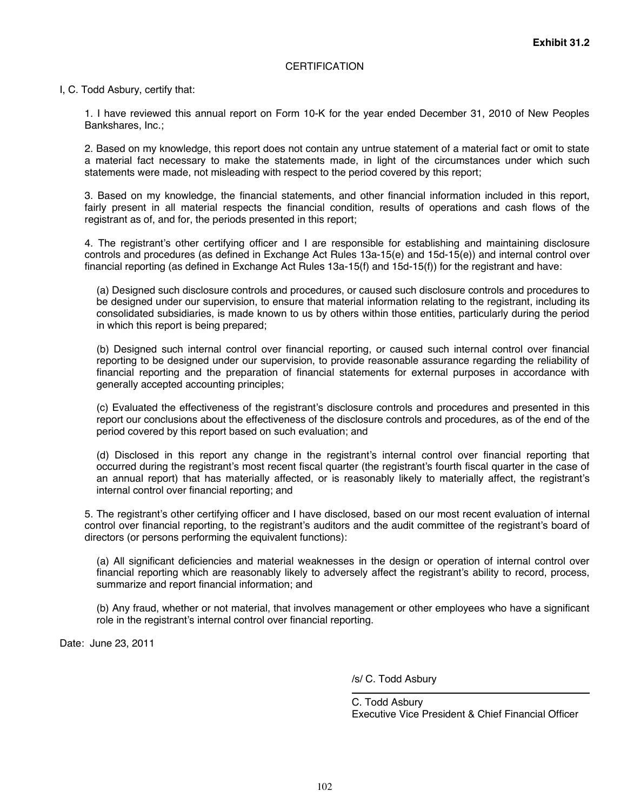#### **CERTIFICATION**

#### I, C. Todd Asbury, certify that:

1. I have reviewed this annual report on Form 10-K for the year ended December 31, 2010 of New Peoples Bankshares, Inc.;

2. Based on my knowledge, this report does not contain any untrue statement of a material fact or omit to state a material fact necessary to make the statements made, in light of the circumstances under which such statements were made, not misleading with respect to the period covered by this report;

3. Based on my knowledge, the financial statements, and other financial information included in this report, fairly present in all material respects the financial condition, results of operations and cash flows of the registrant as of, and for, the periods presented in this report;

4. The registrant's other certifying officer and I are responsible for establishing and maintaining disclosure controls and procedures (as defined in Exchange Act Rules 13a-15(e) and 15d-15(e)) and internal control over financial reporting (as defined in Exchange Act Rules 13a-15(f) and 15d-15(f)) for the registrant and have:

(a) Designed such disclosure controls and procedures, or caused such disclosure controls and procedures to be designed under our supervision, to ensure that material information relating to the registrant, including its consolidated subsidiaries, is made known to us by others within those entities, particularly during the period in which this report is being prepared;

(b) Designed such internal control over financial reporting, or caused such internal control over financial reporting to be designed under our supervision, to provide reasonable assurance regarding the reliability of financial reporting and the preparation of financial statements for external purposes in accordance with generally accepted accounting principles;

(c) Evaluated the effectiveness of the registrant's disclosure controls and procedures and presented in this report our conclusions about the effectiveness of the disclosure controls and procedures, as of the end of the period covered by this report based on such evaluation; and

(d) Disclosed in this report any change in the registrant's internal control over financial reporting that occurred during the registrant's most recent fiscal quarter (the registrant's fourth fiscal quarter in the case of an annual report) that has materially affected, or is reasonably likely to materially affect, the registrant's internal control over financial reporting; and

5. The registrant's other certifying officer and I have disclosed, based on our most recent evaluation of internal control over financial reporting, to the registrant's auditors and the audit committee of the registrant's board of directors (or persons performing the equivalent functions):

(a) All significant deficiencies and material weaknesses in the design or operation of internal control over financial reporting which are reasonably likely to adversely affect the registrant's ability to record, process, summarize and report financial information; and

(b) Any fraud, whether or not material, that involves management or other employees who have a significant role in the registrant's internal control over financial reporting.

Date: June 23, 2011

/s/ C. Todd Asbury

C. Todd Asbury Executive Vice President & Chief Financial Officer